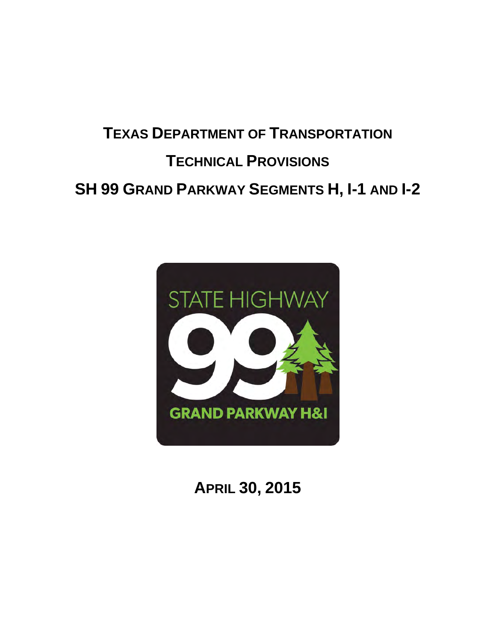# **TEXAS DEPARTMENT OF TRANSPORTATION TECHNICAL PROVISIONS SH 99 GRAND PARKWAY SEGMENTS H, I-1 AND I-2**



**APRIL 30, 2015**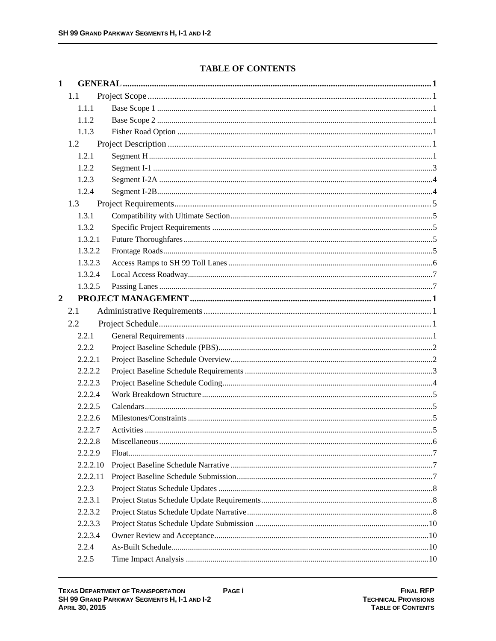# **TABLE OF CONTENTS**

| $\mathbf{1}$   |          |  |
|----------------|----------|--|
|                | 1.1      |  |
|                | 1.1.1    |  |
|                | 1.1.2    |  |
|                | 1.1.3    |  |
|                | 1.2      |  |
|                | 1.2.1    |  |
|                | 1.2.2    |  |
|                | 1.2.3    |  |
|                | 1.2.4    |  |
|                | 1.3      |  |
|                | 1.3.1    |  |
|                | 1.3.2    |  |
|                | 1.3.2.1  |  |
|                | 1.3.2.2  |  |
|                | 1.3.2.3  |  |
|                | 1.3.2.4  |  |
|                | 1.3.2.5  |  |
| $\overline{2}$ |          |  |
|                | 2.1      |  |
|                | 2.2      |  |
|                | 2.2.1    |  |
|                | 2.2.2    |  |
|                | 2.2.2.1  |  |
|                | 2.2.2.2  |  |
|                | 2.2.2.3  |  |
|                | 2.2.2.4  |  |
|                | 2.2.2.5  |  |
|                | 2.2.2.6  |  |
|                | 2.2.2.7  |  |
|                | 2.2.2.8  |  |
|                | 2.2.2.9  |  |
|                | 2.2.2.10 |  |
|                | 2.2.2.11 |  |
|                | 2.2.3    |  |
|                | 2.2.3.1  |  |
|                | 2.2.3.2  |  |
|                | 2.2.3.3  |  |
|                | 2.2.3.4  |  |
|                | 2.2.4    |  |
|                | 2.2.5    |  |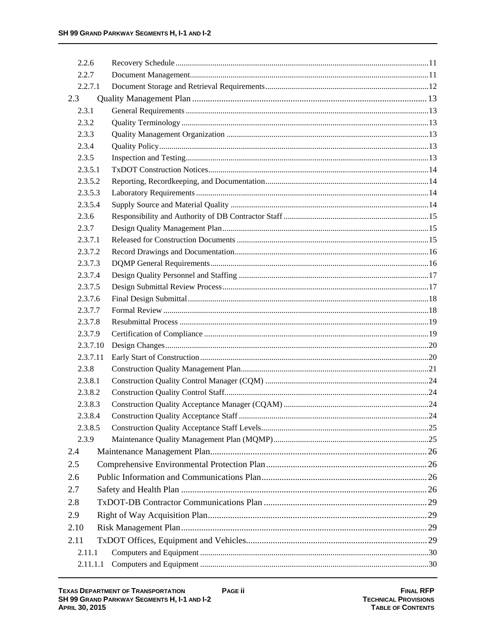| 2.2.6    |  |  |
|----------|--|--|
| 2.2.7    |  |  |
| 2.2.7.1  |  |  |
| 2.3      |  |  |
| 2.3.1    |  |  |
| 2.3.2    |  |  |
| 2.3.3    |  |  |
| 2.3.4    |  |  |
| 2.3.5    |  |  |
| 2.3.5.1  |  |  |
| 2.3.5.2  |  |  |
| 2.3.5.3  |  |  |
| 2.3.5.4  |  |  |
| 2.3.6    |  |  |
| 2.3.7    |  |  |
| 2.3.7.1  |  |  |
| 2.3.7.2  |  |  |
| 2.3.7.3  |  |  |
| 2.3.7.4  |  |  |
| 2.3.7.5  |  |  |
| 2.3.7.6  |  |  |
| 2.3.7.7  |  |  |
| 2.3.7.8  |  |  |
| 2.3.7.9  |  |  |
| 2.3.7.10 |  |  |
| 2.3.7.11 |  |  |
| 2.3.8    |  |  |
| 2.3.8.1  |  |  |
| 2.3.8.2  |  |  |
| 2.3.8.3  |  |  |
| 2.3.8.4  |  |  |
| 2.3.8.5  |  |  |
| 2.3.9    |  |  |
| 2.4      |  |  |
| 2.5      |  |  |
| 2.6      |  |  |
| 2.7      |  |  |
| 2.8      |  |  |
| 2.9      |  |  |
| 2.10     |  |  |
| 2.11     |  |  |
| 2.11.1   |  |  |
| 2.11.1.1 |  |  |
|          |  |  |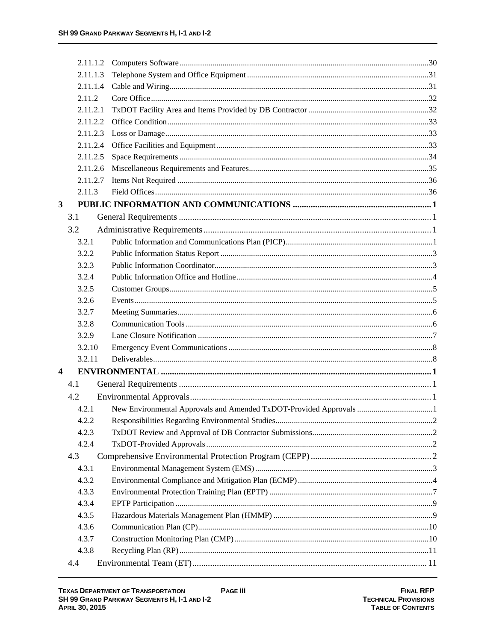|                         | 2.11.1.2 |  |
|-------------------------|----------|--|
|                         | 2.11.1.3 |  |
|                         | 2.11.1.4 |  |
|                         | 2.11.2   |  |
|                         | 2.11.2.1 |  |
|                         | 2.11.2.2 |  |
|                         | 2.11.2.3 |  |
|                         | 2.11.2.4 |  |
|                         | 2.11.2.5 |  |
|                         | 2.11.2.6 |  |
|                         | 2.11.2.7 |  |
|                         | 2.11.3   |  |
| 3                       |          |  |
| 3.1                     |          |  |
| 3.2                     |          |  |
|                         | 3.2.1    |  |
|                         | 3.2.2    |  |
|                         | 3.2.3    |  |
|                         | 3.2.4    |  |
|                         | 3.2.5    |  |
|                         | 3.2.6    |  |
|                         | 3.2.7    |  |
|                         | 3.2.8    |  |
|                         | 3.2.9    |  |
|                         | 3.2.10   |  |
|                         | 3.2.11   |  |
| $\overline{\mathbf{4}}$ |          |  |
| 4.1                     |          |  |
| 4.2                     |          |  |
|                         | 4.2.1    |  |
|                         | 4.2.2    |  |
|                         | 4.2.3    |  |
|                         | 4.2.4    |  |
| 4.3                     |          |  |
|                         | 4.3.1    |  |
|                         | 4.3.2    |  |
|                         | 4.3.3    |  |
|                         | 4.3.4    |  |
|                         | 4.3.5    |  |
|                         | 4.3.6    |  |
|                         | 4.3.7    |  |
|                         | 4.3.8    |  |
| 4.4                     |          |  |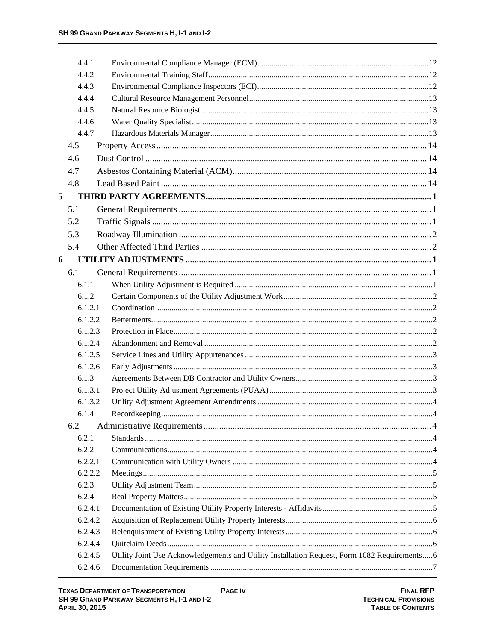|   | 4.4.1   |                                                                                               |  |
|---|---------|-----------------------------------------------------------------------------------------------|--|
|   | 4.4.2   |                                                                                               |  |
|   | 4.4.3   |                                                                                               |  |
|   | 4.4.4   |                                                                                               |  |
|   | 4.4.5   |                                                                                               |  |
|   | 4.4.6   |                                                                                               |  |
|   | 4.4.7   |                                                                                               |  |
|   | 4.5     |                                                                                               |  |
|   | 4.6     |                                                                                               |  |
|   | 4.7     |                                                                                               |  |
|   | 4.8     |                                                                                               |  |
| 5 |         |                                                                                               |  |
|   | 5.1     |                                                                                               |  |
|   | 5.2     |                                                                                               |  |
|   | 5.3     |                                                                                               |  |
|   | 5.4     |                                                                                               |  |
| 6 |         |                                                                                               |  |
|   | 6.1     |                                                                                               |  |
|   | 6.1.1   |                                                                                               |  |
|   | 6.1.2   |                                                                                               |  |
|   | 6.1.2.1 |                                                                                               |  |
|   | 6.1.2.2 |                                                                                               |  |
|   | 6.1.2.3 |                                                                                               |  |
|   | 6.1.2.4 |                                                                                               |  |
|   | 6.1.2.5 |                                                                                               |  |
|   | 6.1.2.6 |                                                                                               |  |
|   | 6.1.3   |                                                                                               |  |
|   | 6.1.3.1 |                                                                                               |  |
|   | 6.1.3.2 |                                                                                               |  |
|   | 6.1.4   |                                                                                               |  |
|   | 6.2     |                                                                                               |  |
|   | 6.2.1   |                                                                                               |  |
|   | 6.2.2   |                                                                                               |  |
|   | 6.2.2.1 |                                                                                               |  |
|   | 6.2.2.2 |                                                                                               |  |
|   | 6.2.3   |                                                                                               |  |
|   | 6.2.4   |                                                                                               |  |
|   | 6.2.4.1 |                                                                                               |  |
|   | 6.2.4.2 |                                                                                               |  |
|   | 6.2.4.3 |                                                                                               |  |
|   | 6.2.4.4 |                                                                                               |  |
|   | 6.2.4.5 | Utility Joint Use Acknowledgements and Utility Installation Request, Form 1082 Requirements 6 |  |
|   | 6.2.4.6 |                                                                                               |  |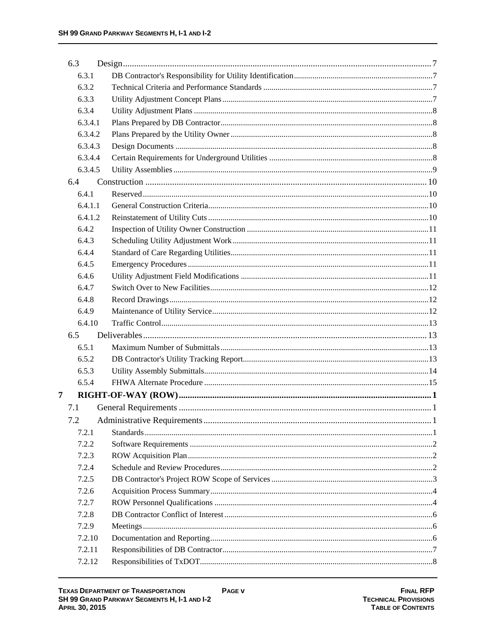| 6.3 |         |  |
|-----|---------|--|
|     | 6.3.1   |  |
|     | 6.3.2   |  |
|     | 6.3.3   |  |
|     | 6.3.4   |  |
|     | 6.3.4.1 |  |
|     | 6.3.4.2 |  |
|     | 6.3.4.3 |  |
|     | 6.3.4.4 |  |
|     | 6.3.4.5 |  |
| 6.4 |         |  |
|     | 6.4.1   |  |
|     | 6.4.1.1 |  |
|     | 6.4.1.2 |  |
|     | 6.4.2   |  |
|     | 6.4.3   |  |
|     | 6.4.4   |  |
|     | 6.4.5   |  |
|     | 6.4.6   |  |
|     | 6.4.7   |  |
|     | 6.4.8   |  |
|     | 6.4.9   |  |
|     | 6.4.10  |  |
| 6.5 |         |  |
|     | 6.5.1   |  |
|     | 6.5.2   |  |
|     | 6.5.3   |  |
|     | 6.5.4   |  |
| 7   |         |  |
| 7.1 |         |  |
| 7.2 |         |  |
|     | 7.2.1   |  |
|     | 7.2.2   |  |
|     | 7.2.3   |  |
|     | 7.2.4   |  |
|     | 7.2.5   |  |
|     | 7.2.6   |  |
|     | 7.2.7   |  |
|     | 7.2.8   |  |
|     | 7.2.9   |  |
|     | 7.2.10  |  |
|     | 7.2.11  |  |
|     | 7.2.12  |  |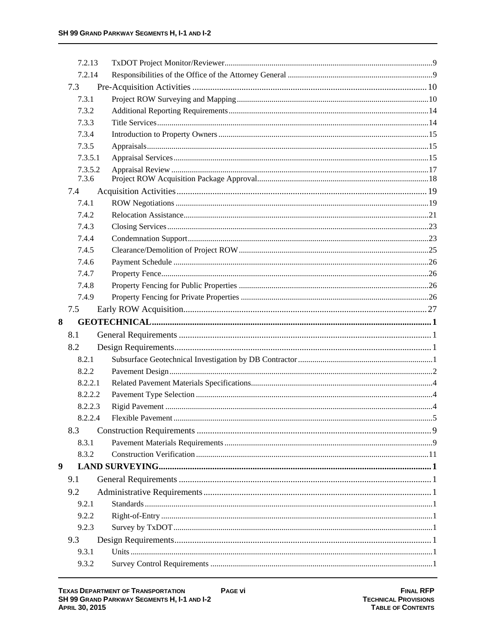|   | 7.2.13           |  |
|---|------------------|--|
|   | 7.2.14           |  |
|   | 7.3              |  |
|   | 7.3.1            |  |
|   | 7.3.2            |  |
|   | 7.3.3            |  |
|   | 7.3.4            |  |
|   | 7.3.5            |  |
|   | 7.3.5.1          |  |
|   | 7.3.5.2<br>7.3.6 |  |
|   | 7.4              |  |
|   | 7.4.1            |  |
|   | 7.4.2            |  |
|   | 7.4.3            |  |
|   | 7.4.4            |  |
|   | 7.4.5            |  |
|   | 7.4.6            |  |
|   | 7.4.7            |  |
|   | 7.4.8            |  |
|   | 7.4.9            |  |
|   | 7.5              |  |
| 8 |                  |  |
|   |                  |  |
|   | 8.1              |  |
|   | 8.2              |  |
|   | 8.2.1            |  |
|   | 8.2.2            |  |
|   | 8.2.2.1          |  |
|   | 8.2.2.2          |  |
|   | 8.2.2.3          |  |
|   | 8.2.2.4          |  |
|   | 8.3              |  |
|   | 8.3.1            |  |
|   | 8.3.2            |  |
|   |                  |  |
|   | 9.1              |  |
|   |                  |  |
|   | 9.2              |  |
|   | 9.2.1            |  |
|   | 9.2.2            |  |
|   | 9.2.3            |  |
| 9 | 9.3              |  |
|   | 9.3.1<br>9.3.2   |  |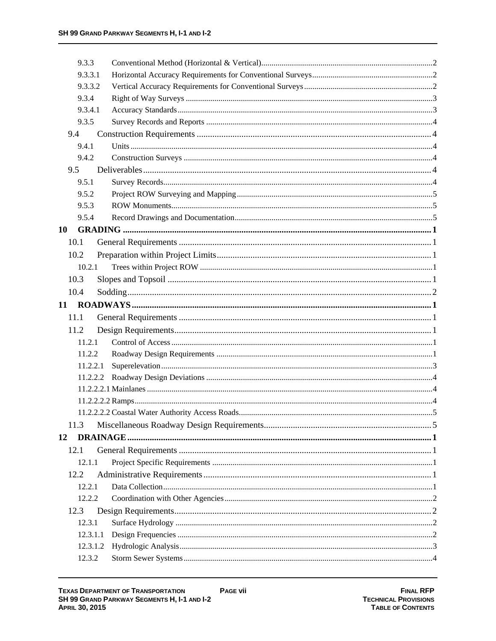| 9.3.3    |  |
|----------|--|
| 9.3.3.1  |  |
| 9.3.3.2  |  |
| 9.3.4    |  |
| 9.3.4.1  |  |
| 9.3.5    |  |
| 9.4      |  |
| 9.4.1    |  |
| 9.4.2    |  |
| 9.5      |  |
| 9.5.1    |  |
| 9.5.2    |  |
| 9.5.3    |  |
| 9.5.4    |  |
| 10       |  |
| 10.1     |  |
| 10.2     |  |
| 10.2.1   |  |
| 10.3     |  |
| 10.4     |  |
| 11       |  |
| 11.1     |  |
| 11.2     |  |
| 11.2.1   |  |
| 11.2.2   |  |
| 11.2.2.1 |  |
| 11.2.2.2 |  |
|          |  |
|          |  |
|          |  |
| 11.3     |  |
| 12       |  |
| 12.1     |  |
| 12.1.1   |  |
| 12.2     |  |
| 12.2.1   |  |
| 12.2.2   |  |
| 12.3     |  |
| 12.3.1   |  |
| 12.3.1.1 |  |
| 12.3.1.2 |  |
| 12.3.2   |  |
|          |  |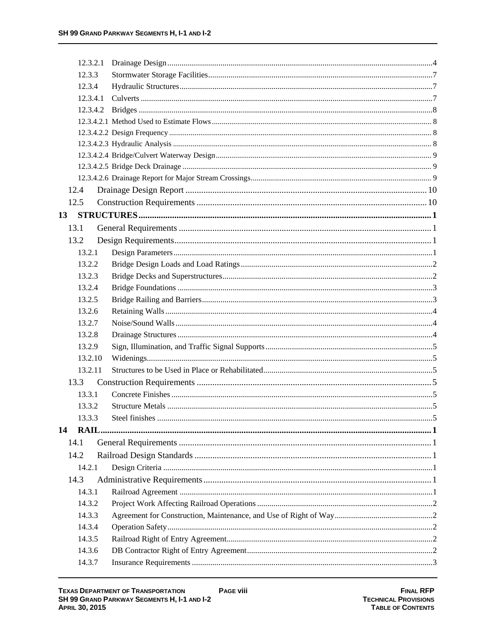| 12.3.2.1 |                     |  |
|----------|---------------------|--|
| 12.3.3   |                     |  |
| 12.3.4   |                     |  |
| 12.3.4.1 |                     |  |
| 12.3.4.2 |                     |  |
|          |                     |  |
|          |                     |  |
|          |                     |  |
|          |                     |  |
|          |                     |  |
|          |                     |  |
| 12.4     |                     |  |
| 12.5     |                     |  |
| 13       |                     |  |
| 13.1     |                     |  |
| 13.2     |                     |  |
| 13.2.1   |                     |  |
| 13.2.2   |                     |  |
| 13.2.3   |                     |  |
| 13.2.4   |                     |  |
| 13.2.5   |                     |  |
| 13.2.6   |                     |  |
| 13.2.7   |                     |  |
| 13.2.8   |                     |  |
| 13.2.9   |                     |  |
| 13.2.10  |                     |  |
| 13.2.11  |                     |  |
| 13.3     |                     |  |
| 13.3.1   |                     |  |
| 13.3.2   |                     |  |
| 1333     | Steel finishes<br>5 |  |
| 14       |                     |  |
| 14.1     |                     |  |
| 14.2     |                     |  |
| 14.2.1   |                     |  |
| 14.3     |                     |  |
| 14.3.1   |                     |  |
| 14.3.2   |                     |  |
| 14.3.3   |                     |  |
| 14.3.4   |                     |  |
| 14.3.5   |                     |  |
| 14.3.6   |                     |  |
| 14.3.7   |                     |  |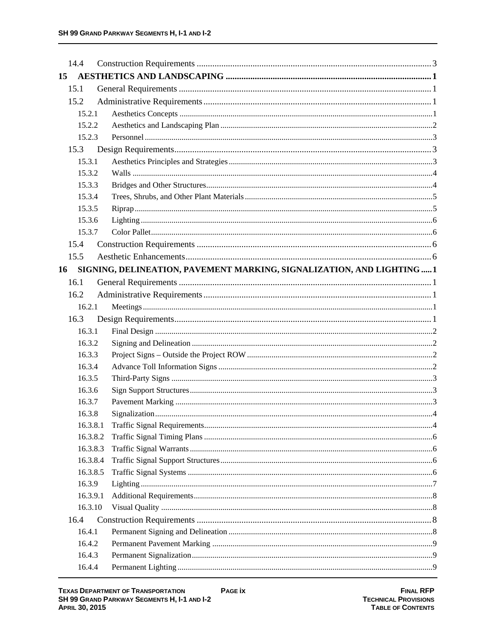| 14.4     |                                                                        |  |
|----------|------------------------------------------------------------------------|--|
| 15       |                                                                        |  |
| 15.1     |                                                                        |  |
| 15.2     |                                                                        |  |
| 15.2.1   |                                                                        |  |
| 15.2.2   |                                                                        |  |
| 15.2.3   |                                                                        |  |
| 15.3     |                                                                        |  |
| 15.3.1   |                                                                        |  |
| 15.3.2   |                                                                        |  |
| 15.3.3   |                                                                        |  |
| 15.3.4   |                                                                        |  |
| 15.3.5   |                                                                        |  |
| 15.3.6   |                                                                        |  |
| 15.3.7   |                                                                        |  |
| 15.4     |                                                                        |  |
| 15.5     |                                                                        |  |
| 16       | SIGNING, DELINEATION, PAVEMENT MARKING, SIGNALIZATION, AND LIGHTING  1 |  |
| 16.1     |                                                                        |  |
| 16.2     |                                                                        |  |
| 16.2.1   |                                                                        |  |
| 16.3     |                                                                        |  |
| 16.3.1   |                                                                        |  |
| 16.3.2   |                                                                        |  |
| 16.3.3   |                                                                        |  |
| 16.3.4   |                                                                        |  |
| 16.3.5   |                                                                        |  |
| 16.3.6   |                                                                        |  |
| 16.3.7   |                                                                        |  |
| 16.3.8   |                                                                        |  |
| 16.3.8.1 |                                                                        |  |
| 16.3.8.2 |                                                                        |  |
| 16.3.8.3 |                                                                        |  |
| 16.3.8.4 |                                                                        |  |
| 16.3.8.5 |                                                                        |  |
| 16.3.9   |                                                                        |  |
| 16.3.9.1 |                                                                        |  |
| 16.3.10  |                                                                        |  |
| 16.4     |                                                                        |  |
| 16.4.1   |                                                                        |  |
| 16.4.2   |                                                                        |  |
| 16.4.3   |                                                                        |  |
| 16.4.4   |                                                                        |  |

**FINAL RFP**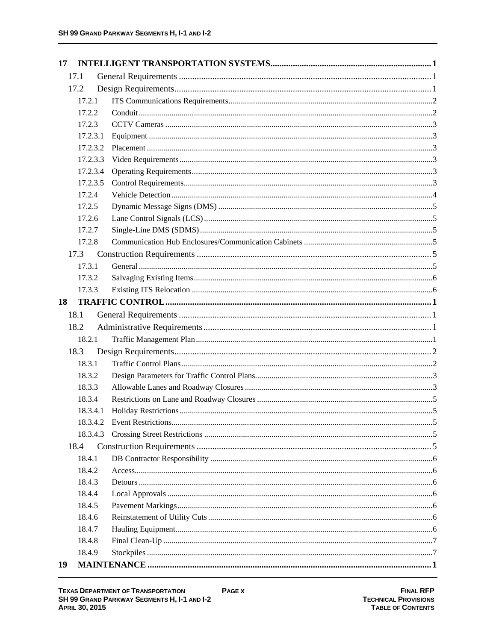| 17       |  |
|----------|--|
| 17.1     |  |
| 17.2     |  |
| 17.2.1   |  |
| 17.2.2   |  |
| 17.2.3   |  |
| 17.2.3.1 |  |
| 17.2.3.2 |  |
| 17.2.3.3 |  |
| 17.2.3.4 |  |
| 17.2.3.5 |  |
| 17.2.4   |  |
| 17.2.5   |  |
| 17.2.6   |  |
| 17.2.7   |  |
| 17.2.8   |  |
| 17.3     |  |
| 17.3.1   |  |
| 17.3.2   |  |
| 17.3.3   |  |
| 18       |  |
| 18.1     |  |
| 18.2     |  |
| 18.2.1   |  |
| 18.3     |  |
| 18.3.1   |  |
| 18.3.2   |  |
| 18.3.3   |  |
| 18.3.4   |  |
| 18.3.4.1 |  |
| 18.3.4.2 |  |
| 18.3.4.3 |  |
| 18.4     |  |
| 18.4.1   |  |
| 18.4.2   |  |
| 18.4.3   |  |
| 18.4.4   |  |
| 18.4.5   |  |
| 18.4.6   |  |
| 18.4.7   |  |
| 18.4.8   |  |
| 18.4.9   |  |
| 19       |  |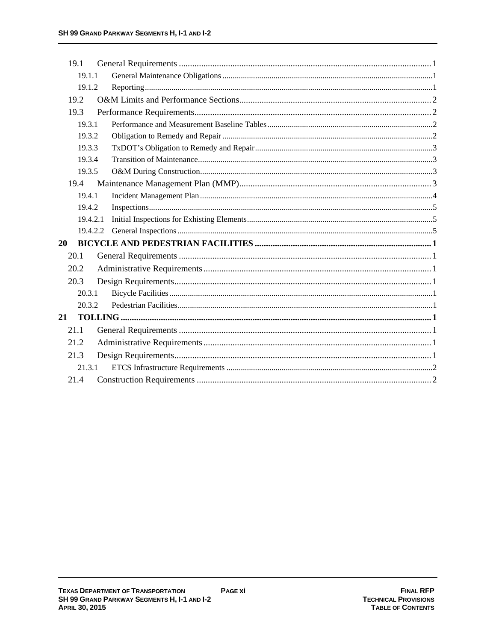| 19.1     |  |
|----------|--|
| 19.1.1   |  |
| 19.1.2   |  |
| 19.2     |  |
| 19.3     |  |
| 19.3.1   |  |
| 19.3.2   |  |
| 19.3.3   |  |
| 19.3.4   |  |
| 19.3.5   |  |
| 19.4     |  |
| 19.4.1   |  |
| 19.4.2   |  |
| 19.4.2.1 |  |
| 19.4.2.2 |  |
| 20       |  |
| 20.1     |  |
| 20.2     |  |
| 20.3     |  |
| 20.3.1   |  |
| 20.3.2   |  |
| 21       |  |
| 21.1     |  |
| 21.2     |  |
| 21.3     |  |
| 21.3.1   |  |
| 21.4     |  |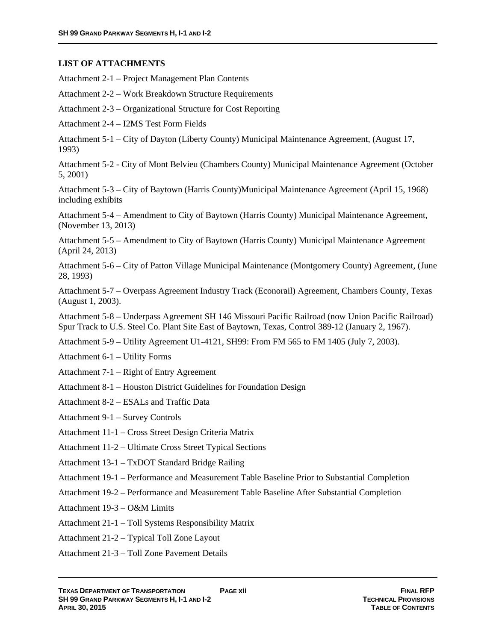#### **LIST OF ATTACHMENTS**

Attachment 2-1 – Project Management Plan Contents

Attachment 2-2 – Work Breakdown Structure Requirements

Attachment 2-3 – Organizational Structure for Cost Reporting

Attachment 2-4 – I2MS Test Form Fields

Attachment 5-1 – City of Dayton (Liberty County) Municipal Maintenance Agreement, (August 17, 1993)

Attachment 5-2 - City of Mont Belvieu (Chambers County) Municipal Maintenance Agreement (October 5, 2001)

Attachment 5-3 – City of Baytown (Harris County)Municipal Maintenance Agreement (April 15, 1968) including exhibits

Attachment 5-4 – Amendment to City of Baytown (Harris County) Municipal Maintenance Agreement, (November 13, 2013)

Attachment 5-5 – Amendment to City of Baytown (Harris County) Municipal Maintenance Agreement (April 24, 2013)

Attachment 5-6 – City of Patton Village Municipal Maintenance (Montgomery County) Agreement, (June 28, 1993)

Attachment 5-7 – Overpass Agreement Industry Track (Econorail) Agreement, Chambers County, Texas (August 1, 2003).

Attachment 5-8 – Underpass Agreement SH 146 Missouri Pacific Railroad (now Union Pacific Railroad) Spur Track to U.S. Steel Co. Plant Site East of Baytown, Texas, Control 389-12 (January 2, 1967).

Attachment 5-9 – Utility Agreement U1-4121, SH99: From FM 565 to FM 1405 (July 7, 2003).

Attachment 6-1 – Utility Forms

Attachment 7-1 – Right of Entry Agreement

Attachment 8-1 – Houston District Guidelines for Foundation Design

Attachment 8-2 – ESALs and Traffic Data

Attachment 9-1 – Survey Controls

Attachment 11-1 – Cross Street Design Criteria Matrix

Attachment 11-2 – Ultimate Cross Street Typical Sections

Attachment 13-1 – TxDOT Standard Bridge Railing

Attachment 19-1 – Performance and Measurement Table Baseline Prior to Substantial Completion

Attachment 19-2 – Performance and Measurement Table Baseline After Substantial Completion

Attachment 19-3 – O&M Limits

Attachment 21-1 – Toll Systems Responsibility Matrix

Attachment 21-2 – Typical Toll Zone Layout

Attachment 21-3 – Toll Zone Pavement Details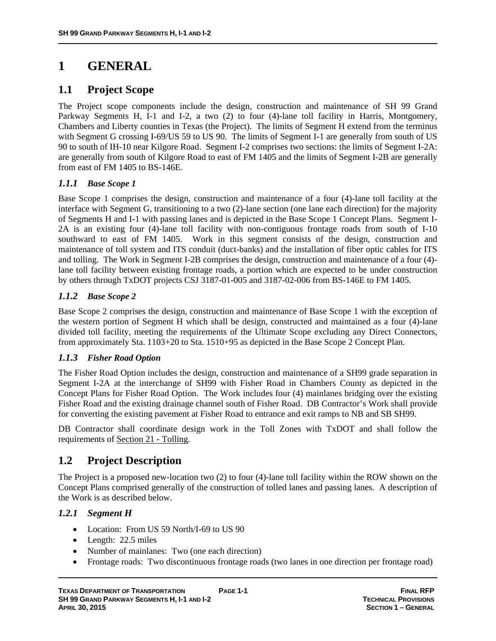# **1 GENERAL**

# **1.1 Project Scope**

The Project scope components include the design, construction and maintenance of SH 99 Grand Parkway Segments H, I-1 and I-2, a two (2) to four (4)-lane toll facility in Harris, Montgomery, Chambers and Liberty counties in Texas (the Project). The limits of Segment H extend from the terminus with Segment G crossing I-69/US 59 to US 90. The limits of Segment I-1 are generally from south of US 90 to south of IH-10 near Kilgore Road. Segment I-2 comprises two sections: the limits of Segment I-2A: are generally from south of Kilgore Road to east of FM 1405 and the limits of Segment I-2B are generally from east of FM 1405 to BS-146E.

# *1.1.1 Base Scope 1*

Base Scope 1 comprises the design, construction and maintenance of a four (4)-lane toll facility at the interface with Segment G, transitioning to a two (2)-lane section (one lane each direction) for the majority of Segments H and I-1 with passing lanes and is depicted in the Base Scope 1 Concept Plans. Segment I-2A is an existing four (4)-lane toll facility with non-contiguous frontage roads from south of I-10 southward to east of FM 1405. Work in this segment consists of the design, construction and maintenance of toll system and ITS conduit (duct-banks) and the installation of fiber optic cables for ITS and tolling. The Work in Segment I-2B comprises the design, construction and maintenance of a four (4) lane toll facility between existing frontage roads, a portion which are expected to be under construction by others through TxDOT projects CSJ 3187-01-005 and 3187-02-006 from BS-146E to FM 1405.

# *1.1.2 Base Scope 2*

Base Scope 2 comprises the design, construction and maintenance of Base Scope 1 with the exception of the western portion of Segment H which shall be design, constructed and maintained as a four (4)-lane divided toll facility, meeting the requirements of the Ultimate Scope excluding any Direct Connectors, from approximately Sta. 1103+20 to Sta. 1510+95 as depicted in the Base Scope 2 Concept Plan.

# *1.1.3 Fisher Road Option*

The Fisher Road Option includes the design, construction and maintenance of a SH99 grade separation in Segment I-2A at the interchange of SH99 with Fisher Road in Chambers County as depicted in the Concept Plans for Fisher Road Option. The Work includes four (4) mainlanes bridging over the existing Fisher Road and the existing drainage channel south of Fisher Road. DB Contractor's Work shall provide for converting the existing pavement at Fisher Road to entrance and exit ramps to NB and SB SH99.

DB Contractor shall coordinate design work in the Toll Zones with TxDOT and shall follow the requirements of Section 21 - Tolling.

# **1.2 Project Description**

The Project is a proposed new-location two (2) to four (4)-lane toll facility within the ROW shown on the Concept Plans comprised generally of the construction of tolled lanes and passing lanes. A description of the Work is as described below.

# *1.2.1 Segment H*

- Location: From US 59 North/I-69 to US 90
- Length: 22.5 miles
- Number of mainlanes: Two (one each direction)
- Frontage roads: Two discontinuous frontage roads (two lanes in one direction per frontage road)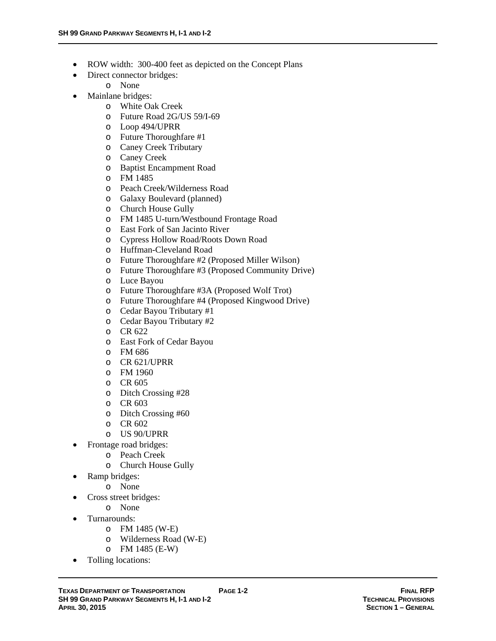- ROW width: 300-400 feet as depicted on the Concept Plans
- Direct connector bridges:
	- o None
- Mainlane bridges:
	- o White Oak Creek
	- o Future Road 2G/US 59/I-69
	- o Loop 494/UPRR
	- o Future Thoroughfare #1
	- o Caney Creek Tributary
	- o Caney Creek
	- o Baptist Encampment Road
	- o FM 1485
	- o Peach Creek/Wilderness Road
	- o Galaxy Boulevard (planned)
	- o Church House Gully
	- o FM 1485 U-turn/Westbound Frontage Road
	- o East Fork of San Jacinto River
	- o Cypress Hollow Road/Roots Down Road
	- o Huffman-Cleveland Road
	- o Future Thoroughfare #2 (Proposed Miller Wilson)
	- o Future Thoroughfare #3 (Proposed Community Drive)
	- o Luce Bayou
	- o Future Thoroughfare #3A (Proposed Wolf Trot)
	- o Future Thoroughfare #4 (Proposed Kingwood Drive)
	- o Cedar Bayou Tributary #1
	- o Cedar Bayou Tributary #2
	- o CR 622
	- o East Fork of Cedar Bayou
	- o FM 686
	- o CR 621/UPRR
	- o FM 1960
	- o CR 605
	- o Ditch Crossing #28
	- o CR 603
	- o Ditch Crossing #60
	- o CR 602
	- o US 90/UPRR
- Frontage road bridges:
	- o Peach Creek
		- o Church House Gully
- Ramp bridges:
	- o None
- Cross street bridges:
	- o None
- Turnarounds:
	- o FM 1485 (W-E)
	- o Wilderness Road (W-E)
	- o FM 1485 (E-W)
- Tolling locations: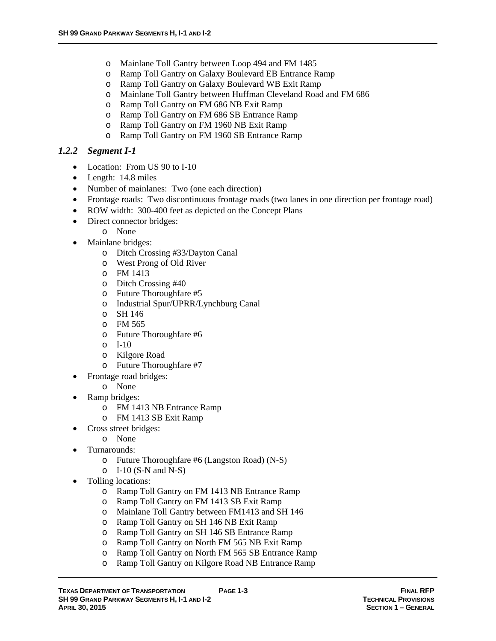- o Mainlane Toll Gantry between Loop 494 and FM 1485
- o Ramp Toll Gantry on Galaxy Boulevard EB Entrance Ramp
- o Ramp Toll Gantry on Galaxy Boulevard WB Exit Ramp
- o Mainlane Toll Gantry between Huffman Cleveland Road and FM 686
- o Ramp Toll Gantry on FM 686 NB Exit Ramp
- o Ramp Toll Gantry on FM 686 SB Entrance Ramp
- o Ramp Toll Gantry on FM 1960 NB Exit Ramp
- o Ramp Toll Gantry on FM 1960 SB Entrance Ramp

#### *1.2.2 Segment I-1*

- Location: From US 90 to I-10
- Length: 14.8 miles
- Number of mainlanes: Two (one each direction)
- Frontage roads: Two discontinuous frontage roads (two lanes in one direction per frontage road)
- ROW width: 300-400 feet as depicted on the Concept Plans
- Direct connector bridges:
	- o None
- Mainlane bridges:
	- o Ditch Crossing #33/Dayton Canal
	- o West Prong of Old River
	- o FM 1413
	- o Ditch Crossing #40
	- o Future Thoroughfare #5
	- o Industrial Spur/UPRR/Lynchburg Canal
	- o SH 146
	- o FM 565
	- o Future Thoroughfare #6
	- o I-10
	- o Kilgore Road
	- o Future Thoroughfare #7
- Frontage road bridges:
	- o None
- Ramp bridges:
	- o FM 1413 NB Entrance Ramp
	- o FM 1413 SB Exit Ramp
- Cross street bridges:
	- o None
	- Turnarounds:
		- o Future Thoroughfare #6 (Langston Road) (N-S)
		- $O$  I-10 (S-N and N-S)
- Tolling locations:
	- o Ramp Toll Gantry on FM 1413 NB Entrance Ramp
	- o Ramp Toll Gantry on FM 1413 SB Exit Ramp
	- o Mainlane Toll Gantry between FM1413 and SH 146
	- o Ramp Toll Gantry on SH 146 NB Exit Ramp
	- o Ramp Toll Gantry on SH 146 SB Entrance Ramp
	- o Ramp Toll Gantry on North FM 565 NB Exit Ramp
	- o Ramp Toll Gantry on North FM 565 SB Entrance Ramp
	- o Ramp Toll Gantry on Kilgore Road NB Entrance Ramp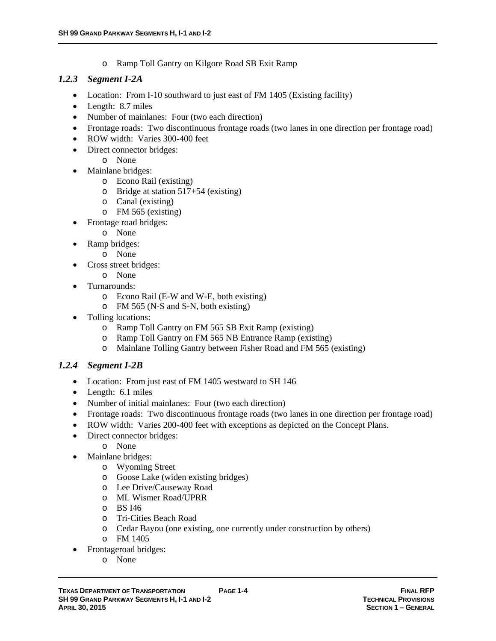o Ramp Toll Gantry on Kilgore Road SB Exit Ramp

# *1.2.3 Segment I-2A*

- Location: From I-10 southward to just east of FM 1405 (Existing facility)
- Length: 8.7 miles
- Number of mainlanes: Four (two each direction)
- Frontage roads: Two discontinuous frontage roads (two lanes in one direction per frontage road)
- ROW width: Varies 300-400 feet
- Direct connector bridges:
	- o None
- Mainlane bridges:
	- o Econo Rail (existing)
	- o Bridge at station 517+54 (existing)
	- o Canal (existing)
	- o FM 565 (existing)
- Frontage road bridges:
	- o None
- Ramp bridges:
	- o None
- Cross street bridges:
	- o None
- Turnarounds:
	- o Econo Rail (E-W and W-E, both existing)
	- o FM 565 (N-S and S-N, both existing)
- Tolling locations:
	- o Ramp Toll Gantry on FM 565 SB Exit Ramp (existing)
	- o Ramp Toll Gantry on FM 565 NB Entrance Ramp (existing)
	- o Mainlane Tolling Gantry between Fisher Road and FM 565 (existing)

# *1.2.4 Segment I-2B*

- Location: From just east of FM 1405 westward to SH 146
- Length: 6.1 miles
- Number of initial mainlanes: Four (two each direction)
- Frontage roads: Two discontinuous frontage roads (two lanes in one direction per frontage road)
- ROW width: Varies 200-400 feet with exceptions as depicted on the Concept Plans.
- Direct connector bridges:
	- o None
- Mainlane bridges:
	- o Wyoming Street
	- o Goose Lake (widen existing bridges)
	- o Lee Drive/Causeway Road
	- o ML Wismer Road/UPRR
	- o BS I46
	- o Tri-Cities Beach Road
	- o Cedar Bayou (one existing, one currently under construction by others)
	- o FM 1405
- Frontageroad bridges:
	- o None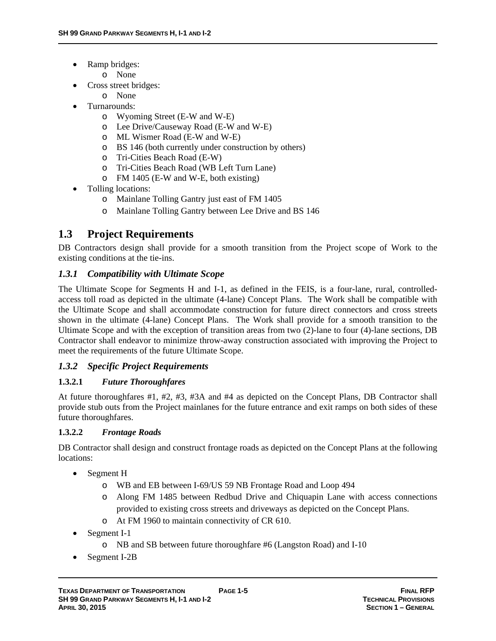- Ramp bridges:
	- o None
- Cross street bridges:
	- o None
- Turnarounds:
	- o Wyoming Street (E-W and W-E)
	- o Lee Drive/Causeway Road (E-W and W-E)
	- o ML Wismer Road (E-W and W-E)
	- o BS 146 (both currently under construction by others)
	- o Tri-Cities Beach Road (E-W)
	- o Tri-Cities Beach Road (WB Left Turn Lane)
	- o FM 1405 (E-W and W-E, both existing)
- Tolling locations:
	- o Mainlane Tolling Gantry just east of FM 1405
	- o Mainlane Tolling Gantry between Lee Drive and BS 146

# **1.3 Project Requirements**

DB Contractors design shall provide for a smooth transition from the Project scope of Work to the existing conditions at the tie-ins.

# *1.3.1 Compatibility with Ultimate Scope*

The Ultimate Scope for Segments H and I-1, as defined in the FEIS, is a four-lane, rural, controlledaccess toll road as depicted in the ultimate (4-lane) Concept Plans. The Work shall be compatible with the Ultimate Scope and shall accommodate construction for future direct connectors and cross streets shown in the ultimate (4-lane) Concept Plans. The Work shall provide for a smooth transition to the Ultimate Scope and with the exception of transition areas from two (2)-lane to four (4)-lane sections, DB Contractor shall endeavor to minimize throw-away construction associated with improving the Project to meet the requirements of the future Ultimate Scope.

# *1.3.2 Specific Project Requirements*

#### **1.3.2.1** *Future Thoroughfares*

At future thoroughfares #1, #2, #3, #3A and #4 as depicted on the Concept Plans, DB Contractor shall provide stub outs from the Project mainlanes for the future entrance and exit ramps on both sides of these future thoroughfares.

#### **1.3.2.2** *Frontage Roads*

DB Contractor shall design and construct frontage roads as depicted on the Concept Plans at the following locations:

- Segment H
	- o WB and EB between I-69/US 59 NB Frontage Road and Loop 494
	- o Along FM 1485 between Redbud Drive and Chiquapin Lane with access connections provided to existing cross streets and driveways as depicted on the Concept Plans.
	- o At FM 1960 to maintain connectivity of CR 610.
- Segment I-1
	- o NB and SB between future thoroughfare #6 (Langston Road) and I-10
- Segment I-2B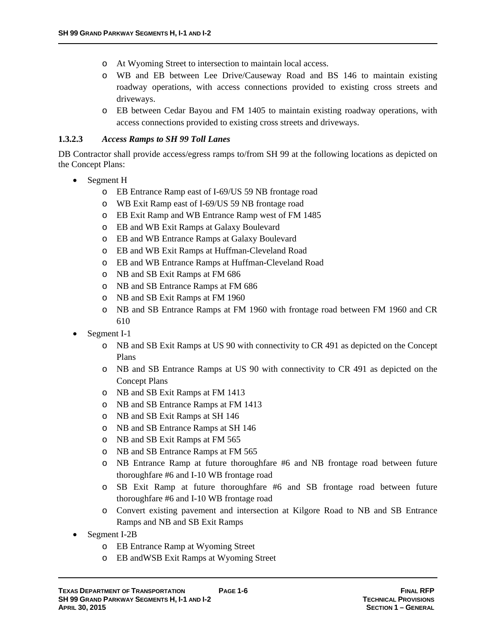- o At Wyoming Street to intersection to maintain local access.
- o WB and EB between Lee Drive/Causeway Road and BS 146 to maintain existing roadway operations, with access connections provided to existing cross streets and driveways.
- o EB between Cedar Bayou and FM 1405 to maintain existing roadway operations, with access connections provided to existing cross streets and driveways.

#### **1.3.2.3** *Access Ramps to SH 99 Toll Lanes*

DB Contractor shall provide access/egress ramps to/from SH 99 at the following locations as depicted on the Concept Plans:

- Segment H
	- o EB Entrance Ramp east of I-69/US 59 NB frontage road
	- o WB Exit Ramp east of I-69/US 59 NB frontage road
	- o EB Exit Ramp and WB Entrance Ramp west of FM 1485
	- o EB and WB Exit Ramps at Galaxy Boulevard
	- o EB and WB Entrance Ramps at Galaxy Boulevard
	- o EB and WB Exit Ramps at Huffman-Cleveland Road
	- o EB and WB Entrance Ramps at Huffman-Cleveland Road
	- o NB and SB Exit Ramps at FM 686
	- o NB and SB Entrance Ramps at FM 686
	- o NB and SB Exit Ramps at FM 1960
	- o NB and SB Entrance Ramps at FM 1960 with frontage road between FM 1960 and CR 610
- Segment I-1
	- o NB and SB Exit Ramps at US 90 with connectivity to CR 491 as depicted on the Concept Plans
	- o NB and SB Entrance Ramps at US 90 with connectivity to CR 491 as depicted on the Concept Plans
	- o NB and SB Exit Ramps at FM 1413
	- o NB and SB Entrance Ramps at FM 1413
	- o NB and SB Exit Ramps at SH 146
	- o NB and SB Entrance Ramps at SH 146
	- o NB and SB Exit Ramps at FM 565
	- o NB and SB Entrance Ramps at FM 565
	- o NB Entrance Ramp at future thoroughfare #6 and NB frontage road between future thoroughfare #6 and I-10 WB frontage road
	- o SB Exit Ramp at future thoroughfare #6 and SB frontage road between future thoroughfare #6 and I-10 WB frontage road
	- o Convert existing pavement and intersection at Kilgore Road to NB and SB Entrance Ramps and NB and SB Exit Ramps
- Segment I-2B
	- o EB Entrance Ramp at Wyoming Street
	- o EB andWSB Exit Ramps at Wyoming Street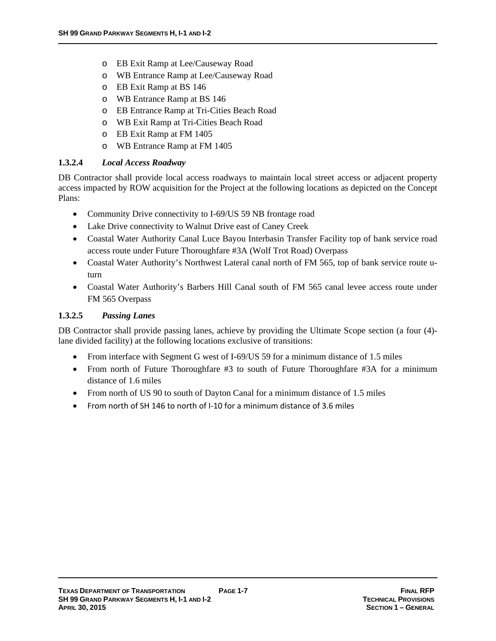- o EB Exit Ramp at Lee/Causeway Road
- o WB Entrance Ramp at Lee/Causeway Road
- o EB Exit Ramp at BS 146
- o WB Entrance Ramp at BS 146
- o EB Entrance Ramp at Tri-Cities Beach Road
- o WB Exit Ramp at Tri-Cities Beach Road
- o EB Exit Ramp at FM 1405
- o WB Entrance Ramp at FM 1405

# **1.3.2.4** *Local Access Roadway*

DB Contractor shall provide local access roadways to maintain local street access or adjacent property access impacted by ROW acquisition for the Project at the following locations as depicted on the Concept Plans:

- Community Drive connectivity to I-69/US 59 NB frontage road
- Lake Drive connectivity to Walnut Drive east of Caney Creek
- Coastal Water Authority Canal Luce Bayou Interbasin Transfer Facility top of bank service road access route under Future Thoroughfare #3A (Wolf Trot Road) Overpass
- Coastal Water Authority's Northwest Lateral canal north of FM 565, top of bank service route uturn
- Coastal Water Authority's Barbers Hill Canal south of FM 565 canal levee access route under FM 565 Overpass

# **1.3.2.5** *Passing Lanes*

DB Contractor shall provide passing lanes, achieve by providing the Ultimate Scope section (a four (4) lane divided facility) at the following locations exclusive of transitions:

- From interface with Segment G west of I-69/US 59 for a minimum distance of 1.5 miles
- From north of Future Thoroughfare #3 to south of Future Thoroughfare #3A for a minimum distance of 1.6 miles
- From north of US 90 to south of Dayton Canal for a minimum distance of 1.5 miles
- From north of SH 146 to north of I‐10 for a minimum distance of 3.6 miles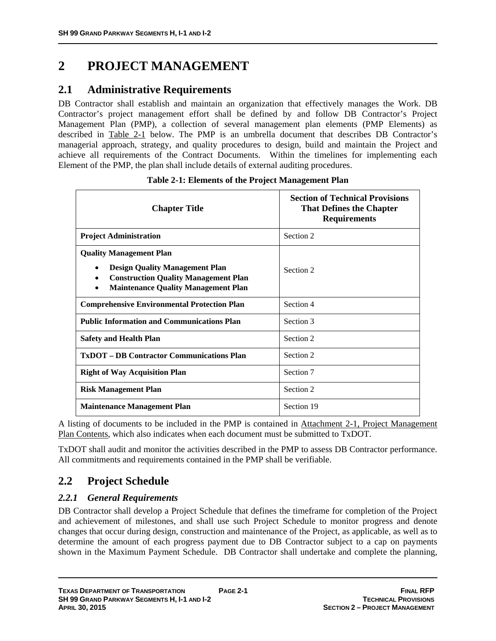# **2 PROJECT MANAGEMENT**

# **2.1 Administrative Requirements**

DB Contractor shall establish and maintain an organization that effectively manages the Work. DB Contractor's project management effort shall be defined by and follow DB Contractor's Project Management Plan (PMP), a collection of several management plan elements (PMP Elements) as described in Table 2-1 below. The PMP is an umbrella document that describes DB Contractor's managerial approach, strategy, and quality procedures to design, build and maintain the Project and achieve all requirements of the Contract Documents. Within the timelines for implementing each Element of the PMP, the plan shall include details of external auditing procedures.

| <b>Chapter Title</b>                                                                                                                                                           | <b>Section of Technical Provisions</b><br><b>That Defines the Chapter</b><br><b>Requirements</b> |
|--------------------------------------------------------------------------------------------------------------------------------------------------------------------------------|--------------------------------------------------------------------------------------------------|
| <b>Project Administration</b>                                                                                                                                                  | Section 2                                                                                        |
| <b>Quality Management Plan</b><br><b>Design Quality Management Plan</b><br>٠<br><b>Construction Quality Management Plan</b><br>٠<br><b>Maintenance Quality Management Plan</b> | Section 2                                                                                        |
| <b>Comprehensive Environmental Protection Plan</b>                                                                                                                             | Section 4                                                                                        |
| <b>Public Information and Communications Plan</b>                                                                                                                              | Section 3                                                                                        |
| <b>Safety and Health Plan</b>                                                                                                                                                  | Section 2                                                                                        |
| <b>TxDOT – DB Contractor Communications Plan</b>                                                                                                                               | Section 2                                                                                        |
| <b>Right of Way Acquisition Plan</b>                                                                                                                                           | Section 7                                                                                        |
| <b>Risk Management Plan</b>                                                                                                                                                    | Section 2                                                                                        |
| <b>Maintenance Management Plan</b>                                                                                                                                             | Section 19                                                                                       |

|  |  | Table 2-1: Elements of the Project Management Plan |
|--|--|----------------------------------------------------|
|  |  |                                                    |

A listing of documents to be included in the PMP is contained in Attachment 2-1, Project Management Plan Contents, which also indicates when each document must be submitted to TxDOT.

TxDOT shall audit and monitor the activities described in the PMP to assess DB Contractor performance. All commitments and requirements contained in the PMP shall be verifiable.

# **2.2 Project Schedule**

# *2.2.1 General Requirements*

DB Contractor shall develop a Project Schedule that defines the timeframe for completion of the Project and achievement of milestones, and shall use such Project Schedule to monitor progress and denote changes that occur during design, construction and maintenance of the Project, as applicable, as well as to determine the amount of each progress payment due to DB Contractor subject to a cap on payments shown in the Maximum Payment Schedule. DB Contractor shall undertake and complete the planning,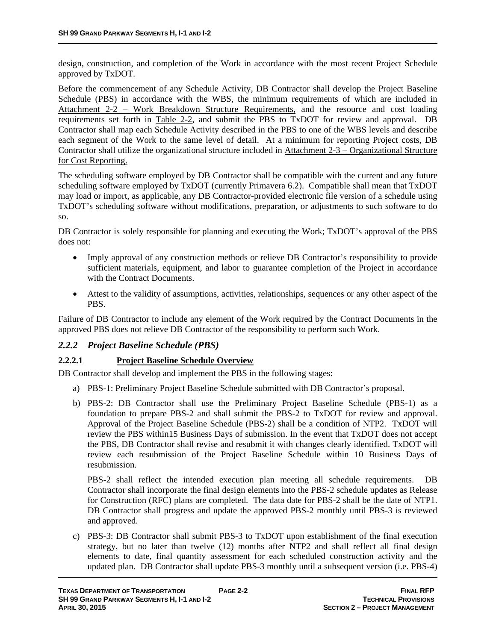design, construction, and completion of the Work in accordance with the most recent Project Schedule approved by TxDOT.

Before the commencement of any Schedule Activity, DB Contractor shall develop the Project Baseline Schedule (PBS) in accordance with the WBS, the minimum requirements of which are included in Attachment 2-2 – Work Breakdown Structure Requirements, and the resource and cost loading requirements set forth in Table 2-2, and submit the PBS to TxDOT for review and approval. DB Contractor shall map each Schedule Activity described in the PBS to one of the WBS levels and describe each segment of the Work to the same level of detail. At a minimum for reporting Project costs, DB Contractor shall utilize the organizational structure included in Attachment 2-3 – Organizational Structure for Cost Reporting.

The scheduling software employed by DB Contractor shall be compatible with the current and any future scheduling software employed by TxDOT (currently Primavera 6.2). Compatible shall mean that TxDOT may load or import, as applicable, any DB Contractor-provided electronic file version of a schedule using TxDOT's scheduling software without modifications, preparation, or adjustments to such software to do so.

DB Contractor is solely responsible for planning and executing the Work; TxDOT's approval of the PBS does not:

- Imply approval of any construction methods or relieve DB Contractor's responsibility to provide sufficient materials, equipment, and labor to guarantee completion of the Project in accordance with the Contract Documents.
- Attest to the validity of assumptions, activities, relationships, sequences or any other aspect of the PBS.

Failure of DB Contractor to include any element of the Work required by the Contract Documents in the approved PBS does not relieve DB Contractor of the responsibility to perform such Work.

#### *2.2.2 Project Baseline Schedule (PBS)*

#### **2.2.2.1 Project Baseline Schedule Overview**

DB Contractor shall develop and implement the PBS in the following stages:

- a) PBS-1: Preliminary Project Baseline Schedule submitted with DB Contractor's proposal.
- b) PBS-2: DB Contractor shall use the Preliminary Project Baseline Schedule (PBS-1) as a foundation to prepare PBS-2 and shall submit the PBS-2 to TxDOT for review and approval. Approval of the Project Baseline Schedule (PBS-2) shall be a condition of NTP2. TxDOT will review the PBS within15 Business Days of submission. In the event that TxDOT does not accept the PBS, DB Contractor shall revise and resubmit it with changes clearly identified. TxDOT will review each resubmission of the Project Baseline Schedule within 10 Business Days of resubmission.

PBS-2 shall reflect the intended execution plan meeting all schedule requirements. DB Contractor shall incorporate the final design elements into the PBS-2 schedule updates as Release for Construction (RFC) plans are completed. The data date for PBS-2 shall be the date of NTP1. DB Contractor shall progress and update the approved PBS-2 monthly until PBS-3 is reviewed and approved.

c) PBS-3: DB Contractor shall submit PBS-3 to TxDOT upon establishment of the final execution strategy, but no later than twelve (12) months after NTP2 and shall reflect all final design elements to date, final quantity assessment for each scheduled construction activity and the updated plan. DB Contractor shall update PBS-3 monthly until a subsequent version (i.e. PBS-4)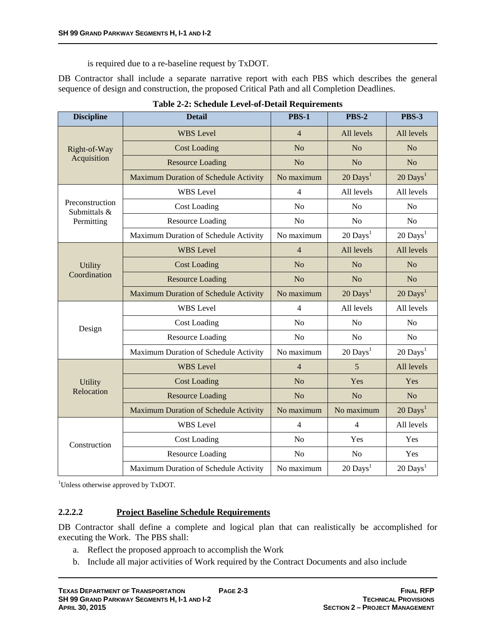is required due to a re-baseline request by TxDOT.

DB Contractor shall include a separate narrative report with each PBS which describes the general sequence of design and construction, the proposed Critical Path and all Completion Deadlines.

| <b>Discipline</b>               | <b>Detail</b>                         | <b>PBS-1</b>   | <b>PBS-2</b>           | <b>PBS-3</b>           |
|---------------------------------|---------------------------------------|----------------|------------------------|------------------------|
| Right-of-Way                    | <b>WBS</b> Level                      | $\overline{4}$ | All levels             | All levels             |
|                                 | <b>Cost Loading</b>                   | N <sub>o</sub> | N <sub>o</sub>         | N <sub>o</sub>         |
| Acquisition                     | <b>Resource Loading</b>               | N <sub>o</sub> | N <sub>o</sub>         | N <sub>o</sub>         |
|                                 | Maximum Duration of Schedule Activity | No maximum     | $20$ Days <sup>1</sup> | $20$ Days <sup>1</sup> |
|                                 | <b>WBS</b> Level                      | 4              | All levels             | All levels             |
| Preconstruction<br>Submittals & | <b>Cost Loading</b>                   | N <sub>o</sub> | N <sub>o</sub>         | N <sub>o</sub>         |
| Permitting                      | <b>Resource Loading</b>               | N <sub>o</sub> | N <sub>o</sub>         | N <sub>o</sub>         |
|                                 | Maximum Duration of Schedule Activity | No maximum     | $20$ Days <sup>1</sup> | $20$ Days <sup>1</sup> |
| Utility<br>Coordination         | <b>WBS</b> Level                      | $\overline{4}$ | All levels             | All levels             |
|                                 | <b>Cost Loading</b>                   | N <sub>o</sub> | N <sub>o</sub>         | N <sub>o</sub>         |
|                                 | <b>Resource Loading</b>               | N <sub>o</sub> | N <sub>o</sub>         | N <sub>o</sub>         |
|                                 | Maximum Duration of Schedule Activity | No maximum     | $20$ Days <sup>1</sup> | $20$ Days <sup>1</sup> |
| Design                          | <b>WBS</b> Level                      | $\overline{4}$ | All levels             | All levels             |
|                                 | <b>Cost Loading</b>                   | N <sub>o</sub> | N <sub>o</sub>         | N <sub>o</sub>         |
|                                 | <b>Resource Loading</b>               | N <sub>o</sub> | N <sub>o</sub>         | N <sub>o</sub>         |
|                                 | Maximum Duration of Schedule Activity | No maximum     | $20$ Days <sup>1</sup> | $20$ Days <sup>1</sup> |
| <b>Utility</b><br>Relocation    | <b>WBS</b> Level                      | $\overline{4}$ | 5                      | All levels             |
|                                 | <b>Cost Loading</b>                   | N <sub>o</sub> | Yes                    | Yes                    |
|                                 | <b>Resource Loading</b>               | N <sub>o</sub> | N <sub>o</sub>         | N <sub>o</sub>         |
|                                 | Maximum Duration of Schedule Activity | No maximum     | No maximum             | $20$ Days <sup>1</sup> |
| Construction                    | <b>WBS</b> Level                      | 4              | $\overline{4}$         | All levels             |
|                                 | <b>Cost Loading</b>                   | N <sub>o</sub> | Yes                    | Yes                    |
|                                 | <b>Resource Loading</b>               | N <sub>o</sub> | N <sub>o</sub>         | Yes                    |
|                                 | Maximum Duration of Schedule Activity | No maximum     | $20$ Days <sup>1</sup> | $20$ Days <sup>1</sup> |

|  |  |  | Table 2-2: Schedule Level-of-Detail Requirements |
|--|--|--|--------------------------------------------------|
|--|--|--|--------------------------------------------------|

<sup>1</sup>Unless otherwise approved by TxDOT.

#### **2.2.2.2 Project Baseline Schedule Requirements**

DB Contractor shall define a complete and logical plan that can realistically be accomplished for executing the Work. The PBS shall:

- a. Reflect the proposed approach to accomplish the Work
- b. Include all major activities of Work required by the Contract Documents and also include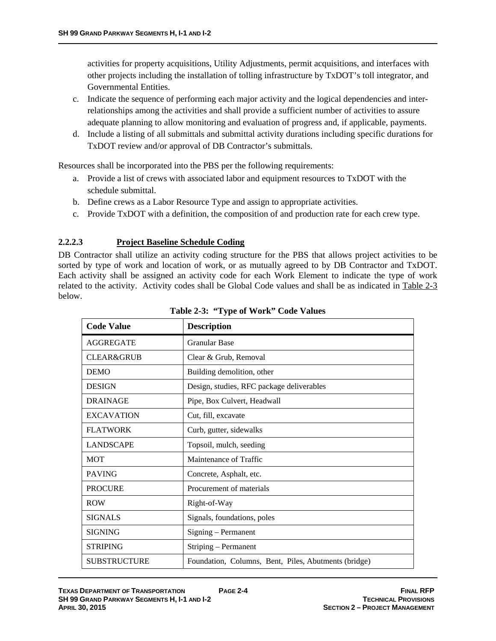activities for property acquisitions, Utility Adjustments, permit acquisitions, and interfaces with other projects including the installation of tolling infrastructure by TxDOT's toll integrator, and Governmental Entities.

- c. Indicate the sequence of performing each major activity and the logical dependencies and interrelationships among the activities and shall provide a sufficient number of activities to assure adequate planning to allow monitoring and evaluation of progress and, if applicable, payments.
- d. Include a listing of all submittals and submittal activity durations including specific durations for TxDOT review and/or approval of DB Contractor's submittals.

Resources shall be incorporated into the PBS per the following requirements:

- a. Provide a list of crews with associated labor and equipment resources to TxDOT with the schedule submittal.
- b. Define crews as a Labor Resource Type and assign to appropriate activities.
- c. Provide TxDOT with a definition, the composition of and production rate for each crew type.

#### **2.2.2.3 Project Baseline Schedule Coding**

DB Contractor shall utilize an activity coding structure for the PBS that allows project activities to be sorted by type of work and location of work, or as mutually agreed to by DB Contractor and TxDOT. Each activity shall be assigned an activity code for each Work Element to indicate the type of work related to the activity. Activity codes shall be Global Code values and shall be as indicated in Table 2-3 below.

| <b>Code Value</b>     | <b>Description</b>                                   |
|-----------------------|------------------------------------------------------|
| <b>AGGREGATE</b>      | <b>Granular Base</b>                                 |
| <b>CLEAR&amp;GRUB</b> | Clear & Grub, Removal                                |
| <b>DEMO</b>           | Building demolition, other                           |
| <b>DESIGN</b>         | Design, studies, RFC package deliverables            |
| <b>DRAINAGE</b>       | Pipe, Box Culvert, Headwall                          |
| <b>EXCAVATION</b>     | Cut, fill, excavate                                  |
| <b>FLATWORK</b>       | Curb, gutter, sidewalks                              |
| <b>LANDSCAPE</b>      | Topsoil, mulch, seeding                              |
| <b>MOT</b>            | Maintenance of Traffic                               |
| <b>PAVING</b>         | Concrete, Asphalt, etc.                              |
| <b>PROCURE</b>        | Procurement of materials                             |
| <b>ROW</b>            | Right-of-Way                                         |
| <b>SIGNALS</b>        | Signals, foundations, poles                          |
| <b>SIGNING</b>        | Signing – Permanent                                  |
| <b>STRIPING</b>       | Striping – Permanent                                 |
| <b>SUBSTRUCTURE</b>   | Foundation, Columns, Bent, Piles, Abutments (bridge) |

**Table 2-3: "Type of Work" Code Values**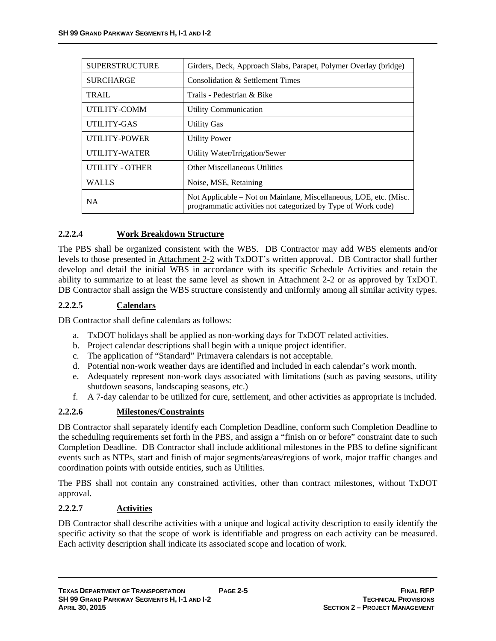| <b>SUPERSTRUCTURE</b>  | Girders, Deck, Approach Slabs, Parapet, Polymer Overlay (bridge)                                                                   |
|------------------------|------------------------------------------------------------------------------------------------------------------------------------|
| <b>SURCHARGE</b>       | Consolidation & Settlement Times                                                                                                   |
| TRAIL                  | Trails - Pedestrian & Bike                                                                                                         |
| UTILITY-COMM           | Utility Communication                                                                                                              |
| UTILITY-GAS            | <b>Utility Gas</b>                                                                                                                 |
| UTILITY-POWER          | <b>Utility Power</b>                                                                                                               |
| UTILITY-WATER          | Utility Water/Irrigation/Sewer                                                                                                     |
| <b>UTILITY - OTHER</b> | <b>Other Miscellaneous Utilities</b>                                                                                               |
| <b>WALLS</b>           | Noise, MSE, Retaining                                                                                                              |
| <b>NA</b>              | Not Applicable – Not on Mainlane, Miscellaneous, LOE, etc. (Misc.<br>programmatic activities not categorized by Type of Work code) |

# **2.2.2.4 Work Breakdown Structure**

The PBS shall be organized consistent with the WBS. DB Contractor may add WBS elements and/or levels to those presented in Attachment 2-2 with TxDOT's written approval. DB Contractor shall further develop and detail the initial WBS in accordance with its specific Schedule Activities and retain the ability to summarize to at least the same level as shown in Attachment 2-2 or as approved by TxDOT. DB Contractor shall assign the WBS structure consistently and uniformly among all similar activity types.

# **2.2.2.5 Calendars**

DB Contractor shall define calendars as follows:

- a. TxDOT holidays shall be applied as non-working days for TxDOT related activities.
- b. Project calendar descriptions shall begin with a unique project identifier.
- c. The application of "Standard" Primavera calendars is not acceptable.
- d. Potential non-work weather days are identified and included in each calendar's work month.
- e. Adequately represent non-work days associated with limitations (such as paving seasons, utility shutdown seasons, landscaping seasons, etc.)
- f. A 7-day calendar to be utilized for cure, settlement, and other activities as appropriate is included.

# **2.2.2.6 Milestones/Constraints**

DB Contractor shall separately identify each Completion Deadline, conform such Completion Deadline to the scheduling requirements set forth in the PBS, and assign a "finish on or before" constraint date to such Completion Deadline. DB Contractor shall include additional milestones in the PBS to define significant events such as NTPs, start and finish of major segments/areas/regions of work, major traffic changes and coordination points with outside entities, such as Utilities.

The PBS shall not contain any constrained activities, other than contract milestones, without TxDOT approval.

#### **2.2.2.7 Activities**

DB Contractor shall describe activities with a unique and logical activity description to easily identify the specific activity so that the scope of work is identifiable and progress on each activity can be measured. Each activity description shall indicate its associated scope and location of work.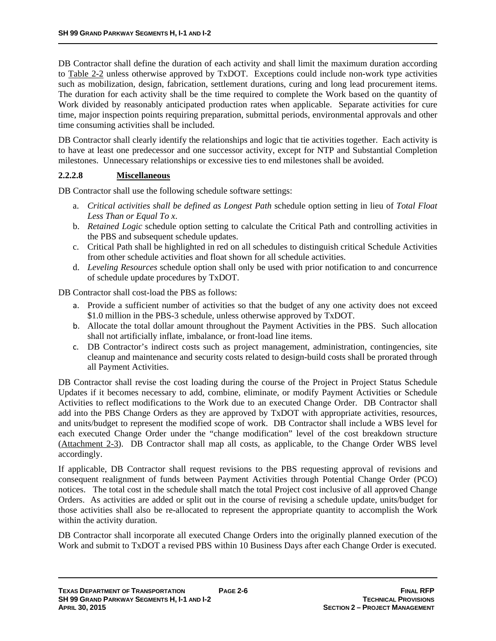DB Contractor shall define the duration of each activity and shall limit the maximum duration according to Table 2-2 unless otherwise approved by TxDOT. Exceptions could include non-work type activities such as mobilization, design, fabrication, settlement durations, curing and long lead procurement items. The duration for each activity shall be the time required to complete the Work based on the quantity of Work divided by reasonably anticipated production rates when applicable. Separate activities for cure time, major inspection points requiring preparation, submittal periods, environmental approvals and other time consuming activities shall be included.

DB Contractor shall clearly identify the relationships and logic that tie activities together. Each activity is to have at least one predecessor and one successor activity, except for NTP and Substantial Completion milestones. Unnecessary relationships or excessive ties to end milestones shall be avoided.

# **2.2.2.8 Miscellaneous**

DB Contractor shall use the following schedule software settings:

- a. *Critical activities shall be defined as Longest Path* schedule option setting in lieu of *Total Float Less Than or Equal To x*.
- b. *Retained Logic* schedule option setting to calculate the Critical Path and controlling activities in the PBS and subsequent schedule updates.
- c. Critical Path shall be highlighted in red on all schedules to distinguish critical Schedule Activities from other schedule activities and float shown for all schedule activities.
- d. *Leveling Resources* schedule option shall only be used with prior notification to and concurrence of schedule update procedures by TxDOT.

DB Contractor shall cost-load the PBS as follows:

- a. Provide a sufficient number of activities so that the budget of any one activity does not exceed \$1.0 million in the PBS-3 schedule, unless otherwise approved by TxDOT.
- b. Allocate the total dollar amount throughout the Payment Activities in the PBS. Such allocation shall not artificially inflate, imbalance, or front-load line items.
- c. DB Contractor's indirect costs such as project management, administration, contingencies, site cleanup and maintenance and security costs related to design-build costs shall be prorated through all Payment Activities.

DB Contractor shall revise the cost loading during the course of the Project in Project Status Schedule Updates if it becomes necessary to add, combine, eliminate, or modify Payment Activities or Schedule Activities to reflect modifications to the Work due to an executed Change Order. DB Contractor shall add into the PBS Change Orders as they are approved by TxDOT with appropriate activities, resources, and units/budget to represent the modified scope of work. DB Contractor shall include a WBS level for each executed Change Order under the "change modification" level of the cost breakdown structure (Attachment 2-3). DB Contractor shall map all costs, as applicable, to the Change Order WBS level accordingly.

If applicable, DB Contractor shall request revisions to the PBS requesting approval of revisions and consequent realignment of funds between Payment Activities through Potential Change Order (PCO) notices. The total cost in the schedule shall match the total Project cost inclusive of all approved Change Orders. As activities are added or split out in the course of revising a schedule update, units/budget for those activities shall also be re-allocated to represent the appropriate quantity to accomplish the Work within the activity duration.

DB Contractor shall incorporate all executed Change Orders into the originally planned execution of the Work and submit to TxDOT a revised PBS within 10 Business Days after each Change Order is executed.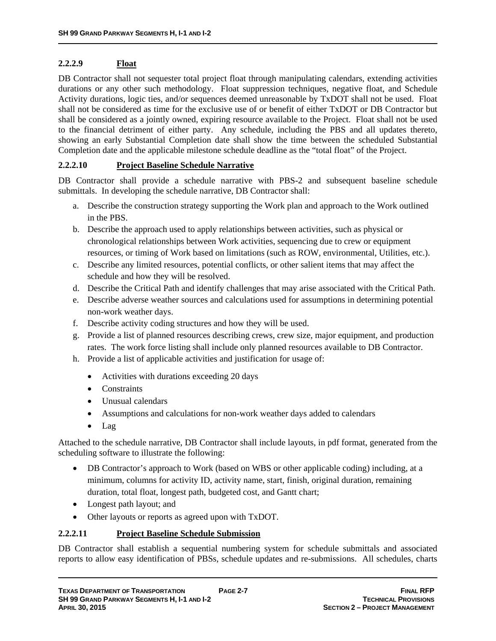# **2.2.2.9 Float**

DB Contractor shall not sequester total project float through manipulating calendars, extending activities durations or any other such methodology. Float suppression techniques, negative float, and Schedule Activity durations, logic ties, and/or sequences deemed unreasonable by TxDOT shall not be used. Float shall not be considered as time for the exclusive use of or benefit of either TxDOT or DB Contractor but shall be considered as a jointly owned, expiring resource available to the Project. Float shall not be used to the financial detriment of either party. Any schedule, including the PBS and all updates thereto, showing an early Substantial Completion date shall show the time between the scheduled Substantial Completion date and the applicable milestone schedule deadline as the "total float" of the Project.

# **2.2.2.10 Project Baseline Schedule Narrative**

DB Contractor shall provide a schedule narrative with PBS-2 and subsequent baseline schedule submittals. In developing the schedule narrative, DB Contractor shall:

- a. Describe the construction strategy supporting the Work plan and approach to the Work outlined in the PBS.
- b. Describe the approach used to apply relationships between activities, such as physical or chronological relationships between Work activities, sequencing due to crew or equipment resources, or timing of Work based on limitations (such as ROW, environmental, Utilities, etc.).
- c. Describe any limited resources, potential conflicts, or other salient items that may affect the schedule and how they will be resolved.
- d. Describe the Critical Path and identify challenges that may arise associated with the Critical Path.
- e. Describe adverse weather sources and calculations used for assumptions in determining potential non-work weather days.
- f. Describe activity coding structures and how they will be used.
- g. Provide a list of planned resources describing crews, crew size, major equipment, and production rates. The work force listing shall include only planned resources available to DB Contractor.
- h. Provide a list of applicable activities and justification for usage of:
	- Activities with durations exceeding 20 days
	- Constraints
	- Unusual calendars
	- Assumptions and calculations for non-work weather days added to calendars
	- Lag

Attached to the schedule narrative, DB Contractor shall include layouts, in pdf format, generated from the scheduling software to illustrate the following:

- DB Contractor's approach to Work (based on WBS or other applicable coding) including, at a minimum, columns for activity ID, activity name, start, finish, original duration, remaining duration, total float, longest path, budgeted cost, and Gantt chart;
- Longest path layout; and
- Other layouts or reports as agreed upon with TxDOT.

#### **2.2.2.11 Project Baseline Schedule Submission**

DB Contractor shall establish a sequential numbering system for schedule submittals and associated reports to allow easy identification of PBSs, schedule updates and re-submissions. All schedules, charts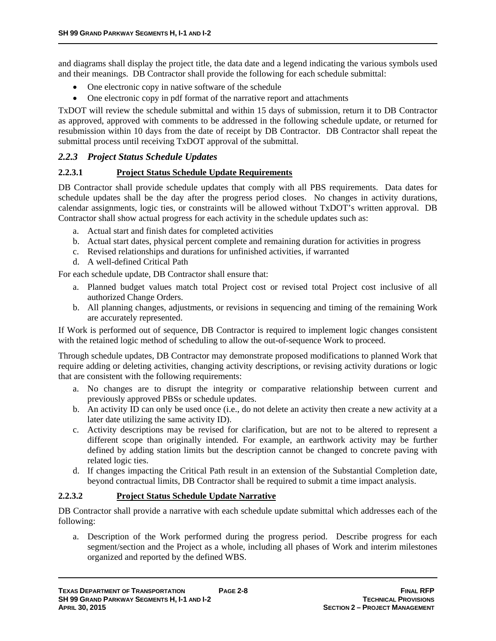and diagrams shall display the project title, the data date and a legend indicating the various symbols used and their meanings. DB Contractor shall provide the following for each schedule submittal:

- One electronic copy in native software of the schedule
- One electronic copy in pdf format of the narrative report and attachments

TxDOT will review the schedule submittal and within 15 days of submission, return it to DB Contractor as approved, approved with comments to be addressed in the following schedule update, or returned for resubmission within 10 days from the date of receipt by DB Contractor. DB Contractor shall repeat the submittal process until receiving TxDOT approval of the submittal.

#### *2.2.3 Project Status Schedule Updates*

#### **2.2.3.1 Project Status Schedule Update Requirements**

DB Contractor shall provide schedule updates that comply with all PBS requirements. Data dates for schedule updates shall be the day after the progress period closes. No changes in activity durations, calendar assignments, logic ties, or constraints will be allowed without TxDOT's written approval. DB Contractor shall show actual progress for each activity in the schedule updates such as:

- a. Actual start and finish dates for completed activities
- b. Actual start dates, physical percent complete and remaining duration for activities in progress
- c. Revised relationships and durations for unfinished activities, if warranted
- d. A well-defined Critical Path

For each schedule update, DB Contractor shall ensure that:

- a. Planned budget values match total Project cost or revised total Project cost inclusive of all authorized Change Orders.
- b. All planning changes, adjustments, or revisions in sequencing and timing of the remaining Work are accurately represented.

If Work is performed out of sequence, DB Contractor is required to implement logic changes consistent with the retained logic method of scheduling to allow the out-of-sequence Work to proceed.

Through schedule updates, DB Contractor may demonstrate proposed modifications to planned Work that require adding or deleting activities, changing activity descriptions, or revising activity durations or logic that are consistent with the following requirements:

- a. No changes are to disrupt the integrity or comparative relationship between current and previously approved PBSs or schedule updates.
- b. An activity ID can only be used once (i.e., do not delete an activity then create a new activity at a later date utilizing the same activity ID).
- c. Activity descriptions may be revised for clarification, but are not to be altered to represent a different scope than originally intended. For example, an earthwork activity may be further defined by adding station limits but the description cannot be changed to concrete paving with related logic ties.
- d. If changes impacting the Critical Path result in an extension of the Substantial Completion date, beyond contractual limits, DB Contractor shall be required to submit a time impact analysis.

#### **2.2.3.2 Project Status Schedule Update Narrative**

DB Contractor shall provide a narrative with each schedule update submittal which addresses each of the following:

a. Description of the Work performed during the progress period. Describe progress for each segment/section and the Project as a whole, including all phases of Work and interim milestones organized and reported by the defined WBS.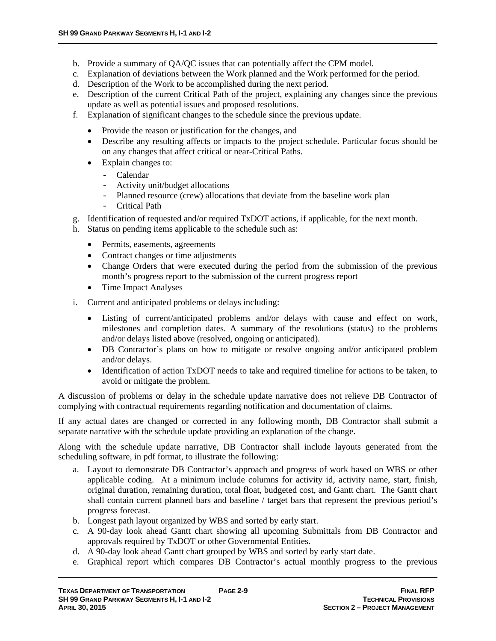- b. Provide a summary of QA/QC issues that can potentially affect the CPM model.
- c. Explanation of deviations between the Work planned and the Work performed for the period.
- d. Description of the Work to be accomplished during the next period.
- e. Description of the current Critical Path of the project, explaining any changes since the previous update as well as potential issues and proposed resolutions.
- f. Explanation of significant changes to the schedule since the previous update.
	- Provide the reason or justification for the changes, and
	- Describe any resulting affects or impacts to the project schedule. Particular focus should be on any changes that affect critical or near-Critical Paths.
	- Explain changes to:
		- Calendar
		- Activity unit/budget allocations
		- Planned resource (crew) allocations that deviate from the baseline work plan
		- Critical Path
- g. Identification of requested and/or required TxDOT actions, if applicable, for the next month.
- h. Status on pending items applicable to the schedule such as:
	- Permits, easements, agreements
	- Contract changes or time adjustments
	- Change Orders that were executed during the period from the submission of the previous month's progress report to the submission of the current progress report
	- Time Impact Analyses
- i. Current and anticipated problems or delays including:
	- Listing of current/anticipated problems and/or delays with cause and effect on work, milestones and completion dates. A summary of the resolutions (status) to the problems and/or delays listed above (resolved, ongoing or anticipated).
	- DB Contractor's plans on how to mitigate or resolve ongoing and/or anticipated problem and/or delays.
	- Identification of action TxDOT needs to take and required timeline for actions to be taken, to avoid or mitigate the problem.

A discussion of problems or delay in the schedule update narrative does not relieve DB Contractor of complying with contractual requirements regarding notification and documentation of claims.

If any actual dates are changed or corrected in any following month, DB Contractor shall submit a separate narrative with the schedule update providing an explanation of the change.

Along with the schedule update narrative, DB Contractor shall include layouts generated from the scheduling software, in pdf format, to illustrate the following:

- a. Layout to demonstrate DB Contractor's approach and progress of work based on WBS or other applicable coding. At a minimum include columns for activity id, activity name, start, finish, original duration, remaining duration, total float, budgeted cost, and Gantt chart. The Gantt chart shall contain current planned bars and baseline / target bars that represent the previous period's progress forecast.
- b. Longest path layout organized by WBS and sorted by early start.
- c. A 90-day look ahead Gantt chart showing all upcoming Submittals from DB Contractor and approvals required by TxDOT or other Governmental Entities.
- d. A 90-day look ahead Gantt chart grouped by WBS and sorted by early start date.
- e. Graphical report which compares DB Contractor's actual monthly progress to the previous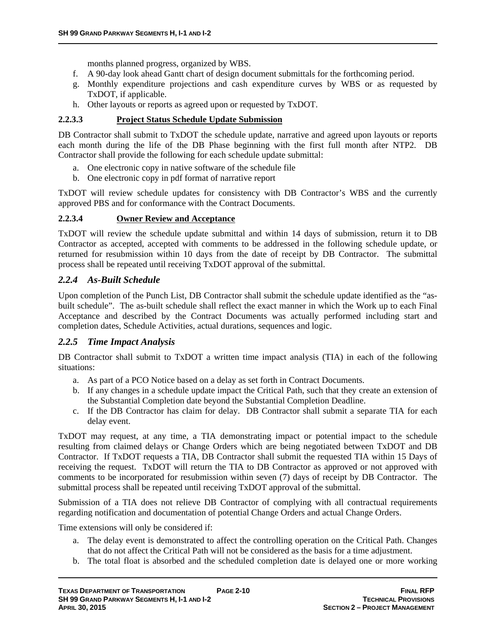months planned progress, organized by WBS.

- f. A 90-day look ahead Gantt chart of design document submittals for the forthcoming period.
- g. Monthly expenditure projections and cash expenditure curves by WBS or as requested by TxDOT, if applicable.
- h. Other layouts or reports as agreed upon or requested by TxDOT.

# **2.2.3.3 Project Status Schedule Update Submission**

DB Contractor shall submit to TxDOT the schedule update, narrative and agreed upon layouts or reports each month during the life of the DB Phase beginning with the first full month after NTP2. DB Contractor shall provide the following for each schedule update submittal:

- a. One electronic copy in native software of the schedule file
- b. One electronic copy in pdf format of narrative report

TxDOT will review schedule updates for consistency with DB Contractor's WBS and the currently approved PBS and for conformance with the Contract Documents.

# **2.2.3.4 Owner Review and Acceptance**

TxDOT will review the schedule update submittal and within 14 days of submission, return it to DB Contractor as accepted, accepted with comments to be addressed in the following schedule update, or returned for resubmission within 10 days from the date of receipt by DB Contractor. The submittal process shall be repeated until receiving TxDOT approval of the submittal.

# *2.2.4 As-Built Schedule*

Upon completion of the Punch List, DB Contractor shall submit the schedule update identified as the "asbuilt schedule". The as-built schedule shall reflect the exact manner in which the Work up to each Final Acceptance and described by the Contract Documents was actually performed including start and completion dates, Schedule Activities, actual durations, sequences and logic.

# *2.2.5 Time Impact Analysis*

DB Contractor shall submit to TxDOT a written time impact analysis (TIA) in each of the following situations:

- a. As part of a PCO Notice based on a delay as set forth in Contract Documents.
- b. If any changes in a schedule update impact the Critical Path, such that they create an extension of the Substantial Completion date beyond the Substantial Completion Deadline.
- c. If the DB Contractor has claim for delay. DB Contractor shall submit a separate TIA for each delay event.

TxDOT may request, at any time, a TIA demonstrating impact or potential impact to the schedule resulting from claimed delays or Change Orders which are being negotiated between TxDOT and DB Contractor. If TxDOT requests a TIA, DB Contractor shall submit the requested TIA within 15 Days of receiving the request. TxDOT will return the TIA to DB Contractor as approved or not approved with comments to be incorporated for resubmission within seven (7) days of receipt by DB Contractor. The submittal process shall be repeated until receiving TxDOT approval of the submittal.

Submission of a TIA does not relieve DB Contractor of complying with all contractual requirements regarding notification and documentation of potential Change Orders and actual Change Orders.

Time extensions will only be considered if:

- a. The delay event is demonstrated to affect the controlling operation on the Critical Path. Changes that do not affect the Critical Path will not be considered as the basis for a time adjustment.
- b. The total float is absorbed and the scheduled completion date is delayed one or more working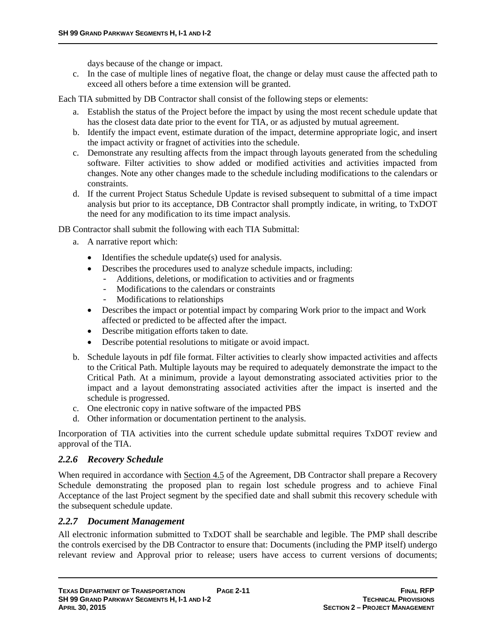days because of the change or impact.

c. In the case of multiple lines of negative float, the change or delay must cause the affected path to exceed all others before a time extension will be granted.

Each TIA submitted by DB Contractor shall consist of the following steps or elements:

- a. Establish the status of the Project before the impact by using the most recent schedule update that has the closest data date prior to the event for TIA, or as adjusted by mutual agreement.
- b. Identify the impact event, estimate duration of the impact, determine appropriate logic, and insert the impact activity or fragnet of activities into the schedule.
- c. Demonstrate any resulting affects from the impact through layouts generated from the scheduling software. Filter activities to show added or modified activities and activities impacted from changes. Note any other changes made to the schedule including modifications to the calendars or constraints.
- d. If the current Project Status Schedule Update is revised subsequent to submittal of a time impact analysis but prior to its acceptance, DB Contractor shall promptly indicate, in writing, to TxDOT the need for any modification to its time impact analysis.

DB Contractor shall submit the following with each TIA Submittal:

- a. A narrative report which:
	- $\bullet$  Identifies the schedule update(s) used for analysis.
	- Describes the procedures used to analyze schedule impacts, including:
		- Additions, deletions, or modification to activities and or fragments
		- Modifications to the calendars or constraints
		- Modifications to relationships
	- Describes the impact or potential impact by comparing Work prior to the impact and Work affected or predicted to be affected after the impact.
	- Describe mitigation efforts taken to date.
	- Describe potential resolutions to mitigate or avoid impact.
- b. Schedule layouts in pdf file format. Filter activities to clearly show impacted activities and affects to the Critical Path. Multiple layouts may be required to adequately demonstrate the impact to the Critical Path. At a minimum, provide a layout demonstrating associated activities prior to the impact and a layout demonstrating associated activities after the impact is inserted and the schedule is progressed.
- c. One electronic copy in native software of the impacted PBS
- d. Other information or documentation pertinent to the analysis.

Incorporation of TIA activities into the current schedule update submittal requires TxDOT review and approval of the TIA.

#### *2.2.6 Recovery Schedule*

When required in accordance with Section 4.5 of the Agreement, DB Contractor shall prepare a Recovery Schedule demonstrating the proposed plan to regain lost schedule progress and to achieve Final Acceptance of the last Project segment by the specified date and shall submit this recovery schedule with the subsequent schedule update.

#### *2.2.7 Document Management*

All electronic information submitted to TxDOT shall be searchable and legible. The PMP shall describe the controls exercised by the DB Contractor to ensure that: Documents (including the PMP itself) undergo relevant review and Approval prior to release; users have access to current versions of documents;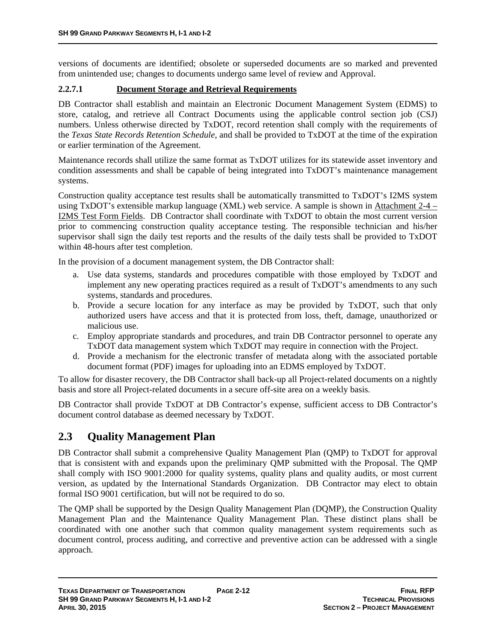versions of documents are identified; obsolete or superseded documents are so marked and prevented from unintended use; changes to documents undergo same level of review and Approval.

# **2.2.7.1 Document Storage and Retrieval Requirements**

DB Contractor shall establish and maintain an Electronic Document Management System (EDMS) to store, catalog, and retrieve all Contract Documents using the applicable control section job (CSJ) numbers. Unless otherwise directed by TxDOT, record retention shall comply with the requirements of the *Texas State Records Retention Schedule*, and shall be provided to TxDOT at the time of the expiration or earlier termination of the Agreement.

Maintenance records shall utilize the same format as TxDOT utilizes for its statewide asset inventory and condition assessments and shall be capable of being integrated into TxDOT's maintenance management systems.

Construction quality acceptance test results shall be automatically transmitted to TxDOT's I2MS system using TxDOT's extensible markup language (XML) web service. A sample is shown in Attachment 2-4 – I2MS Test Form Fields. DB Contractor shall coordinate with TxDOT to obtain the most current version prior to commencing construction quality acceptance testing. The responsible technician and his/her supervisor shall sign the daily test reports and the results of the daily tests shall be provided to TxDOT within 48-hours after test completion.

In the provision of a document management system, the DB Contractor shall:

- a. Use data systems, standards and procedures compatible with those employed by TxDOT and implement any new operating practices required as a result of TxDOT's amendments to any such systems, standards and procedures.
- b. Provide a secure location for any interface as may be provided by TxDOT, such that only authorized users have access and that it is protected from loss, theft, damage, unauthorized or malicious use.
- c. Employ appropriate standards and procedures, and train DB Contractor personnel to operate any TxDOT data management system which TxDOT may require in connection with the Project.
- d. Provide a mechanism for the electronic transfer of metadata along with the associated portable document format (PDF) images for uploading into an EDMS employed by TxDOT.

To allow for disaster recovery, the DB Contractor shall back-up all Project-related documents on a nightly basis and store all Project-related documents in a secure off-site area on a weekly basis.

DB Contractor shall provide TxDOT at DB Contractor's expense, sufficient access to DB Contractor's document control database as deemed necessary by TxDOT.

# **2.3 Quality Management Plan**

DB Contractor shall submit a comprehensive Quality Management Plan (QMP) to TxDOT for approval that is consistent with and expands upon the preliminary QMP submitted with the Proposal. The QMP shall comply with ISO 9001:2000 for quality systems, quality plans and quality audits, or most current version, as updated by the International Standards Organization. DB Contractor may elect to obtain formal ISO 9001 certification, but will not be required to do so.

The QMP shall be supported by the Design Quality Management Plan (DQMP), the Construction Quality Management Plan and the Maintenance Quality Management Plan. These distinct plans shall be coordinated with one another such that common quality management system requirements such as document control, process auditing, and corrective and preventive action can be addressed with a single approach.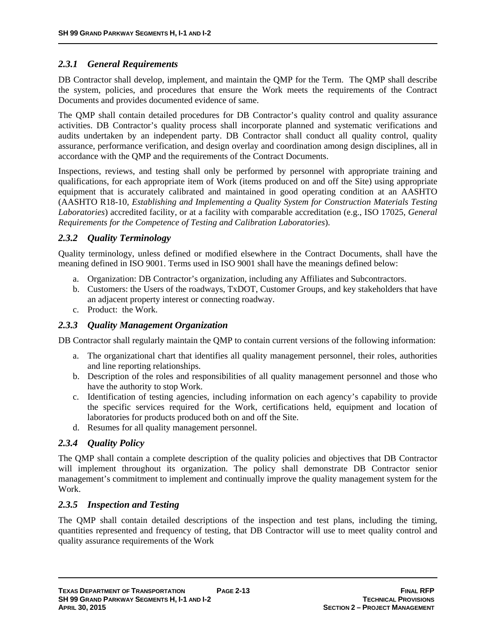# *2.3.1 General Requirements*

DB Contractor shall develop, implement, and maintain the QMP for the Term. The QMP shall describe the system, policies, and procedures that ensure the Work meets the requirements of the Contract Documents and provides documented evidence of same.

The QMP shall contain detailed procedures for DB Contractor's quality control and quality assurance activities. DB Contractor's quality process shall incorporate planned and systematic verifications and audits undertaken by an independent party. DB Contractor shall conduct all quality control, quality assurance, performance verification, and design overlay and coordination among design disciplines, all in accordance with the QMP and the requirements of the Contract Documents.

Inspections, reviews, and testing shall only be performed by personnel with appropriate training and qualifications, for each appropriate item of Work (items produced on and off the Site) using appropriate equipment that is accurately calibrated and maintained in good operating condition at an AASHTO (AASHTO R18-10, *Establishing and Implementing a Quality System for Construction Materials Testing Laboratories*) accredited facility, or at a facility with comparable accreditation (e.g., ISO 17025, *General Requirements for the Competence of Testing and Calibration Laboratories*).

# *2.3.2 Quality Terminology*

Quality terminology, unless defined or modified elsewhere in the Contract Documents, shall have the meaning defined in ISO 9001. Terms used in ISO 9001 shall have the meanings defined below:

- a. Organization: DB Contractor's organization, including any Affiliates and Subcontractors.
- b. Customers: the Users of the roadways, TxDOT, Customer Groups, and key stakeholders that have an adjacent property interest or connecting roadway.
- c. Product: the Work.

# *2.3.3 Quality Management Organization*

DB Contractor shall regularly maintain the QMP to contain current versions of the following information:

- a. The organizational chart that identifies all quality management personnel, their roles, authorities and line reporting relationships.
- b. Description of the roles and responsibilities of all quality management personnel and those who have the authority to stop Work.
- c. Identification of testing agencies, including information on each agency's capability to provide the specific services required for the Work, certifications held, equipment and location of laboratories for products produced both on and off the Site.
- d. Resumes for all quality management personnel.

# *2.3.4 Quality Policy*

The QMP shall contain a complete description of the quality policies and objectives that DB Contractor will implement throughout its organization. The policy shall demonstrate DB Contractor senior management's commitment to implement and continually improve the quality management system for the Work.

# *2.3.5 Inspection and Testing*

The QMP shall contain detailed descriptions of the inspection and test plans, including the timing, quantities represented and frequency of testing, that DB Contractor will use to meet quality control and quality assurance requirements of the Work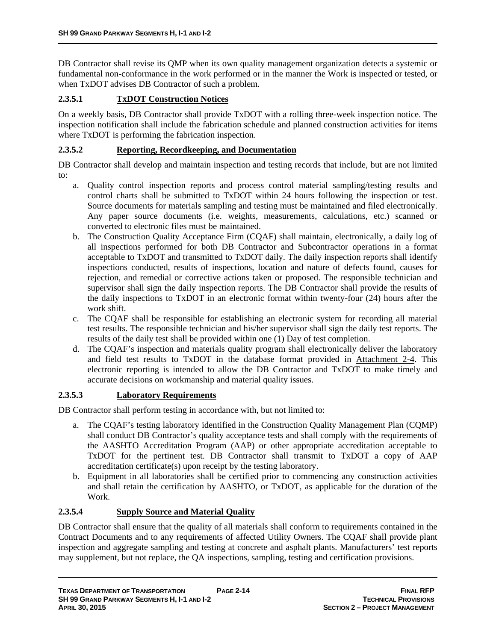DB Contractor shall revise its QMP when its own quality management organization detects a systemic or fundamental non-conformance in the work performed or in the manner the Work is inspected or tested, or when TxDOT advises DB Contractor of such a problem.

# **2.3.5.1 TxDOT Construction Notices**

On a weekly basis, DB Contractor shall provide TxDOT with a rolling three-week inspection notice. The inspection notification shall include the fabrication schedule and planned construction activities for items where TxDOT is performing the fabrication inspection.

#### **2.3.5.2 Reporting, Recordkeeping, and Documentation**

DB Contractor shall develop and maintain inspection and testing records that include, but are not limited to:

- a. Quality control inspection reports and process control material sampling/testing results and control charts shall be submitted to TxDOT within 24 hours following the inspection or test. Source documents for materials sampling and testing must be maintained and filed electronically. Any paper source documents (i.e. weights, measurements, calculations, etc.) scanned or converted to electronic files must be maintained.
- b. The Construction Quality Acceptance Firm (CQAF) shall maintain, electronically, a daily log of all inspections performed for both DB Contractor and Subcontractor operations in a format acceptable to TxDOT and transmitted to TxDOT daily. The daily inspection reports shall identify inspections conducted, results of inspections, location and nature of defects found, causes for rejection, and remedial or corrective actions taken or proposed. The responsible technician and supervisor shall sign the daily inspection reports. The DB Contractor shall provide the results of the daily inspections to TxDOT in an electronic format within twenty-four (24) hours after the work shift.
- c. The CQAF shall be responsible for establishing an electronic system for recording all material test results. The responsible technician and his/her supervisor shall sign the daily test reports. The results of the daily test shall be provided within one (1) Day of test completion.
- d. The CQAF's inspection and materials quality program shall electronically deliver the laboratory and field test results to TxDOT in the database format provided in Attachment 2-4. This electronic reporting is intended to allow the DB Contractor and TxDOT to make timely and accurate decisions on workmanship and material quality issues.

#### **2.3.5.3 Laboratory Requirements**

DB Contractor shall perform testing in accordance with, but not limited to:

- a. The CQAF's testing laboratory identified in the Construction Quality Management Plan (CQMP) shall conduct DB Contractor's quality acceptance tests and shall comply with the requirements of the AASHTO Accreditation Program (AAP) or other appropriate accreditation acceptable to TxDOT for the pertinent test. DB Contractor shall transmit to TxDOT a copy of AAP accreditation certificate(s) upon receipt by the testing laboratory.
- b. Equipment in all laboratories shall be certified prior to commencing any construction activities and shall retain the certification by AASHTO, or TxDOT, as applicable for the duration of the Work.

#### **2.3.5.4 Supply Source and Material Quality**

DB Contractor shall ensure that the quality of all materials shall conform to requirements contained in the Contract Documents and to any requirements of affected Utility Owners. The CQAF shall provide plant inspection and aggregate sampling and testing at concrete and asphalt plants. Manufacturers' test reports may supplement, but not replace, the QA inspections, sampling, testing and certification provisions.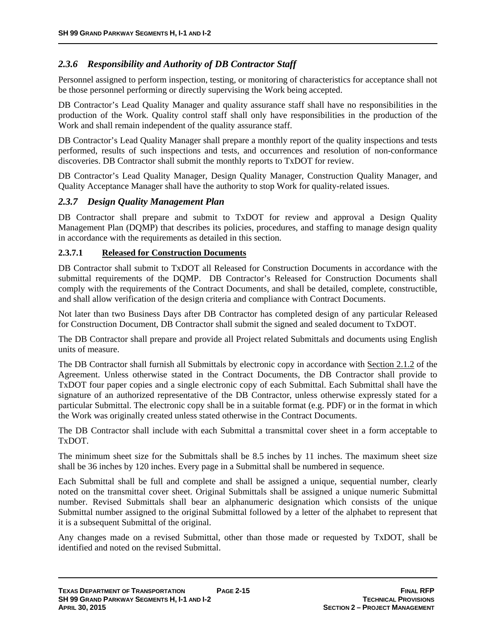# *2.3.6 Responsibility and Authority of DB Contractor Staff*

Personnel assigned to perform inspection, testing, or monitoring of characteristics for acceptance shall not be those personnel performing or directly supervising the Work being accepted.

DB Contractor's Lead Quality Manager and quality assurance staff shall have no responsibilities in the production of the Work. Quality control staff shall only have responsibilities in the production of the Work and shall remain independent of the quality assurance staff.

DB Contractor's Lead Quality Manager shall prepare a monthly report of the quality inspections and tests performed, results of such inspections and tests, and occurrences and resolution of non-conformance discoveries. DB Contractor shall submit the monthly reports to TxDOT for review.

DB Contractor's Lead Quality Manager, Design Quality Manager, Construction Quality Manager, and Quality Acceptance Manager shall have the authority to stop Work for quality-related issues.

#### *2.3.7 Design Quality Management Plan*

DB Contractor shall prepare and submit to TxDOT for review and approval a Design Quality Management Plan (DQMP) that describes its policies, procedures, and staffing to manage design quality in accordance with the requirements as detailed in this section.

#### **2.3.7.1 Released for Construction Documents**

DB Contractor shall submit to TxDOT all Released for Construction Documents in accordance with the submittal requirements of the DQMP. DB Contractor's Released for Construction Documents shall comply with the requirements of the Contract Documents, and shall be detailed, complete, constructible, and shall allow verification of the design criteria and compliance with Contract Documents.

Not later than two Business Days after DB Contractor has completed design of any particular Released for Construction Document, DB Contractor shall submit the signed and sealed document to TxDOT.

The DB Contractor shall prepare and provide all Project related Submittals and documents using English units of measure.

The DB Contractor shall furnish all Submittals by electronic copy in accordance with Section 2.1.2 of the Agreement. Unless otherwise stated in the Contract Documents, the DB Contractor shall provide to TxDOT four paper copies and a single electronic copy of each Submittal. Each Submittal shall have the signature of an authorized representative of the DB Contractor, unless otherwise expressly stated for a particular Submittal. The electronic copy shall be in a suitable format (e.g. PDF) or in the format in which the Work was originally created unless stated otherwise in the Contract Documents.

The DB Contractor shall include with each Submittal a transmittal cover sheet in a form acceptable to TxDOT.

The minimum sheet size for the Submittals shall be 8.5 inches by 11 inches. The maximum sheet size shall be 36 inches by 120 inches. Every page in a Submittal shall be numbered in sequence.

Each Submittal shall be full and complete and shall be assigned a unique, sequential number, clearly noted on the transmittal cover sheet. Original Submittals shall be assigned a unique numeric Submittal number. Revised Submittals shall bear an alphanumeric designation which consists of the unique Submittal number assigned to the original Submittal followed by a letter of the alphabet to represent that it is a subsequent Submittal of the original.

Any changes made on a revised Submittal, other than those made or requested by TxDOT, shall be identified and noted on the revised Submittal.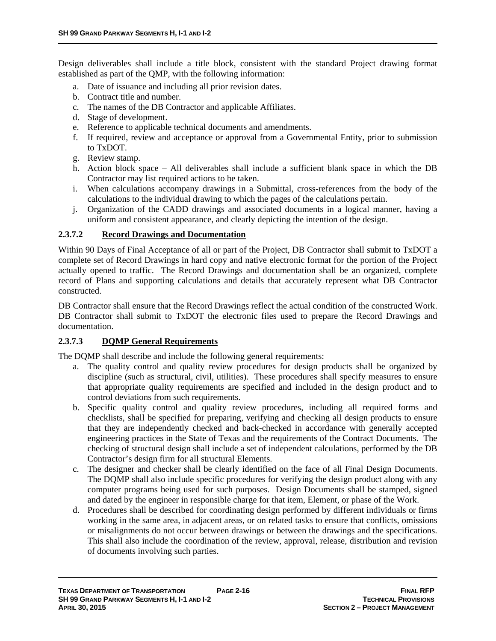Design deliverables shall include a title block, consistent with the standard Project drawing format established as part of the QMP, with the following information:

- a. Date of issuance and including all prior revision dates.
- b. Contract title and number.
- c. The names of the DB Contractor and applicable Affiliates.
- d. Stage of development.
- e. Reference to applicable technical documents and amendments.
- f. If required, review and acceptance or approval from a Governmental Entity, prior to submission to TxDOT.
- g. Review stamp.
- h. Action block space All deliverables shall include a sufficient blank space in which the DB Contractor may list required actions to be taken.
- i. When calculations accompany drawings in a Submittal, cross-references from the body of the calculations to the individual drawing to which the pages of the calculations pertain.
- j. Organization of the CADD drawings and associated documents in a logical manner, having a uniform and consistent appearance, and clearly depicting the intention of the design.

# **2.3.7.2 Record Drawings and Documentation**

Within 90 Days of Final Acceptance of all or part of the Project, DB Contractor shall submit to TxDOT a complete set of Record Drawings in hard copy and native electronic format for the portion of the Project actually opened to traffic. The Record Drawings and documentation shall be an organized, complete record of Plans and supporting calculations and details that accurately represent what DB Contractor constructed.

DB Contractor shall ensure that the Record Drawings reflect the actual condition of the constructed Work. DB Contractor shall submit to TxDOT the electronic files used to prepare the Record Drawings and documentation.

#### **2.3.7.3 DQMP General Requirements**

The DQMP shall describe and include the following general requirements:

- a. The quality control and quality review procedures for design products shall be organized by discipline (such as structural, civil, utilities). These procedures shall specify measures to ensure that appropriate quality requirements are specified and included in the design product and to control deviations from such requirements.
- b. Specific quality control and quality review procedures, including all required forms and checklists, shall be specified for preparing, verifying and checking all design products to ensure that they are independently checked and back-checked in accordance with generally accepted engineering practices in the State of Texas and the requirements of the Contract Documents. The checking of structural design shall include a set of independent calculations, performed by the DB Contractor's design firm for all structural Elements.
- c. The designer and checker shall be clearly identified on the face of all Final Design Documents. The DQMP shall also include specific procedures for verifying the design product along with any computer programs being used for such purposes. Design Documents shall be stamped, signed and dated by the engineer in responsible charge for that item, Element, or phase of the Work.
- d. Procedures shall be described for coordinating design performed by different individuals or firms working in the same area, in adjacent areas, or on related tasks to ensure that conflicts, omissions or misalignments do not occur between drawings or between the drawings and the specifications. This shall also include the coordination of the review, approval, release, distribution and revision of documents involving such parties.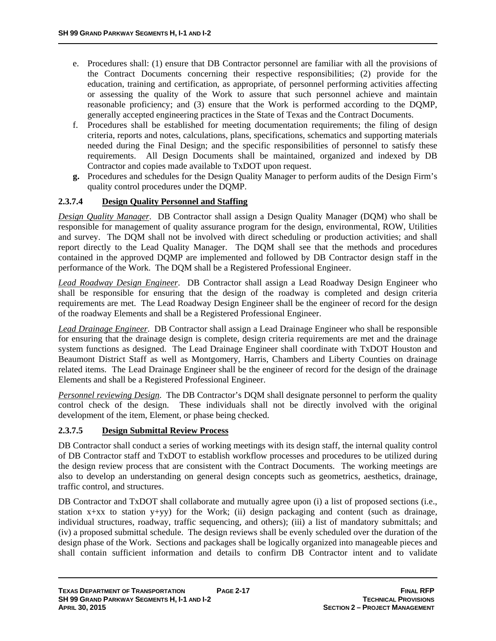- e. Procedures shall: (1) ensure that DB Contractor personnel are familiar with all the provisions of the Contract Documents concerning their respective responsibilities; (2) provide for the education, training and certification, as appropriate, of personnel performing activities affecting or assessing the quality of the Work to assure that such personnel achieve and maintain reasonable proficiency; and (3) ensure that the Work is performed according to the DQMP, generally accepted engineering practices in the State of Texas and the Contract Documents.
- f. Procedures shall be established for meeting documentation requirements; the filing of design criteria, reports and notes, calculations, plans, specifications, schematics and supporting materials needed during the Final Design; and the specific responsibilities of personnel to satisfy these requirements. All Design Documents shall be maintained, organized and indexed by DB Contractor and copies made available to TxDOT upon request.
- **g.** Procedures and schedules for the Design Quality Manager to perform audits of the Design Firm's quality control procedures under the DQMP.

# **2.3.7.4 Design Quality Personnel and Staffing**

*Design Quality Manager*. DB Contractor shall assign a Design Quality Manager (DQM) who shall be responsible for management of quality assurance program for the design, environmental, ROW, Utilities and survey. The DQM shall not be involved with direct scheduling or production activities; and shall report directly to the Lead Quality Manager. The DQM shall see that the methods and procedures contained in the approved DQMP are implemented and followed by DB Contractor design staff in the performance of the Work. The DQM shall be a Registered Professional Engineer.

*Lead Roadway Design Engineer*. DB Contractor shall assign a Lead Roadway Design Engineer who shall be responsible for ensuring that the design of the roadway is completed and design criteria requirements are met. The Lead Roadway Design Engineer shall be the engineer of record for the design of the roadway Elements and shall be a Registered Professional Engineer.

*Lead Drainage Engineer*. DB Contractor shall assign a Lead Drainage Engineer who shall be responsible for ensuring that the drainage design is complete, design criteria requirements are met and the drainage system functions as designed. The Lead Drainage Engineer shall coordinate with TxDOT Houston and Beaumont District Staff as well as Montgomery, Harris, Chambers and Liberty Counties on drainage related items. The Lead Drainage Engineer shall be the engineer of record for the design of the drainage Elements and shall be a Registered Professional Engineer.

*Personnel reviewing Design*. The DB Contractor's DQM shall designate personnel to perform the quality control check of the design. These individuals shall not be directly involved with the original development of the item, Element, or phase being checked.

#### **2.3.7.5 Design Submittal Review Process**

DB Contractor shall conduct a series of working meetings with its design staff, the internal quality control of DB Contractor staff and TxDOT to establish workflow processes and procedures to be utilized during the design review process that are consistent with the Contract Documents. The working meetings are also to develop an understanding on general design concepts such as geometrics, aesthetics, drainage, traffic control, and structures.

DB Contractor and TxDOT shall collaborate and mutually agree upon (i) a list of proposed sections (i.e., station x+xx to station y+yy) for the Work; (ii) design packaging and content (such as drainage, individual structures, roadway, traffic sequencing, and others); (iii) a list of mandatory submittals; and (iv) a proposed submittal schedule. The design reviews shall be evenly scheduled over the duration of the design phase of the Work. Sections and packages shall be logically organized into manageable pieces and shall contain sufficient information and details to confirm DB Contractor intent and to validate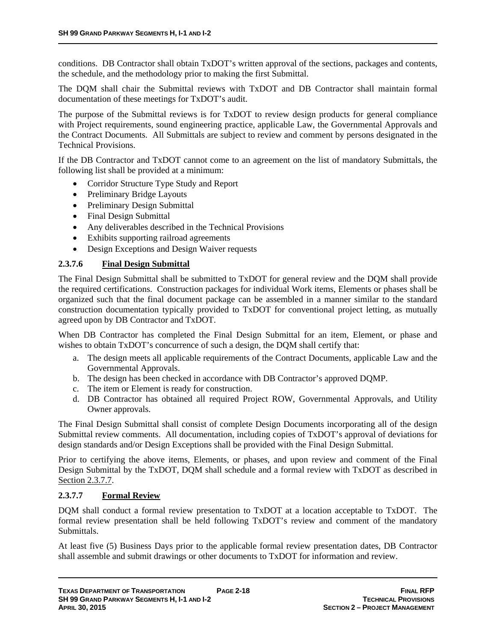conditions. DB Contractor shall obtain TxDOT's written approval of the sections, packages and contents, the schedule, and the methodology prior to making the first Submittal.

The DQM shall chair the Submittal reviews with TxDOT and DB Contractor shall maintain formal documentation of these meetings for TxDOT's audit.

The purpose of the Submittal reviews is for TxDOT to review design products for general compliance with Project requirements, sound engineering practice, applicable Law, the Governmental Approvals and the Contract Documents. All Submittals are subject to review and comment by persons designated in the Technical Provisions.

If the DB Contractor and TxDOT cannot come to an agreement on the list of mandatory Submittals, the following list shall be provided at a minimum:

- Corridor Structure Type Study and Report
- Preliminary Bridge Layouts
- Preliminary Design Submittal
- Final Design Submittal
- Any deliverables described in the Technical Provisions
- Exhibits supporting railroad agreements
- Design Exceptions and Design Waiver requests

#### **2.3.7.6 Final Design Submittal**

The Final Design Submittal shall be submitted to TxDOT for general review and the DQM shall provide the required certifications. Construction packages for individual Work items, Elements or phases shall be organized such that the final document package can be assembled in a manner similar to the standard construction documentation typically provided to TxDOT for conventional project letting, as mutually agreed upon by DB Contractor and TxDOT.

When DB Contractor has completed the Final Design Submittal for an item, Element, or phase and wishes to obtain TxDOT's concurrence of such a design, the DQM shall certify that:

- a. The design meets all applicable requirements of the Contract Documents, applicable Law and the Governmental Approvals.
- b. The design has been checked in accordance with DB Contractor's approved DQMP.
- c. The item or Element is ready for construction.
- d. DB Contractor has obtained all required Project ROW, Governmental Approvals, and Utility Owner approvals.

The Final Design Submittal shall consist of complete Design Documents incorporating all of the design Submittal review comments. All documentation, including copies of TxDOT's approval of deviations for design standards and/or Design Exceptions shall be provided with the Final Design Submittal.

Prior to certifying the above items, Elements, or phases, and upon review and comment of the Final Design Submittal by the TxDOT, DQM shall schedule and a formal review with TxDOT as described in Section 2.3.7.7.

#### **2.3.7.7 Formal Review**

DQM shall conduct a formal review presentation to TxDOT at a location acceptable to TxDOT. The formal review presentation shall be held following TxDOT's review and comment of the mandatory Submittals.

At least five (5) Business Days prior to the applicable formal review presentation dates, DB Contractor shall assemble and submit drawings or other documents to TxDOT for information and review.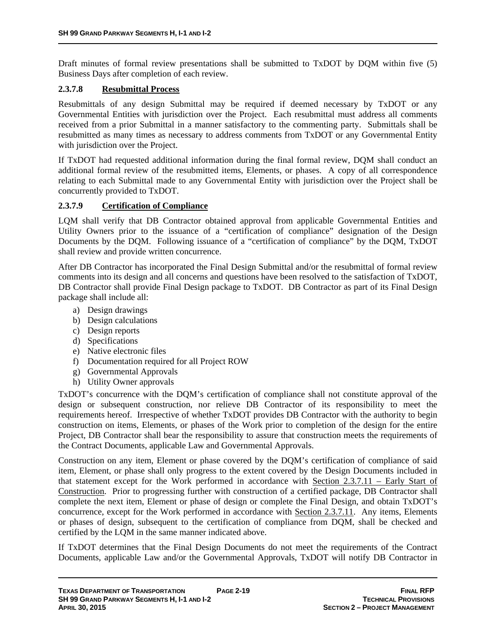Draft minutes of formal review presentations shall be submitted to TxDOT by DQM within five (5) Business Days after completion of each review.

#### **2.3.7.8 Resubmittal Process**

Resubmittals of any design Submittal may be required if deemed necessary by TxDOT or any Governmental Entities with jurisdiction over the Project. Each resubmittal must address all comments received from a prior Submittal in a manner satisfactory to the commenting party. Submittals shall be resubmitted as many times as necessary to address comments from TxDOT or any Governmental Entity with jurisdiction over the Project.

If TxDOT had requested additional information during the final formal review, DQM shall conduct an additional formal review of the resubmitted items, Elements, or phases. A copy of all correspondence relating to each Submittal made to any Governmental Entity with jurisdiction over the Project shall be concurrently provided to TxDOT.

#### **2.3.7.9 Certification of Compliance**

LQM shall verify that DB Contractor obtained approval from applicable Governmental Entities and Utility Owners prior to the issuance of a "certification of compliance" designation of the Design Documents by the DQM. Following issuance of a "certification of compliance" by the DQM, TxDOT shall review and provide written concurrence.

After DB Contractor has incorporated the Final Design Submittal and/or the resubmittal of formal review comments into its design and all concerns and questions have been resolved to the satisfaction of TxDOT, DB Contractor shall provide Final Design package to TxDOT. DB Contractor as part of its Final Design package shall include all:

- a) Design drawings
- b) Design calculations
- c) Design reports
- d) Specifications
- e) Native electronic files
- f) Documentation required for all Project ROW
- g) Governmental Approvals
- h) Utility Owner approvals

TxDOT's concurrence with the DQM's certification of compliance shall not constitute approval of the design or subsequent construction, nor relieve DB Contractor of its responsibility to meet the requirements hereof. Irrespective of whether TxDOT provides DB Contractor with the authority to begin construction on items, Elements, or phases of the Work prior to completion of the design for the entire Project, DB Contractor shall bear the responsibility to assure that construction meets the requirements of the Contract Documents, applicable Law and Governmental Approvals.

Construction on any item, Element or phase covered by the DQM's certification of compliance of said item, Element, or phase shall only progress to the extent covered by the Design Documents included in that statement except for the Work performed in accordance with Section 2.3.7.11 – Early Start of Construction. Prior to progressing further with construction of a certified package, DB Contractor shall complete the next item, Element or phase of design or complete the Final Design, and obtain TxDOT's concurrence, except for the Work performed in accordance with Section 2.3.7.11. Any items, Elements or phases of design, subsequent to the certification of compliance from DQM, shall be checked and certified by the LQM in the same manner indicated above.

If TxDOT determines that the Final Design Documents do not meet the requirements of the Contract Documents, applicable Law and/or the Governmental Approvals, TxDOT will notify DB Contractor in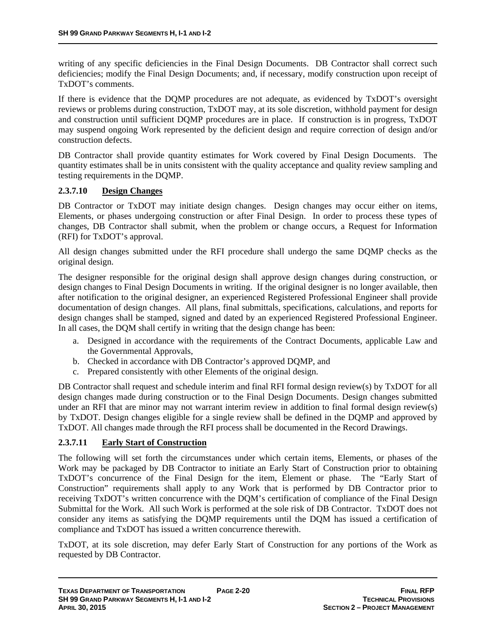writing of any specific deficiencies in the Final Design Documents. DB Contractor shall correct such deficiencies; modify the Final Design Documents; and, if necessary, modify construction upon receipt of TxDOT's comments.

If there is evidence that the DQMP procedures are not adequate, as evidenced by TxDOT's oversight reviews or problems during construction, TxDOT may, at its sole discretion, withhold payment for design and construction until sufficient DQMP procedures are in place. If construction is in progress, TxDOT may suspend ongoing Work represented by the deficient design and require correction of design and/or construction defects.

DB Contractor shall provide quantity estimates for Work covered by Final Design Documents. The quantity estimates shall be in units consistent with the quality acceptance and quality review sampling and testing requirements in the DQMP.

#### **2.3.7.10 Design Changes**

DB Contractor or TxDOT may initiate design changes. Design changes may occur either on items, Elements, or phases undergoing construction or after Final Design. In order to process these types of changes, DB Contractor shall submit, when the problem or change occurs, a Request for Information (RFI) for TxDOT's approval.

All design changes submitted under the RFI procedure shall undergo the same DQMP checks as the original design.

The designer responsible for the original design shall approve design changes during construction, or design changes to Final Design Documents in writing. If the original designer is no longer available, then after notification to the original designer, an experienced Registered Professional Engineer shall provide documentation of design changes. All plans, final submittals, specifications, calculations, and reports for design changes shall be stamped, signed and dated by an experienced Registered Professional Engineer. In all cases, the DQM shall certify in writing that the design change has been:

- a. Designed in accordance with the requirements of the Contract Documents, applicable Law and the Governmental Approvals,
- b. Checked in accordance with DB Contractor's approved DQMP, and
- c. Prepared consistently with other Elements of the original design.

DB Contractor shall request and schedule interim and final RFI formal design review(s) by TxDOT for all design changes made during construction or to the Final Design Documents. Design changes submitted under an RFI that are minor may not warrant interim review in addition to final formal design review(s) by TxDOT. Design changes eligible for a single review shall be defined in the DQMP and approved by TxDOT. All changes made through the RFI process shall be documented in the Record Drawings.

#### **2.3.7.11 Early Start of Construction**

The following will set forth the circumstances under which certain items, Elements, or phases of the Work may be packaged by DB Contractor to initiate an Early Start of Construction prior to obtaining TxDOT's concurrence of the Final Design for the item, Element or phase. The "Early Start of Construction" requirements shall apply to any Work that is performed by DB Contractor prior to receiving TxDOT's written concurrence with the DQM's certification of compliance of the Final Design Submittal for the Work. All such Work is performed at the sole risk of DB Contractor. TxDOT does not consider any items as satisfying the DQMP requirements until the DQM has issued a certification of compliance and TxDOT has issued a written concurrence therewith.

TxDOT, at its sole discretion, may defer Early Start of Construction for any portions of the Work as requested by DB Contractor.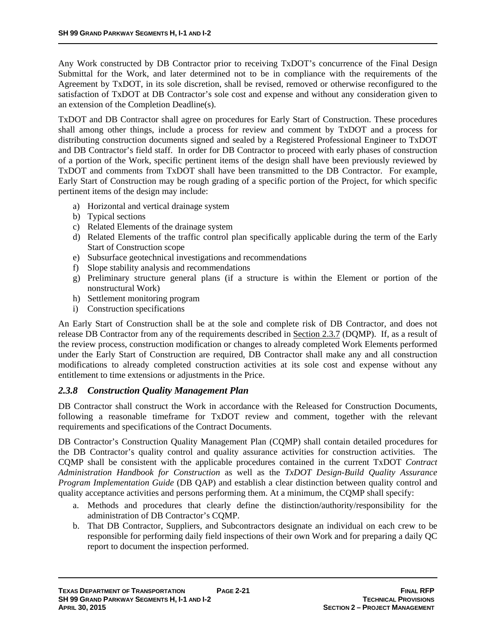Any Work constructed by DB Contractor prior to receiving TxDOT's concurrence of the Final Design Submittal for the Work, and later determined not to be in compliance with the requirements of the Agreement by TxDOT, in its sole discretion, shall be revised, removed or otherwise reconfigured to the satisfaction of TxDOT at DB Contractor's sole cost and expense and without any consideration given to an extension of the Completion Deadline(s).

TxDOT and DB Contractor shall agree on procedures for Early Start of Construction. These procedures shall among other things, include a process for review and comment by TxDOT and a process for distributing construction documents signed and sealed by a Registered Professional Engineer to TxDOT and DB Contractor's field staff. In order for DB Contractor to proceed with early phases of construction of a portion of the Work, specific pertinent items of the design shall have been previously reviewed by TxDOT and comments from TxDOT shall have been transmitted to the DB Contractor. For example, Early Start of Construction may be rough grading of a specific portion of the Project, for which specific pertinent items of the design may include:

- a) Horizontal and vertical drainage system
- b) Typical sections
- c) Related Elements of the drainage system
- d) Related Elements of the traffic control plan specifically applicable during the term of the Early Start of Construction scope
- e) Subsurface geotechnical investigations and recommendations
- f) Slope stability analysis and recommendations
- g) Preliminary structure general plans (if a structure is within the Element or portion of the nonstructural Work)
- h) Settlement monitoring program
- i) Construction specifications

An Early Start of Construction shall be at the sole and complete risk of DB Contractor, and does not release DB Contractor from any of the requirements described in Section 2.3.7 (DQMP). If, as a result of the review process, construction modification or changes to already completed Work Elements performed under the Early Start of Construction are required, DB Contractor shall make any and all construction modifications to already completed construction activities at its sole cost and expense without any entitlement to time extensions or adjustments in the Price.

#### *2.3.8 Construction Quality Management Plan*

DB Contractor shall construct the Work in accordance with the Released for Construction Documents, following a reasonable timeframe for TxDOT review and comment, together with the relevant requirements and specifications of the Contract Documents.

DB Contractor's Construction Quality Management Plan (CQMP) shall contain detailed procedures for the DB Contractor's quality control and quality assurance activities for construction activities. The CQMP shall be consistent with the applicable procedures contained in the current TxDOT *Contract Administration Handbook for Construction* as well as the *TxDOT Design-Build Quality Assurance Program Implementation Guide* (DB QAP) and establish a clear distinction between quality control and quality acceptance activities and persons performing them. At a minimum, the CQMP shall specify:

- a. Methods and procedures that clearly define the distinction/authority/responsibility for the administration of DB Contractor's CQMP.
- b. That DB Contractor, Suppliers, and Subcontractors designate an individual on each crew to be responsible for performing daily field inspections of their own Work and for preparing a daily QC report to document the inspection performed.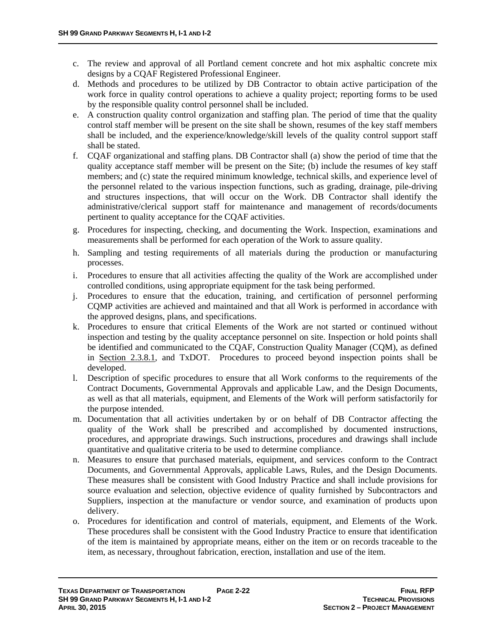- c. The review and approval of all Portland cement concrete and hot mix asphaltic concrete mix designs by a CQAF Registered Professional Engineer.
- d. Methods and procedures to be utilized by DB Contractor to obtain active participation of the work force in quality control operations to achieve a quality project; reporting forms to be used by the responsible quality control personnel shall be included.
- e. A construction quality control organization and staffing plan. The period of time that the quality control staff member will be present on the site shall be shown, resumes of the key staff members shall be included, and the experience/knowledge/skill levels of the quality control support staff shall be stated.
- f. CQAF organizational and staffing plans. DB Contractor shall (a) show the period of time that the quality acceptance staff member will be present on the Site; (b) include the resumes of key staff members; and (c) state the required minimum knowledge, technical skills, and experience level of the personnel related to the various inspection functions, such as grading, drainage, pile-driving and structures inspections, that will occur on the Work. DB Contractor shall identify the administrative/clerical support staff for maintenance and management of records/documents pertinent to quality acceptance for the CQAF activities.
- g. Procedures for inspecting, checking, and documenting the Work. Inspection, examinations and measurements shall be performed for each operation of the Work to assure quality.
- h. Sampling and testing requirements of all materials during the production or manufacturing processes.
- i. Procedures to ensure that all activities affecting the quality of the Work are accomplished under controlled conditions, using appropriate equipment for the task being performed.
- j. Procedures to ensure that the education, training, and certification of personnel performing CQMP activities are achieved and maintained and that all Work is performed in accordance with the approved designs, plans, and specifications.
- k. Procedures to ensure that critical Elements of the Work are not started or continued without inspection and testing by the quality acceptance personnel on site. Inspection or hold points shall be identified and communicated to the CQAF, Construction Quality Manager (CQM), as defined in Section 2.3.8.1, and TxDOT. Procedures to proceed beyond inspection points shall be developed.
- l. Description of specific procedures to ensure that all Work conforms to the requirements of the Contract Documents, Governmental Approvals and applicable Law, and the Design Documents, as well as that all materials, equipment, and Elements of the Work will perform satisfactorily for the purpose intended.
- m. Documentation that all activities undertaken by or on behalf of DB Contractor affecting the quality of the Work shall be prescribed and accomplished by documented instructions, procedures, and appropriate drawings. Such instructions, procedures and drawings shall include quantitative and qualitative criteria to be used to determine compliance.
- n. Measures to ensure that purchased materials, equipment, and services conform to the Contract Documents, and Governmental Approvals, applicable Laws, Rules, and the Design Documents. These measures shall be consistent with Good Industry Practice and shall include provisions for source evaluation and selection, objective evidence of quality furnished by Subcontractors and Suppliers, inspection at the manufacture or vendor source, and examination of products upon delivery.
- o. Procedures for identification and control of materials, equipment, and Elements of the Work. These procedures shall be consistent with the Good Industry Practice to ensure that identification of the item is maintained by appropriate means, either on the item or on records traceable to the item, as necessary, throughout fabrication, erection, installation and use of the item.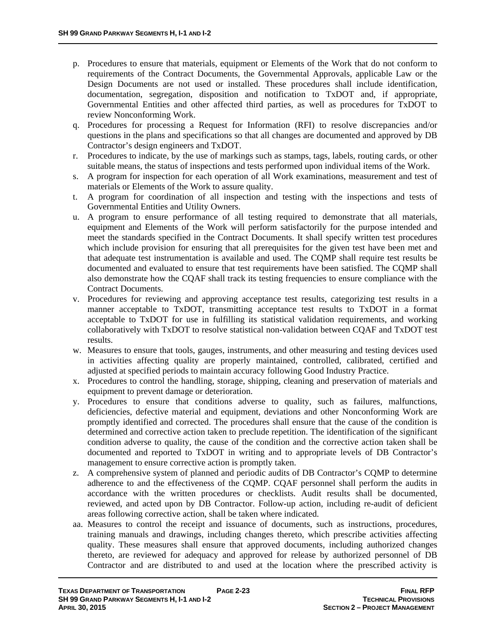- p. Procedures to ensure that materials, equipment or Elements of the Work that do not conform to requirements of the Contract Documents, the Governmental Approvals, applicable Law or the Design Documents are not used or installed. These procedures shall include identification, documentation, segregation, disposition and notification to TxDOT and, if appropriate, Governmental Entities and other affected third parties, as well as procedures for TxDOT to review Nonconforming Work.
- q. Procedures for processing a Request for Information (RFI) to resolve discrepancies and/or questions in the plans and specifications so that all changes are documented and approved by DB Contractor's design engineers and TxDOT.
- r. Procedures to indicate, by the use of markings such as stamps, tags, labels, routing cards, or other suitable means, the status of inspections and tests performed upon individual items of the Work.
- s. A program for inspection for each operation of all Work examinations, measurement and test of materials or Elements of the Work to assure quality.
- t. A program for coordination of all inspection and testing with the inspections and tests of Governmental Entities and Utility Owners.
- u. A program to ensure performance of all testing required to demonstrate that all materials, equipment and Elements of the Work will perform satisfactorily for the purpose intended and meet the standards specified in the Contract Documents. It shall specify written test procedures which include provision for ensuring that all prerequisites for the given test have been met and that adequate test instrumentation is available and used. The CQMP shall require test results be documented and evaluated to ensure that test requirements have been satisfied. The CQMP shall also demonstrate how the CQAF shall track its testing frequencies to ensure compliance with the Contract Documents.
- v. Procedures for reviewing and approving acceptance test results, categorizing test results in a manner acceptable to TxDOT, transmitting acceptance test results to TxDOT in a format acceptable to TxDOT for use in fulfilling its statistical validation requirements, and working collaboratively with TxDOT to resolve statistical non-validation between CQAF and TxDOT test results.
- w. Measures to ensure that tools, gauges, instruments, and other measuring and testing devices used in activities affecting quality are properly maintained, controlled, calibrated, certified and adjusted at specified periods to maintain accuracy following Good Industry Practice.
- x. Procedures to control the handling, storage, shipping, cleaning and preservation of materials and equipment to prevent damage or deterioration.
- y. Procedures to ensure that conditions adverse to quality, such as failures, malfunctions, deficiencies, defective material and equipment, deviations and other Nonconforming Work are promptly identified and corrected. The procedures shall ensure that the cause of the condition is determined and corrective action taken to preclude repetition. The identification of the significant condition adverse to quality, the cause of the condition and the corrective action taken shall be documented and reported to TxDOT in writing and to appropriate levels of DB Contractor's management to ensure corrective action is promptly taken.
- z. A comprehensive system of planned and periodic audits of DB Contractor's CQMP to determine adherence to and the effectiveness of the CQMP. CQAF personnel shall perform the audits in accordance with the written procedures or checklists. Audit results shall be documented, reviewed, and acted upon by DB Contractor. Follow-up action, including re-audit of deficient areas following corrective action, shall be taken where indicated.
- aa. Measures to control the receipt and issuance of documents, such as instructions, procedures, training manuals and drawings, including changes thereto, which prescribe activities affecting quality. These measures shall ensure that approved documents, including authorized changes thereto, are reviewed for adequacy and approved for release by authorized personnel of DB Contractor and are distributed to and used at the location where the prescribed activity is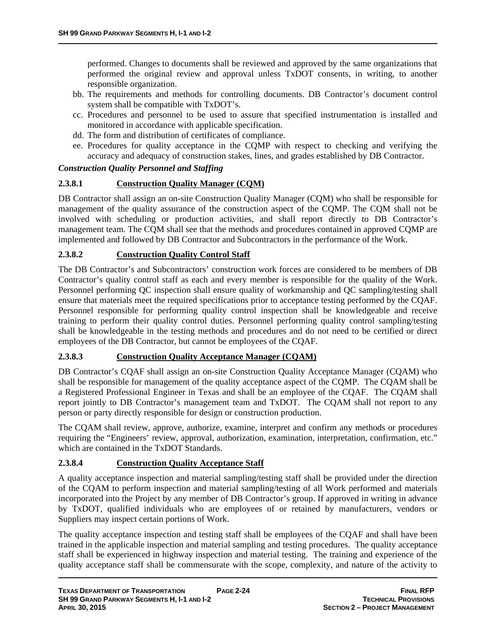performed. Changes to documents shall be reviewed and approved by the same organizations that performed the original review and approval unless TxDOT consents, in writing, to another responsible organization.

- bb. The requirements and methods for controlling documents. DB Contractor's document control system shall be compatible with TxDOT's.
- cc. Procedures and personnel to be used to assure that specified instrumentation is installed and monitored in accordance with applicable specification.
- dd. The form and distribution of certificates of compliance.
- ee. Procedures for quality acceptance in the CQMP with respect to checking and verifying the accuracy and adequacy of construction stakes, lines, and grades established by DB Contractor.

#### *Construction Quality Personnel and Staffing*

#### **2.3.8.1 Construction Quality Manager (CQM)**

DB Contractor shall assign an on-site Construction Quality Manager (CQM) who shall be responsible for management of the quality assurance of the construction aspect of the CQMP. The CQM shall not be involved with scheduling or production activities, and shall report directly to DB Contractor's management team. The CQM shall see that the methods and procedures contained in approved CQMP are implemented and followed by DB Contractor and Subcontractors in the performance of the Work.

#### **2.3.8.2 Construction Quality Control Staff**

The DB Contractor's and Subcontractors' construction work forces are considered to be members of DB Contractor's quality control staff as each and every member is responsible for the quality of the Work. Personnel performing QC inspection shall ensure quality of workmanship and QC sampling/testing shall ensure that materials meet the required specifications prior to acceptance testing performed by the CQAF. Personnel responsible for performing quality control inspection shall be knowledgeable and receive training to perform their quality control duties. Personnel performing quality control sampling/testing shall be knowledgeable in the testing methods and procedures and do not need to be certified or direct employees of the DB Contractor, but cannot be employees of the CQAF.

#### **2.3.8.3 Construction Quality Acceptance Manager (CQAM)**

DB Contractor's CQAF shall assign an on-site Construction Quality Acceptance Manager (CQAM) who shall be responsible for management of the quality acceptance aspect of the CQMP. The CQAM shall be a Registered Professional Engineer in Texas and shall be an employee of the CQAF. The CQAM shall report jointly to DB Contractor's management team and TxDOT. The CQAM shall not report to any person or party directly responsible for design or construction production.

The CQAM shall review, approve, authorize, examine, interpret and confirm any methods or procedures requiring the "Engineers' review, approval, authorization, examination, interpretation, confirmation, etc." which are contained in the TxDOT Standards.

#### **2.3.8.4 Construction Quality Acceptance Staff**

A quality acceptance inspection and material sampling/testing staff shall be provided under the direction of the CQAM to perform inspection and material sampling/testing of all Work performed and materials incorporated into the Project by any member of DB Contractor's group. If approved in writing in advance by TxDOT, qualified individuals who are employees of or retained by manufacturers, vendors or Suppliers may inspect certain portions of Work.

The quality acceptance inspection and testing staff shall be employees of the CQAF and shall have been trained in the applicable inspection and material sampling and testing procedures. The quality acceptance staff shall be experienced in highway inspection and material testing. The training and experience of the quality acceptance staff shall be commensurate with the scope, complexity, and nature of the activity to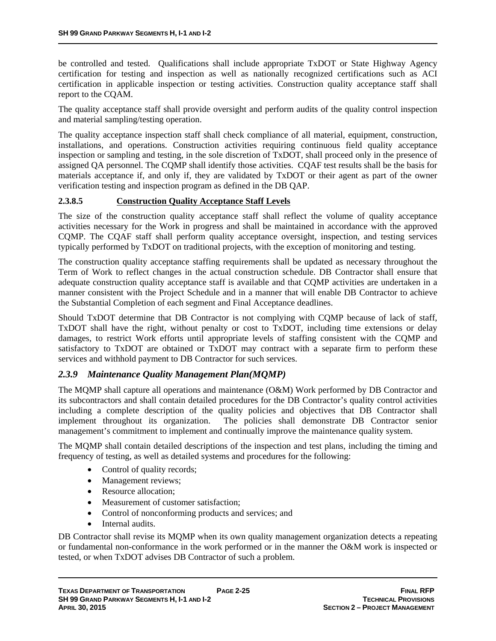be controlled and tested. Qualifications shall include appropriate TxDOT or State Highway Agency certification for testing and inspection as well as nationally recognized certifications such as ACI certification in applicable inspection or testing activities. Construction quality acceptance staff shall report to the CQAM.

The quality acceptance staff shall provide oversight and perform audits of the quality control inspection and material sampling/testing operation.

The quality acceptance inspection staff shall check compliance of all material, equipment, construction, installations, and operations. Construction activities requiring continuous field quality acceptance inspection or sampling and testing, in the sole discretion of TxDOT, shall proceed only in the presence of assigned QA personnel. The CQMP shall identify those activities. CQAF test results shall be the basis for materials acceptance if, and only if, they are validated by TxDOT or their agent as part of the owner verification testing and inspection program as defined in the DB QAP.

#### **2.3.8.5 Construction Quality Acceptance Staff Levels**

The size of the construction quality acceptance staff shall reflect the volume of quality acceptance activities necessary for the Work in progress and shall be maintained in accordance with the approved CQMP. The CQAF staff shall perform quality acceptance oversight, inspection, and testing services typically performed by TxDOT on traditional projects, with the exception of monitoring and testing.

The construction quality acceptance staffing requirements shall be updated as necessary throughout the Term of Work to reflect changes in the actual construction schedule. DB Contractor shall ensure that adequate construction quality acceptance staff is available and that CQMP activities are undertaken in a manner consistent with the Project Schedule and in a manner that will enable DB Contractor to achieve the Substantial Completion of each segment and Final Acceptance deadlines.

Should TxDOT determine that DB Contractor is not complying with CQMP because of lack of staff, TxDOT shall have the right, without penalty or cost to TxDOT, including time extensions or delay damages, to restrict Work efforts until appropriate levels of staffing consistent with the CQMP and satisfactory to TxDOT are obtained or TxDOT may contract with a separate firm to perform these services and withhold payment to DB Contractor for such services.

#### *2.3.9 Maintenance Quality Management Plan(MQMP)*

The MQMP shall capture all operations and maintenance (O&M) Work performed by DB Contractor and its subcontractors and shall contain detailed procedures for the DB Contractor's quality control activities including a complete description of the quality policies and objectives that DB Contractor shall implement throughout its organization. The policies shall demonstrate DB Contractor senior management's commitment to implement and continually improve the maintenance quality system.

The MQMP shall contain detailed descriptions of the inspection and test plans, including the timing and frequency of testing, as well as detailed systems and procedures for the following:

- Control of quality records;
- Management reviews;
- Resource allocation:
- Measurement of customer satisfaction:
- Control of nonconforming products and services; and
- Internal audits.

DB Contractor shall revise its MQMP when its own quality management organization detects a repeating or fundamental non-conformance in the work performed or in the manner the O&M work is inspected or tested, or when TxDOT advises DB Contractor of such a problem.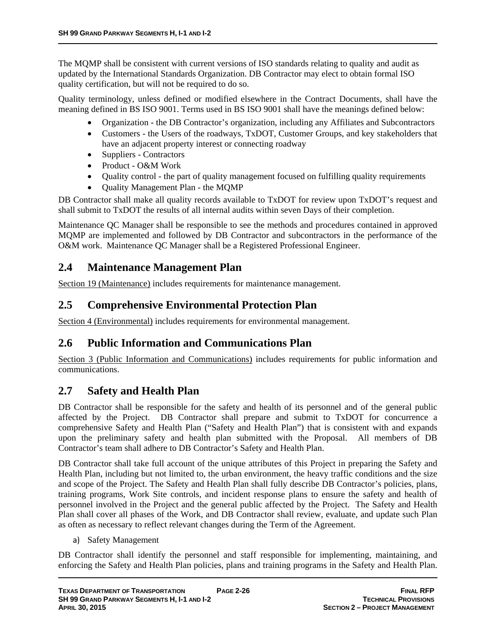The MQMP shall be consistent with current versions of ISO standards relating to quality and audit as updated by the International Standards Organization. DB Contractor may elect to obtain formal ISO quality certification, but will not be required to do so.

Quality terminology, unless defined or modified elsewhere in the Contract Documents, shall have the meaning defined in BS ISO 9001. Terms used in BS ISO 9001 shall have the meanings defined below:

- Organization the DB Contractor's organization, including any Affiliates and Subcontractors
- Customers the Users of the roadways, TxDOT, Customer Groups, and key stakeholders that have an adjacent property interest or connecting roadway
- Suppliers Contractors
- Product O&M Work
- Quality control the part of quality management focused on fulfilling quality requirements
- Ouality Management Plan the MOMP

DB Contractor shall make all quality records available to TxDOT for review upon TxDOT's request and shall submit to TxDOT the results of all internal audits within seven Days of their completion.

Maintenance QC Manager shall be responsible to see the methods and procedures contained in approved MQMP are implemented and followed by DB Contractor and subcontractors in the performance of the O&M work. Maintenance QC Manager shall be a Registered Professional Engineer.

# **2.4 Maintenance Management Plan**

Section 19 (Maintenance) includes requirements for maintenance management.

# **2.5 Comprehensive Environmental Protection Plan**

Section 4 (Environmental) includes requirements for environmental management.

# **2.6 Public Information and Communications Plan**

Section 3 (Public Information and Communications) includes requirements for public information and communications.

# **2.7 Safety and Health Plan**

DB Contractor shall be responsible for the safety and health of its personnel and of the general public affected by the Project. DB Contractor shall prepare and submit to TxDOT for concurrence a comprehensive Safety and Health Plan ("Safety and Health Plan") that is consistent with and expands upon the preliminary safety and health plan submitted with the Proposal. All members of DB Contractor's team shall adhere to DB Contractor's Safety and Health Plan.

DB Contractor shall take full account of the unique attributes of this Project in preparing the Safety and Health Plan, including but not limited to, the urban environment, the heavy traffic conditions and the size and scope of the Project. The Safety and Health Plan shall fully describe DB Contractor's policies, plans, training programs, Work Site controls, and incident response plans to ensure the safety and health of personnel involved in the Project and the general public affected by the Project. The Safety and Health Plan shall cover all phases of the Work, and DB Contractor shall review, evaluate, and update such Plan as often as necessary to reflect relevant changes during the Term of the Agreement.

a) Safety Management

DB Contractor shall identify the personnel and staff responsible for implementing, maintaining, and enforcing the Safety and Health Plan policies, plans and training programs in the Safety and Health Plan.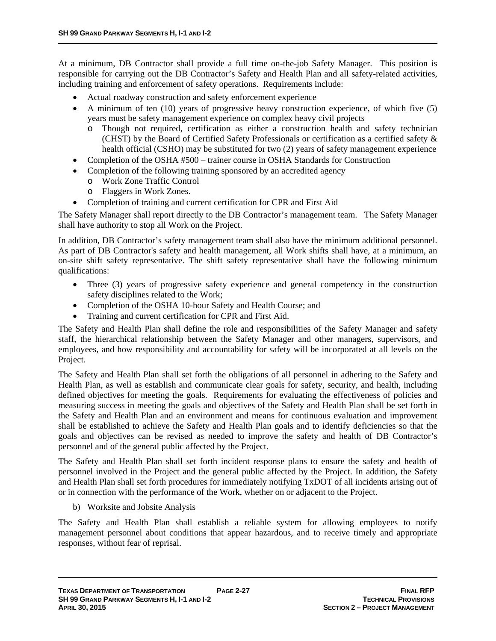At a minimum, DB Contractor shall provide a full time on-the-job Safety Manager. This position is responsible for carrying out the DB Contractor's Safety and Health Plan and all safety-related activities, including training and enforcement of safety operations. Requirements include:

- Actual roadway construction and safety enforcement experience
- $\bullet$  A minimum of ten (10) years of progressive heavy construction experience, of which five (5) years must be safety management experience on complex heavy civil projects
	- o Though not required, certification as either a construction health and safety technician (CHST) by the Board of Certified Safety Professionals or certification as a certified safety & health official (CSHO) may be substituted for two (2) years of safety management experience
- Completion of the OSHA #500 trainer course in OSHA Standards for Construction
- Completion of the following training sponsored by an accredited agency
	- o Work Zone Traffic Control
	- o Flaggers in Work Zones.
- Completion of training and current certification for CPR and First Aid

The Safety Manager shall report directly to the DB Contractor's management team. The Safety Manager shall have authority to stop all Work on the Project.

In addition, DB Contractor's safety management team shall also have the minimum additional personnel. As part of DB Contractor's safety and health management, all Work shifts shall have, at a minimum, an on-site shift safety representative. The shift safety representative shall have the following minimum qualifications:

- Three (3) years of progressive safety experience and general competency in the construction safety disciplines related to the Work;
- Completion of the OSHA 10-hour Safety and Health Course; and
- Training and current certification for CPR and First Aid.

The Safety and Health Plan shall define the role and responsibilities of the Safety Manager and safety staff, the hierarchical relationship between the Safety Manager and other managers, supervisors, and employees, and how responsibility and accountability for safety will be incorporated at all levels on the Project.

The Safety and Health Plan shall set forth the obligations of all personnel in adhering to the Safety and Health Plan, as well as establish and communicate clear goals for safety, security, and health, including defined objectives for meeting the goals. Requirements for evaluating the effectiveness of policies and measuring success in meeting the goals and objectives of the Safety and Health Plan shall be set forth in the Safety and Health Plan and an environment and means for continuous evaluation and improvement shall be established to achieve the Safety and Health Plan goals and to identify deficiencies so that the goals and objectives can be revised as needed to improve the safety and health of DB Contractor's personnel and of the general public affected by the Project.

The Safety and Health Plan shall set forth incident response plans to ensure the safety and health of personnel involved in the Project and the general public affected by the Project. In addition, the Safety and Health Plan shall set forth procedures for immediately notifying TxDOT of all incidents arising out of or in connection with the performance of the Work, whether on or adjacent to the Project.

b) Worksite and Jobsite Analysis

The Safety and Health Plan shall establish a reliable system for allowing employees to notify management personnel about conditions that appear hazardous, and to receive timely and appropriate responses, without fear of reprisal.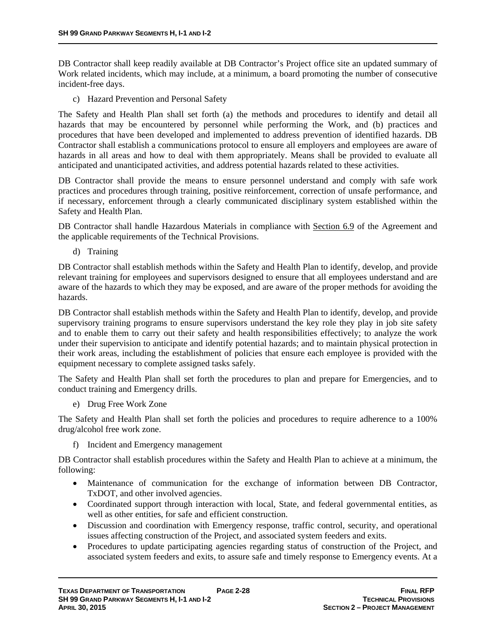DB Contractor shall keep readily available at DB Contractor's Project office site an updated summary of Work related incidents, which may include, at a minimum, a board promoting the number of consecutive incident-free days.

c) Hazard Prevention and Personal Safety

The Safety and Health Plan shall set forth (a) the methods and procedures to identify and detail all hazards that may be encountered by personnel while performing the Work, and (b) practices and procedures that have been developed and implemented to address prevention of identified hazards. DB Contractor shall establish a communications protocol to ensure all employers and employees are aware of hazards in all areas and how to deal with them appropriately. Means shall be provided to evaluate all anticipated and unanticipated activities, and address potential hazards related to these activities.

DB Contractor shall provide the means to ensure personnel understand and comply with safe work practices and procedures through training, positive reinforcement, correction of unsafe performance, and if necessary, enforcement through a clearly communicated disciplinary system established within the Safety and Health Plan.

DB Contractor shall handle Hazardous Materials in compliance with Section 6.9 of the Agreement and the applicable requirements of the Technical Provisions.

d) Training

DB Contractor shall establish methods within the Safety and Health Plan to identify, develop, and provide relevant training for employees and supervisors designed to ensure that all employees understand and are aware of the hazards to which they may be exposed, and are aware of the proper methods for avoiding the hazards.

DB Contractor shall establish methods within the Safety and Health Plan to identify, develop, and provide supervisory training programs to ensure supervisors understand the key role they play in job site safety and to enable them to carry out their safety and health responsibilities effectively; to analyze the work under their supervision to anticipate and identify potential hazards; and to maintain physical protection in their work areas, including the establishment of policies that ensure each employee is provided with the equipment necessary to complete assigned tasks safely.

The Safety and Health Plan shall set forth the procedures to plan and prepare for Emergencies, and to conduct training and Emergency drills.

e) Drug Free Work Zone

The Safety and Health Plan shall set forth the policies and procedures to require adherence to a 100% drug/alcohol free work zone.

f) Incident and Emergency management

DB Contractor shall establish procedures within the Safety and Health Plan to achieve at a minimum, the following:

- Maintenance of communication for the exchange of information between DB Contractor, TxDOT, and other involved agencies.
- Coordinated support through interaction with local, State, and federal governmental entities, as well as other entities, for safe and efficient construction.
- Discussion and coordination with Emergency response, traffic control, security, and operational issues affecting construction of the Project, and associated system feeders and exits.
- Procedures to update participating agencies regarding status of construction of the Project, and associated system feeders and exits, to assure safe and timely response to Emergency events. At a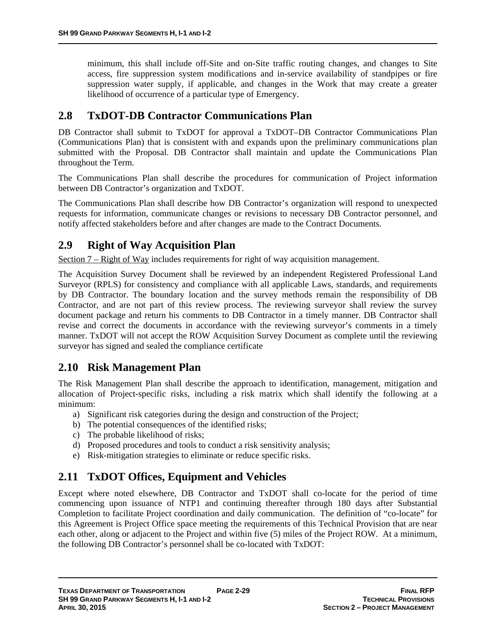minimum, this shall include off-Site and on-Site traffic routing changes, and changes to Site access, fire suppression system modifications and in-service availability of standpipes or fire suppression water supply, if applicable, and changes in the Work that may create a greater likelihood of occurrence of a particular type of Emergency.

# **2.8 TxDOT-DB Contractor Communications Plan**

DB Contractor shall submit to TxDOT for approval a TxDOT–DB Contractor Communications Plan (Communications Plan) that is consistent with and expands upon the preliminary communications plan submitted with the Proposal. DB Contractor shall maintain and update the Communications Plan throughout the Term.

The Communications Plan shall describe the procedures for communication of Project information between DB Contractor's organization and TxDOT.

The Communications Plan shall describe how DB Contractor's organization will respond to unexpected requests for information, communicate changes or revisions to necessary DB Contractor personnel, and notify affected stakeholders before and after changes are made to the Contract Documents.

# **2.9 Right of Way Acquisition Plan**

Section 7 – Right of Way includes requirements for right of way acquisition management.

The Acquisition Survey Document shall be reviewed by an independent Registered Professional Land Surveyor (RPLS) for consistency and compliance with all applicable Laws, standards, and requirements by DB Contractor. The boundary location and the survey methods remain the responsibility of DB Contractor, and are not part of this review process. The reviewing surveyor shall review the survey document package and return his comments to DB Contractor in a timely manner. DB Contractor shall revise and correct the documents in accordance with the reviewing surveyor's comments in a timely manner. TxDOT will not accept the ROW Acquisition Survey Document as complete until the reviewing surveyor has signed and sealed the compliance certificate

# **2.10 Risk Management Plan**

The Risk Management Plan shall describe the approach to identification, management, mitigation and allocation of Project-specific risks, including a risk matrix which shall identify the following at a minimum:

- a) Significant risk categories during the design and construction of the Project;
- b) The potential consequences of the identified risks;
- c) The probable likelihood of risks;
- d) Proposed procedures and tools to conduct a risk sensitivity analysis;
- e) Risk-mitigation strategies to eliminate or reduce specific risks.

# **2.11 TxDOT Offices, Equipment and Vehicles**

Except where noted elsewhere, DB Contractor and TxDOT shall co-locate for the period of time commencing upon issuance of NTP1 and continuing thereafter through 180 days after Substantial Completion to facilitate Project coordination and daily communication. The definition of "co-locate" for this Agreement is Project Office space meeting the requirements of this Technical Provision that are near each other, along or adjacent to the Project and within five (5) miles of the Project ROW. At a minimum, the following DB Contractor's personnel shall be co-located with TxDOT: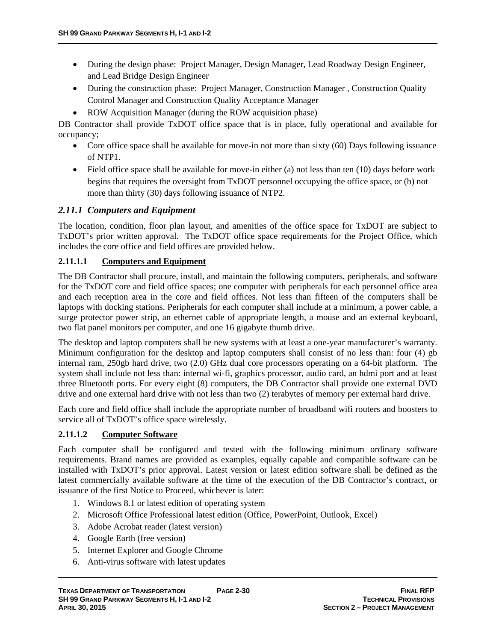- During the design phase: Project Manager, Design Manager, Lead Roadway Design Engineer, and Lead Bridge Design Engineer
- During the construction phase: Project Manager, Construction Manager, Construction Quality Control Manager and Construction Quality Acceptance Manager
- ROW Acquisition Manager (during the ROW acquisition phase)

DB Contractor shall provide TxDOT office space that is in place, fully operational and available for occupancy;

- Core office space shall be available for move-in not more than sixty  $(60)$  Days following issuance of NTP1.
- $\bullet$  Field office space shall be available for move-in either (a) not less than ten (10) days before work begins that requires the oversight from TxDOT personnel occupying the office space, or (b) not more than thirty (30) days following issuance of NTP2.

# *2.11.1 Computers and Equipment*

The location, condition, floor plan layout, and amenities of the office space for TxDOT are subject to TxDOT's prior written approval. The TxDOT office space requirements for the Project Office, which includes the core office and field offices are provided below.

# **2.11.1.1 Computers and Equipment**

The DB Contractor shall procure, install, and maintain the following computers, peripherals, and software for the TxDOT core and field office spaces; one computer with peripherals for each personnel office area and each reception area in the core and field offices. Not less than fifteen of the computers shall be laptops with docking stations. Peripherals for each computer shall include at a minimum, a power cable, a surge protector power strip, an ethernet cable of appropriate length, a mouse and an external keyboard, two flat panel monitors per computer, and one 16 gigabyte thumb drive.

The desktop and laptop computers shall be new systems with at least a one-year manufacturer's warranty. Minimum configuration for the desktop and laptop computers shall consist of no less than: four (4) gb internal ram, 250gb hard drive, two (2.0) GHz dual core processors operating on a 64-bit platform. The system shall include not less than: internal wi-fi, graphics processor, audio card, an hdmi port and at least three Bluetooth ports. For every eight (8) computers, the DB Contractor shall provide one external DVD drive and one external hard drive with not less than two (2) terabytes of memory per external hard drive.

Each core and field office shall include the appropriate number of broadband wifi routers and boosters to service all of TxDOT's office space wirelessly.

# **2.11.1.2 Computer Software**

Each computer shall be configured and tested with the following minimum ordinary software requirements. Brand names are provided as examples, equally capable and compatible software can be installed with TxDOT's prior approval. Latest version or latest edition software shall be defined as the latest commercially available software at the time of the execution of the DB Contractor's contract, or issuance of the first Notice to Proceed, whichever is later:

- 1. Windows 8.1 or latest edition of operating system
- 2. Microsoft Office Professional latest edition (Office, PowerPoint, Outlook, Excel)
- 3. Adobe Acrobat reader (latest version)
- 4. Google Earth (free version)
- 5. Internet Explorer and Google Chrome
- 6. Anti-virus software with latest updates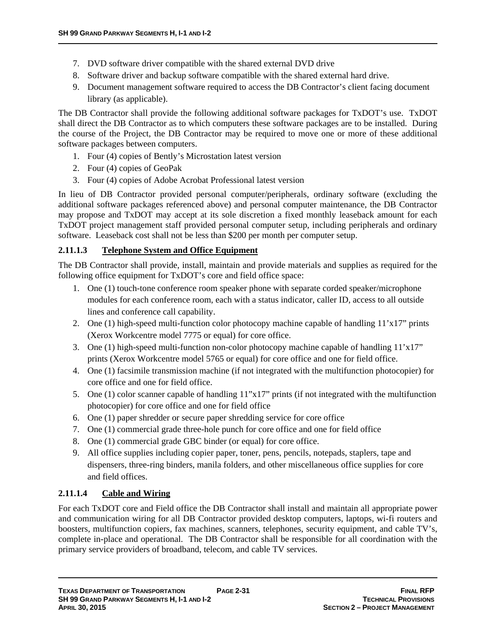- 7. DVD software driver compatible with the shared external DVD drive
- 8. Software driver and backup software compatible with the shared external hard drive.
- 9. Document management software required to access the DB Contractor's client facing document library (as applicable).

The DB Contractor shall provide the following additional software packages for TxDOT's use. TxDOT shall direct the DB Contractor as to which computers these software packages are to be installed. During the course of the Project, the DB Contractor may be required to move one or more of these additional software packages between computers.

- 1. Four (4) copies of Bently's Microstation latest version
- 2. Four (4) copies of GeoPak
- 3. Four (4) copies of Adobe Acrobat Professional latest version

In lieu of DB Contractor provided personal computer/peripherals, ordinary software (excluding the additional software packages referenced above) and personal computer maintenance, the DB Contractor may propose and TxDOT may accept at its sole discretion a fixed monthly leaseback amount for each TxDOT project management staff provided personal computer setup, including peripherals and ordinary software. Leaseback cost shall not be less than \$200 per month per computer setup.

### **2.11.1.3 Telephone System and Office Equipment**

The DB Contractor shall provide, install, maintain and provide materials and supplies as required for the following office equipment for TxDOT's core and field office space:

- 1. One (1) touch-tone conference room speaker phone with separate corded speaker/microphone modules for each conference room, each with a status indicator, caller ID, access to all outside lines and conference call capability.
- 2. One (1) high-speed multi-function color photocopy machine capable of handling  $11'x17''$  prints (Xerox Workcentre model 7775 or equal) for core office.
- 3. One (1) high-speed multi-function non-color photocopy machine capable of handling 11'x17" prints (Xerox Workcentre model 5765 or equal) for core office and one for field office.
- 4. One (1) facsimile transmission machine (if not integrated with the multifunction photocopier) for core office and one for field office.
- 5. One (1) color scanner capable of handling 11"x17" prints (if not integrated with the multifunction photocopier) for core office and one for field office
- 6. One (1) paper shredder or secure paper shredding service for core office
- 7. One (1) commercial grade three-hole punch for core office and one for field office
- 8. One (1) commercial grade GBC binder (or equal) for core office.
- 9. All office supplies including copier paper, toner, pens, pencils, notepads, staplers, tape and dispensers, three-ring binders, manila folders, and other miscellaneous office supplies for core and field offices.

# **2.11.1.4 Cable and Wiring**

For each TxDOT core and Field office the DB Contractor shall install and maintain all appropriate power and communication wiring for all DB Contractor provided desktop computers, laptops, wi-fi routers and boosters, multifunction copiers, fax machines, scanners, telephones, security equipment, and cable TV's, complete in-place and operational. The DB Contractor shall be responsible for all coordination with the primary service providers of broadband, telecom, and cable TV services.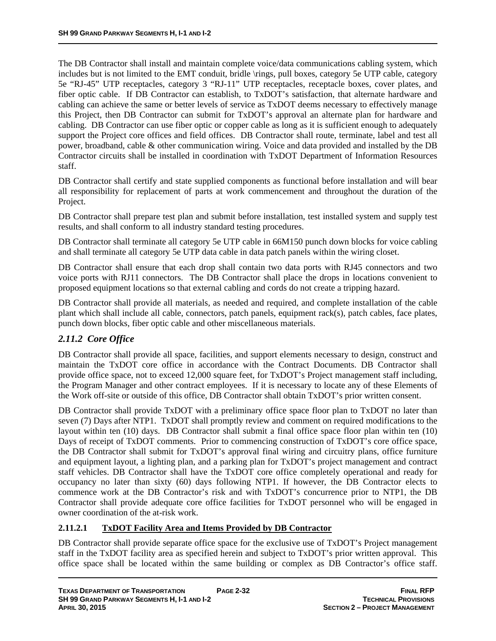The DB Contractor shall install and maintain complete voice/data communications cabling system, which includes but is not limited to the EMT conduit, bridle \rings, pull boxes, category 5e UTP cable, category 5e "RJ-45" UTP receptacles, category 3 "RJ-11" UTP receptacles, receptacle boxes, cover plates, and fiber optic cable. If DB Contractor can establish, to TxDOT's satisfaction, that alternate hardware and cabling can achieve the same or better levels of service as TxDOT deems necessary to effectively manage this Project, then DB Contractor can submit for TxDOT's approval an alternate plan for hardware and cabling. DB Contractor can use fiber optic or copper cable as long as it is sufficient enough to adequately support the Project core offices and field offices. DB Contractor shall route, terminate, label and test all power, broadband, cable & other communication wiring. Voice and data provided and installed by the DB Contractor circuits shall be installed in coordination with TxDOT Department of Information Resources staff.

DB Contractor shall certify and state supplied components as functional before installation and will bear all responsibility for replacement of parts at work commencement and throughout the duration of the Project.

DB Contractor shall prepare test plan and submit before installation, test installed system and supply test results, and shall conform to all industry standard testing procedures.

DB Contractor shall terminate all category 5e UTP cable in 66M150 punch down blocks for voice cabling and shall terminate all category 5e UTP data cable in data patch panels within the wiring closet.

DB Contractor shall ensure that each drop shall contain two data ports with RJ45 connectors and two voice ports with RJ11 connectors. The DB Contractor shall place the drops in locations convenient to proposed equipment locations so that external cabling and cords do not create a tripping hazard.

DB Contractor shall provide all materials, as needed and required, and complete installation of the cable plant which shall include all cable, connectors, patch panels, equipment rack(s), patch cables, face plates, punch down blocks, fiber optic cable and other miscellaneous materials.

# *2.11.2 Core Office*

DB Contractor shall provide all space, facilities, and support elements necessary to design, construct and maintain the TxDOT core office in accordance with the Contract Documents. DB Contractor shall provide office space, not to exceed 12,000 square feet, for TxDOT's Project management staff including, the Program Manager and other contract employees. If it is necessary to locate any of these Elements of the Work off-site or outside of this office, DB Contractor shall obtain TxDOT's prior written consent.

DB Contractor shall provide TxDOT with a preliminary office space floor plan to TxDOT no later than seven (7) Days after NTP1. TxDOT shall promptly review and comment on required modifications to the layout within ten (10) days. DB Contractor shall submit a final office space floor plan within ten (10) Days of receipt of TxDOT comments. Prior to commencing construction of TxDOT's core office space, the DB Contractor shall submit for TxDOT's approval final wiring and circuitry plans, office furniture and equipment layout, a lighting plan, and a parking plan for TxDOT's project management and contract staff vehicles. DB Contractor shall have the TxDOT core office completely operational and ready for occupancy no later than sixty (60) days following NTP1. If however, the DB Contractor elects to commence work at the DB Contractor's risk and with TxDOT's concurrence prior to NTP1, the DB Contractor shall provide adequate core office facilities for TxDOT personnel who will be engaged in owner coordination of the at-risk work.

#### **2.11.2.1 TxDOT Facility Area and Items Provided by DB Contractor**

DB Contractor shall provide separate office space for the exclusive use of TxDOT's Project management staff in the TxDOT facility area as specified herein and subject to TxDOT's prior written approval. This office space shall be located within the same building or complex as DB Contractor's office staff.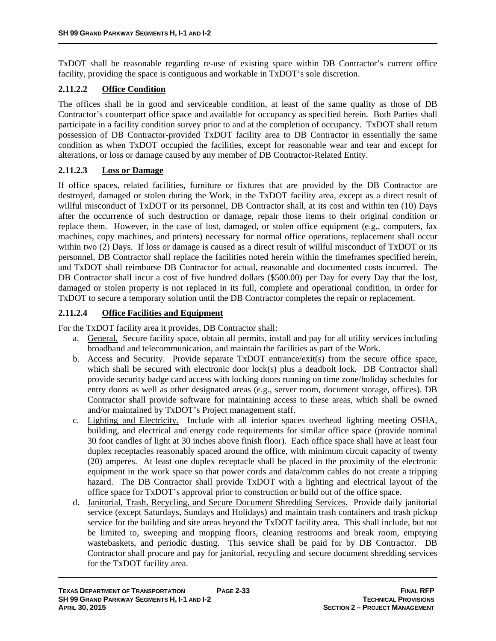TxDOT shall be reasonable regarding re-use of existing space within DB Contractor's current office facility, providing the space is contiguous and workable in TxDOT's sole discretion.

### **2.11.2.2 Office Condition**

The offices shall be in good and serviceable condition, at least of the same quality as those of DB Contractor's counterpart office space and available for occupancy as specified herein. Both Parties shall participate in a facility condition survey prior to and at the completion of occupancy. TxDOT shall return possession of DB Contractor-provided TxDOT facility area to DB Contractor in essentially the same condition as when TxDOT occupied the facilities, except for reasonable wear and tear and except for alterations, or loss or damage caused by any member of DB Contractor-Related Entity.

#### **2.11.2.3 Loss or Damage**

If office spaces, related facilities, furniture or fixtures that are provided by the DB Contractor are destroyed, damaged or stolen during the Work, in the TxDOT facility area, except as a direct result of willful misconduct of TxDOT or its personnel, DB Contractor shall, at its cost and within ten (10) Days after the occurrence of such destruction or damage, repair those items to their original condition or replace them. However, in the case of lost, damaged, or stolen office equipment (e.g., computers, fax machines, copy machines, and printers) necessary for normal office operations, replacement shall occur within two (2) Days. If loss or damage is caused as a direct result of willful misconduct of TxDOT or its personnel, DB Contractor shall replace the facilities noted herein within the timeframes specified herein, and TxDOT shall reimburse DB Contractor for actual, reasonable and documented costs incurred. The DB Contractor shall incur a cost of five hundred dollars (\$500.00) per Day for every Day that the lost, damaged or stolen property is not replaced in its full, complete and operational condition, in order for TxDOT to secure a temporary solution until the DB Contractor completes the repair or replacement.

### **2.11.2.4 Office Facilities and Equipment**

For the TxDOT facility area it provides, DB Contractor shall:

- a. General. Secure facility space, obtain all permits, install and pay for all utility services including broadband and telecommunication, and maintain the facilities as part of the Work.
- b. Access and Security. Provide separate TxDOT entrance/exit(s) from the secure office space, which shall be secured with electronic door lock(s) plus a deadbolt lock. DB Contractor shall provide security badge card access with locking doors running on time zone/holiday schedules for entry doors as well as other designated areas (e.g., server room, document storage, offices). DB Contractor shall provide software for maintaining access to these areas, which shall be owned and/or maintained by TxDOT's Project management staff.
- c. Lighting and Electricity. Include with all interior spaces overhead lighting meeting OSHA, building, and electrical and energy code requirements for similar office space (provide nominal 30 foot candles of light at 30 inches above finish floor). Each office space shall have at least four duplex receptacles reasonably spaced around the office, with minimum circuit capacity of twenty (20) amperes. At least one duplex receptacle shall be placed in the proximity of the electronic equipment in the work space so that power cords and data/comm cables do not create a tripping hazard. The DB Contractor shall provide TxDOT with a lighting and electrical layout of the office space for TxDOT's approval prior to construction or build out of the office space.
- d. Janitorial, Trash, Recycling, and Secure Document Shredding Services. Provide daily janitorial service (except Saturdays, Sundays and Holidays) and maintain trash containers and trash pickup service for the building and site areas beyond the TxDOT facility area. This shall include, but not be limited to, sweeping and mopping floors, cleaning restrooms and break room, emptying wastebaskets, and periodic dusting. This service shall be paid for by DB Contractor. DB Contractor shall procure and pay for janitorial, recycling and secure document shredding services for the TxDOT facility area.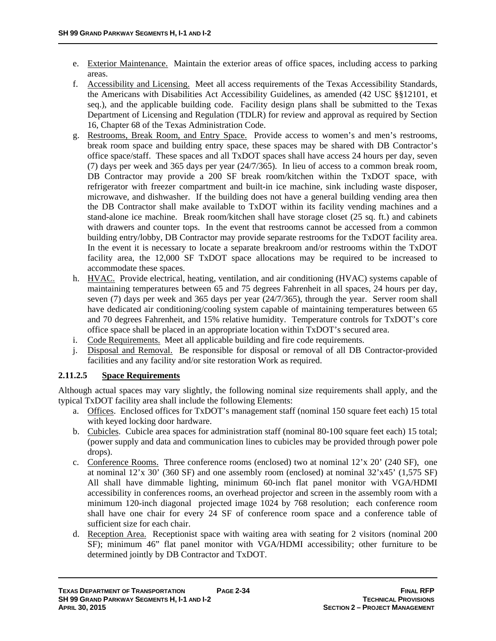- e. Exterior Maintenance. Maintain the exterior areas of office spaces, including access to parking areas.
- f. Accessibility and Licensing. Meet all access requirements of the Texas Accessibility Standards, the Americans with Disabilities Act Accessibility Guidelines, as amended (42 USC §§12101, et seq.), and the applicable building code. Facility design plans shall be submitted to the Texas Department of Licensing and Regulation (TDLR) for review and approval as required by Section 16, Chapter 68 of the Texas Administration Code.
- g. Restrooms, Break Room, and Entry Space. Provide access to women's and men's restrooms, break room space and building entry space, these spaces may be shared with DB Contractor's office space/staff. These spaces and all TxDOT spaces shall have access 24 hours per day, seven (7) days per week and 365 days per year (24/7/365). In lieu of access to a common break room, DB Contractor may provide a 200 SF break room/kitchen within the TxDOT space, with refrigerator with freezer compartment and built-in ice machine, sink including waste disposer, microwave, and dishwasher. If the building does not have a general building vending area then the DB Contractor shall make available to TxDOT within its facility vending machines and a stand-alone ice machine. Break room/kitchen shall have storage closet (25 sq. ft.) and cabinets with drawers and counter tops. In the event that restrooms cannot be accessed from a common building entry/lobby, DB Contractor may provide separate restrooms for the TxDOT facility area. In the event it is necessary to locate a separate breakroom and/or restrooms within the TxDOT facility area, the 12,000 SF TxDOT space allocations may be required to be increased to accommodate these spaces.
- h. HVAC. Provide electrical, heating, ventilation, and air conditioning (HVAC) systems capable of maintaining temperatures between 65 and 75 degrees Fahrenheit in all spaces, 24 hours per day, seven (7) days per week and 365 days per year (24/7/365), through the year. Server room shall have dedicated air conditioning/cooling system capable of maintaining temperatures between 65 and 70 degrees Fahrenheit, and 15% relative humidity. Temperature controls for TxDOT's core office space shall be placed in an appropriate location within TxDOT's secured area.
- i. Code Requirements. Meet all applicable building and fire code requirements.
- j. Disposal and Removal. Be responsible for disposal or removal of all DB Contractor-provided facilities and any facility and/or site restoration Work as required.

#### **2.11.2.5 Space Requirements**

Although actual spaces may vary slightly, the following nominal size requirements shall apply, and the typical TxDOT facility area shall include the following Elements:

- a. Offices. Enclosed offices for TxDOT's management staff (nominal 150 square feet each) 15 total with keyed locking door hardware.
- b. Cubicles. Cubicle area spaces for administration staff (nominal 80-100 square feet each) 15 total; (power supply and data and communication lines to cubicles may be provided through power pole drops).
- c. Conference Rooms. Three conference rooms (enclosed) two at nominal 12'x 20' (240 SF), one at nominal  $12'x$  30' (360 SF) and one assembly room (enclosed) at nominal  $32'x45'$  (1,575 SF) All shall have dimmable lighting, minimum 60-inch flat panel monitor with VGA/HDMI accessibility in conferences rooms, an overhead projector and screen in the assembly room with a minimum 120-inch diagonal projected image 1024 by 768 resolution; each conference room shall have one chair for every 24 SF of conference room space and a conference table of sufficient size for each chair.
- d. Reception Area. Receptionist space with waiting area with seating for 2 visitors (nominal 200 SF); minimum 46" flat panel monitor with VGA/HDMI accessibility; other furniture to be determined jointly by DB Contractor and TxDOT.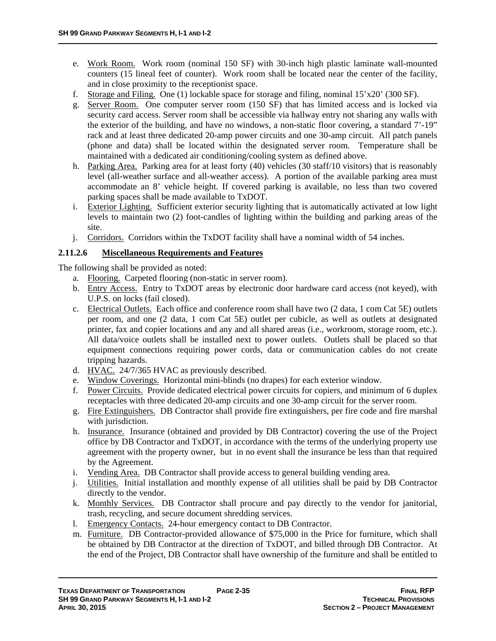- e. Work Room. Work room (nominal 150 SF) with 30-inch high plastic laminate wall-mounted counters (15 lineal feet of counter). Work room shall be located near the center of the facility, and in close proximity to the receptionist space.
- f. Storage and Filing. One (1) lockable space for storage and filing, nominal  $15'x20'$  (300 SF).
- g. Server Room. One computer server room (150 SF) that has limited access and is locked via security card access. Server room shall be accessible via hallway entry not sharing any walls with the exterior of the building, and have no windows, a non-static floor covering, a standard 7'-19" rack and at least three dedicated 20-amp power circuits and one 30-amp circuit. All patch panels (phone and data) shall be located within the designated server room. Temperature shall be maintained with a dedicated air conditioning/cooling system as defined above.
- h. Parking Area. Parking area for at least forty (40) vehicles (30 staff/10 visitors) that is reasonably level (all-weather surface and all-weather access). A portion of the available parking area must accommodate an 8' vehicle height. If covered parking is available, no less than two covered parking spaces shall be made available to TxDOT.
- i. Exterior Lighting. Sufficient exterior security lighting that is automatically activated at low light levels to maintain two (2) foot-candles of lighting within the building and parking areas of the site.
- j. Corridors. Corridors within the TxDOT facility shall have a nominal width of 54 inches.

### **2.11.2.6 Miscellaneous Requirements and Features**

The following shall be provided as noted:

- a. Flooring. Carpeted flooring (non-static in server room).
- b. Entry Access. Entry to TxDOT areas by electronic door hardware card access (not keyed), with U.P.S. on locks (fail closed).
- c. Electrical Outlets. Each office and conference room shall have two (2 data, 1 com Cat 5E) outlets per room, and one (2 data, 1 com Cat 5E) outlet per cubicle, as well as outlets at designated printer, fax and copier locations and any and all shared areas (i.e., workroom, storage room, etc.). All data/voice outlets shall be installed next to power outlets. Outlets shall be placed so that equipment connections requiring power cords, data or communication cables do not create tripping hazards.
- d. HVAC. 24/7/365 HVAC as previously described.
- e. Window Coverings. Horizontal mini-blinds (no drapes) for each exterior window.
- f. Power Circuits. Provide dedicated electrical power circuits for copiers, and minimum of 6 duplex receptacles with three dedicated 20-amp circuits and one 30-amp circuit for the server room.
- g. Fire Extinguishers. DB Contractor shall provide fire extinguishers, per fire code and fire marshal with jurisdiction.
- h. Insurance. Insurance (obtained and provided by DB Contractor) covering the use of the Project office by DB Contractor and TxDOT, in accordance with the terms of the underlying property use agreement with the property owner, but in no event shall the insurance be less than that required by the Agreement.
- i. Vending Area. DB Contractor shall provide access to general building vending area.
- j. Utilities. Initial installation and monthly expense of all utilities shall be paid by DB Contractor directly to the vendor.
- k. Monthly Services. DB Contractor shall procure and pay directly to the vendor for janitorial, trash, recycling, and secure document shredding services.
- l. Emergency Contacts. 24-hour emergency contact to DB Contractor.
- m. Furniture. DB Contractor-provided allowance of \$75,000 in the Price for furniture, which shall be obtained by DB Contractor at the direction of TxDOT, and billed through DB Contractor. At the end of the Project, DB Contractor shall have ownership of the furniture and shall be entitled to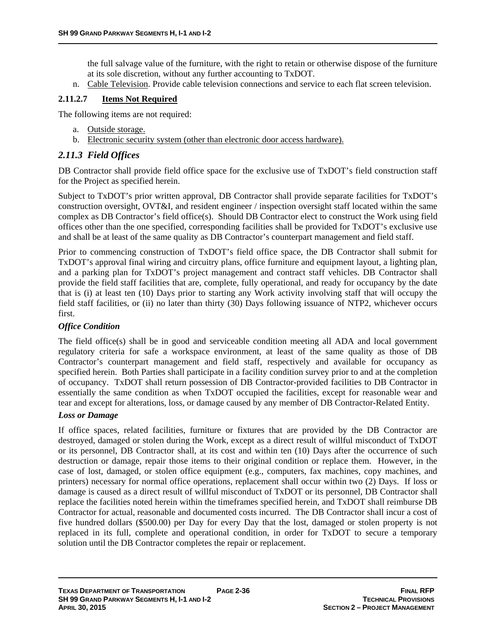the full salvage value of the furniture, with the right to retain or otherwise dispose of the furniture at its sole discretion, without any further accounting to TxDOT.

n. Cable Television. Provide cable television connections and service to each flat screen television.

### **2.11.2.7 Items Not Required**

The following items are not required:

- a. Outside storage.
- b. Electronic security system (other than electronic door access hardware).

### *2.11.3 Field Offices*

DB Contractor shall provide field office space for the exclusive use of TxDOT's field construction staff for the Project as specified herein.

Subject to TxDOT's prior written approval, DB Contractor shall provide separate facilities for TxDOT's construction oversight, OVT&I, and resident engineer / inspection oversight staff located within the same complex as DB Contractor's field office(s). Should DB Contractor elect to construct the Work using field offices other than the one specified, corresponding facilities shall be provided for TxDOT's exclusive use and shall be at least of the same quality as DB Contractor's counterpart management and field staff.

Prior to commencing construction of TxDOT's field office space, the DB Contractor shall submit for TxDOT's approval final wiring and circuitry plans, office furniture and equipment layout, a lighting plan, and a parking plan for TxDOT's project management and contract staff vehicles. DB Contractor shall provide the field staff facilities that are, complete, fully operational, and ready for occupancy by the date that is (i) at least ten (10) Days prior to starting any Work activity involving staff that will occupy the field staff facilities, or (ii) no later than thirty (30) Days following issuance of NTP2, whichever occurs first.

#### *Office Condition*

The field office(s) shall be in good and serviceable condition meeting all ADA and local government regulatory criteria for safe a workspace environment, at least of the same quality as those of DB Contractor's counterpart management and field staff, respectively and available for occupancy as specified herein. Both Parties shall participate in a facility condition survey prior to and at the completion of occupancy. TxDOT shall return possession of DB Contractor-provided facilities to DB Contractor in essentially the same condition as when TxDOT occupied the facilities, except for reasonable wear and tear and except for alterations, loss, or damage caused by any member of DB Contractor-Related Entity.

#### *Loss or Damage*

If office spaces, related facilities, furniture or fixtures that are provided by the DB Contractor are destroyed, damaged or stolen during the Work, except as a direct result of willful misconduct of TxDOT or its personnel, DB Contractor shall, at its cost and within ten (10) Days after the occurrence of such destruction or damage, repair those items to their original condition or replace them. However, in the case of lost, damaged, or stolen office equipment (e.g., computers, fax machines, copy machines, and printers) necessary for normal office operations, replacement shall occur within two (2) Days. If loss or damage is caused as a direct result of willful misconduct of TxDOT or its personnel, DB Contractor shall replace the facilities noted herein within the timeframes specified herein, and TxDOT shall reimburse DB Contractor for actual, reasonable and documented costs incurred. The DB Contractor shall incur a cost of five hundred dollars (\$500.00) per Day for every Day that the lost, damaged or stolen property is not replaced in its full, complete and operational condition, in order for TxDOT to secure a temporary solution until the DB Contractor completes the repair or replacement.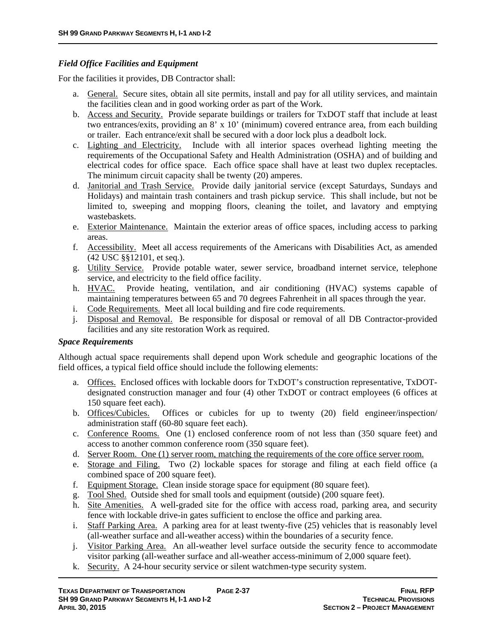#### *Field Office Facilities and Equipment*

For the facilities it provides, DB Contractor shall:

- a. General. Secure sites, obtain all site permits, install and pay for all utility services, and maintain the facilities clean and in good working order as part of the Work.
- b. Access and Security. Provide separate buildings or trailers for TxDOT staff that include at least two entrances/exits, providing an 8' x 10' (minimum) covered entrance area, from each building or trailer. Each entrance/exit shall be secured with a door lock plus a deadbolt lock.
- c. Lighting and Electricity. Include with all interior spaces overhead lighting meeting the requirements of the Occupational Safety and Health Administration (OSHA) and of building and electrical codes for office space. Each office space shall have at least two duplex receptacles. The minimum circuit capacity shall be twenty (20) amperes.
- d. Janitorial and Trash Service. Provide daily janitorial service (except Saturdays, Sundays and Holidays) and maintain trash containers and trash pickup service. This shall include, but not be limited to, sweeping and mopping floors, cleaning the toilet, and lavatory and emptying wastebaskets.
- e. Exterior Maintenance. Maintain the exterior areas of office spaces, including access to parking areas.
- f. Accessibility. Meet all access requirements of the Americans with Disabilities Act, as amended (42 USC §§12101, et seq.).
- g. Utility Service. Provide potable water, sewer service, broadband internet service, telephone service, and electricity to the field office facility.
- h. HVAC. Provide heating, ventilation, and air conditioning (HVAC) systems capable of maintaining temperatures between 65 and 70 degrees Fahrenheit in all spaces through the year.
- i. Code Requirements. Meet all local building and fire code requirements.
- j. Disposal and Removal. Be responsible for disposal or removal of all DB Contractor-provided facilities and any site restoration Work as required.

#### *Space Requirements*

Although actual space requirements shall depend upon Work schedule and geographic locations of the field offices, a typical field office should include the following elements:

- a. Offices. Enclosed offices with lockable doors for TxDOT's construction representative, TxDOTdesignated construction manager and four (4) other TxDOT or contract employees (6 offices at 150 square feet each).
- b. Offices/Cubicles. Offices or cubicles for up to twenty (20) field engineer/inspection/ administration staff (60-80 square feet each).
- c. Conference Rooms. One (1) enclosed conference room of not less than (350 square feet) and access to another common conference room (350 square feet).
- d. Server Room. One (1) server room, matching the requirements of the core office server room.
- e. Storage and Filing. Two (2) lockable spaces for storage and filing at each field office (a combined space of 200 square feet).
- f. Equipment Storage. Clean inside storage space for equipment (80 square feet).
- g. Tool Shed. Outside shed for small tools and equipment (outside) (200 square feet).
- h. Site Amenities. A well-graded site for the office with access road, parking area, and security fence with lockable drive-in gates sufficient to enclose the office and parking area.
- i. Staff Parking Area. A parking area for at least twenty-five (25) vehicles that is reasonably level (all-weather surface and all-weather access) within the boundaries of a security fence.
- j. Visitor Parking Area. An all-weather level surface outside the security fence to accommodate visitor parking (all-weather surface and all-weather access-minimum of 2,000 square feet).
- k. Security. A 24-hour security service or silent watchmen-type security system.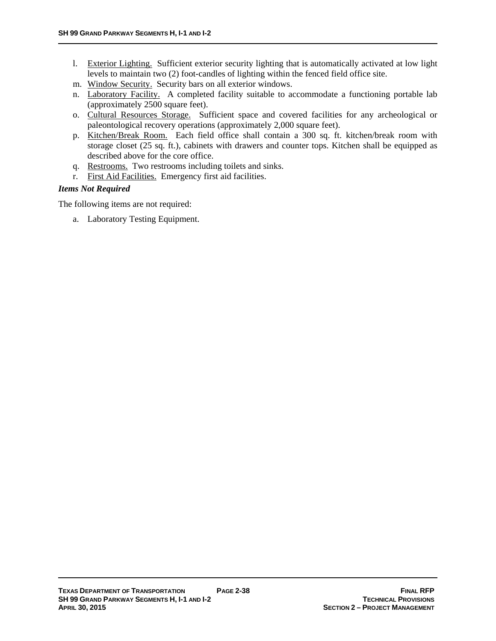- l. Exterior Lighting. Sufficient exterior security lighting that is automatically activated at low light levels to maintain two (2) foot-candles of lighting within the fenced field office site.
- m. Window Security. Security bars on all exterior windows.
- n. Laboratory Facility. A completed facility suitable to accommodate a functioning portable lab (approximately 2500 square feet).
- o. Cultural Resources Storage. Sufficient space and covered facilities for any archeological or paleontological recovery operations (approximately 2,000 square feet).
- p. Kitchen/Break Room. Each field office shall contain a 300 sq. ft. kitchen/break room with storage closet (25 sq. ft.), cabinets with drawers and counter tops. Kitchen shall be equipped as described above for the core office.
- q. Restrooms. Two restrooms including toilets and sinks.
- r. First Aid Facilities. Emergency first aid facilities.

#### *Items Not Required*

The following items are not required:

a. Laboratory Testing Equipment.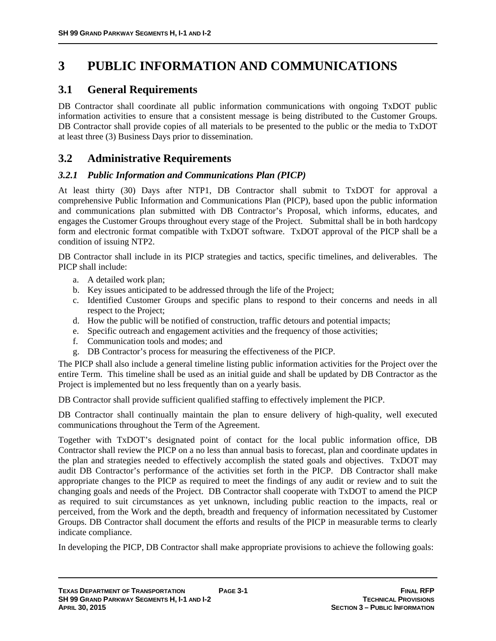# **3 PUBLIC INFORMATION AND COMMUNICATIONS**

# **3.1 General Requirements**

DB Contractor shall coordinate all public information communications with ongoing TxDOT public information activities to ensure that a consistent message is being distributed to the Customer Groups. DB Contractor shall provide copies of all materials to be presented to the public or the media to TxDOT at least three (3) Business Days prior to dissemination.

# **3.2 Administrative Requirements**

# *3.2.1 Public Information and Communications Plan (PICP)*

At least thirty (30) Days after NTP1, DB Contractor shall submit to TxDOT for approval a comprehensive Public Information and Communications Plan (PICP), based upon the public information and communications plan submitted with DB Contractor's Proposal, which informs, educates, and engages the Customer Groups throughout every stage of the Project. Submittal shall be in both hardcopy form and electronic format compatible with TxDOT software. TxDOT approval of the PICP shall be a condition of issuing NTP2.

DB Contractor shall include in its PICP strategies and tactics, specific timelines, and deliverables. The PICP shall include:

- a. A detailed work plan;
- b. Key issues anticipated to be addressed through the life of the Project;
- c. Identified Customer Groups and specific plans to respond to their concerns and needs in all respect to the Project;
- d. How the public will be notified of construction, traffic detours and potential impacts;
- e. Specific outreach and engagement activities and the frequency of those activities;
- f. Communication tools and modes; and
- g. DB Contractor's process for measuring the effectiveness of the PICP.

The PICP shall also include a general timeline listing public information activities for the Project over the entire Term. This timeline shall be used as an initial guide and shall be updated by DB Contractor as the Project is implemented but no less frequently than on a yearly basis.

DB Contractor shall provide sufficient qualified staffing to effectively implement the PICP.

DB Contractor shall continually maintain the plan to ensure delivery of high-quality, well executed communications throughout the Term of the Agreement.

Together with TxDOT's designated point of contact for the local public information office, DB Contractor shall review the PICP on a no less than annual basis to forecast, plan and coordinate updates in the plan and strategies needed to effectively accomplish the stated goals and objectives. TxDOT may audit DB Contractor's performance of the activities set forth in the PICP. DB Contractor shall make appropriate changes to the PICP as required to meet the findings of any audit or review and to suit the changing goals and needs of the Project. DB Contractor shall cooperate with TxDOT to amend the PICP as required to suit circumstances as yet unknown, including public reaction to the impacts, real or perceived, from the Work and the depth, breadth and frequency of information necessitated by Customer Groups. DB Contractor shall document the efforts and results of the PICP in measurable terms to clearly indicate compliance.

In developing the PICP, DB Contractor shall make appropriate provisions to achieve the following goals: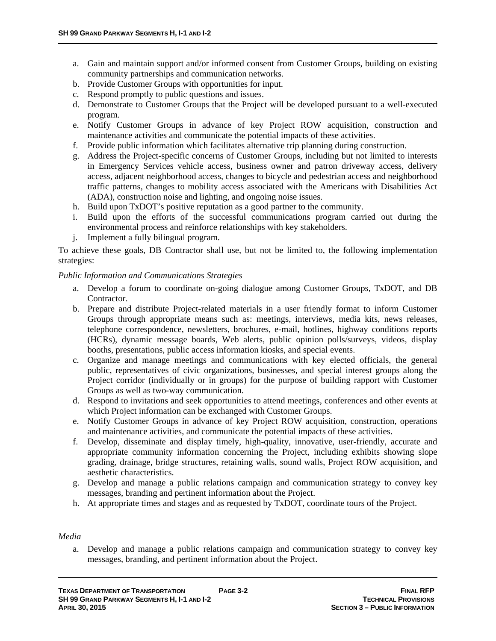- a. Gain and maintain support and/or informed consent from Customer Groups, building on existing community partnerships and communication networks.
- b. Provide Customer Groups with opportunities for input.
- c. Respond promptly to public questions and issues.
- d. Demonstrate to Customer Groups that the Project will be developed pursuant to a well-executed program.
- e. Notify Customer Groups in advance of key Project ROW acquisition, construction and maintenance activities and communicate the potential impacts of these activities.
- f. Provide public information which facilitates alternative trip planning during construction.
- g. Address the Project-specific concerns of Customer Groups, including but not limited to interests in Emergency Services vehicle access, business owner and patron driveway access, delivery access, adjacent neighborhood access, changes to bicycle and pedestrian access and neighborhood traffic patterns, changes to mobility access associated with the Americans with Disabilities Act (ADA), construction noise and lighting, and ongoing noise issues.
- h. Build upon TxDOT's positive reputation as a good partner to the community.
- i. Build upon the efforts of the successful communications program carried out during the environmental process and reinforce relationships with key stakeholders.
- j. Implement a fully bilingual program.

To achieve these goals, DB Contractor shall use, but not be limited to, the following implementation strategies:

#### *Public Information and Communications Strategies*

- a. Develop a forum to coordinate on-going dialogue among Customer Groups, TxDOT, and DB Contractor.
- b. Prepare and distribute Project-related materials in a user friendly format to inform Customer Groups through appropriate means such as: meetings, interviews, media kits, news releases, telephone correspondence, newsletters, brochures, e-mail, hotlines, highway conditions reports (HCRs), dynamic message boards, Web alerts, public opinion polls/surveys, videos, display booths, presentations, public access information kiosks, and special events.
- c. Organize and manage meetings and communications with key elected officials, the general public, representatives of civic organizations, businesses, and special interest groups along the Project corridor (individually or in groups) for the purpose of building rapport with Customer Groups as well as two-way communication.
- d. Respond to invitations and seek opportunities to attend meetings, conferences and other events at which Project information can be exchanged with Customer Groups.
- e. Notify Customer Groups in advance of key Project ROW acquisition, construction, operations and maintenance activities, and communicate the potential impacts of these activities.
- f. Develop, disseminate and display timely, high-quality, innovative, user-friendly, accurate and appropriate community information concerning the Project, including exhibits showing slope grading, drainage, bridge structures, retaining walls, sound walls, Project ROW acquisition, and aesthetic characteristics.
- g. Develop and manage a public relations campaign and communication strategy to convey key messages, branding and pertinent information about the Project.
- h. At appropriate times and stages and as requested by TxDOT, coordinate tours of the Project.

#### *Media*

a. Develop and manage a public relations campaign and communication strategy to convey key messages, branding, and pertinent information about the Project.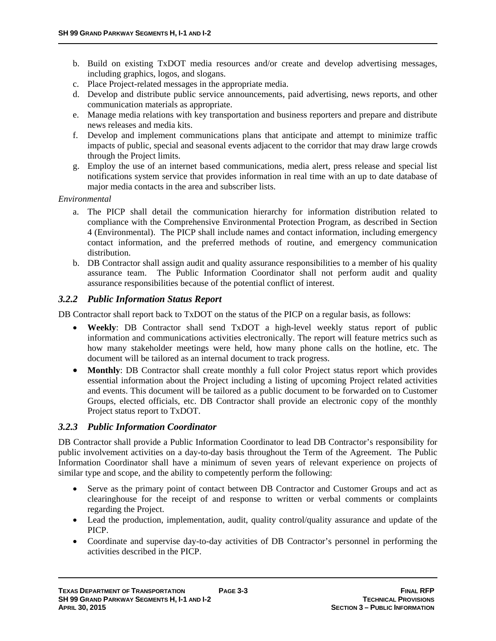- b. Build on existing TxDOT media resources and/or create and develop advertising messages, including graphics, logos, and slogans.
- c. Place Project-related messages in the appropriate media.
- d. Develop and distribute public service announcements, paid advertising, news reports, and other communication materials as appropriate.
- e. Manage media relations with key transportation and business reporters and prepare and distribute news releases and media kits.
- f. Develop and implement communications plans that anticipate and attempt to minimize traffic impacts of public, special and seasonal events adjacent to the corridor that may draw large crowds through the Project limits.
- g. Employ the use of an internet based communications, media alert, press release and special list notifications system service that provides information in real time with an up to date database of major media contacts in the area and subscriber lists.

#### *Environmental*

- a. The PICP shall detail the communication hierarchy for information distribution related to compliance with the Comprehensive Environmental Protection Program, as described in Section 4 (Environmental). The PICP shall include names and contact information, including emergency contact information, and the preferred methods of routine, and emergency communication distribution.
- b. DB Contractor shall assign audit and quality assurance responsibilities to a member of his quality assurance team. The Public Information Coordinator shall not perform audit and quality assurance responsibilities because of the potential conflict of interest.

#### *3.2.2 Public Information Status Report*

DB Contractor shall report back to TxDOT on the status of the PICP on a regular basis, as follows:

- **Weekly**: DB Contractor shall send TxDOT a high-level weekly status report of public information and communications activities electronically. The report will feature metrics such as how many stakeholder meetings were held, how many phone calls on the hotline, etc. The document will be tailored as an internal document to track progress.
- **Monthly**: DB Contractor shall create monthly a full color Project status report which provides essential information about the Project including a listing of upcoming Project related activities and events. This document will be tailored as a public document to be forwarded on to Customer Groups, elected officials, etc. DB Contractor shall provide an electronic copy of the monthly Project status report to TxDOT.

#### *3.2.3 Public Information Coordinator*

DB Contractor shall provide a Public Information Coordinator to lead DB Contractor's responsibility for public involvement activities on a day-to-day basis throughout the Term of the Agreement. The Public Information Coordinator shall have a minimum of seven years of relevant experience on projects of similar type and scope, and the ability to competently perform the following:

- Serve as the primary point of contact between DB Contractor and Customer Groups and act as clearinghouse for the receipt of and response to written or verbal comments or complaints regarding the Project.
- Lead the production, implementation, audit, quality control/quality assurance and update of the PICP.
- Coordinate and supervise day-to-day activities of DB Contractor's personnel in performing the activities described in the PICP.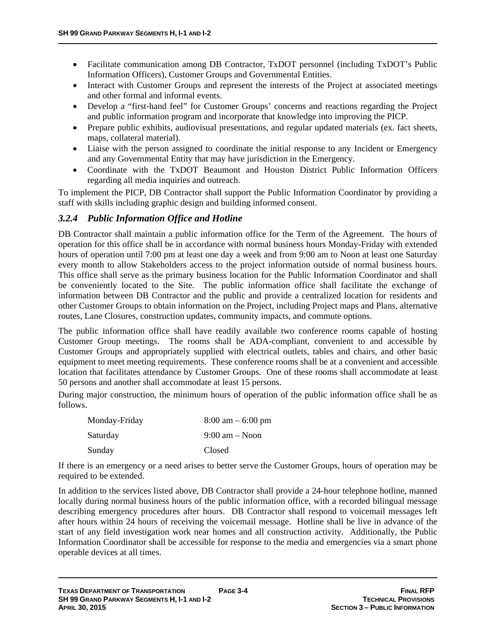- Facilitate communication among DB Contractor, TxDOT personnel (including TxDOT's Public Information Officers), Customer Groups and Governmental Entities.
- Interact with Customer Groups and represent the interests of the Project at associated meetings and other formal and informal events.
- Develop a "first-hand feel" for Customer Groups' concerns and reactions regarding the Project and public information program and incorporate that knowledge into improving the PICP.
- Prepare public exhibits, audiovisual presentations, and regular updated materials (ex. fact sheets, maps, collateral material).
- Liaise with the person assigned to coordinate the initial response to any Incident or Emergency and any Governmental Entity that may have jurisdiction in the Emergency.
- Coordinate with the TxDOT Beaumont and Houston District Public Information Officers regarding all media inquiries and outreach.

To implement the PICP, DB Contractor shall support the Public Information Coordinator by providing a staff with skills including graphic design and building informed consent.

# *3.2.4 Public Information Office and Hotline*

DB Contractor shall maintain a public information office for the Term of the Agreement. The hours of operation for this office shall be in accordance with normal business hours Monday-Friday with extended hours of operation until 7:00 pm at least one day a week and from 9:00 am to Noon at least one Saturday every month to allow Stakeholders access to the project information outside of normal business hours. This office shall serve as the primary business location for the Public Information Coordinator and shall be conveniently located to the Site. The public information office shall facilitate the exchange of information between DB Contractor and the public and provide a centralized location for residents and other Customer Groups to obtain information on the Project, including Project maps and Plans, alternative routes, Lane Closures, construction updates, community impacts, and commute options.

The public information office shall have readily available two conference rooms capable of hosting Customer Group meetings. The rooms shall be ADA-compliant, convenient to and accessible by Customer Groups and appropriately supplied with electrical outlets, tables and chairs, and other basic equipment to meet meeting requirements. These conference rooms shall be at a convenient and accessible location that facilitates attendance by Customer Groups. One of these rooms shall accommodate at least 50 persons and another shall accommodate at least 15 persons.

During major construction, the minimum hours of operation of the public information office shall be as follows.

| Monday-Friday | $8:00 \text{ am} - 6:00 \text{ pm}$ |
|---------------|-------------------------------------|
| Saturday      | $9:00 \text{ am} - \text{Noon}$     |
| Sunday        | Closed                              |

If there is an emergency or a need arises to better serve the Customer Groups, hours of operation may be required to be extended.

In addition to the services listed above, DB Contractor shall provide a 24-hour telephone hotline, manned locally during normal business hours of the public information office, with a recorded bilingual message describing emergency procedures after hours. DB Contractor shall respond to voicemail messages left after hours within 24 hours of receiving the voicemail message. Hotline shall be live in advance of the start of any field investigation work near homes and all construction activity. Additionally, the Public Information Coordinator shall be accessible for response to the media and emergencies via a smart phone operable devices at all times.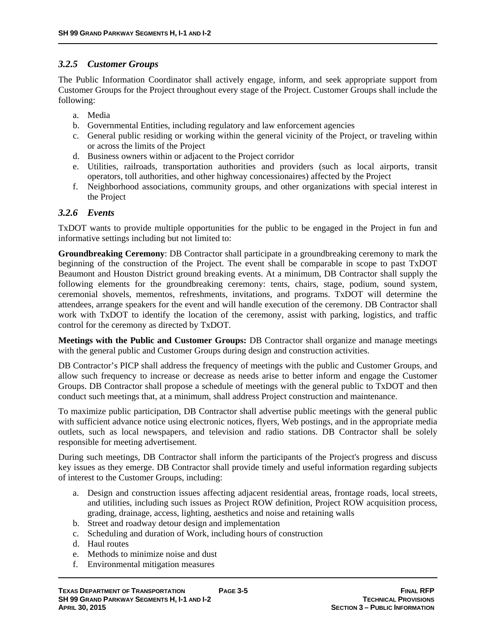# *3.2.5 Customer Groups*

The Public Information Coordinator shall actively engage, inform, and seek appropriate support from Customer Groups for the Project throughout every stage of the Project. Customer Groups shall include the following:

- a. Media
- b. Governmental Entities, including regulatory and law enforcement agencies
- c. General public residing or working within the general vicinity of the Project, or traveling within or across the limits of the Project
- d. Business owners within or adjacent to the Project corridor
- e. Utilities, railroads, transportation authorities and providers (such as local airports, transit operators, toll authorities, and other highway concessionaires) affected by the Project
- f. Neighborhood associations, community groups, and other organizations with special interest in the Project

# *3.2.6 Events*

TxDOT wants to provide multiple opportunities for the public to be engaged in the Project in fun and informative settings including but not limited to:

**Groundbreaking Ceremony**: DB Contractor shall participate in a groundbreaking ceremony to mark the beginning of the construction of the Project. The event shall be comparable in scope to past TxDOT Beaumont and Houston District ground breaking events. At a minimum, DB Contractor shall supply the following elements for the groundbreaking ceremony: tents, chairs, stage, podium, sound system, ceremonial shovels, mementos, refreshments, invitations, and programs. TxDOT will determine the attendees, arrange speakers for the event and will handle execution of the ceremony. DB Contractor shall work with TxDOT to identify the location of the ceremony, assist with parking, logistics, and traffic control for the ceremony as directed by TxDOT.

**Meetings with the Public and Customer Groups:** DB Contractor shall organize and manage meetings with the general public and Customer Groups during design and construction activities.

DB Contractor's PICP shall address the frequency of meetings with the public and Customer Groups, and allow such frequency to increase or decrease as needs arise to better inform and engage the Customer Groups. DB Contractor shall propose a schedule of meetings with the general public to TxDOT and then conduct such meetings that, at a minimum, shall address Project construction and maintenance.

To maximize public participation, DB Contractor shall advertise public meetings with the general public with sufficient advance notice using electronic notices, flyers, Web postings, and in the appropriate media outlets, such as local newspapers, and television and radio stations. DB Contractor shall be solely responsible for meeting advertisement.

During such meetings, DB Contractor shall inform the participants of the Project's progress and discuss key issues as they emerge. DB Contractor shall provide timely and useful information regarding subjects of interest to the Customer Groups, including:

- a. Design and construction issues affecting adjacent residential areas, frontage roads, local streets, and utilities, including such issues as Project ROW definition, Project ROW acquisition process, grading, drainage, access, lighting, aesthetics and noise and retaining walls
- b. Street and roadway detour design and implementation
- c. Scheduling and duration of Work, including hours of construction
- d. Haul routes
- e. Methods to minimize noise and dust
- f. Environmental mitigation measures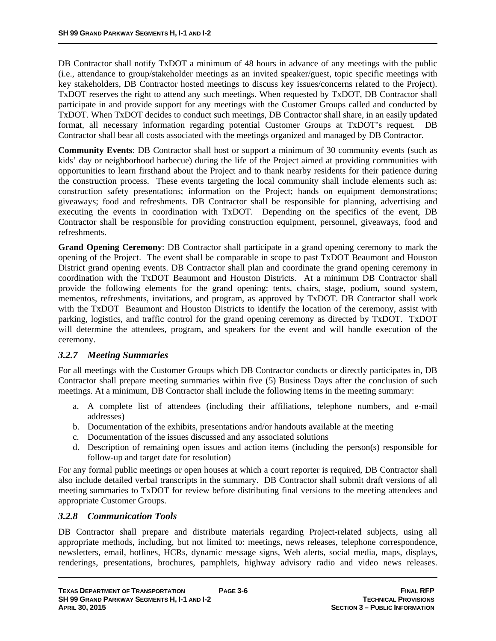DB Contractor shall notify TxDOT a minimum of 48 hours in advance of any meetings with the public (i.e., attendance to group/stakeholder meetings as an invited speaker/guest, topic specific meetings with key stakeholders, DB Contractor hosted meetings to discuss key issues/concerns related to the Project). TxDOT reserves the right to attend any such meetings. When requested by TxDOT, DB Contractor shall participate in and provide support for any meetings with the Customer Groups called and conducted by TxDOT. When TxDOT decides to conduct such meetings, DB Contractor shall share, in an easily updated format, all necessary information regarding potential Customer Groups at TxDOT's request. DB Contractor shall bear all costs associated with the meetings organized and managed by DB Contractor.

**Community Events**: DB Contractor shall host or support a minimum of 30 community events (such as kids' day or neighborhood barbecue) during the life of the Project aimed at providing communities with opportunities to learn firsthand about the Project and to thank nearby residents for their patience during the construction process. These events targeting the local community shall include elements such as: construction safety presentations; information on the Project; hands on equipment demonstrations; giveaways; food and refreshments. DB Contractor shall be responsible for planning, advertising and executing the events in coordination with TxDOT. Depending on the specifics of the event, DB Contractor shall be responsible for providing construction equipment, personnel, giveaways, food and refreshments.

**Grand Opening Ceremony**: DB Contractor shall participate in a grand opening ceremony to mark the opening of the Project. The event shall be comparable in scope to past TxDOT Beaumont and Houston District grand opening events. DB Contractor shall plan and coordinate the grand opening ceremony in coordination with the TxDOT Beaumont and Houston Districts. At a minimum DB Contractor shall provide the following elements for the grand opening: tents, chairs, stage, podium, sound system, mementos, refreshments, invitations, and program, as approved by TxDOT. DB Contractor shall work with the TxDOT Beaumont and Houston Districts to identify the location of the ceremony, assist with parking, logistics, and traffic control for the grand opening ceremony as directed by TxDOT. TxDOT will determine the attendees, program, and speakers for the event and will handle execution of the ceremony.

# *3.2.7 Meeting Summaries*

For all meetings with the Customer Groups which DB Contractor conducts or directly participates in, DB Contractor shall prepare meeting summaries within five (5) Business Days after the conclusion of such meetings. At a minimum, DB Contractor shall include the following items in the meeting summary:

- a. A complete list of attendees (including their affiliations, telephone numbers, and e-mail addresses)
- b. Documentation of the exhibits, presentations and/or handouts available at the meeting
- c. Documentation of the issues discussed and any associated solutions
- d. Description of remaining open issues and action items (including the person(s) responsible for follow-up and target date for resolution)

For any formal public meetings or open houses at which a court reporter is required, DB Contractor shall also include detailed verbal transcripts in the summary. DB Contractor shall submit draft versions of all meeting summaries to TxDOT for review before distributing final versions to the meeting attendees and appropriate Customer Groups.

#### *3.2.8 Communication Tools*

DB Contractor shall prepare and distribute materials regarding Project-related subjects, using all appropriate methods, including, but not limited to: meetings, news releases, telephone correspondence, newsletters, email, hotlines, HCRs, dynamic message signs, Web alerts, social media, maps, displays, renderings, presentations, brochures, pamphlets, highway advisory radio and video news releases.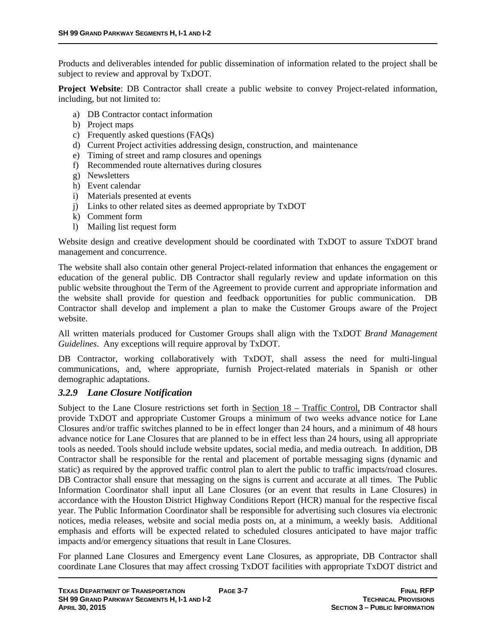Products and deliverables intended for public dissemination of information related to the project shall be subject to review and approval by TxDOT.

**Project Website**: DB Contractor shall create a public website to convey Project-related information, including, but not limited to:

- a) DB Contractor contact information
- b) Project maps
- c) Frequently asked questions (FAQs)
- d) Current Project activities addressing design, construction, and maintenance
- e) Timing of street and ramp closures and openings
- f) Recommended route alternatives during closures
- g) Newsletters
- h) Event calendar
- i) Materials presented at events
- j) Links to other related sites as deemed appropriate by TxDOT
- k) Comment form
- l) Mailing list request form

Website design and creative development should be coordinated with TxDOT to assure TxDOT brand management and concurrence.

The website shall also contain other general Project-related information that enhances the engagement or education of the general public. DB Contractor shall regularly review and update information on this public website throughout the Term of the Agreement to provide current and appropriate information and the website shall provide for question and feedback opportunities for public communication. DB Contractor shall develop and implement a plan to make the Customer Groups aware of the Project website.

All written materials produced for Customer Groups shall align with the TxDOT *Brand Management Guidelines*. Any exceptions will require approval by TxDOT.

DB Contractor, working collaboratively with TxDOT, shall assess the need for multi-lingual communications, and, where appropriate, furnish Project-related materials in Spanish or other demographic adaptations.

#### *3.2.9 Lane Closure Notification*

Subject to the Lane Closure restrictions set forth in Section  $18$  – Traffic Control, DB Contractor shall provide TxDOT and appropriate Customer Groups a minimum of two weeks advance notice for Lane Closures and/or traffic switches planned to be in effect longer than 24 hours, and a minimum of 48 hours advance notice for Lane Closures that are planned to be in effect less than 24 hours, using all appropriate tools as needed. Tools should include website updates, social media, and media outreach. In addition, DB Contractor shall be responsible for the rental and placement of portable messaging signs (dynamic and static) as required by the approved traffic control plan to alert the public to traffic impacts/road closures. DB Contractor shall ensure that messaging on the signs is current and accurate at all times. The Public Information Coordinator shall input all Lane Closures (or an event that results in Lane Closures) in accordance with the Houston District Highway Conditions Report (HCR) manual for the respective fiscal year. The Public Information Coordinator shall be responsible for advertising such closures via electronic notices, media releases, website and social media posts on, at a minimum, a weekly basis. Additional emphasis and efforts will be expected related to scheduled closures anticipated to have major traffic impacts and/or emergency situations that result in Lane Closures.

For planned Lane Closures and Emergency event Lane Closures, as appropriate, DB Contractor shall coordinate Lane Closures that may affect crossing TxDOT facilities with appropriate TxDOT district and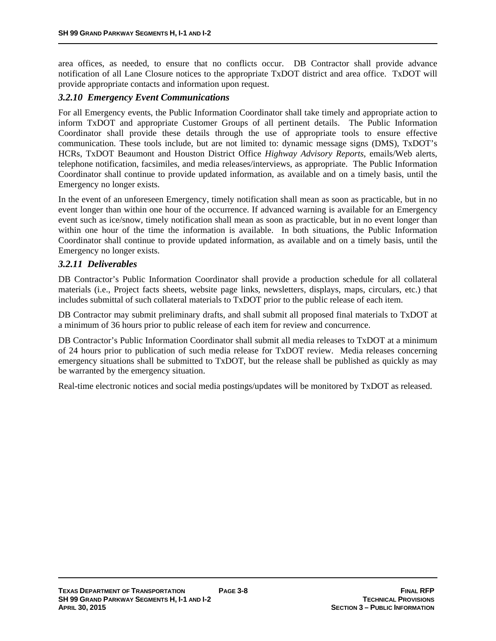area offices, as needed, to ensure that no conflicts occur. DB Contractor shall provide advance notification of all Lane Closure notices to the appropriate TxDOT district and area office. TxDOT will provide appropriate contacts and information upon request.

### *3.2.10 Emergency Event Communications*

For all Emergency events, the Public Information Coordinator shall take timely and appropriate action to inform TxDOT and appropriate Customer Groups of all pertinent details. The Public Information Coordinator shall provide these details through the use of appropriate tools to ensure effective communication. These tools include, but are not limited to: dynamic message signs (DMS), TxDOT's HCRs, TxDOT Beaumont and Houston District Office *Highway Advisory Reports*, emails/Web alerts, telephone notification, facsimiles, and media releases/interviews, as appropriate. The Public Information Coordinator shall continue to provide updated information, as available and on a timely basis, until the Emergency no longer exists.

In the event of an unforeseen Emergency, timely notification shall mean as soon as practicable, but in no event longer than within one hour of the occurrence. If advanced warning is available for an Emergency event such as ice/snow, timely notification shall mean as soon as practicable, but in no event longer than within one hour of the time the information is available. In both situations, the Public Information Coordinator shall continue to provide updated information, as available and on a timely basis, until the Emergency no longer exists.

### *3.2.11 Deliverables*

DB Contractor's Public Information Coordinator shall provide a production schedule for all collateral materials (i.e., Project facts sheets, website page links, newsletters, displays, maps, circulars, etc.) that includes submittal of such collateral materials to TxDOT prior to the public release of each item.

DB Contractor may submit preliminary drafts, and shall submit all proposed final materials to TxDOT at a minimum of 36 hours prior to public release of each item for review and concurrence.

DB Contractor's Public Information Coordinator shall submit all media releases to TxDOT at a minimum of 24 hours prior to publication of such media release for TxDOT review. Media releases concerning emergency situations shall be submitted to TxDOT, but the release shall be published as quickly as may be warranted by the emergency situation.

Real-time electronic notices and social media postings/updates will be monitored by TxDOT as released.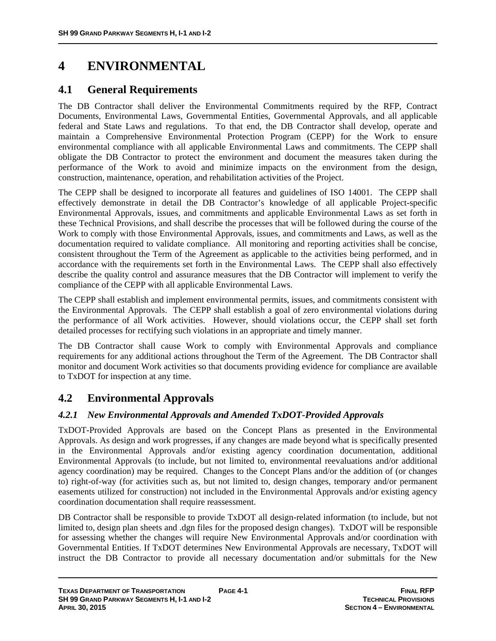# **4 ENVIRONMENTAL**

# **4.1 General Requirements**

The DB Contractor shall deliver the Environmental Commitments required by the RFP, Contract Documents, Environmental Laws, Governmental Entities, Governmental Approvals, and all applicable federal and State Laws and regulations. To that end, the DB Contractor shall develop, operate and maintain a Comprehensive Environmental Protection Program (CEPP) for the Work to ensure environmental compliance with all applicable Environmental Laws and commitments. The CEPP shall obligate the DB Contractor to protect the environment and document the measures taken during the performance of the Work to avoid and minimize impacts on the environment from the design, construction, maintenance, operation, and rehabilitation activities of the Project.

The CEPP shall be designed to incorporate all features and guidelines of ISO 14001. The CEPP shall effectively demonstrate in detail the DB Contractor's knowledge of all applicable Project-specific Environmental Approvals, issues, and commitments and applicable Environmental Laws as set forth in these Technical Provisions, and shall describe the processes that will be followed during the course of the Work to comply with those Environmental Approvals, issues, and commitments and Laws, as well as the documentation required to validate compliance. All monitoring and reporting activities shall be concise, consistent throughout the Term of the Agreement as applicable to the activities being performed, and in accordance with the requirements set forth in the Environmental Laws. The CEPP shall also effectively describe the quality control and assurance measures that the DB Contractor will implement to verify the compliance of the CEPP with all applicable Environmental Laws.

The CEPP shall establish and implement environmental permits, issues, and commitments consistent with the Environmental Approvals. The CEPP shall establish a goal of zero environmental violations during the performance of all Work activities. However, should violations occur, the CEPP shall set forth detailed processes for rectifying such violations in an appropriate and timely manner.

The DB Contractor shall cause Work to comply with Environmental Approvals and compliance requirements for any additional actions throughout the Term of the Agreement. The DB Contractor shall monitor and document Work activities so that documents providing evidence for compliance are available to TxDOT for inspection at any time.

# **4.2 Environmental Approvals**

# *4.2.1 New Environmental Approvals and Amended TxDOT-Provided Approvals*

TxDOT-Provided Approvals are based on the Concept Plans as presented in the Environmental Approvals. As design and work progresses, if any changes are made beyond what is specifically presented in the Environmental Approvals and/or existing agency coordination documentation, additional Environmental Approvals (to include, but not limited to, environmental reevaluations and/or additional agency coordination) may be required. Changes to the Concept Plans and/or the addition of (or changes to) right-of-way (for activities such as, but not limited to, design changes, temporary and/or permanent easements utilized for construction) not included in the Environmental Approvals and/or existing agency coordination documentation shall require reassessment.

DB Contractor shall be responsible to provide TxDOT all design-related information (to include, but not limited to, design plan sheets and .dgn files for the proposed design changes). TxDOT will be responsible for assessing whether the changes will require New Environmental Approvals and/or coordination with Governmental Entities. If TxDOT determines New Environmental Approvals are necessary, TxDOT will instruct the DB Contractor to provide all necessary documentation and/or submittals for the New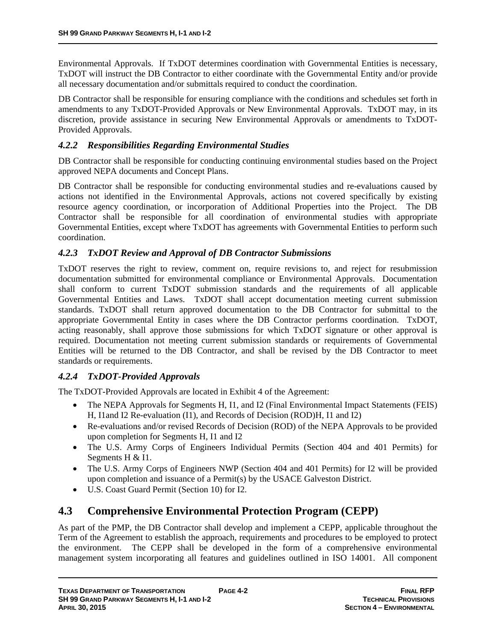Environmental Approvals. If TxDOT determines coordination with Governmental Entities is necessary, TxDOT will instruct the DB Contractor to either coordinate with the Governmental Entity and/or provide all necessary documentation and/or submittals required to conduct the coordination.

DB Contractor shall be responsible for ensuring compliance with the conditions and schedules set forth in amendments to any TxDOT-Provided Approvals or New Environmental Approvals. TxDOT may, in its discretion, provide assistance in securing New Environmental Approvals or amendments to TxDOT-Provided Approvals.

### *4.2.2 Responsibilities Regarding Environmental Studies*

DB Contractor shall be responsible for conducting continuing environmental studies based on the Project approved NEPA documents and Concept Plans.

DB Contractor shall be responsible for conducting environmental studies and re-evaluations caused by actions not identified in the Environmental Approvals, actions not covered specifically by existing resource agency coordination, or incorporation of Additional Properties into the Project. The DB Contractor shall be responsible for all coordination of environmental studies with appropriate Governmental Entities, except where TxDOT has agreements with Governmental Entities to perform such coordination.

### *4.2.3 TxDOT Review and Approval of DB Contractor Submissions*

TxDOT reserves the right to review, comment on, require revisions to, and reject for resubmission documentation submitted for environmental compliance or Environmental Approvals. Documentation shall conform to current TxDOT submission standards and the requirements of all applicable Governmental Entities and Laws. TxDOT shall accept documentation meeting current submission standards. TxDOT shall return approved documentation to the DB Contractor for submittal to the appropriate Governmental Entity in cases where the DB Contractor performs coordination. TxDOT, acting reasonably, shall approve those submissions for which TxDOT signature or other approval is required. Documentation not meeting current submission standards or requirements of Governmental Entities will be returned to the DB Contractor, and shall be revised by the DB Contractor to meet standards or requirements.

# *4.2.4 TxDOT-Provided Approvals*

The TxDOT-Provided Approvals are located in Exhibit 4 of the Agreement:

- The NEPA Approvals for Segments H, I1, and I2 (Final Environmental Impact Statements (FEIS) H, I1and I2 Re-evaluation (I1), and Records of Decision (ROD)H, I1 and I2)
- Re-evaluations and/or revised Records of Decision (ROD) of the NEPA Approvals to be provided upon completion for Segments H, I1 and I2
- The U.S. Army Corps of Engineers Individual Permits (Section 404 and 401 Permits) for Segments H & I1.
- The U.S. Army Corps of Engineers NWP (Section 404 and 401 Permits) for I2 will be provided upon completion and issuance of a Permit(s) by the USACE Galveston District.
- U.S. Coast Guard Permit (Section 10) for I2.

# **4.3 Comprehensive Environmental Protection Program (CEPP)**

As part of the PMP, the DB Contractor shall develop and implement a CEPP, applicable throughout the Term of the Agreement to establish the approach, requirements and procedures to be employed to protect the environment. The CEPP shall be developed in the form of a comprehensive environmental management system incorporating all features and guidelines outlined in ISO 14001. All component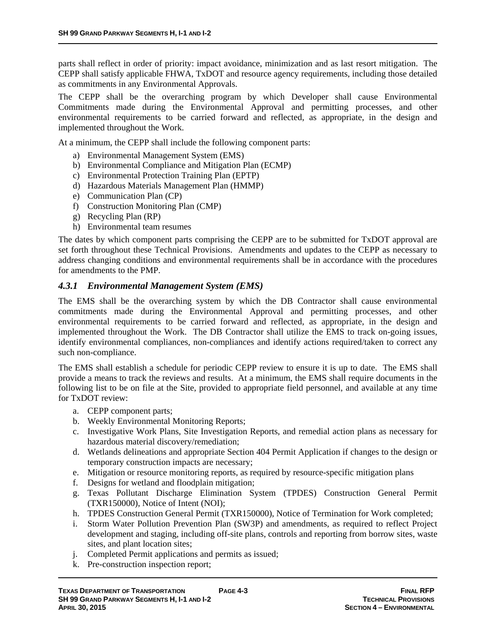parts shall reflect in order of priority: impact avoidance, minimization and as last resort mitigation. The CEPP shall satisfy applicable FHWA, TxDOT and resource agency requirements, including those detailed as commitments in any Environmental Approvals.

The CEPP shall be the overarching program by which Developer shall cause Environmental Commitments made during the Environmental Approval and permitting processes, and other environmental requirements to be carried forward and reflected, as appropriate, in the design and implemented throughout the Work.

At a minimum, the CEPP shall include the following component parts:

- a) Environmental Management System (EMS)
- b) Environmental Compliance and Mitigation Plan (ECMP)
- c) Environmental Protection Training Plan (EPTP)
- d) Hazardous Materials Management Plan (HMMP)
- e) Communication Plan (CP)
- f) Construction Monitoring Plan (CMP)
- g) Recycling Plan (RP)
- h) Environmental team resumes

The dates by which component parts comprising the CEPP are to be submitted for TxDOT approval are set forth throughout these Technical Provisions. Amendments and updates to the CEPP as necessary to address changing conditions and environmental requirements shall be in accordance with the procedures for amendments to the PMP.

#### *4.3.1 Environmental Management System (EMS)*

The EMS shall be the overarching system by which the DB Contractor shall cause environmental commitments made during the Environmental Approval and permitting processes, and other environmental requirements to be carried forward and reflected, as appropriate, in the design and implemented throughout the Work. The DB Contractor shall utilize the EMS to track on-going issues, identify environmental compliances, non-compliances and identify actions required/taken to correct any such non-compliance.

The EMS shall establish a schedule for periodic CEPP review to ensure it is up to date. The EMS shall provide a means to track the reviews and results. At a minimum, the EMS shall require documents in the following list to be on file at the Site, provided to appropriate field personnel, and available at any time for TxDOT review:

- a. CEPP component parts;
- b. Weekly Environmental Monitoring Reports;
- c. Investigative Work Plans, Site Investigation Reports, and remedial action plans as necessary for hazardous material discovery/remediation;
- d. Wetlands delineations and appropriate Section 404 Permit Application if changes to the design or temporary construction impacts are necessary;
- e. Mitigation or resource monitoring reports, as required by resource-specific mitigation plans
- f. Designs for wetland and floodplain mitigation;
- g. Texas Pollutant Discharge Elimination System (TPDES) Construction General Permit (TXR150000), Notice of Intent (NOI);
- h. TPDES Construction General Permit (TXR150000), Notice of Termination for Work completed;
- i. Storm Water Pollution Prevention Plan (SW3P) and amendments, as required to reflect Project development and staging, including off-site plans, controls and reporting from borrow sites, waste sites, and plant location sites;
- j. Completed Permit applications and permits as issued;
- k. Pre-construction inspection report;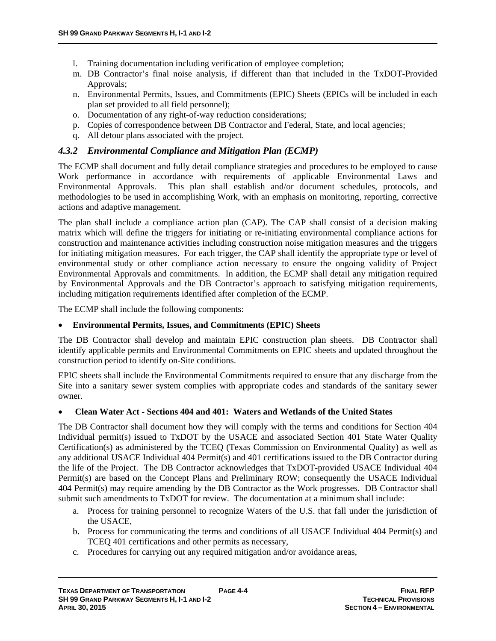- l. Training documentation including verification of employee completion;
- m. DB Contractor's final noise analysis, if different than that included in the TxDOT-Provided Approvals;
- n. Environmental Permits, Issues, and Commitments (EPIC) Sheets (EPICs will be included in each plan set provided to all field personnel);
- o. Documentation of any right-of-way reduction considerations;
- p. Copies of correspondence between DB Contractor and Federal, State, and local agencies;
- q. All detour plans associated with the project.

# *4.3.2 Environmental Compliance and Mitigation Plan (ECMP)*

The ECMP shall document and fully detail compliance strategies and procedures to be employed to cause Work performance in accordance with requirements of applicable Environmental Laws and Environmental Approvals. This plan shall establish and/or document schedules, protocols, and methodologies to be used in accomplishing Work, with an emphasis on monitoring, reporting, corrective actions and adaptive management.

The plan shall include a compliance action plan (CAP). The CAP shall consist of a decision making matrix which will define the triggers for initiating or re-initiating environmental compliance actions for construction and maintenance activities including construction noise mitigation measures and the triggers for initiating mitigation measures. For each trigger, the CAP shall identify the appropriate type or level of environmental study or other compliance action necessary to ensure the ongoing validity of Project Environmental Approvals and commitments. In addition, the ECMP shall detail any mitigation required by Environmental Approvals and the DB Contractor's approach to satisfying mitigation requirements, including mitigation requirements identified after completion of the ECMP.

The ECMP shall include the following components:

#### **Environmental Permits, Issues, and Commitments (EPIC) Sheets**

The DB Contractor shall develop and maintain EPIC construction plan sheets. DB Contractor shall identify applicable permits and Environmental Commitments on EPIC sheets and updated throughout the construction period to identify on-Site conditions.

EPIC sheets shall include the Environmental Commitments required to ensure that any discharge from the Site into a sanitary sewer system complies with appropriate codes and standards of the sanitary sewer owner.

#### **Clean Water Act - Sections 404 and 401: Waters and Wetlands of the United States**

The DB Contractor shall document how they will comply with the terms and conditions for Section 404 Individual permit(s) issued to TxDOT by the USACE and associated Section 401 State Water Quality Certification(s) as administered by the TCEQ (Texas Commission on Environmental Quality) as well as any additional USACE Individual 404 Permit(s) and 401 certifications issued to the DB Contractor during the life of the Project. The DB Contractor acknowledges that TxDOT-provided USACE Individual 404 Permit(s) are based on the Concept Plans and Preliminary ROW; consequently the USACE Individual 404 Permit(s) may require amending by the DB Contractor as the Work progresses. DB Contractor shall submit such amendments to TxDOT for review. The documentation at a minimum shall include:

- a. Process for training personnel to recognize Waters of the U.S. that fall under the jurisdiction of the USACE,
- b. Process for communicating the terms and conditions of all USACE Individual 404 Permit(s) and TCEQ 401 certifications and other permits as necessary,
- c. Procedures for carrying out any required mitigation and/or avoidance areas,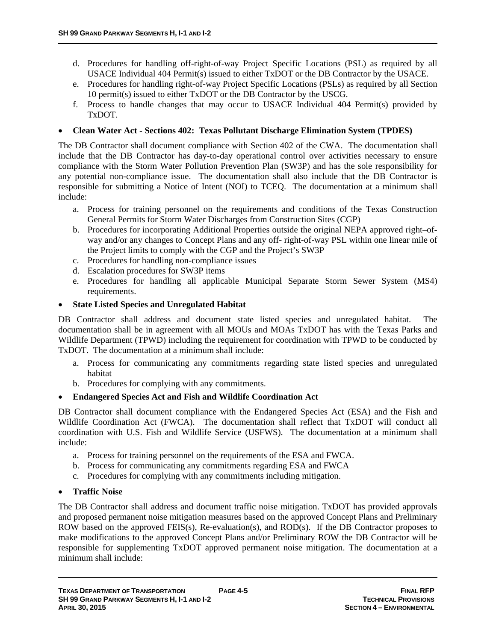- d. Procedures for handling off-right-of-way Project Specific Locations (PSL) as required by all USACE Individual 404 Permit(s) issued to either TxDOT or the DB Contractor by the USACE.
- e. Procedures for handling right-of-way Project Specific Locations (PSLs) as required by all Section 10 permit(s) issued to either TxDOT or the DB Contractor by the USCG.
- f. Process to handle changes that may occur to USACE Individual 404 Permit(s) provided by TxDOT.

#### **Clean Water Act - Sections 402: Texas Pollutant Discharge Elimination System (TPDES)**

The DB Contractor shall document compliance with Section 402 of the CWA. The documentation shall include that the DB Contractor has day-to-day operational control over activities necessary to ensure compliance with the Storm Water Pollution Prevention Plan (SW3P) and has the sole responsibility for any potential non-compliance issue. The documentation shall also include that the DB Contractor is responsible for submitting a Notice of Intent (NOI) to TCEQ. The documentation at a minimum shall include:

- a. Process for training personnel on the requirements and conditions of the Texas Construction General Permits for Storm Water Discharges from Construction Sites (CGP)
- b. Procedures for incorporating Additional Properties outside the original NEPA approved right–ofway and/or any changes to Concept Plans and any off- right-of-way PSL within one linear mile of the Project limits to comply with the CGP and the Project's SW3P
- c. Procedures for handling non-compliance issues
- d. Escalation procedures for SW3P items
- e. Procedures for handling all applicable Municipal Separate Storm Sewer System (MS4) requirements.

#### **State Listed Species and Unregulated Habitat**

DB Contractor shall address and document state listed species and unregulated habitat. The documentation shall be in agreement with all MOUs and MOAs TxDOT has with the Texas Parks and Wildlife Department (TPWD) including the requirement for coordination with TPWD to be conducted by TxDOT. The documentation at a minimum shall include:

- a. Process for communicating any commitments regarding state listed species and unregulated habitat
- b. Procedures for complying with any commitments.

#### **Endangered Species Act and Fish and Wildlife Coordination Act**

DB Contractor shall document compliance with the Endangered Species Act (ESA) and the Fish and Wildlife Coordination Act (FWCA). The documentation shall reflect that TxDOT will conduct all coordination with U.S. Fish and Wildlife Service (USFWS). The documentation at a minimum shall include:

- a. Process for training personnel on the requirements of the ESA and FWCA.
- b. Process for communicating any commitments regarding ESA and FWCA
- c. Procedures for complying with any commitments including mitigation.

# **Traffic Noise**

The DB Contractor shall address and document traffic noise mitigation. TxDOT has provided approvals and proposed permanent noise mitigation measures based on the approved Concept Plans and Preliminary ROW based on the approved FEIS(s), Re-evaluation(s), and ROD(s). If the DB Contractor proposes to make modifications to the approved Concept Plans and/or Preliminary ROW the DB Contractor will be responsible for supplementing TxDOT approved permanent noise mitigation. The documentation at a minimum shall include: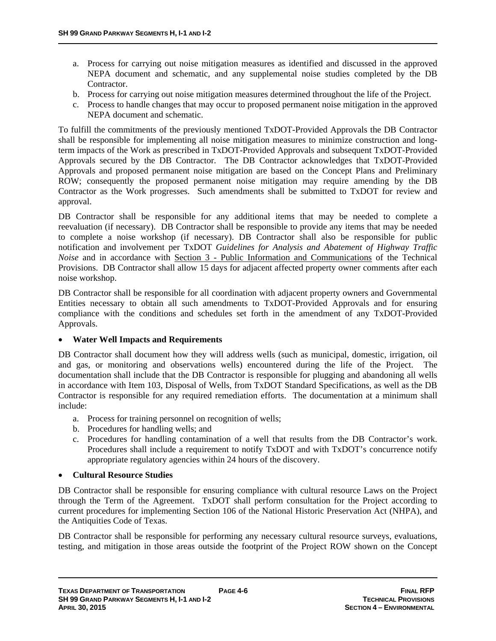- a. Process for carrying out noise mitigation measures as identified and discussed in the approved NEPA document and schematic, and any supplemental noise studies completed by the DB Contractor.
- b. Process for carrying out noise mitigation measures determined throughout the life of the Project.
- c. Process to handle changes that may occur to proposed permanent noise mitigation in the approved NEPA document and schematic.

To fulfill the commitments of the previously mentioned TxDOT-Provided Approvals the DB Contractor shall be responsible for implementing all noise mitigation measures to minimize construction and longterm impacts of the Work as prescribed in TxDOT-Provided Approvals and subsequent TxDOT-Provided Approvals secured by the DB Contractor. The DB Contractor acknowledges that TxDOT-Provided Approvals and proposed permanent noise mitigation are based on the Concept Plans and Preliminary ROW; consequently the proposed permanent noise mitigation may require amending by the DB Contractor as the Work progresses. Such amendments shall be submitted to TxDOT for review and approval.

DB Contractor shall be responsible for any additional items that may be needed to complete a reevaluation (if necessary). DB Contractor shall be responsible to provide any items that may be needed to complete a noise workshop (if necessary). DB Contractor shall also be responsible for public notification and involvement per TxDOT *Guidelines for Analysis and Abatement of Highway Traffic Noise* and in accordance with Section 3 - Public Information and Communications of the Technical Provisions. DB Contractor shall allow 15 days for adjacent affected property owner comments after each noise workshop.

DB Contractor shall be responsible for all coordination with adjacent property owners and Governmental Entities necessary to obtain all such amendments to TxDOT-Provided Approvals and for ensuring compliance with the conditions and schedules set forth in the amendment of any TxDOT-Provided Approvals.

#### **Water Well Impacts and Requirements**

DB Contractor shall document how they will address wells (such as municipal, domestic, irrigation, oil and gas, or monitoring and observations wells) encountered during the life of the Project. The documentation shall include that the DB Contractor is responsible for plugging and abandoning all wells in accordance with Item 103, Disposal of Wells, from TxDOT Standard Specifications, as well as the DB Contractor is responsible for any required remediation efforts. The documentation at a minimum shall include:

- a. Process for training personnel on recognition of wells;
- b. Procedures for handling wells; and
- c. Procedures for handling contamination of a well that results from the DB Contractor's work. Procedures shall include a requirement to notify TxDOT and with TxDOT's concurrence notify appropriate regulatory agencies within 24 hours of the discovery.

#### **Cultural Resource Studies**

DB Contractor shall be responsible for ensuring compliance with cultural resource Laws on the Project through the Term of the Agreement. TxDOT shall perform consultation for the Project according to current procedures for implementing Section 106 of the National Historic Preservation Act (NHPA), and the Antiquities Code of Texas.

DB Contractor shall be responsible for performing any necessary cultural resource surveys, evaluations, testing, and mitigation in those areas outside the footprint of the Project ROW shown on the Concept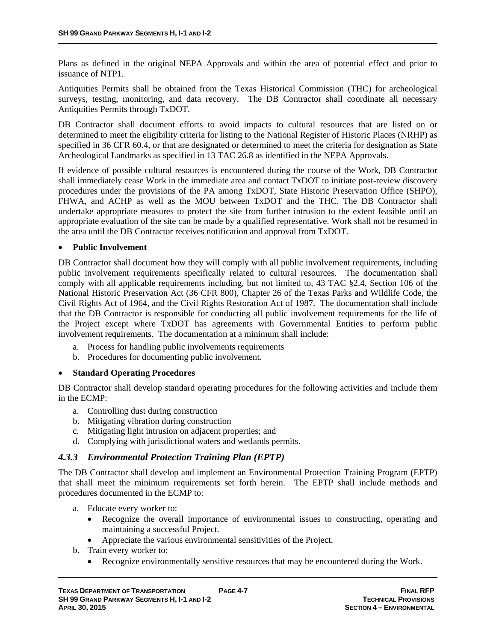Plans as defined in the original NEPA Approvals and within the area of potential effect and prior to issuance of NTP1.

Antiquities Permits shall be obtained from the Texas Historical Commission (THC) for archeological surveys, testing, monitoring, and data recovery. The DB Contractor shall coordinate all necessary Antiquities Permits through TxDOT.

DB Contractor shall document efforts to avoid impacts to cultural resources that are listed on or determined to meet the eligibility criteria for listing to the National Register of Historic Places (NRHP) as specified in 36 CFR 60.4, or that are designated or determined to meet the criteria for designation as State Archeological Landmarks as specified in 13 TAC 26.8 as identified in the NEPA Approvals.

If evidence of possible cultural resources is encountered during the course of the Work, DB Contractor shall immediately cease Work in the immediate area and contact TxDOT to initiate post-review discovery procedures under the provisions of the PA among TxDOT, State Historic Preservation Office (SHPO), FHWA, and ACHP as well as the MOU between TxDOT and the THC. The DB Contractor shall undertake appropriate measures to protect the site from further intrusion to the extent feasible until an appropriate evaluation of the site can be made by a qualified representative. Work shall not be resumed in the area until the DB Contractor receives notification and approval from TxDOT.

#### **Public Involvement**

DB Contractor shall document how they will comply with all public involvement requirements, including public involvement requirements specifically related to cultural resources. The documentation shall comply with all applicable requirements including, but not limited to, 43 TAC §2.4, Section 106 of the National Historic Preservation Act (36 CFR 800), Chapter 26 of the Texas Parks and Wildlife Code, the Civil Rights Act of 1964, and the Civil Rights Restoration Act of 1987. The documentation shall include that the DB Contractor is responsible for conducting all public involvement requirements for the life of the Project except where TxDOT has agreements with Governmental Entities to perform public involvement requirements. The documentation at a minimum shall include:

- a. Process for handling public involvements requirements
- b. Procedures for documenting public involvement.

#### **Standard Operating Procedures**

DB Contractor shall develop standard operating procedures for the following activities and include them in the ECMP:

- a. Controlling dust during construction
- b. Mitigating vibration during construction
- c. Mitigating light intrusion on adjacent properties; and
- d. Complying with jurisdictional waters and wetlands permits.

### *4.3.3 Environmental Protection Training Plan (EPTP)*

The DB Contractor shall develop and implement an Environmental Protection Training Program (EPTP) that shall meet the minimum requirements set forth herein. The EPTP shall include methods and procedures documented in the ECMP to:

- a. Educate every worker to:
	- Recognize the overall importance of environmental issues to constructing, operating and maintaining a successful Project.
	- Appreciate the various environmental sensitivities of the Project.
- b. Train every worker to:
	- Recognize environmentally sensitive resources that may be encountered during the Work.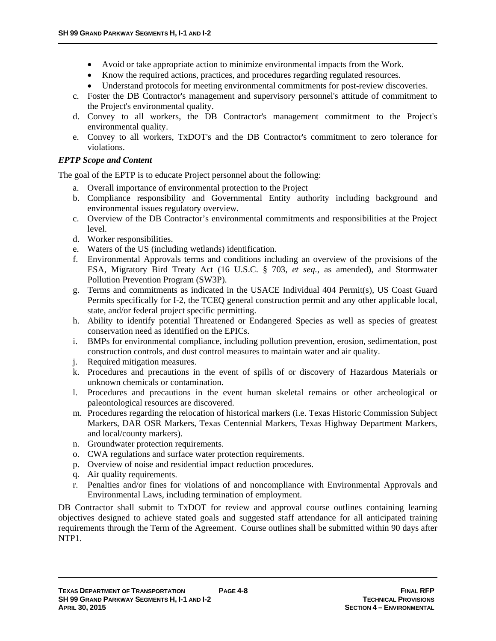- Avoid or take appropriate action to minimize environmental impacts from the Work.
- Know the required actions, practices, and procedures regarding regulated resources.
- Understand protocols for meeting environmental commitments for post-review discoveries.
- c. Foster the DB Contractor's management and supervisory personnel's attitude of commitment to the Project's environmental quality.
- d. Convey to all workers, the DB Contractor's management commitment to the Project's environmental quality.
- e. Convey to all workers, TxDOT's and the DB Contractor's commitment to zero tolerance for violations.

### *EPTP Scope and Content*

The goal of the EPTP is to educate Project personnel about the following:

- a. Overall importance of environmental protection to the Project
- b. Compliance responsibility and Governmental Entity authority including background and environmental issues regulatory overview.
- c. Overview of the DB Contractor's environmental commitments and responsibilities at the Project level.
- d. Worker responsibilities.
- e. Waters of the US (including wetlands) identification.
- f. Environmental Approvals terms and conditions including an overview of the provisions of the ESA, Migratory Bird Treaty Act (16 U.S.C. § 703, *et seq.*, as amended), and Stormwater Pollution Prevention Program (SW3P).
- g. Terms and commitments as indicated in the USACE Individual 404 Permit(s), US Coast Guard Permits specifically for I-2, the TCEQ general construction permit and any other applicable local, state, and/or federal project specific permitting.
- h. Ability to identify potential Threatened or Endangered Species as well as species of greatest conservation need as identified on the EPICs.
- i. BMPs for environmental compliance, including pollution prevention, erosion, sedimentation, post construction controls, and dust control measures to maintain water and air quality.
- j. Required mitigation measures.
- k. Procedures and precautions in the event of spills of or discovery of Hazardous Materials or unknown chemicals or contamination.
- l. Procedures and precautions in the event human skeletal remains or other archeological or paleontological resources are discovered.
- m. Procedures regarding the relocation of historical markers (i.e. Texas Historic Commission Subject Markers, DAR OSR Markers, Texas Centennial Markers, Texas Highway Department Markers, and local/county markers).
- n. Groundwater protection requirements.
- o. CWA regulations and surface water protection requirements.
- p. Overview of noise and residential impact reduction procedures.
- q. Air quality requirements.
- r. Penalties and/or fines for violations of and noncompliance with Environmental Approvals and Environmental Laws, including termination of employment.

DB Contractor shall submit to TxDOT for review and approval course outlines containing learning objectives designed to achieve stated goals and suggested staff attendance for all anticipated training requirements through the Term of the Agreement. Course outlines shall be submitted within 90 days after NTP1.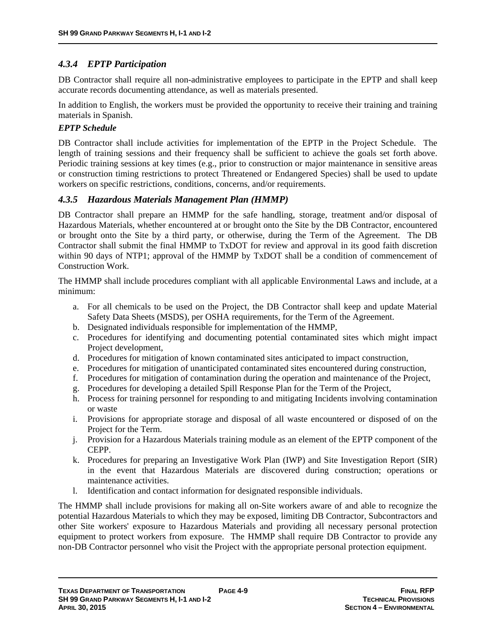# *4.3.4 EPTP Participation*

DB Contractor shall require all non-administrative employees to participate in the EPTP and shall keep accurate records documenting attendance, as well as materials presented.

In addition to English, the workers must be provided the opportunity to receive their training and training materials in Spanish.

#### *EPTP Schedule*

DB Contractor shall include activities for implementation of the EPTP in the Project Schedule. The length of training sessions and their frequency shall be sufficient to achieve the goals set forth above. Periodic training sessions at key times (e.g., prior to construction or major maintenance in sensitive areas or construction timing restrictions to protect Threatened or Endangered Species) shall be used to update workers on specific restrictions, conditions, concerns, and/or requirements.

### *4.3.5 Hazardous Materials Management Plan (HMMP)*

DB Contractor shall prepare an HMMP for the safe handling, storage, treatment and/or disposal of Hazardous Materials, whether encountered at or brought onto the Site by the DB Contractor, encountered or brought onto the Site by a third party, or otherwise, during the Term of the Agreement. The DB Contractor shall submit the final HMMP to TxDOT for review and approval in its good faith discretion within 90 days of NTP1; approval of the HMMP by TxDOT shall be a condition of commencement of Construction Work.

The HMMP shall include procedures compliant with all applicable Environmental Laws and include, at a minimum:

- a. For all chemicals to be used on the Project, the DB Contractor shall keep and update Material Safety Data Sheets (MSDS), per OSHA requirements, for the Term of the Agreement.
- b. Designated individuals responsible for implementation of the HMMP,
- c. Procedures for identifying and documenting potential contaminated sites which might impact Project development,
- d. Procedures for mitigation of known contaminated sites anticipated to impact construction,
- e. Procedures for mitigation of unanticipated contaminated sites encountered during construction,
- f. Procedures for mitigation of contamination during the operation and maintenance of the Project,
- g. Procedures for developing a detailed Spill Response Plan for the Term of the Project,
- h. Process for training personnel for responding to and mitigating Incidents involving contamination or waste
- i. Provisions for appropriate storage and disposal of all waste encountered or disposed of on the Project for the Term.
- j. Provision for a Hazardous Materials training module as an element of the EPTP component of the CEPP.
- k. Procedures for preparing an Investigative Work Plan (IWP) and Site Investigation Report (SIR) in the event that Hazardous Materials are discovered during construction; operations or maintenance activities.
- l. Identification and contact information for designated responsible individuals.

The HMMP shall include provisions for making all on-Site workers aware of and able to recognize the potential Hazardous Materials to which they may be exposed, limiting DB Contractor, Subcontractors and other Site workers' exposure to Hazardous Materials and providing all necessary personal protection equipment to protect workers from exposure. The HMMP shall require DB Contractor to provide any non-DB Contractor personnel who visit the Project with the appropriate personal protection equipment.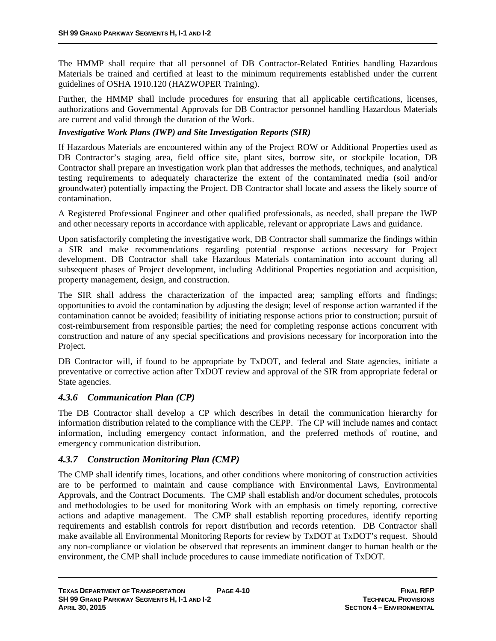The HMMP shall require that all personnel of DB Contractor-Related Entities handling Hazardous Materials be trained and certified at least to the minimum requirements established under the current guidelines of OSHA 1910.120 (HAZWOPER Training).

Further, the HMMP shall include procedures for ensuring that all applicable certifications, licenses, authorizations and Governmental Approvals for DB Contractor personnel handling Hazardous Materials are current and valid through the duration of the Work.

#### *Investigative Work Plans (IWP) and Site Investigation Reports (SIR)*

If Hazardous Materials are encountered within any of the Project ROW or Additional Properties used as DB Contractor's staging area, field office site, plant sites, borrow site, or stockpile location, DB Contractor shall prepare an investigation work plan that addresses the methods, techniques, and analytical testing requirements to adequately characterize the extent of the contaminated media (soil and/or groundwater) potentially impacting the Project. DB Contractor shall locate and assess the likely source of contamination.

A Registered Professional Engineer and other qualified professionals, as needed, shall prepare the IWP and other necessary reports in accordance with applicable, relevant or appropriate Laws and guidance.

Upon satisfactorily completing the investigative work, DB Contractor shall summarize the findings within a SIR and make recommendations regarding potential response actions necessary for Project development. DB Contractor shall take Hazardous Materials contamination into account during all subsequent phases of Project development, including Additional Properties negotiation and acquisition, property management, design, and construction.

The SIR shall address the characterization of the impacted area; sampling efforts and findings; opportunities to avoid the contamination by adjusting the design; level of response action warranted if the contamination cannot be avoided; feasibility of initiating response actions prior to construction; pursuit of cost-reimbursement from responsible parties; the need for completing response actions concurrent with construction and nature of any special specifications and provisions necessary for incorporation into the Project.

DB Contractor will, if found to be appropriate by TxDOT, and federal and State agencies, initiate a preventative or corrective action after TxDOT review and approval of the SIR from appropriate federal or State agencies.

### *4.3.6 Communication Plan (CP)*

The DB Contractor shall develop a CP which describes in detail the communication hierarchy for information distribution related to the compliance with the CEPP. The CP will include names and contact information, including emergency contact information, and the preferred methods of routine, and emergency communication distribution.

### *4.3.7 Construction Monitoring Plan (CMP)*

The CMP shall identify times, locations, and other conditions where monitoring of construction activities are to be performed to maintain and cause compliance with Environmental Laws, Environmental Approvals, and the Contract Documents. The CMP shall establish and/or document schedules, protocols and methodologies to be used for monitoring Work with an emphasis on timely reporting, corrective actions and adaptive management. The CMP shall establish reporting procedures, identify reporting requirements and establish controls for report distribution and records retention. DB Contractor shall make available all Environmental Monitoring Reports for review by TxDOT at TxDOT's request. Should any non-compliance or violation be observed that represents an imminent danger to human health or the environment, the CMP shall include procedures to cause immediate notification of TxDOT.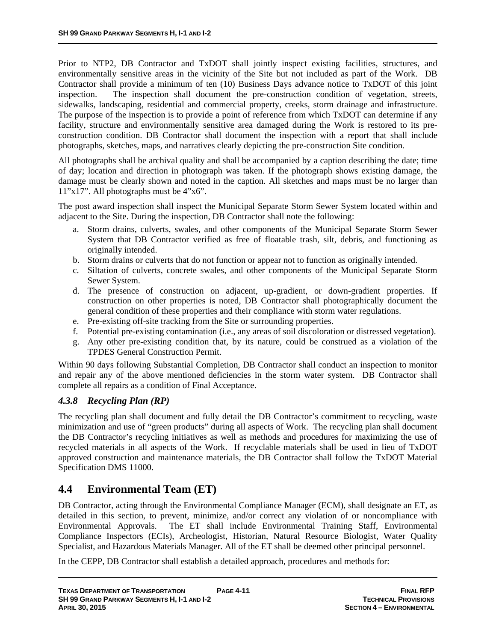Prior to NTP2, DB Contractor and TxDOT shall jointly inspect existing facilities, structures, and environmentally sensitive areas in the vicinity of the Site but not included as part of the Work. DB Contractor shall provide a minimum of ten (10) Business Days advance notice to TxDOT of this joint inspection. The inspection shall document the pre-construction condition of vegetation, streets, sidewalks, landscaping, residential and commercial property, creeks, storm drainage and infrastructure. The purpose of the inspection is to provide a point of reference from which TxDOT can determine if any facility, structure and environmentally sensitive area damaged during the Work is restored to its preconstruction condition. DB Contractor shall document the inspection with a report that shall include photographs, sketches, maps, and narratives clearly depicting the pre-construction Site condition.

All photographs shall be archival quality and shall be accompanied by a caption describing the date; time of day; location and direction in photograph was taken. If the photograph shows existing damage, the damage must be clearly shown and noted in the caption. All sketches and maps must be no larger than 11"x17". All photographs must be 4"x6".

The post award inspection shall inspect the Municipal Separate Storm Sewer System located within and adjacent to the Site. During the inspection, DB Contractor shall note the following:

- a. Storm drains, culverts, swales, and other components of the Municipal Separate Storm Sewer System that DB Contractor verified as free of floatable trash, silt, debris, and functioning as originally intended.
- b. Storm drains or culverts that do not function or appear not to function as originally intended.
- c. Siltation of culverts, concrete swales, and other components of the Municipal Separate Storm Sewer System.
- d. The presence of construction on adjacent, up-gradient, or down-gradient properties. If construction on other properties is noted, DB Contractor shall photographically document the general condition of these properties and their compliance with storm water regulations.
- e. Pre-existing off-site tracking from the Site or surrounding properties.
- f. Potential pre-existing contamination (i.e., any areas of soil discoloration or distressed vegetation).
- g. Any other pre-existing condition that, by its nature, could be construed as a violation of the TPDES General Construction Permit.

Within 90 days following Substantial Completion, DB Contractor shall conduct an inspection to monitor and repair any of the above mentioned deficiencies in the storm water system. DB Contractor shall complete all repairs as a condition of Final Acceptance.

# *4.3.8 Recycling Plan (RP)*

The recycling plan shall document and fully detail the DB Contractor's commitment to recycling, waste minimization and use of "green products" during all aspects of Work. The recycling plan shall document the DB Contractor's recycling initiatives as well as methods and procedures for maximizing the use of recycled materials in all aspects of the Work. If recyclable materials shall be used in lieu of TxDOT approved construction and maintenance materials, the DB Contractor shall follow the TxDOT Material Specification DMS 11000.

# **4.4 Environmental Team (ET)**

DB Contractor, acting through the Environmental Compliance Manager (ECM), shall designate an ET, as detailed in this section, to prevent, minimize, and/or correct any violation of or noncompliance with Environmental Approvals. The ET shall include Environmental Training Staff, Environmental Compliance Inspectors (ECIs), Archeologist, Historian, Natural Resource Biologist, Water Quality Specialist, and Hazardous Materials Manager. All of the ET shall be deemed other principal personnel.

In the CEPP, DB Contractor shall establish a detailed approach, procedures and methods for: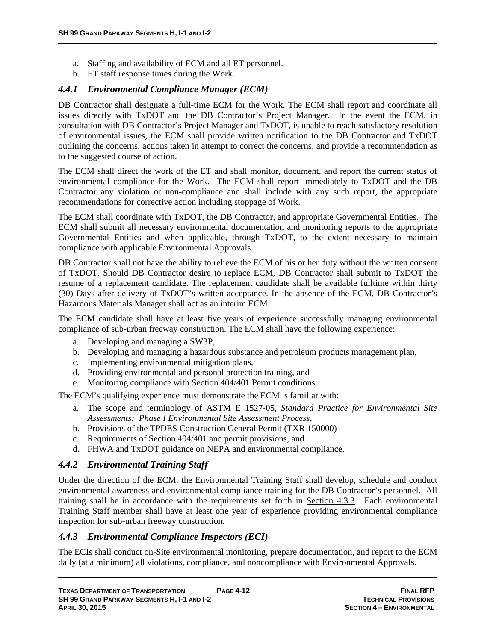- a. Staffing and availability of ECM and all ET personnel.
- b. ET staff response times during the Work.

# *4.4.1 Environmental Compliance Manager (ECM)*

DB Contractor shall designate a full-time ECM for the Work. The ECM shall report and coordinate all issues directly with TxDOT and the DB Contractor's Project Manager. In the event the ECM, in consultation with DB Contractor's Project Manager and TxDOT, is unable to reach satisfactory resolution of environmental issues, the ECM shall provide written notification to the DB Contractor and TxDOT outlining the concerns, actions taken in attempt to correct the concerns, and provide a recommendation as to the suggested course of action.

The ECM shall direct the work of the ET and shall monitor, document, and report the current status of environmental compliance for the Work. The ECM shall report immediately to TxDOT and the DB Contractor any violation or non-compliance and shall include with any such report, the appropriate recommendations for corrective action including stoppage of Work.

The ECM shall coordinate with TxDOT, the DB Contractor, and appropriate Governmental Entities. The ECM shall submit all necessary environmental documentation and monitoring reports to the appropriate Governmental Entities and when applicable, through TxDOT, to the extent necessary to maintain compliance with applicable Environmental Approvals.

DB Contractor shall not have the ability to relieve the ECM of his or her duty without the written consent of TxDOT. Should DB Contractor desire to replace ECM, DB Contractor shall submit to TxDOT the resume of a replacement candidate. The replacement candidate shall be available fulltime within thirty (30) Days after delivery of TxDOT's written acceptance. In the absence of the ECM, DB Contractor's Hazardous Materials Manager shall act as an interim ECM.

The ECM candidate shall have at least five years of experience successfully managing environmental compliance of sub-urban freeway construction. The ECM shall have the following experience:

- a. Developing and managing a SW3P,
- b. Developing and managing a hazardous substance and petroleum products management plan,
- c. Implementing environmental mitigation plans,
- d. Providing environmental and personal protection training, and
- e. Monitoring compliance with Section 404/401 Permit conditions.

The ECM's qualifying experience must demonstrate the ECM is familiar with:

- a. The scope and terminology of ASTM E 1527-05, *Standard Practice for Environmental Site Assessments: Phase I Environmental Site Assessment Process,*
- b. Provisions of the TPDES Construction General Permit (TXR 150000)
- c. Requirements of Section 404/401 and permit provisions, and
- d. FHWA and TxDOT guidance on NEPA and environmental compliance.

# *4.4.2 Environmental Training Staff*

Under the direction of the ECM, the Environmental Training Staff shall develop, schedule and conduct environmental awareness and environmental compliance training for the DB Contractor's personnel. All training shall be in accordance with the requirements set forth in Section 4.3.3. Each environmental Training Staff member shall have at least one year of experience providing environmental compliance inspection for sub-urban freeway construction.

### *4.4.3 Environmental Compliance Inspectors (ECI)*

The ECIs shall conduct on-Site environmental monitoring, prepare documentation, and report to the ECM daily (at a minimum) all violations, compliance, and noncompliance with Environmental Approvals.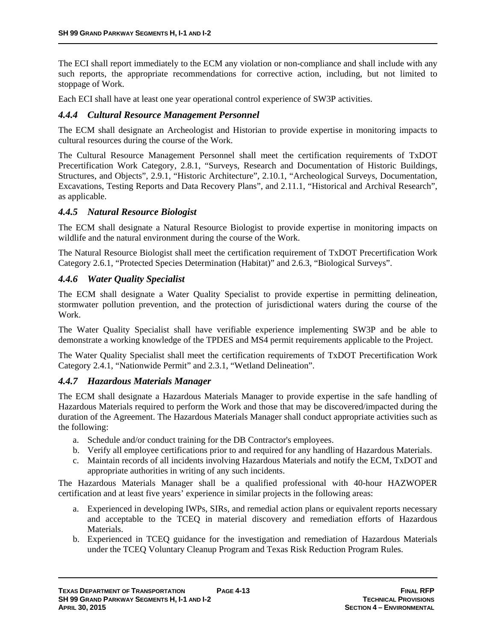The ECI shall report immediately to the ECM any violation or non-compliance and shall include with any such reports, the appropriate recommendations for corrective action, including, but not limited to stoppage of Work.

Each ECI shall have at least one year operational control experience of SW3P activities.

### *4.4.4 Cultural Resource Management Personnel*

The ECM shall designate an Archeologist and Historian to provide expertise in monitoring impacts to cultural resources during the course of the Work.

The Cultural Resource Management Personnel shall meet the certification requirements of TxDOT Precertification Work Category, 2.8.1, "Surveys, Research and Documentation of Historic Buildings, Structures, and Objects", 2.9.1, "Historic Architecture", 2.10.1, "Archeological Surveys, Documentation, Excavations, Testing Reports and Data Recovery Plans", and 2.11.1, "Historical and Archival Research", as applicable.

### *4.4.5 Natural Resource Biologist*

The ECM shall designate a Natural Resource Biologist to provide expertise in monitoring impacts on wildlife and the natural environment during the course of the Work.

The Natural Resource Biologist shall meet the certification requirement of TxDOT Precertification Work Category 2.6.1, "Protected Species Determination (Habitat)" and 2.6.3, "Biological Surveys".

### *4.4.6 Water Quality Specialist*

The ECM shall designate a Water Quality Specialist to provide expertise in permitting delineation, stormwater pollution prevention, and the protection of jurisdictional waters during the course of the Work.

The Water Quality Specialist shall have verifiable experience implementing SW3P and be able to demonstrate a working knowledge of the TPDES and MS4 permit requirements applicable to the Project.

The Water Quality Specialist shall meet the certification requirements of TxDOT Precertification Work Category 2.4.1, "Nationwide Permit" and 2.3.1, "Wetland Delineation".

### *4.4.7 Hazardous Materials Manager*

The ECM shall designate a Hazardous Materials Manager to provide expertise in the safe handling of Hazardous Materials required to perform the Work and those that may be discovered/impacted during the duration of the Agreement. The Hazardous Materials Manager shall conduct appropriate activities such as the following:

- a. Schedule and/or conduct training for the DB Contractor's employees.
- b. Verify all employee certifications prior to and required for any handling of Hazardous Materials.
- c. Maintain records of all incidents involving Hazardous Materials and notify the ECM, TxDOT and appropriate authorities in writing of any such incidents.

The Hazardous Materials Manager shall be a qualified professional with 40-hour HAZWOPER certification and at least five years' experience in similar projects in the following areas:

- a. Experienced in developing IWPs, SIRs, and remedial action plans or equivalent reports necessary and acceptable to the TCEQ in material discovery and remediation efforts of Hazardous Materials.
- b. Experienced in TCEQ guidance for the investigation and remediation of Hazardous Materials under the TCEQ Voluntary Cleanup Program and Texas Risk Reduction Program Rules.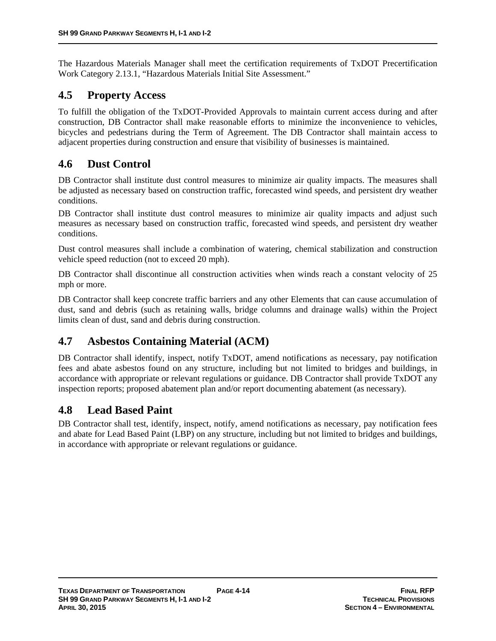The Hazardous Materials Manager shall meet the certification requirements of TxDOT Precertification Work Category 2.13.1, "Hazardous Materials Initial Site Assessment."

# **4.5 Property Access**

To fulfill the obligation of the TxDOT-Provided Approvals to maintain current access during and after construction, DB Contractor shall make reasonable efforts to minimize the inconvenience to vehicles, bicycles and pedestrians during the Term of Agreement. The DB Contractor shall maintain access to adjacent properties during construction and ensure that visibility of businesses is maintained.

# **4.6 Dust Control**

DB Contractor shall institute dust control measures to minimize air quality impacts. The measures shall be adjusted as necessary based on construction traffic, forecasted wind speeds, and persistent dry weather conditions.

DB Contractor shall institute dust control measures to minimize air quality impacts and adjust such measures as necessary based on construction traffic, forecasted wind speeds, and persistent dry weather conditions.

Dust control measures shall include a combination of watering, chemical stabilization and construction vehicle speed reduction (not to exceed 20 mph).

DB Contractor shall discontinue all construction activities when winds reach a constant velocity of 25 mph or more.

DB Contractor shall keep concrete traffic barriers and any other Elements that can cause accumulation of dust, sand and debris (such as retaining walls, bridge columns and drainage walls) within the Project limits clean of dust, sand and debris during construction.

# **4.7 Asbestos Containing Material (ACM)**

DB Contractor shall identify, inspect, notify TxDOT, amend notifications as necessary, pay notification fees and abate asbestos found on any structure, including but not limited to bridges and buildings, in accordance with appropriate or relevant regulations or guidance. DB Contractor shall provide TxDOT any inspection reports; proposed abatement plan and/or report documenting abatement (as necessary).

# **4.8 Lead Based Paint**

DB Contractor shall test, identify, inspect, notify, amend notifications as necessary, pay notification fees and abate for Lead Based Paint (LBP) on any structure, including but not limited to bridges and buildings, in accordance with appropriate or relevant regulations or guidance.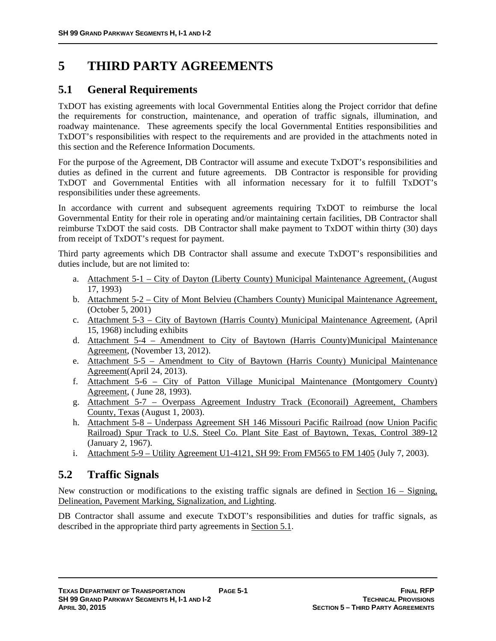# **5 THIRD PARTY AGREEMENTS**

# **5.1 General Requirements**

TxDOT has existing agreements with local Governmental Entities along the Project corridor that define the requirements for construction, maintenance, and operation of traffic signals, illumination, and roadway maintenance. These agreements specify the local Governmental Entities responsibilities and TxDOT's responsibilities with respect to the requirements and are provided in the attachments noted in this section and the Reference Information Documents.

For the purpose of the Agreement, DB Contractor will assume and execute TxDOT's responsibilities and duties as defined in the current and future agreements. DB Contractor is responsible for providing TxDOT and Governmental Entities with all information necessary for it to fulfill TxDOT's responsibilities under these agreements.

In accordance with current and subsequent agreements requiring TxDOT to reimburse the local Governmental Entity for their role in operating and/or maintaining certain facilities, DB Contractor shall reimburse TxDOT the said costs. DB Contractor shall make payment to TxDOT within thirty (30) days from receipt of TxDOT's request for payment.

Third party agreements which DB Contractor shall assume and execute TxDOT's responsibilities and duties include, but are not limited to:

- a. Attachment 5-1 City of Dayton (Liberty County) Municipal Maintenance Agreement, (August 17, 1993)
- b. Attachment 5-2 City of Mont Belvieu (Chambers County) Municipal Maintenance Agreement, (October 5, 2001)
- c. Attachment 5-3 City of Baytown (Harris County) Municipal Maintenance Agreement, (April 15, 1968) including exhibits
- d. Attachment 5-4 Amendment to City of Baytown (Harris County)Municipal Maintenance Agreement, (November 13, 2012).
- e. Attachment 5-5 Amendment to City of Baytown (Harris County) Municipal Maintenance Agreement(April 24, 2013).
- f. Attachment 5-6 City of Patton Village Municipal Maintenance (Montgomery County) Agreement, ( June 28, 1993).
- g. Attachment 5-7 Overpass Agreement Industry Track (Econorail) Agreement, Chambers County, Texas (August 1, 2003).
- h. Attachment 5-8 Underpass Agreement SH 146 Missouri Pacific Railroad (now Union Pacific Railroad) Spur Track to U.S. Steel Co. Plant Site East of Baytown, Texas, Control 389-12 (January 2, 1967).
- i. Attachment 5-9 Utility Agreement U1-4121, SH 99: From FM565 to FM 1405 (July 7, 2003).

# **5.2 Traffic Signals**

New construction or modifications to the existing traffic signals are defined in <u>Section 16 – Signing</u>, Delineation, Pavement Marking, Signalization, and Lighting.

DB Contractor shall assume and execute TxDOT's responsibilities and duties for traffic signals, as described in the appropriate third party agreements in Section 5.1.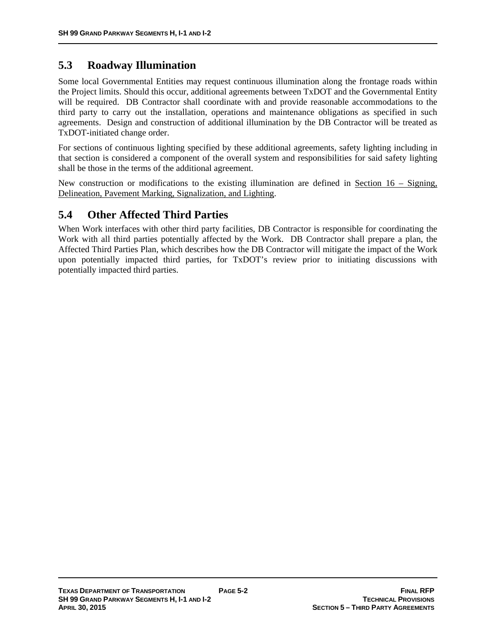# **5.3 Roadway Illumination**

Some local Governmental Entities may request continuous illumination along the frontage roads within the Project limits. Should this occur, additional agreements between TxDOT and the Governmental Entity will be required. DB Contractor shall coordinate with and provide reasonable accommodations to the third party to carry out the installation, operations and maintenance obligations as specified in such agreements. Design and construction of additional illumination by the DB Contractor will be treated as TxDOT-initiated change order.

For sections of continuous lighting specified by these additional agreements, safety lighting including in that section is considered a component of the overall system and responsibilities for said safety lighting shall be those in the terms of the additional agreement.

New construction or modifications to the existing illumination are defined in Section  $16 -$  Signing, Delineation, Pavement Marking, Signalization, and Lighting.

# **5.4 Other Affected Third Parties**

When Work interfaces with other third party facilities, DB Contractor is responsible for coordinating the Work with all third parties potentially affected by the Work. DB Contractor shall prepare a plan, the Affected Third Parties Plan, which describes how the DB Contractor will mitigate the impact of the Work upon potentially impacted third parties, for TxDOT's review prior to initiating discussions with potentially impacted third parties.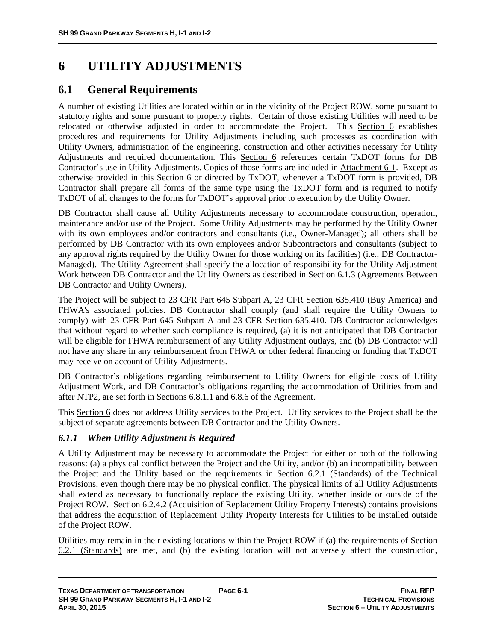# **6 UTILITY ADJUSTMENTS**

# **6.1 General Requirements**

A number of existing Utilities are located within or in the vicinity of the Project ROW, some pursuant to statutory rights and some pursuant to property rights. Certain of those existing Utilities will need to be relocated or otherwise adjusted in order to accommodate the Project. This Section 6 establishes procedures and requirements for Utility Adjustments including such processes as coordination with Utility Owners, administration of the engineering, construction and other activities necessary for Utility Adjustments and required documentation. This Section 6 references certain TxDOT forms for DB Contractor's use in Utility Adjustments. Copies of those forms are included in Attachment 6-1. Except as otherwise provided in this Section 6 or directed by TxDOT, whenever a TxDOT form is provided, DB Contractor shall prepare all forms of the same type using the TxDOT form and is required to notify TxDOT of all changes to the forms for TxDOT's approval prior to execution by the Utility Owner.

DB Contractor shall cause all Utility Adjustments necessary to accommodate construction, operation, maintenance and/or use of the Project. Some Utility Adjustments may be performed by the Utility Owner with its own employees and/or contractors and consultants (i.e., Owner-Managed); all others shall be performed by DB Contractor with its own employees and/or Subcontractors and consultants (subject to any approval rights required by the Utility Owner for those working on its facilities) (i.e., DB Contractor-Managed). The Utility Agreement shall specify the allocation of responsibility for the Utility Adjustment Work between DB Contractor and the Utility Owners as described in Section 6.1.3 (Agreements Between DB Contractor and Utility Owners).

The Project will be subject to 23 CFR Part 645 Subpart A, 23 CFR Section 635.410 (Buy America) and FHWA's associated policies. DB Contractor shall comply (and shall require the Utility Owners to comply) with 23 CFR Part 645 Subpart A and 23 CFR Section 635.410. DB Contractor acknowledges that without regard to whether such compliance is required, (a) it is not anticipated that DB Contractor will be eligible for FHWA reimbursement of any Utility Adjustment outlays, and (b) DB Contractor will not have any share in any reimbursement from FHWA or other federal financing or funding that TxDOT may receive on account of Utility Adjustments.

DB Contractor's obligations regarding reimbursement to Utility Owners for eligible costs of Utility Adjustment Work, and DB Contractor's obligations regarding the accommodation of Utilities from and after NTP2, are set forth in Sections 6.8.1.1 and 6.8.6 of the Agreement.

This Section 6 does not address Utility services to the Project. Utility services to the Project shall be the subject of separate agreements between DB Contractor and the Utility Owners.

# *6.1.1 When Utility Adjustment is Required*

A Utility Adjustment may be necessary to accommodate the Project for either or both of the following reasons: (a) a physical conflict between the Project and the Utility, and/or (b) an incompatibility between the Project and the Utility based on the requirements in Section 6.2.1 (Standards) of the Technical Provisions, even though there may be no physical conflict. The physical limits of all Utility Adjustments shall extend as necessary to functionally replace the existing Utility, whether inside or outside of the Project ROW. Section 6.2.4.2 (Acquisition of Replacement Utility Property Interests) contains provisions that address the acquisition of Replacement Utility Property Interests for Utilities to be installed outside of the Project ROW.

Utilities may remain in their existing locations within the Project ROW if (a) the requirements of Section 6.2.1 (Standards) are met, and (b) the existing location will not adversely affect the construction,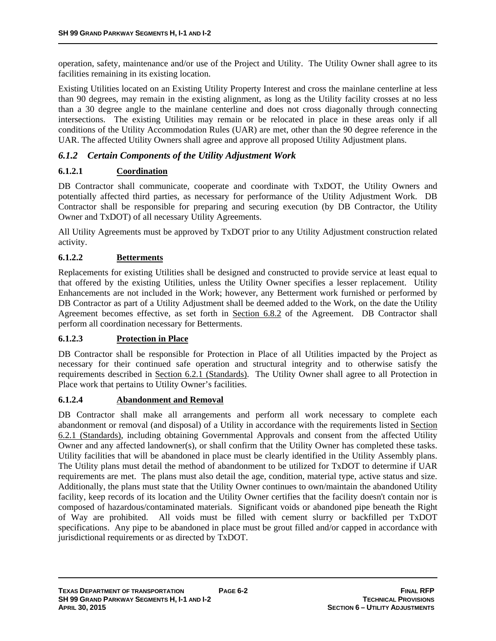operation, safety, maintenance and/or use of the Project and Utility. The Utility Owner shall agree to its facilities remaining in its existing location.

Existing Utilities located on an Existing Utility Property Interest and cross the mainlane centerline at less than 90 degrees, may remain in the existing alignment, as long as the Utility facility crosses at no less than a 30 degree angle to the mainlane centerline and does not cross diagonally through connecting intersections. The existing Utilities may remain or be relocated in place in these areas only if all conditions of the Utility Accommodation Rules (UAR) are met, other than the 90 degree reference in the UAR. The affected Utility Owners shall agree and approve all proposed Utility Adjustment plans.

# *6.1.2 Certain Components of the Utility Adjustment Work*

### **6.1.2.1 Coordination**

DB Contractor shall communicate, cooperate and coordinate with TxDOT, the Utility Owners and potentially affected third parties, as necessary for performance of the Utility Adjustment Work. DB Contractor shall be responsible for preparing and securing execution (by DB Contractor, the Utility Owner and TxDOT) of all necessary Utility Agreements.

All Utility Agreements must be approved by TxDOT prior to any Utility Adjustment construction related activity.

### **6.1.2.2 Betterments**

Replacements for existing Utilities shall be designed and constructed to provide service at least equal to that offered by the existing Utilities, unless the Utility Owner specifies a lesser replacement. Utility Enhancements are not included in the Work; however, any Betterment work furnished or performed by DB Contractor as part of a Utility Adjustment shall be deemed added to the Work, on the date the Utility Agreement becomes effective, as set forth in Section 6.8.2 of the Agreement. DB Contractor shall perform all coordination necessary for Betterments.

### **6.1.2.3 Protection in Place**

DB Contractor shall be responsible for Protection in Place of all Utilities impacted by the Project as necessary for their continued safe operation and structural integrity and to otherwise satisfy the requirements described in Section 6.2.1 (Standards). The Utility Owner shall agree to all Protection in Place work that pertains to Utility Owner's facilities.

### **6.1.2.4 Abandonment and Removal**

DB Contractor shall make all arrangements and perform all work necessary to complete each abandonment or removal (and disposal) of a Utility in accordance with the requirements listed in Section 6.2.1 (Standards), including obtaining Governmental Approvals and consent from the affected Utility Owner and any affected landowner(s), or shall confirm that the Utility Owner has completed these tasks. Utility facilities that will be abandoned in place must be clearly identified in the Utility Assembly plans. The Utility plans must detail the method of abandonment to be utilized for TxDOT to determine if UAR requirements are met. The plans must also detail the age, condition, material type, active status and size. Additionally, the plans must state that the Utility Owner continues to own/maintain the abandoned Utility facility, keep records of its location and the Utility Owner certifies that the facility doesn't contain nor is composed of hazardous/contaminated materials. Significant voids or abandoned pipe beneath the Right of Way are prohibited. All voids must be filled with cement slurry or backfilled per TxDOT specifications. Any pipe to be abandoned in place must be grout filled and/or capped in accordance with jurisdictional requirements or as directed by TxDOT.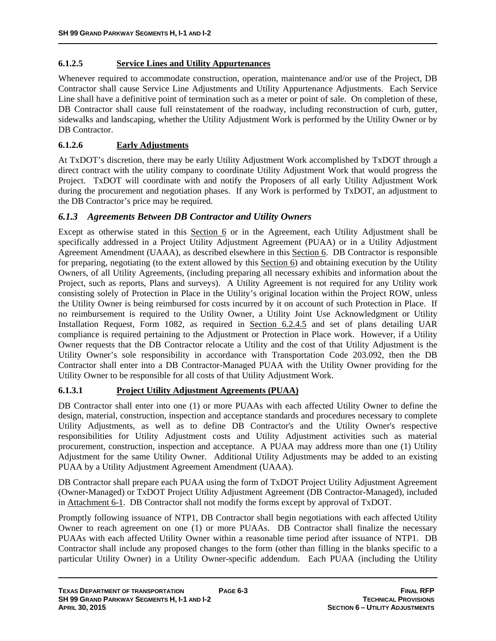### **6.1.2.5 Service Lines and Utility Appurtenances**

Whenever required to accommodate construction, operation, maintenance and/or use of the Project, DB Contractor shall cause Service Line Adjustments and Utility Appurtenance Adjustments. Each Service Line shall have a definitive point of termination such as a meter or point of sale. On completion of these, DB Contractor shall cause full reinstatement of the roadway, including reconstruction of curb, gutter, sidewalks and landscaping, whether the Utility Adjustment Work is performed by the Utility Owner or by DB Contractor.

### **6.1.2.6 Early Adjustments**

At TxDOT's discretion, there may be early Utility Adjustment Work accomplished by TxDOT through a direct contract with the utility company to coordinate Utility Adjustment Work that would progress the Project. TxDOT will coordinate with and notify the Proposers of all early Utility Adjustment Work during the procurement and negotiation phases. If any Work is performed by TxDOT, an adjustment to the DB Contractor's price may be required.

### *6.1.3 Agreements Between DB Contractor and Utility Owners*

Except as otherwise stated in this Section 6 or in the Agreement, each Utility Adjustment shall be specifically addressed in a Project Utility Adjustment Agreement (PUAA) or in a Utility Adjustment Agreement Amendment (UAAA), as described elsewhere in this Section 6. DB Contractor is responsible for preparing, negotiating (to the extent allowed by this Section 6) and obtaining execution by the Utility Owners, of all Utility Agreements, (including preparing all necessary exhibits and information about the Project, such as reports, Plans and surveys). A Utility Agreement is not required for any Utility work consisting solely of Protection in Place in the Utility's original location within the Project ROW, unless the Utility Owner is being reimbursed for costs incurred by it on account of such Protection in Place. If no reimbursement is required to the Utility Owner, a Utility Joint Use Acknowledgment or Utility Installation Request, Form 1082, as required in Section 6.2.4.5 and set of plans detailing UAR compliance is required pertaining to the Adjustment or Protection in Place work. However, if a Utility Owner requests that the DB Contractor relocate a Utility and the cost of that Utility Adjustment is the Utility Owner's sole responsibility in accordance with Transportation Code 203.092, then the DB Contractor shall enter into a DB Contractor-Managed PUAA with the Utility Owner providing for the Utility Owner to be responsible for all costs of that Utility Adjustment Work.

# **6.1.3.1 Project Utility Adjustment Agreements (PUAA)**

DB Contractor shall enter into one (1) or more PUAAs with each affected Utility Owner to define the design, material, construction, inspection and acceptance standards and procedures necessary to complete Utility Adjustments, as well as to define DB Contractor's and the Utility Owner's respective responsibilities for Utility Adjustment costs and Utility Adjustment activities such as material procurement, construction, inspection and acceptance. A PUAA may address more than one (1) Utility Adjustment for the same Utility Owner. Additional Utility Adjustments may be added to an existing PUAA by a Utility Adjustment Agreement Amendment (UAAA).

DB Contractor shall prepare each PUAA using the form of TxDOT Project Utility Adjustment Agreement (Owner-Managed) or TxDOT Project Utility Adjustment Agreement (DB Contractor-Managed), included in Attachment 6-1. DB Contractor shall not modify the forms except by approval of TxDOT.

Promptly following issuance of NTP1, DB Contractor shall begin negotiations with each affected Utility Owner to reach agreement on one (1) or more PUAAs. DB Contractor shall finalize the necessary PUAAs with each affected Utility Owner within a reasonable time period after issuance of NTP1. DB Contractor shall include any proposed changes to the form (other than filling in the blanks specific to a particular Utility Owner) in a Utility Owner-specific addendum. Each PUAA (including the Utility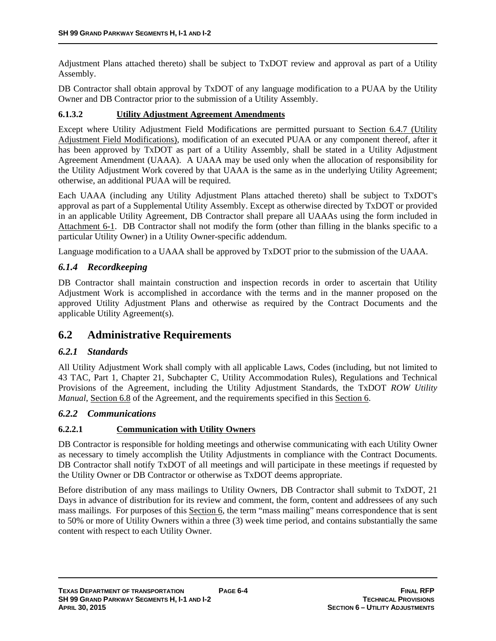Adjustment Plans attached thereto) shall be subject to TxDOT review and approval as part of a Utility Assembly.

DB Contractor shall obtain approval by TxDOT of any language modification to a PUAA by the Utility Owner and DB Contractor prior to the submission of a Utility Assembly.

### **6.1.3.2 Utility Adjustment Agreement Amendments**

Except where Utility Adjustment Field Modifications are permitted pursuant to Section 6.4.7 (Utility Adjustment Field Modifications), modification of an executed PUAA or any component thereof, after it has been approved by TxDOT as part of a Utility Assembly, shall be stated in a Utility Adjustment Agreement Amendment (UAAA). A UAAA may be used only when the allocation of responsibility for the Utility Adjustment Work covered by that UAAA is the same as in the underlying Utility Agreement; otherwise, an additional PUAA will be required.

Each UAAA (including any Utility Adjustment Plans attached thereto) shall be subject to TxDOT's approval as part of a Supplemental Utility Assembly. Except as otherwise directed by TxDOT or provided in an applicable Utility Agreement, DB Contractor shall prepare all UAAAs using the form included in Attachment 6-1. DB Contractor shall not modify the form (other than filling in the blanks specific to a particular Utility Owner) in a Utility Owner-specific addendum.

Language modification to a UAAA shall be approved by TxDOT prior to the submission of the UAAA.

# *6.1.4 Recordkeeping*

DB Contractor shall maintain construction and inspection records in order to ascertain that Utility Adjustment Work is accomplished in accordance with the terms and in the manner proposed on the approved Utility Adjustment Plans and otherwise as required by the Contract Documents and the applicable Utility Agreement(s).

# **6.2 Administrative Requirements**

# *6.2.1 Standards*

All Utility Adjustment Work shall comply with all applicable Laws, Codes (including, but not limited to 43 TAC, Part 1, Chapter 21, Subchapter C, Utility Accommodation Rules), Regulations and Technical Provisions of the Agreement, including the Utility Adjustment Standards, the TxDOT *ROW Utility Manual*, Section 6.8 of the Agreement, and the requirements specified in this Section 6.

### *6.2.2 Communications*

# **6.2.2.1 Communication with Utility Owners**

DB Contractor is responsible for holding meetings and otherwise communicating with each Utility Owner as necessary to timely accomplish the Utility Adjustments in compliance with the Contract Documents. DB Contractor shall notify TxDOT of all meetings and will participate in these meetings if requested by the Utility Owner or DB Contractor or otherwise as TxDOT deems appropriate.

Before distribution of any mass mailings to Utility Owners, DB Contractor shall submit to TxDOT, 21 Days in advance of distribution for its review and comment, the form, content and addressees of any such mass mailings. For purposes of this Section 6, the term "mass mailing" means correspondence that is sent to 50% or more of Utility Owners within a three (3) week time period, and contains substantially the same content with respect to each Utility Owner.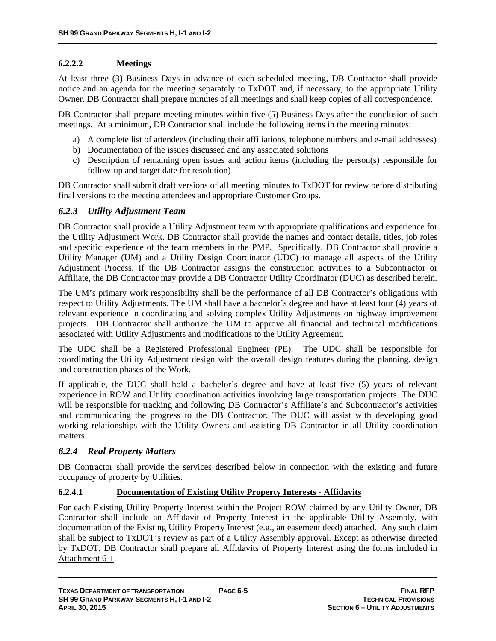# **6.2.2.2 Meetings**

At least three (3) Business Days in advance of each scheduled meeting, DB Contractor shall provide notice and an agenda for the meeting separately to TxDOT and, if necessary, to the appropriate Utility Owner. DB Contractor shall prepare minutes of all meetings and shall keep copies of all correspondence.

DB Contractor shall prepare meeting minutes within five (5) Business Days after the conclusion of such meetings. At a minimum, DB Contractor shall include the following items in the meeting minutes:

- a) A complete list of attendees (including their affiliations, telephone numbers and e-mail addresses)
- b) Documentation of the issues discussed and any associated solutions
- c) Description of remaining open issues and action items (including the person(s) responsible for follow-up and target date for resolution)

DB Contractor shall submit draft versions of all meeting minutes to TxDOT for review before distributing final versions to the meeting attendees and appropriate Customer Groups.

### *6.2.3 Utility Adjustment Team*

DB Contractor shall provide a Utility Adjustment team with appropriate qualifications and experience for the Utility Adjustment Work. DB Contractor shall provide the names and contact details, titles, job roles and specific experience of the team members in the PMP. Specifically, DB Contractor shall provide a Utility Manager (UM) and a Utility Design Coordinator (UDC) to manage all aspects of the Utility Adjustment Process. If the DB Contractor assigns the construction activities to a Subcontractor or Affiliate, the DB Contractor may provide a DB Contractor Utility Coordinator (DUC) as described herein.

The UM's primary work responsibility shall be the performance of all DB Contractor's obligations with respect to Utility Adjustments. The UM shall have a bachelor's degree and have at least four (4) years of relevant experience in coordinating and solving complex Utility Adjustments on highway improvement projects. DB Contractor shall authorize the UM to approve all financial and technical modifications associated with Utility Adjustments and modifications to the Utility Agreement.

The UDC shall be a Registered Professional Engineer (PE). The UDC shall be responsible for coordinating the Utility Adjustment design with the overall design features during the planning, design and construction phases of the Work.

If applicable, the DUC shall hold a bachelor's degree and have at least five (5) years of relevant experience in ROW and Utility coordination activities involving large transportation projects. The DUC will be responsible for tracking and following DB Contractor's Affiliate's and Subcontractor's activities and communicating the progress to the DB Contractor. The DUC will assist with developing good working relationships with the Utility Owners and assisting DB Contractor in all Utility coordination matters.

# *6.2.4 Real Property Matters*

DB Contractor shall provide the services described below in connection with the existing and future occupancy of property by Utilities.

### **6.2.4.1 Documentation of Existing Utility Property Interests - Affidavits**

For each Existing Utility Property Interest within the Project ROW claimed by any Utility Owner, DB Contractor shall include an Affidavit of Property Interest in the applicable Utility Assembly, with documentation of the Existing Utility Property Interest (e.g., an easement deed) attached. Any such claim shall be subject to TxDOT's review as part of a Utility Assembly approval. Except as otherwise directed by TxDOT, DB Contractor shall prepare all Affidavits of Property Interest using the forms included in Attachment 6-1.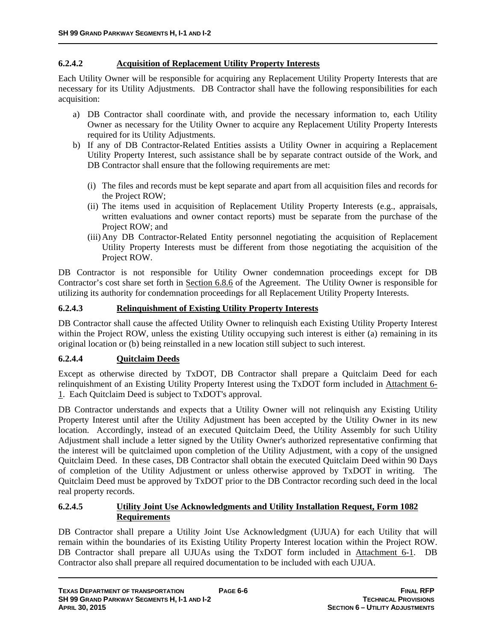### **6.2.4.2 Acquisition of Replacement Utility Property Interests**

Each Utility Owner will be responsible for acquiring any Replacement Utility Property Interests that are necessary for its Utility Adjustments. DB Contractor shall have the following responsibilities for each acquisition:

- a) DB Contractor shall coordinate with, and provide the necessary information to, each Utility Owner as necessary for the Utility Owner to acquire any Replacement Utility Property Interests required for its Utility Adjustments.
- b) If any of DB Contractor-Related Entities assists a Utility Owner in acquiring a Replacement Utility Property Interest, such assistance shall be by separate contract outside of the Work, and DB Contractor shall ensure that the following requirements are met:
	- (i) The files and records must be kept separate and apart from all acquisition files and records for the Project ROW;
	- (ii) The items used in acquisition of Replacement Utility Property Interests (e.g., appraisals, written evaluations and owner contact reports) must be separate from the purchase of the Project ROW; and
	- (iii)Any DB Contractor-Related Entity personnel negotiating the acquisition of Replacement Utility Property Interests must be different from those negotiating the acquisition of the Project ROW.

DB Contractor is not responsible for Utility Owner condemnation proceedings except for DB Contractor's cost share set forth in Section 6.8.6 of the Agreement. The Utility Owner is responsible for utilizing its authority for condemnation proceedings for all Replacement Utility Property Interests.

### **6.2.4.3 Relinquishment of Existing Utility Property Interests**

DB Contractor shall cause the affected Utility Owner to relinquish each Existing Utility Property Interest within the Project ROW, unless the existing Utility occupying such interest is either (a) remaining in its original location or (b) being reinstalled in a new location still subject to such interest.

# **6.2.4.4 Quitclaim Deeds**

Except as otherwise directed by TxDOT, DB Contractor shall prepare a Quitclaim Deed for each relinquishment of an Existing Utility Property Interest using the TxDOT form included in Attachment 6- 1. Each Quitclaim Deed is subject to TxDOT's approval.

DB Contractor understands and expects that a Utility Owner will not relinquish any Existing Utility Property Interest until after the Utility Adjustment has been accepted by the Utility Owner in its new location. Accordingly, instead of an executed Quitclaim Deed, the Utility Assembly for such Utility Adjustment shall include a letter signed by the Utility Owner's authorized representative confirming that the interest will be quitclaimed upon completion of the Utility Adjustment, with a copy of the unsigned Quitclaim Deed. In these cases, DB Contractor shall obtain the executed Quitclaim Deed within 90 Days of completion of the Utility Adjustment or unless otherwise approved by TxDOT in writing. The Quitclaim Deed must be approved by TxDOT prior to the DB Contractor recording such deed in the local real property records.

#### **6.2.4.5 Utility Joint Use Acknowledgments and Utility Installation Request, Form 1082 Requirements**

DB Contractor shall prepare a Utility Joint Use Acknowledgment (UJUA) for each Utility that will remain within the boundaries of its Existing Utility Property Interest location within the Project ROW. DB Contractor shall prepare all UJUAs using the TxDOT form included in Attachment 6-1. DB Contractor also shall prepare all required documentation to be included with each UJUA.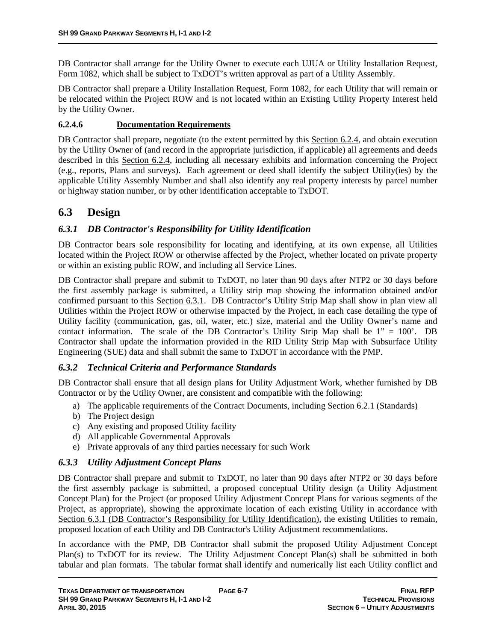DB Contractor shall arrange for the Utility Owner to execute each UJUA or Utility Installation Request, Form 1082, which shall be subject to TxDOT's written approval as part of a Utility Assembly.

DB Contractor shall prepare a Utility Installation Request, Form 1082, for each Utility that will remain or be relocated within the Project ROW and is not located within an Existing Utility Property Interest held by the Utility Owner.

### **6.2.4.6 Documentation Requirements**

DB Contractor shall prepare, negotiate (to the extent permitted by this Section 6.2.4, and obtain execution by the Utility Owner of (and record in the appropriate jurisdiction, if applicable) all agreements and deeds described in this Section 6.2.4, including all necessary exhibits and information concerning the Project (e.g., reports, Plans and surveys). Each agreement or deed shall identify the subject Utility(ies) by the applicable Utility Assembly Number and shall also identify any real property interests by parcel number or highway station number, or by other identification acceptable to TxDOT.

# **6.3 Design**

# *6.3.1 DB Contractor's Responsibility for Utility Identification*

DB Contractor bears sole responsibility for locating and identifying, at its own expense, all Utilities located within the Project ROW or otherwise affected by the Project, whether located on private property or within an existing public ROW, and including all Service Lines.

DB Contractor shall prepare and submit to TxDOT, no later than 90 days after NTP2 or 30 days before the first assembly package is submitted, a Utility strip map showing the information obtained and/or confirmed pursuant to this Section 6.3.1. DB Contractor's Utility Strip Map shall show in plan view all Utilities within the Project ROW or otherwise impacted by the Project, in each case detailing the type of Utility facility (communication, gas, oil, water, etc.) size, material and the Utility Owner's name and contact information. The scale of the DB Contractor's Utility Strip Map shall be  $1'' = 100'$ . DB Contractor shall update the information provided in the RID Utility Strip Map with Subsurface Utility Engineering (SUE) data and shall submit the same to TxDOT in accordance with the PMP.

# *6.3.2 Technical Criteria and Performance Standards*

DB Contractor shall ensure that all design plans for Utility Adjustment Work, whether furnished by DB Contractor or by the Utility Owner, are consistent and compatible with the following:

- a) The applicable requirements of the Contract Documents, including Section 6.2.1 (Standards)
- b) The Project design
- c) Any existing and proposed Utility facility
- d) All applicable Governmental Approvals
- e) Private approvals of any third parties necessary for such Work

# *6.3.3 Utility Adjustment Concept Plans*

DB Contractor shall prepare and submit to TxDOT, no later than 90 days after NTP2 or 30 days before the first assembly package is submitted, a proposed conceptual Utility design (a Utility Adjustment Concept Plan) for the Project (or proposed Utility Adjustment Concept Plans for various segments of the Project, as appropriate), showing the approximate location of each existing Utility in accordance with Section 6.3.1 (DB Contractor's Responsibility for Utility Identification), the existing Utilities to remain, proposed location of each Utility and DB Contractor's Utility Adjustment recommendations.

In accordance with the PMP, DB Contractor shall submit the proposed Utility Adjustment Concept Plan(s) to TxDOT for its review. The Utility Adjustment Concept Plan(s) shall be submitted in both tabular and plan formats. The tabular format shall identify and numerically list each Utility conflict and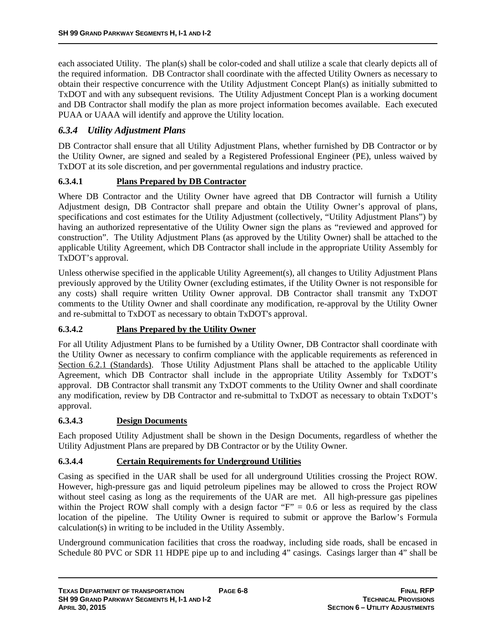each associated Utility. The plan(s) shall be color-coded and shall utilize a scale that clearly depicts all of the required information. DB Contractor shall coordinate with the affected Utility Owners as necessary to obtain their respective concurrence with the Utility Adjustment Concept Plan(s) as initially submitted to TxDOT and with any subsequent revisions. The Utility Adjustment Concept Plan is a working document and DB Contractor shall modify the plan as more project information becomes available. Each executed PUAA or UAAA will identify and approve the Utility location.

# *6.3.4 Utility Adjustment Plans*

DB Contractor shall ensure that all Utility Adjustment Plans, whether furnished by DB Contractor or by the Utility Owner, are signed and sealed by a Registered Professional Engineer (PE), unless waived by TxDOT at its sole discretion, and per governmental regulations and industry practice.

### **6.3.4.1 Plans Prepared by DB Contractor**

Where DB Contractor and the Utility Owner have agreed that DB Contractor will furnish a Utility Adjustment design, DB Contractor shall prepare and obtain the Utility Owner's approval of plans, specifications and cost estimates for the Utility Adjustment (collectively, "Utility Adjustment Plans") by having an authorized representative of the Utility Owner sign the plans as "reviewed and approved for construction". The Utility Adjustment Plans (as approved by the Utility Owner) shall be attached to the applicable Utility Agreement, which DB Contractor shall include in the appropriate Utility Assembly for TxDOT's approval.

Unless otherwise specified in the applicable Utility Agreement(s), all changes to Utility Adjustment Plans previously approved by the Utility Owner (excluding estimates, if the Utility Owner is not responsible for any costs) shall require written Utility Owner approval. DB Contractor shall transmit any TxDOT comments to the Utility Owner and shall coordinate any modification, re-approval by the Utility Owner and re-submittal to TxDOT as necessary to obtain TxDOT's approval.

### **6.3.4.2 Plans Prepared by the Utility Owner**

For all Utility Adjustment Plans to be furnished by a Utility Owner, DB Contractor shall coordinate with the Utility Owner as necessary to confirm compliance with the applicable requirements as referenced in Section 6.2.1 (Standards). Those Utility Adjustment Plans shall be attached to the applicable Utility Agreement, which DB Contractor shall include in the appropriate Utility Assembly for TxDOT's approval. DB Contractor shall transmit any TxDOT comments to the Utility Owner and shall coordinate any modification, review by DB Contractor and re-submittal to TxDOT as necessary to obtain TxDOT's approval.

### **6.3.4.3 Design Documents**

Each proposed Utility Adjustment shall be shown in the Design Documents, regardless of whether the Utility Adjustment Plans are prepared by DB Contractor or by the Utility Owner.

### **6.3.4.4 Certain Requirements for Underground Utilities**

Casing as specified in the UAR shall be used for all underground Utilities crossing the Project ROW. However, high-pressure gas and liquid petroleum pipelines may be allowed to cross the Project ROW without steel casing as long as the requirements of the UAR are met. All high-pressure gas pipelines within the Project ROW shall comply with a design factor " $F$ " = 0.6 or less as required by the class location of the pipeline. The Utility Owner is required to submit or approve the Barlow's Formula calculation(s) in writing to be included in the Utility Assembly.

Underground communication facilities that cross the roadway, including side roads, shall be encased in Schedule 80 PVC or SDR 11 HDPE pipe up to and including 4" casings. Casings larger than 4" shall be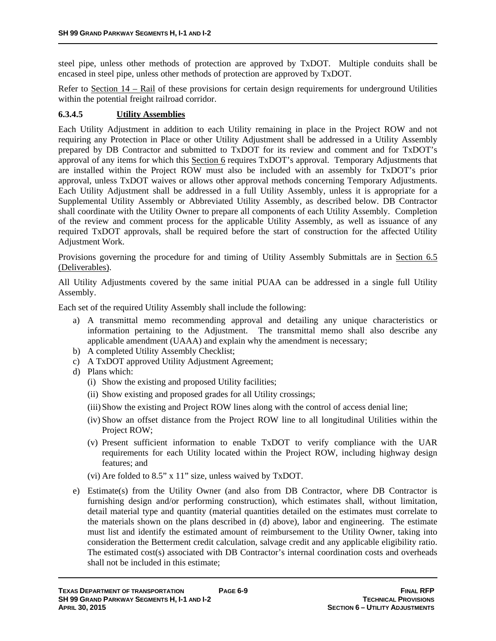steel pipe, unless other methods of protection are approved by TxDOT. Multiple conduits shall be encased in steel pipe, unless other methods of protection are approved by TxDOT.

Refer to Section 14 – Rail of these provisions for certain design requirements for underground Utilities within the potential freight railroad corridor.

### **6.3.4.5 Utility Assemblies**

Each Utility Adjustment in addition to each Utility remaining in place in the Project ROW and not requiring any Protection in Place or other Utility Adjustment shall be addressed in a Utility Assembly prepared by DB Contractor and submitted to TxDOT for its review and comment and for TxDOT's approval of any items for which this Section 6 requires TxDOT's approval. Temporary Adjustments that are installed within the Project ROW must also be included with an assembly for TxDOT's prior approval, unless TxDOT waives or allows other approval methods concerning Temporary Adjustments. Each Utility Adjustment shall be addressed in a full Utility Assembly, unless it is appropriate for a Supplemental Utility Assembly or Abbreviated Utility Assembly, as described below. DB Contractor shall coordinate with the Utility Owner to prepare all components of each Utility Assembly. Completion of the review and comment process for the applicable Utility Assembly, as well as issuance of any required TxDOT approvals, shall be required before the start of construction for the affected Utility Adjustment Work.

Provisions governing the procedure for and timing of Utility Assembly Submittals are in Section 6.5 (Deliverables).

All Utility Adjustments covered by the same initial PUAA can be addressed in a single full Utility Assembly.

Each set of the required Utility Assembly shall include the following:

- a) A transmittal memo recommending approval and detailing any unique characteristics or information pertaining to the Adjustment. The transmittal memo shall also describe any applicable amendment (UAAA) and explain why the amendment is necessary;
- b) A completed Utility Assembly Checklist;
- c) A TxDOT approved Utility Adjustment Agreement;
- d) Plans which:
	- (i) Show the existing and proposed Utility facilities;
	- (ii) Show existing and proposed grades for all Utility crossings;
	- (iii)Show the existing and Project ROW lines along with the control of access denial line;
	- (iv) Show an offset distance from the Project ROW line to all longitudinal Utilities within the Project ROW;
	- (v) Present sufficient information to enable TxDOT to verify compliance with the UAR requirements for each Utility located within the Project ROW, including highway design features; and
	- (vi) Are folded to 8.5" x 11" size, unless waived by TxDOT.
- e) Estimate(s) from the Utility Owner (and also from DB Contractor, where DB Contractor is furnishing design and/or performing construction), which estimates shall, without limitation, detail material type and quantity (material quantities detailed on the estimates must correlate to the materials shown on the plans described in (d) above), labor and engineering. The estimate must list and identify the estimated amount of reimbursement to the Utility Owner, taking into consideration the Betterment credit calculation, salvage credit and any applicable eligibility ratio. The estimated cost(s) associated with DB Contractor's internal coordination costs and overheads shall not be included in this estimate;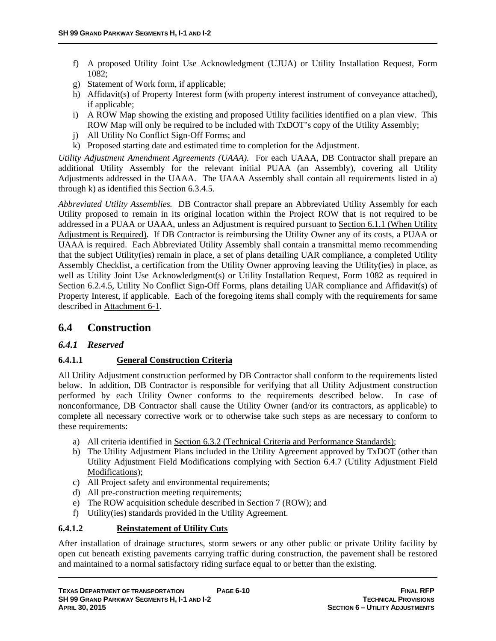- f) A proposed Utility Joint Use Acknowledgment (UJUA) or Utility Installation Request, Form 1082;
- g) Statement of Work form, if applicable;
- h) Affidavit(s) of Property Interest form (with property interest instrument of conveyance attached), if applicable;
- i) A ROW Map showing the existing and proposed Utility facilities identified on a plan view. This ROW Map will only be required to be included with TxDOT's copy of the Utility Assembly;
- j) All Utility No Conflict Sign-Off Forms; and
- k) Proposed starting date and estimated time to completion for the Adjustment.

*Utility Adjustment Amendment Agreements (UAAA).* For each UAAA, DB Contractor shall prepare an additional Utility Assembly for the relevant initial PUAA (an Assembly), covering all Utility Adjustments addressed in the UAAA. The UAAA Assembly shall contain all requirements listed in a) through k) as identified this Section 6.3.4.5.

*Abbreviated Utility Assemblies.* DB Contractor shall prepare an Abbreviated Utility Assembly for each Utility proposed to remain in its original location within the Project ROW that is not required to be addressed in a PUAA or UAAA, unless an Adjustment is required pursuant to Section 6.1.1 (When Utility Adjustment is Required). If DB Contractor is reimbursing the Utility Owner any of its costs, a PUAA or UAAA is required. Each Abbreviated Utility Assembly shall contain a transmittal memo recommending that the subject Utility(ies) remain in place, a set of plans detailing UAR compliance, a completed Utility Assembly Checklist, a certification from the Utility Owner approving leaving the Utility(ies) in place, as well as Utility Joint Use Acknowledgment(s) or Utility Installation Request, Form 1082 as required in Section 6.2.4.5, Utility No Conflict Sign-Off Forms, plans detailing UAR compliance and Affidavit(s) of Property Interest, if applicable. Each of the foregoing items shall comply with the requirements for same described in Attachment 6-1.

# **6.4 Construction**

# *6.4.1 Reserved*

# **6.4.1.1 General Construction Criteria**

All Utility Adjustment construction performed by DB Contractor shall conform to the requirements listed below. In addition, DB Contractor is responsible for verifying that all Utility Adjustment construction performed by each Utility Owner conforms to the requirements described below. In case of nonconformance, DB Contractor shall cause the Utility Owner (and/or its contractors, as applicable) to complete all necessary corrective work or to otherwise take such steps as are necessary to conform to these requirements:

- a) All criteria identified in Section 6.3.2 (Technical Criteria and Performance Standards);
- b) The Utility Adjustment Plans included in the Utility Agreement approved by TxDOT (other than Utility Adjustment Field Modifications complying with Section 6.4.7 (Utility Adjustment Field Modifications);
- c) All Project safety and environmental requirements;
- d) All pre-construction meeting requirements;
- e) The ROW acquisition schedule described in Section 7 (ROW); and
- f) Utility(ies) standards provided in the Utility Agreement.

### **6.4.1.2 Reinstatement of Utility Cuts**

After installation of drainage structures, storm sewers or any other public or private Utility facility by open cut beneath existing pavements carrying traffic during construction, the pavement shall be restored and maintained to a normal satisfactory riding surface equal to or better than the existing.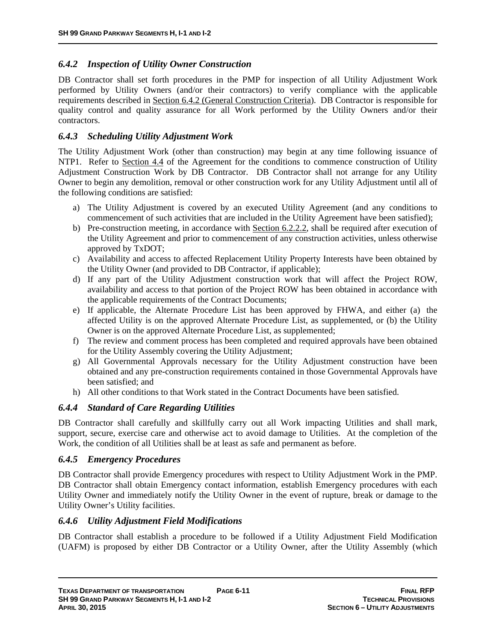# *6.4.2 Inspection of Utility Owner Construction*

DB Contractor shall set forth procedures in the PMP for inspection of all Utility Adjustment Work performed by Utility Owners (and/or their contractors) to verify compliance with the applicable requirements described in Section 6.4.2 (General Construction Criteria). DB Contractor is responsible for quality control and quality assurance for all Work performed by the Utility Owners and/or their contractors.

# *6.4.3 Scheduling Utility Adjustment Work*

The Utility Adjustment Work (other than construction) may begin at any time following issuance of NTP1. Refer to Section 4.4 of the Agreement for the conditions to commence construction of Utility Adjustment Construction Work by DB Contractor. DB Contractor shall not arrange for any Utility Owner to begin any demolition, removal or other construction work for any Utility Adjustment until all of the following conditions are satisfied:

- a) The Utility Adjustment is covered by an executed Utility Agreement (and any conditions to commencement of such activities that are included in the Utility Agreement have been satisfied);
- b) Pre-construction meeting, in accordance with Section 6.2.2.2, shall be required after execution of the Utility Agreement and prior to commencement of any construction activities, unless otherwise approved by TxDOT;
- c) Availability and access to affected Replacement Utility Property Interests have been obtained by the Utility Owner (and provided to DB Contractor, if applicable);
- d) If any part of the Utility Adjustment construction work that will affect the Project ROW, availability and access to that portion of the Project ROW has been obtained in accordance with the applicable requirements of the Contract Documents;
- e) If applicable, the Alternate Procedure List has been approved by FHWA, and either (a) the affected Utility is on the approved Alternate Procedure List, as supplemented, or (b) the Utility Owner is on the approved Alternate Procedure List, as supplemented;
- f) The review and comment process has been completed and required approvals have been obtained for the Utility Assembly covering the Utility Adjustment;
- g) All Governmental Approvals necessary for the Utility Adjustment construction have been obtained and any pre-construction requirements contained in those Governmental Approvals have been satisfied; and
- h) All other conditions to that Work stated in the Contract Documents have been satisfied.

# *6.4.4 Standard of Care Regarding Utilities*

DB Contractor shall carefully and skillfully carry out all Work impacting Utilities and shall mark, support, secure, exercise care and otherwise act to avoid damage to Utilities. At the completion of the Work, the condition of all Utilities shall be at least as safe and permanent as before.

# *6.4.5 Emergency Procedures*

DB Contractor shall provide Emergency procedures with respect to Utility Adjustment Work in the PMP. DB Contractor shall obtain Emergency contact information, establish Emergency procedures with each Utility Owner and immediately notify the Utility Owner in the event of rupture, break or damage to the Utility Owner's Utility facilities.

# *6.4.6 Utility Adjustment Field Modifications*

DB Contractor shall establish a procedure to be followed if a Utility Adjustment Field Modification (UAFM) is proposed by either DB Contractor or a Utility Owner, after the Utility Assembly (which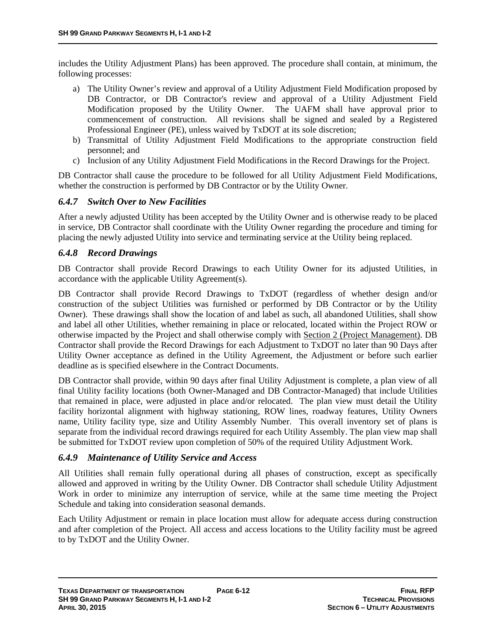includes the Utility Adjustment Plans) has been approved. The procedure shall contain, at minimum, the following processes:

- a) The Utility Owner's review and approval of a Utility Adjustment Field Modification proposed by DB Contractor, or DB Contractor's review and approval of a Utility Adjustment Field Modification proposed by the Utility Owner. The UAFM shall have approval prior to commencement of construction. All revisions shall be signed and sealed by a Registered Professional Engineer (PE), unless waived by TxDOT at its sole discretion;
- b) Transmittal of Utility Adjustment Field Modifications to the appropriate construction field personnel; and
- c) Inclusion of any Utility Adjustment Field Modifications in the Record Drawings for the Project.

DB Contractor shall cause the procedure to be followed for all Utility Adjustment Field Modifications, whether the construction is performed by DB Contractor or by the Utility Owner.

### *6.4.7 Switch Over to New Facilities*

After a newly adjusted Utility has been accepted by the Utility Owner and is otherwise ready to be placed in service, DB Contractor shall coordinate with the Utility Owner regarding the procedure and timing for placing the newly adjusted Utility into service and terminating service at the Utility being replaced.

### *6.4.8 Record Drawings*

DB Contractor shall provide Record Drawings to each Utility Owner for its adjusted Utilities, in accordance with the applicable Utility Agreement(s).

DB Contractor shall provide Record Drawings to TxDOT (regardless of whether design and/or construction of the subject Utilities was furnished or performed by DB Contractor or by the Utility Owner). These drawings shall show the location of and label as such, all abandoned Utilities, shall show and label all other Utilities, whether remaining in place or relocated, located within the Project ROW or otherwise impacted by the Project and shall otherwise comply with Section 2 (Project Management). DB Contractor shall provide the Record Drawings for each Adjustment to TxDOT no later than 90 Days after Utility Owner acceptance as defined in the Utility Agreement, the Adjustment or before such earlier deadline as is specified elsewhere in the Contract Documents.

DB Contractor shall provide, within 90 days after final Utility Adjustment is complete, a plan view of all final Utility facility locations (both Owner-Managed and DB Contractor-Managed) that include Utilities that remained in place, were adjusted in place and/or relocated. The plan view must detail the Utility facility horizontal alignment with highway stationing, ROW lines, roadway features, Utility Owners name, Utility facility type, size and Utility Assembly Number. This overall inventory set of plans is separate from the individual record drawings required for each Utility Assembly. The plan view map shall be submitted for TxDOT review upon completion of 50% of the required Utility Adjustment Work.

### *6.4.9 Maintenance of Utility Service and Access*

All Utilities shall remain fully operational during all phases of construction, except as specifically allowed and approved in writing by the Utility Owner. DB Contractor shall schedule Utility Adjustment Work in order to minimize any interruption of service, while at the same time meeting the Project Schedule and taking into consideration seasonal demands.

Each Utility Adjustment or remain in place location must allow for adequate access during construction and after completion of the Project. All access and access locations to the Utility facility must be agreed to by TxDOT and the Utility Owner.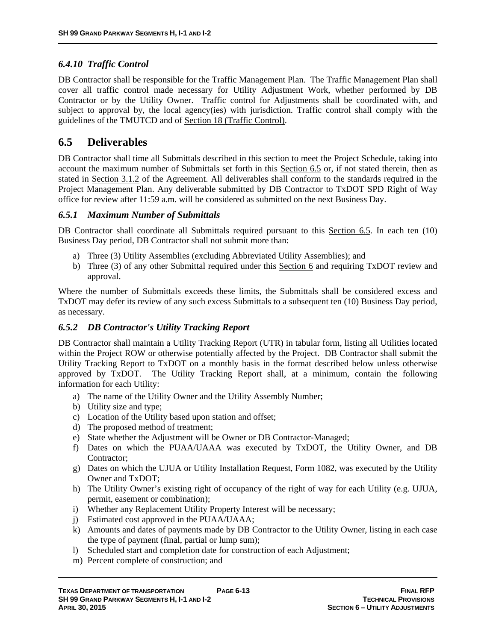# *6.4.10 Traffic Control*

DB Contractor shall be responsible for the Traffic Management Plan. The Traffic Management Plan shall cover all traffic control made necessary for Utility Adjustment Work, whether performed by DB Contractor or by the Utility Owner. Traffic control for Adjustments shall be coordinated with, and subject to approval by, the local agency(ies) with jurisdiction. Traffic control shall comply with the guidelines of the TMUTCD and of Section 18 (Traffic Control).

# **6.5 Deliverables**

DB Contractor shall time all Submittals described in this section to meet the Project Schedule, taking into account the maximum number of Submittals set forth in this Section 6.5 or, if not stated therein, then as stated in Section 3.1.2 of the Agreement. All deliverables shall conform to the standards required in the Project Management Plan. Any deliverable submitted by DB Contractor to TxDOT SPD Right of Way office for review after 11:59 a.m. will be considered as submitted on the next Business Day.

### *6.5.1 Maximum Number of Submittals*

DB Contractor shall coordinate all Submittals required pursuant to this Section 6.5. In each ten (10) Business Day period, DB Contractor shall not submit more than:

- a) Three (3) Utility Assemblies (excluding Abbreviated Utility Assemblies); and
- b) Three (3) of any other Submittal required under this Section 6 and requiring TxDOT review and approval.

Where the number of Submittals exceeds these limits, the Submittals shall be considered excess and TxDOT may defer its review of any such excess Submittals to a subsequent ten (10) Business Day period, as necessary.

# *6.5.2 DB Contractor's Utility Tracking Report*

DB Contractor shall maintain a Utility Tracking Report (UTR) in tabular form, listing all Utilities located within the Project ROW or otherwise potentially affected by the Project. DB Contractor shall submit the Utility Tracking Report to TxDOT on a monthly basis in the format described below unless otherwise approved by TxDOT. The Utility Tracking Report shall, at a minimum, contain the following information for each Utility:

- a) The name of the Utility Owner and the Utility Assembly Number;
- b) Utility size and type;
- c) Location of the Utility based upon station and offset;
- d) The proposed method of treatment;
- e) State whether the Adjustment will be Owner or DB Contractor-Managed;
- f) Dates on which the PUAA/UAAA was executed by TxDOT, the Utility Owner, and DB Contractor;
- g) Dates on which the UJUA or Utility Installation Request, Form 1082, was executed by the Utility Owner and TxDOT;
- h) The Utility Owner's existing right of occupancy of the right of way for each Utility (e.g. UJUA, permit, easement or combination);
- i) Whether any Replacement Utility Property Interest will be necessary;
- j) Estimated cost approved in the PUAA/UAAA;
- k) Amounts and dates of payments made by DB Contractor to the Utility Owner, listing in each case the type of payment (final, partial or lump sum);
- l) Scheduled start and completion date for construction of each Adjustment;
- m) Percent complete of construction; and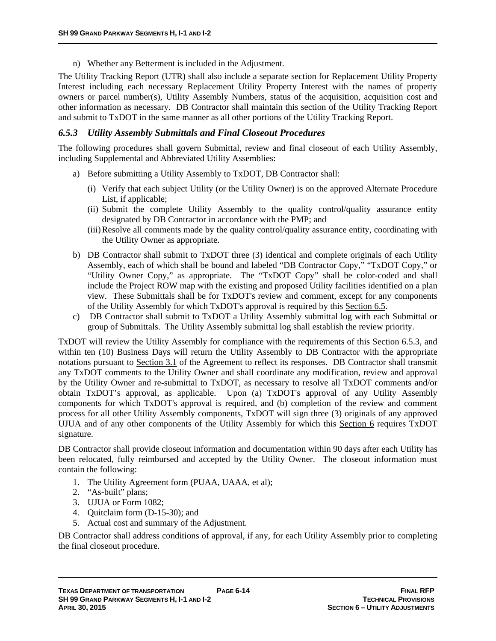n) Whether any Betterment is included in the Adjustment.

The Utility Tracking Report (UTR) shall also include a separate section for Replacement Utility Property Interest including each necessary Replacement Utility Property Interest with the names of property owners or parcel number(s), Utility Assembly Numbers, status of the acquisition, acquisition cost and other information as necessary. DB Contractor shall maintain this section of the Utility Tracking Report and submit to TxDOT in the same manner as all other portions of the Utility Tracking Report.

### *6.5.3 Utility Assembly Submittals and Final Closeout Procedures*

The following procedures shall govern Submittal, review and final closeout of each Utility Assembly, including Supplemental and Abbreviated Utility Assemblies:

- a) Before submitting a Utility Assembly to TxDOT, DB Contractor shall:
	- (i) Verify that each subject Utility (or the Utility Owner) is on the approved Alternate Procedure List, if applicable;
	- (ii) Submit the complete Utility Assembly to the quality control/quality assurance entity designated by DB Contractor in accordance with the PMP; and
	- (iii)Resolve all comments made by the quality control/quality assurance entity, coordinating with the Utility Owner as appropriate.
- b) DB Contractor shall submit to TxDOT three (3) identical and complete originals of each Utility Assembly, each of which shall be bound and labeled "DB Contractor Copy," "TxDOT Copy," or "Utility Owner Copy," as appropriate. The "TxDOT Copy" shall be color-coded and shall include the Project ROW map with the existing and proposed Utility facilities identified on a plan view. These Submittals shall be for TxDOT's review and comment, except for any components of the Utility Assembly for which TxDOT's approval is required by this Section 6.5.
- c) DB Contractor shall submit to TxDOT a Utility Assembly submittal log with each Submittal or group of Submittals. The Utility Assembly submittal log shall establish the review priority.

TxDOT will review the Utility Assembly for compliance with the requirements of this Section 6.5.3, and within ten (10) Business Days will return the Utility Assembly to DB Contractor with the appropriate notations pursuant to Section 3.1 of the Agreement to reflect its responses. DB Contractor shall transmit any TxDOT comments to the Utility Owner and shall coordinate any modification, review and approval by the Utility Owner and re-submittal to TxDOT, as necessary to resolve all TxDOT comments and/or obtain TxDOT's approval, as applicable. Upon (a) TxDOT's approval of any Utility Assembly components for which TxDOT's approval is required, and (b) completion of the review and comment process for all other Utility Assembly components, TxDOT will sign three (3) originals of any approved UJUA and of any other components of the Utility Assembly for which this Section 6 requires TxDOT signature.

DB Contractor shall provide closeout information and documentation within 90 days after each Utility has been relocated, fully reimbursed and accepted by the Utility Owner. The closeout information must contain the following:

- 1. The Utility Agreement form (PUAA, UAAA, et al);
- 2. "As-built" plans;
- 3. UJUA or Form 1082;
- 4. Quitclaim form (D-15-30); and
- 5. Actual cost and summary of the Adjustment.

DB Contractor shall address conditions of approval, if any, for each Utility Assembly prior to completing the final closeout procedure.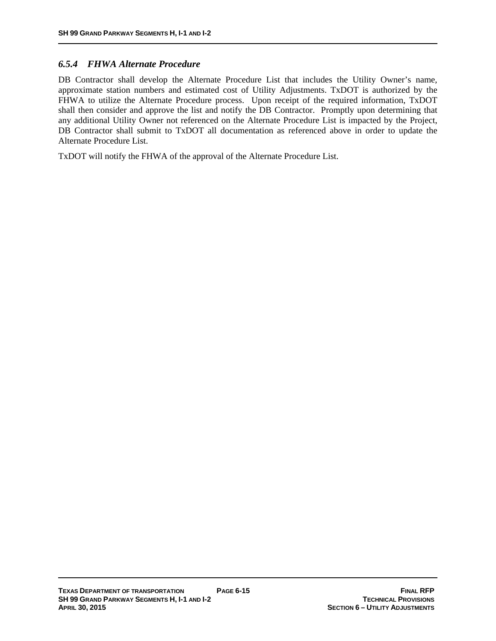### *6.5.4 FHWA Alternate Procedure*

DB Contractor shall develop the Alternate Procedure List that includes the Utility Owner's name, approximate station numbers and estimated cost of Utility Adjustments. TxDOT is authorized by the FHWA to utilize the Alternate Procedure process. Upon receipt of the required information, TxDOT shall then consider and approve the list and notify the DB Contractor. Promptly upon determining that any additional Utility Owner not referenced on the Alternate Procedure List is impacted by the Project, DB Contractor shall submit to TxDOT all documentation as referenced above in order to update the Alternate Procedure List.

TxDOT will notify the FHWA of the approval of the Alternate Procedure List.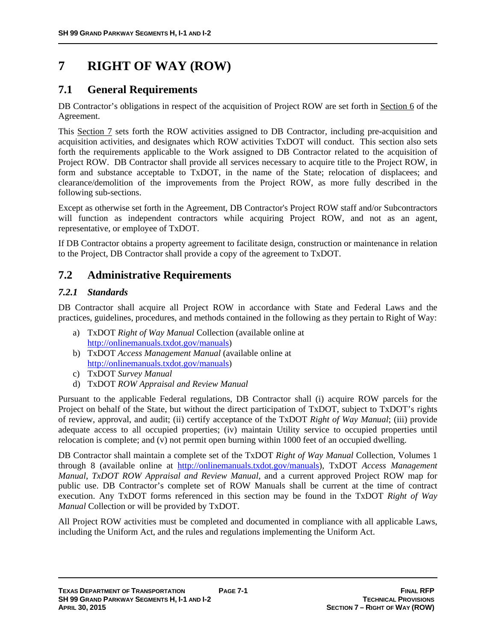# **7 RIGHT OF WAY (ROW)**

# **7.1 General Requirements**

DB Contractor's obligations in respect of the acquisition of Project ROW are set forth in Section 6 of the Agreement.

This Section 7 sets forth the ROW activities assigned to DB Contractor, including pre-acquisition and acquisition activities, and designates which ROW activities TxDOT will conduct. This section also sets forth the requirements applicable to the Work assigned to DB Contractor related to the acquisition of Project ROW. DB Contractor shall provide all services necessary to acquire title to the Project ROW, in form and substance acceptable to TxDOT, in the name of the State; relocation of displacees; and clearance/demolition of the improvements from the Project ROW, as more fully described in the following sub-sections.

Except as otherwise set forth in the Agreement, DB Contractor's Project ROW staff and/or Subcontractors will function as independent contractors while acquiring Project ROW, and not as an agent, representative, or employee of TxDOT.

If DB Contractor obtains a property agreement to facilitate design, construction or maintenance in relation to the Project, DB Contractor shall provide a copy of the agreement to TxDOT.

# **7.2 Administrative Requirements**

# *7.2.1 Standards*

DB Contractor shall acquire all Project ROW in accordance with State and Federal Laws and the practices, guidelines, procedures, and methods contained in the following as they pertain to Right of Way:

- a) TxDOT *Right of Way Manual* Collection (available online at http://onlinemanuals.txdot.gov/manuals)
- b) TxDOT *Access Management Manual* (available online at http://onlinemanuals.txdot.gov/manuals)
- c) TxDOT *Survey Manual*
- d) TxDOT *ROW Appraisal and Review Manual*

Pursuant to the applicable Federal regulations, DB Contractor shall (i) acquire ROW parcels for the Project on behalf of the State, but without the direct participation of TxDOT, subject to TxDOT's rights of review, approval, and audit; (ii) certify acceptance of the TxDOT *Right of Way Manual*; (iii) provide adequate access to all occupied properties; (iv) maintain Utility service to occupied properties until relocation is complete; and (v) not permit open burning within 1000 feet of an occupied dwelling.

DB Contractor shall maintain a complete set of the TxDOT *Right of Way Manual* Collection, Volumes 1 through 8 (available online at http://onlinemanuals.txdot.gov/manuals), TxDOT *Access Management Manual*, *TxDOT ROW Appraisal and Review Manual*, and a current approved Project ROW map for public use. DB Contractor's complete set of ROW Manuals shall be current at the time of contract execution. Any TxDOT forms referenced in this section may be found in the TxDOT *Right of Way Manual* Collection or will be provided by TxDOT.

All Project ROW activities must be completed and documented in compliance with all applicable Laws, including the Uniform Act, and the rules and regulations implementing the Uniform Act.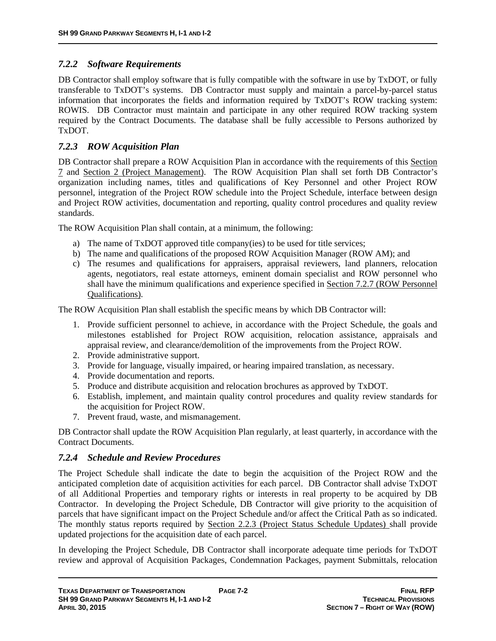# *7.2.2 Software Requirements*

DB Contractor shall employ software that is fully compatible with the software in use by TxDOT, or fully transferable to TxDOT's systems. DB Contractor must supply and maintain a parcel-by-parcel status information that incorporates the fields and information required by TxDOT's ROW tracking system: ROWIS. DB Contractor must maintain and participate in any other required ROW tracking system required by the Contract Documents. The database shall be fully accessible to Persons authorized by TxDOT.

# *7.2.3 ROW Acquisition Plan*

DB Contractor shall prepare a ROW Acquisition Plan in accordance with the requirements of this Section 7 and Section 2 (Project Management). The ROW Acquisition Plan shall set forth DB Contractor's organization including names, titles and qualifications of Key Personnel and other Project ROW personnel, integration of the Project ROW schedule into the Project Schedule, interface between design and Project ROW activities, documentation and reporting, quality control procedures and quality review standards.

The ROW Acquisition Plan shall contain, at a minimum, the following:

- a) The name of TxDOT approved title company(ies) to be used for title services;
- b) The name and qualifications of the proposed ROW Acquisition Manager (ROW AM); and
- c) The resumes and qualifications for appraisers, appraisal reviewers, land planners, relocation agents, negotiators, real estate attorneys, eminent domain specialist and ROW personnel who shall have the minimum qualifications and experience specified in Section 7.2.7 (ROW Personnel Qualifications).

The ROW Acquisition Plan shall establish the specific means by which DB Contractor will:

- 1. Provide sufficient personnel to achieve, in accordance with the Project Schedule, the goals and milestones established for Project ROW acquisition, relocation assistance, appraisals and appraisal review, and clearance/demolition of the improvements from the Project ROW.
- 2. Provide administrative support.
- 3. Provide for language, visually impaired, or hearing impaired translation, as necessary.
- 4. Provide documentation and reports.
- 5. Produce and distribute acquisition and relocation brochures as approved by TxDOT.
- 6. Establish, implement, and maintain quality control procedures and quality review standards for the acquisition for Project ROW.
- 7. Prevent fraud, waste, and mismanagement.

DB Contractor shall update the ROW Acquisition Plan regularly, at least quarterly, in accordance with the Contract Documents.

# *7.2.4 Schedule and Review Procedures*

The Project Schedule shall indicate the date to begin the acquisition of the Project ROW and the anticipated completion date of acquisition activities for each parcel. DB Contractor shall advise TxDOT of all Additional Properties and temporary rights or interests in real property to be acquired by DB Contractor. In developing the Project Schedule, DB Contractor will give priority to the acquisition of parcels that have significant impact on the Project Schedule and/or affect the Critical Path as so indicated. The monthly status reports required by Section 2.2.3 (Project Status Schedule Updates) shall provide updated projections for the acquisition date of each parcel.

In developing the Project Schedule, DB Contractor shall incorporate adequate time periods for TxDOT review and approval of Acquisition Packages, Condemnation Packages, payment Submittals, relocation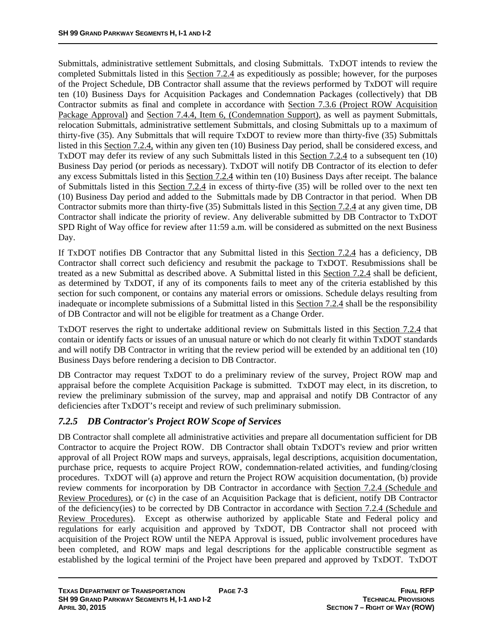Submittals, administrative settlement Submittals, and closing Submittals. TxDOT intends to review the completed Submittals listed in this Section 7.2.4 as expeditiously as possible; however, for the purposes of the Project Schedule, DB Contractor shall assume that the reviews performed by TxDOT will require ten (10) Business Days for Acquisition Packages and Condemnation Packages (collectively) that DB Contractor submits as final and complete in accordance with Section 7.3.6 (Project ROW Acquisition Package Approval) and Section 7.4.4, Item 6, (Condemnation Support), as well as payment Submittals, relocation Submittals, administrative settlement Submittals, and closing Submittals up to a maximum of thirty-five (35). Any Submittals that will require TxDOT to review more than thirty-five (35) Submittals listed in this Section 7.2.4, within any given ten (10) Business Day period, shall be considered excess, and TxDOT may defer its review of any such Submittals listed in this Section 7.2.4 to a subsequent ten (10) Business Day period (or periods as necessary). TxDOT will notify DB Contractor of its election to defer any excess Submittals listed in this Section 7.2.4 within ten (10) Business Days after receipt. The balance of Submittals listed in this Section 7.2.4 in excess of thirty-five (35) will be rolled over to the next ten (10) Business Day period and added to the Submittals made by DB Contractor in that period. When DB Contractor submits more than thirty-five (35) Submittals listed in this Section 7.2.4 at any given time, DB Contractor shall indicate the priority of review. Any deliverable submitted by DB Contractor to TxDOT SPD Right of Way office for review after 11:59 a.m. will be considered as submitted on the next Business Day.

If TxDOT notifies DB Contractor that any Submittal listed in this Section 7.2.4 has a deficiency, DB Contractor shall correct such deficiency and resubmit the package to TxDOT. Resubmissions shall be treated as a new Submittal as described above. A Submittal listed in this Section 7.2.4 shall be deficient, as determined by TxDOT, if any of its components fails to meet any of the criteria established by this section for such component, or contains any material errors or omissions. Schedule delays resulting from inadequate or incomplete submissions of a Submittal listed in this Section 7.2.4 shall be the responsibility of DB Contractor and will not be eligible for treatment as a Change Order.

TxDOT reserves the right to undertake additional review on Submittals listed in this Section 7.2.4 that contain or identify facts or issues of an unusual nature or which do not clearly fit within TxDOT standards and will notify DB Contractor in writing that the review period will be extended by an additional ten (10) Business Days before rendering a decision to DB Contractor.

DB Contractor may request TxDOT to do a preliminary review of the survey, Project ROW map and appraisal before the complete Acquisition Package is submitted. TxDOT may elect, in its discretion, to review the preliminary submission of the survey, map and appraisal and notify DB Contractor of any deficiencies after TxDOT's receipt and review of such preliminary submission.

# *7.2.5 DB Contractor's Project ROW Scope of Services*

DB Contractor shall complete all administrative activities and prepare all documentation sufficient for DB Contractor to acquire the Project ROW. DB Contractor shall obtain TxDOT's review and prior written approval of all Project ROW maps and surveys, appraisals, legal descriptions, acquisition documentation, purchase price, requests to acquire Project ROW, condemnation-related activities, and funding/closing procedures. TxDOT will (a) approve and return the Project ROW acquisition documentation, (b) provide review comments for incorporation by DB Contractor in accordance with Section 7.2.4 (Schedule and Review Procedures), or (c) in the case of an Acquisition Package that is deficient, notify DB Contractor of the deficiency(ies) to be corrected by DB Contractor in accordance with Section 7.2.4 (Schedule and Review Procedures). Except as otherwise authorized by applicable State and Federal policy and regulations for early acquisition and approved by TxDOT, DB Contractor shall not proceed with acquisition of the Project ROW until the NEPA Approval is issued, public involvement procedures have been completed, and ROW maps and legal descriptions for the applicable constructible segment as established by the logical termini of the Project have been prepared and approved by TxDOT. TxDOT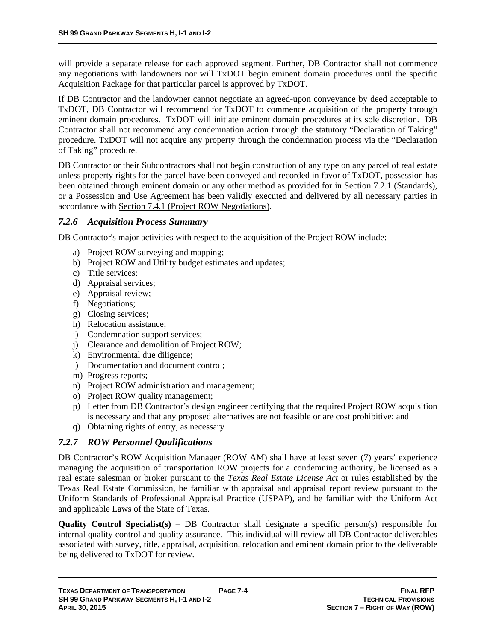will provide a separate release for each approved segment. Further, DB Contractor shall not commence any negotiations with landowners nor will TxDOT begin eminent domain procedures until the specific Acquisition Package for that particular parcel is approved by TxDOT.

If DB Contractor and the landowner cannot negotiate an agreed-upon conveyance by deed acceptable to TxDOT, DB Contractor will recommend for TxDOT to commence acquisition of the property through eminent domain procedures. TxDOT will initiate eminent domain procedures at its sole discretion. DB Contractor shall not recommend any condemnation action through the statutory "Declaration of Taking" procedure. TxDOT will not acquire any property through the condemnation process via the "Declaration of Taking" procedure.

DB Contractor or their Subcontractors shall not begin construction of any type on any parcel of real estate unless property rights for the parcel have been conveyed and recorded in favor of TxDOT, possession has been obtained through eminent domain or any other method as provided for in Section 7.2.1 (Standards), or a Possession and Use Agreement has been validly executed and delivered by all necessary parties in accordance with Section 7.4.1 (Project ROW Negotiations).

### *7.2.6 Acquisition Process Summary*

DB Contractor's major activities with respect to the acquisition of the Project ROW include:

- a) Project ROW surveying and mapping;
- b) Project ROW and Utility budget estimates and updates;
- c) Title services;
- d) Appraisal services;
- e) Appraisal review;
- f) Negotiations;
- g) Closing services;
- h) Relocation assistance;
- i) Condemnation support services;
- j) Clearance and demolition of Project ROW;
- k) Environmental due diligence;
- l) Documentation and document control;
- m) Progress reports;
- n) Project ROW administration and management;
- o) Project ROW quality management;
- p) Letter from DB Contractor's design engineer certifying that the required Project ROW acquisition is necessary and that any proposed alternatives are not feasible or are cost prohibitive; and
- q) Obtaining rights of entry, as necessary

# *7.2.7 ROW Personnel Qualifications*

DB Contractor's ROW Acquisition Manager (ROW AM) shall have at least seven (7) years' experience managing the acquisition of transportation ROW projects for a condemning authority, be licensed as a real estate salesman or broker pursuant to the *Texas Real Estate License Act* or rules established by the Texas Real Estate Commission, be familiar with appraisal and appraisal report review pursuant to the Uniform Standards of Professional Appraisal Practice (USPAP), and be familiar with the Uniform Act and applicable Laws of the State of Texas.

**Quality Control Specialist(s)** – DB Contractor shall designate a specific person(s) responsible for internal quality control and quality assurance. This individual will review all DB Contractor deliverables associated with survey, title, appraisal, acquisition, relocation and eminent domain prior to the deliverable being delivered to TxDOT for review.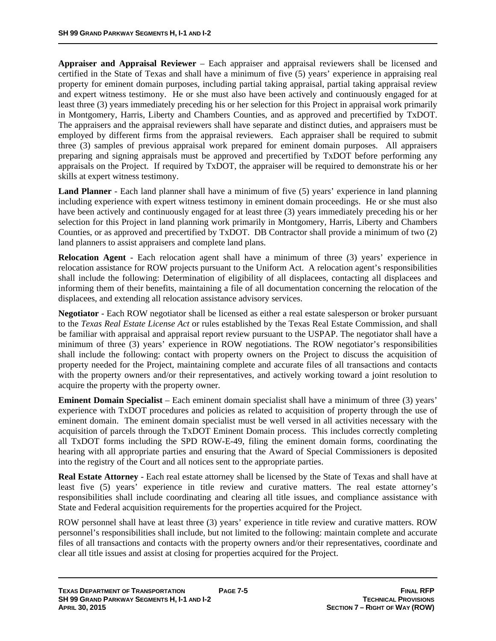**Appraiser and Appraisal Reviewer** – Each appraiser and appraisal reviewers shall be licensed and certified in the State of Texas and shall have a minimum of five (5) years' experience in appraising real property for eminent domain purposes, including partial taking appraisal, partial taking appraisal review and expert witness testimony. He or she must also have been actively and continuously engaged for at least three (3) years immediately preceding his or her selection for this Project in appraisal work primarily in Montgomery, Harris, Liberty and Chambers Counties, and as approved and precertified by TxDOT. The appraisers and the appraisal reviewers shall have separate and distinct duties, and appraisers must be employed by different firms from the appraisal reviewers. Each appraiser shall be required to submit three (3) samples of previous appraisal work prepared for eminent domain purposes. All appraisers preparing and signing appraisals must be approved and precertified by TxDOT before performing any appraisals on the Project. If required by TxDOT, the appraiser will be required to demonstrate his or her skills at expert witness testimony.

**Land Planner** - Each land planner shall have a minimum of five (5) years' experience in land planning including experience with expert witness testimony in eminent domain proceedings. He or she must also have been actively and continuously engaged for at least three (3) years immediately preceding his or her selection for this Project in land planning work primarily in Montgomery, Harris, Liberty and Chambers Counties, or as approved and precertified by TxDOT. DB Contractor shall provide a minimum of two (2) land planners to assist appraisers and complete land plans.

**Relocation Agent** - Each relocation agent shall have a minimum of three (3) years' experience in relocation assistance for ROW projects pursuant to the Uniform Act. A relocation agent's responsibilities shall include the following: Determination of eligibility of all displacees, contacting all displacees and informing them of their benefits, maintaining a file of all documentation concerning the relocation of the displacees, and extending all relocation assistance advisory services.

**Negotiator** - Each ROW negotiator shall be licensed as either a real estate salesperson or broker pursuant to the *Texas Real Estate License Act* or rules established by the Texas Real Estate Commission, and shall be familiar with appraisal and appraisal report review pursuant to the USPAP. The negotiator shall have a minimum of three (3) years' experience in ROW negotiations. The ROW negotiator's responsibilities shall include the following: contact with property owners on the Project to discuss the acquisition of property needed for the Project, maintaining complete and accurate files of all transactions and contacts with the property owners and/or their representatives, and actively working toward a joint resolution to acquire the property with the property owner.

**Eminent Domain Specialist** – Each eminent domain specialist shall have a minimum of three (3) years' experience with TxDOT procedures and policies as related to acquisition of property through the use of eminent domain. The eminent domain specialist must be well versed in all activities necessary with the acquisition of parcels through the TxDOT Eminent Domain process. This includes correctly completing all TxDOT forms including the SPD ROW-E-49, filing the eminent domain forms, coordinating the hearing with all appropriate parties and ensuring that the Award of Special Commissioners is deposited into the registry of the Court and all notices sent to the appropriate parties.

**Real Estate Attorney** - Each real estate attorney shall be licensed by the State of Texas and shall have at least five (5) years' experience in title review and curative matters. The real estate attorney's responsibilities shall include coordinating and clearing all title issues, and compliance assistance with State and Federal acquisition requirements for the properties acquired for the Project.

ROW personnel shall have at least three (3) years' experience in title review and curative matters. ROW personnel's responsibilities shall include, but not limited to the following: maintain complete and accurate files of all transactions and contacts with the property owners and/or their representatives, coordinate and clear all title issues and assist at closing for properties acquired for the Project.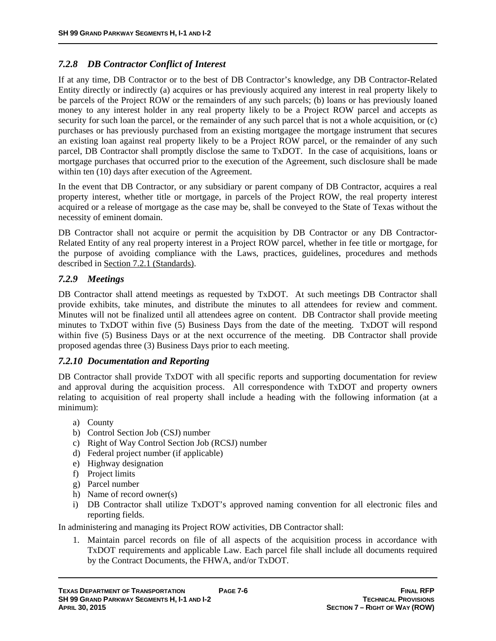### *7.2.8 DB Contractor Conflict of Interest*

If at any time, DB Contractor or to the best of DB Contractor's knowledge, any DB Contractor-Related Entity directly or indirectly (a) acquires or has previously acquired any interest in real property likely to be parcels of the Project ROW or the remainders of any such parcels; (b) loans or has previously loaned money to any interest holder in any real property likely to be a Project ROW parcel and accepts as security for such loan the parcel, or the remainder of any such parcel that is not a whole acquisition, or (c) purchases or has previously purchased from an existing mortgagee the mortgage instrument that secures an existing loan against real property likely to be a Project ROW parcel, or the remainder of any such parcel, DB Contractor shall promptly disclose the same to TxDOT. In the case of acquisitions, loans or mortgage purchases that occurred prior to the execution of the Agreement, such disclosure shall be made within ten (10) days after execution of the Agreement.

In the event that DB Contractor, or any subsidiary or parent company of DB Contractor, acquires a real property interest, whether title or mortgage, in parcels of the Project ROW, the real property interest acquired or a release of mortgage as the case may be, shall be conveyed to the State of Texas without the necessity of eminent domain.

DB Contractor shall not acquire or permit the acquisition by DB Contractor or any DB Contractor-Related Entity of any real property interest in a Project ROW parcel, whether in fee title or mortgage, for the purpose of avoiding compliance with the Laws, practices, guidelines, procedures and methods described in Section 7.2.1 (Standards).

### *7.2.9 Meetings*

DB Contractor shall attend meetings as requested by TxDOT. At such meetings DB Contractor shall provide exhibits, take minutes, and distribute the minutes to all attendees for review and comment. Minutes will not be finalized until all attendees agree on content. DB Contractor shall provide meeting minutes to TxDOT within five (5) Business Days from the date of the meeting. TxDOT will respond within five (5) Business Days or at the next occurrence of the meeting. DB Contractor shall provide proposed agendas three (3) Business Days prior to each meeting.

### *7.2.10 Documentation and Reporting*

DB Contractor shall provide TxDOT with all specific reports and supporting documentation for review and approval during the acquisition process. All correspondence with TxDOT and property owners relating to acquisition of real property shall include a heading with the following information (at a minimum):

- a) County
- b) Control Section Job (CSJ) number
- c) Right of Way Control Section Job (RCSJ) number
- d) Federal project number (if applicable)
- e) Highway designation
- f) Project limits
- g) Parcel number
- h) Name of record owner(s)
- i) DB Contractor shall utilize TxDOT's approved naming convention for all electronic files and reporting fields.

In administering and managing its Project ROW activities, DB Contractor shall:

1. Maintain parcel records on file of all aspects of the acquisition process in accordance with TxDOT requirements and applicable Law. Each parcel file shall include all documents required by the Contract Documents, the FHWA, and/or TxDOT.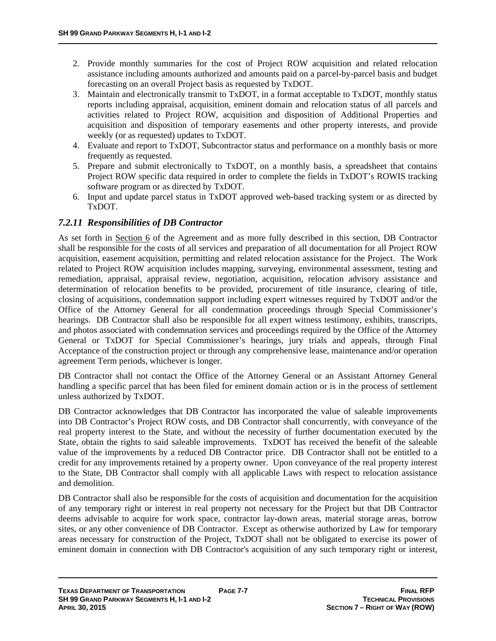- 2. Provide monthly summaries for the cost of Project ROW acquisition and related relocation assistance including amounts authorized and amounts paid on a parcel-by-parcel basis and budget forecasting on an overall Project basis as requested by TxDOT.
- 3. Maintain and electronically transmit to TxDOT, in a format acceptable to TxDOT, monthly status reports including appraisal, acquisition, eminent domain and relocation status of all parcels and activities related to Project ROW, acquisition and disposition of Additional Properties and acquisition and disposition of temporary easements and other property interests, and provide weekly (or as requested) updates to TxDOT.
- 4. Evaluate and report to TxDOT, Subcontractor status and performance on a monthly basis or more frequently as requested.
- 5. Prepare and submit electronically to TxDOT, on a monthly basis, a spreadsheet that contains Project ROW specific data required in order to complete the fields in TxDOT's ROWIS tracking software program or as directed by TxDOT.
- 6. Input and update parcel status in TxDOT approved web-based tracking system or as directed by TxDOT.

# *7.2.11 Responsibilities of DB Contractor*

As set forth in Section 6 of the Agreement and as more fully described in this section, DB Contractor shall be responsible for the costs of all services and preparation of all documentation for all Project ROW acquisition, easement acquisition, permitting and related relocation assistance for the Project. The Work related to Project ROW acquisition includes mapping, surveying, environmental assessment, testing and remediation, appraisal, appraisal review, negotiation, acquisition, relocation advisory assistance and determination of relocation benefits to be provided, procurement of title insurance, clearing of title, closing of acquisitions, condemnation support including expert witnesses required by TxDOT and/or the Office of the Attorney General for all condemnation proceedings through Special Commissioner's hearings. DB Contractor shall also be responsible for all expert witness testimony, exhibits, transcripts, and photos associated with condemnation services and proceedings required by the Office of the Attorney General or TxDOT for Special Commissioner's hearings, jury trials and appeals, through Final Acceptance of the construction project or through any comprehensive lease, maintenance and/or operation agreement Term periods, whichever is longer.

DB Contractor shall not contact the Office of the Attorney General or an Assistant Attorney General handling a specific parcel that has been filed for eminent domain action or is in the process of settlement unless authorized by TxDOT.

DB Contractor acknowledges that DB Contractor has incorporated the value of saleable improvements into DB Contractor's Project ROW costs, and DB Contractor shall concurrently, with conveyance of the real property interest to the State, and without the necessity of further documentation executed by the State, obtain the rights to said saleable improvements. TxDOT has received the benefit of the saleable value of the improvements by a reduced DB Contractor price. DB Contractor shall not be entitled to a credit for any improvements retained by a property owner. Upon conveyance of the real property interest to the State, DB Contractor shall comply with all applicable Laws with respect to relocation assistance and demolition.

DB Contractor shall also be responsible for the costs of acquisition and documentation for the acquisition of any temporary right or interest in real property not necessary for the Project but that DB Contractor deems advisable to acquire for work space, contractor lay-down areas, material storage areas, borrow sites, or any other convenience of DB Contractor. Except as otherwise authorized by Law for temporary areas necessary for construction of the Project, TxDOT shall not be obligated to exercise its power of eminent domain in connection with DB Contractor's acquisition of any such temporary right or interest,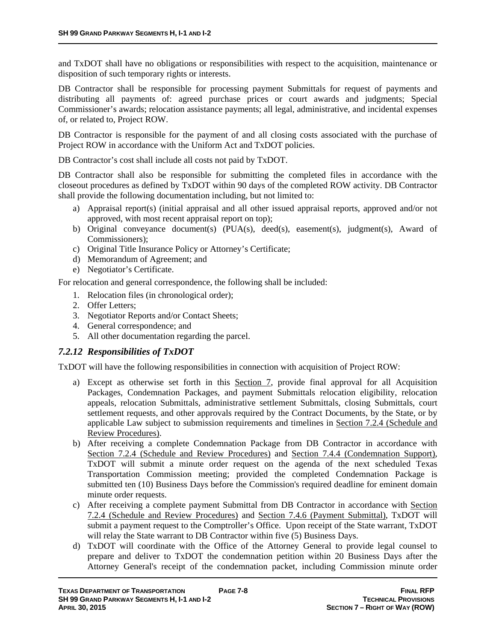and TxDOT shall have no obligations or responsibilities with respect to the acquisition, maintenance or disposition of such temporary rights or interests.

DB Contractor shall be responsible for processing payment Submittals for request of payments and distributing all payments of: agreed purchase prices or court awards and judgments; Special Commissioner's awards; relocation assistance payments; all legal, administrative, and incidental expenses of, or related to, Project ROW.

DB Contractor is responsible for the payment of and all closing costs associated with the purchase of Project ROW in accordance with the Uniform Act and TxDOT policies.

DB Contractor's cost shall include all costs not paid by TxDOT.

DB Contractor shall also be responsible for submitting the completed files in accordance with the closeout procedures as defined by TxDOT within 90 days of the completed ROW activity. DB Contractor shall provide the following documentation including, but not limited to:

- a) Appraisal report(s) (initial appraisal and all other issued appraisal reports, approved and/or not approved, with most recent appraisal report on top);
- b) Original conveyance document(s) (PUA(s), deed(s), easement(s), judgment(s), Award of Commissioners);
- c) Original Title Insurance Policy or Attorney's Certificate;
- d) Memorandum of Agreement; and
- e) Negotiator's Certificate.

For relocation and general correspondence, the following shall be included:

- 1. Relocation files (in chronological order);
- 2. Offer Letters;
- 3. Negotiator Reports and/or Contact Sheets;
- 4. General correspondence; and
- 5. All other documentation regarding the parcel.

# *7.2.12 Responsibilities of TxDOT*

TxDOT will have the following responsibilities in connection with acquisition of Project ROW:

- a) Except as otherwise set forth in this Section 7, provide final approval for all Acquisition Packages, Condemnation Packages, and payment Submittals relocation eligibility, relocation appeals, relocation Submittals, administrative settlement Submittals, closing Submittals, court settlement requests, and other approvals required by the Contract Documents, by the State, or by applicable Law subject to submission requirements and timelines in Section 7.2.4 (Schedule and Review Procedures).
- b) After receiving a complete Condemnation Package from DB Contractor in accordance with Section 7.2.4 (Schedule and Review Procedures) and Section 7.4.4 (Condemnation Support), TxDOT will submit a minute order request on the agenda of the next scheduled Texas Transportation Commission meeting; provided the completed Condemnation Package is submitted ten (10) Business Days before the Commission's required deadline for eminent domain minute order requests.
- c) After receiving a complete payment Submittal from DB Contractor in accordance with Section 7.2.4 (Schedule and Review Procedures) and Section 7.4.6 (Payment Submittal), TxDOT will submit a payment request to the Comptroller's Office. Upon receipt of the State warrant, TxDOT will relay the State warrant to DB Contractor within five (5) Business Days.
- d) TxDOT will coordinate with the Office of the Attorney General to provide legal counsel to prepare and deliver to TxDOT the condemnation petition within 20 Business Days after the Attorney General's receipt of the condemnation packet, including Commission minute order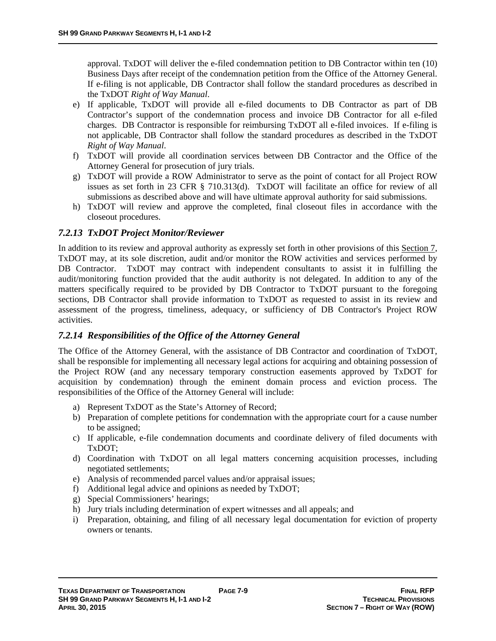approval. TxDOT will deliver the e-filed condemnation petition to DB Contractor within ten (10) Business Days after receipt of the condemnation petition from the Office of the Attorney General. If e-filing is not applicable, DB Contractor shall follow the standard procedures as described in the TxDOT *Right of Way Manual*.

- e) If applicable, TxDOT will provide all e-filed documents to DB Contractor as part of DB Contractor's support of the condemnation process and invoice DB Contractor for all e-filed charges. DB Contractor is responsible for reimbursing TxDOT all e-filed invoices. If e-filing is not applicable, DB Contractor shall follow the standard procedures as described in the TxDOT *Right of Way Manual*.
- f) TxDOT will provide all coordination services between DB Contractor and the Office of the Attorney General for prosecution of jury trials.
- g) TxDOT will provide a ROW Administrator to serve as the point of contact for all Project ROW issues as set forth in 23 CFR § 710.313(d). TxDOT will facilitate an office for review of all submissions as described above and will have ultimate approval authority for said submissions.
- h) TxDOT will review and approve the completed, final closeout files in accordance with the closeout procedures.

### *7.2.13 TxDOT Project Monitor/Reviewer*

In addition to its review and approval authority as expressly set forth in other provisions of this Section 7, TxDOT may, at its sole discretion, audit and/or monitor the ROW activities and services performed by DB Contractor. TxDOT may contract with independent consultants to assist it in fulfilling the audit/monitoring function provided that the audit authority is not delegated. In addition to any of the matters specifically required to be provided by DB Contractor to TxDOT pursuant to the foregoing sections, DB Contractor shall provide information to TxDOT as requested to assist in its review and assessment of the progress, timeliness, adequacy, or sufficiency of DB Contractor's Project ROW activities.

### *7.2.14 Responsibilities of the Office of the Attorney General*

The Office of the Attorney General, with the assistance of DB Contractor and coordination of TxDOT, shall be responsible for implementing all necessary legal actions for acquiring and obtaining possession of the Project ROW (and any necessary temporary construction easements approved by TxDOT for acquisition by condemnation) through the eminent domain process and eviction process. The responsibilities of the Office of the Attorney General will include:

- a) Represent TxDOT as the State's Attorney of Record;
- b) Preparation of complete petitions for condemnation with the appropriate court for a cause number to be assigned;
- c) If applicable, e-file condemnation documents and coordinate delivery of filed documents with TxDOT;
- d) Coordination with TxDOT on all legal matters concerning acquisition processes, including negotiated settlements;
- e) Analysis of recommended parcel values and/or appraisal issues;
- f) Additional legal advice and opinions as needed by TxDOT;
- g) Special Commissioners' hearings;
- h) Jury trials including determination of expert witnesses and all appeals; and
- i) Preparation, obtaining, and filing of all necessary legal documentation for eviction of property owners or tenants.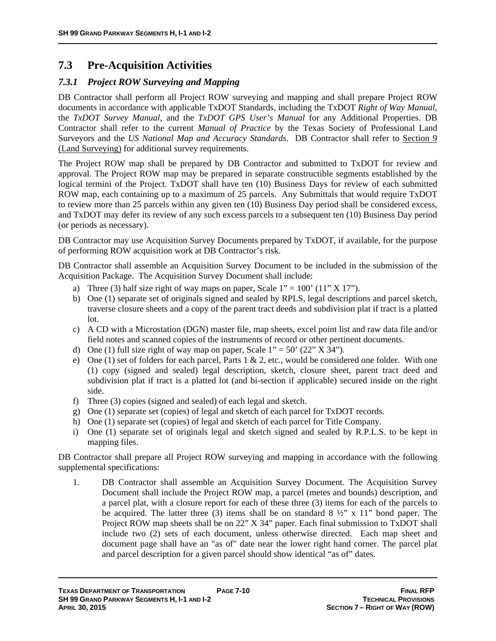# **7.3 Pre-Acquisition Activities**

# *7.3.1 Project ROW Surveying and Mapping*

DB Contractor shall perform all Project ROW surveying and mapping and shall prepare Project ROW documents in accordance with applicable TxDOT Standards, including the TxDOT *Right of Way Manual*, the *TxDOT Survey Manual*, and the *TxDOT GPS User's Manual* for any Additional Properties. DB Contractor shall refer to the current *Manual of Practice* by the Texas Society of Professional Land Surveyors and the *US National Map and Accuracy Standards*. DB Contractor shall refer to Section 9 (Land Surveying) for additional survey requirements.

The Project ROW map shall be prepared by DB Contractor and submitted to TxDOT for review and approval. The Project ROW map may be prepared in separate constructible segments established by the logical termini of the Project. TxDOT shall have ten (10) Business Days for review of each submitted ROW map, each containing up to a maximum of 25 parcels. Any Submittals that would require TxDOT to review more than 25 parcels within any given ten (10) Business Day period shall be considered excess, and TxDOT may defer its review of any such excess parcels to a subsequent ten (10) Business Day period (or periods as necessary).

DB Contractor may use Acquisition Survey Documents prepared by TxDOT, if available, for the purpose of performing ROW acquisition work at DB Contractor's risk.

DB Contractor shall assemble an Acquisition Survey Document to be included in the submission of the Acquisition Package. The Acquisition Survey Document shall include:

- a) Three (3) half size right of way maps on paper, Scale  $1'' = 100'$  (11" X 17").
- b) One (1) separate set of originals signed and sealed by RPLS, legal descriptions and parcel sketch, traverse closure sheets and a copy of the parent tract deeds and subdivision plat if tract is a platted lot.
- c) A CD with a Microstation (DGN) master file, map sheets, excel point list and raw data file and/or field notes and scanned copies of the instruments of record or other pertinent documents.
- d) One (1) full size right of way map on paper, Scale  $1'' = 50'$  (22" X 34").
- e) One (1) set of folders for each parcel, Parts  $1 \& 2$ , etc., would be considered one folder. With one (1) copy (signed and sealed) legal description, sketch, closure sheet, parent tract deed and subdivision plat if tract is a platted lot (and bi-section if applicable) secured inside on the right side.
- f) Three (3) copies (signed and sealed) of each legal and sketch.
- g) One (1) separate set (copies) of legal and sketch of each parcel for TxDOT records.
- h) One (1) separate set (copies) of legal and sketch of each parcel for Title Company.
- i) One (1) separate set of originals legal and sketch signed and sealed by R.P.L.S. to be kept in mapping files.

DB Contractor shall prepare all Project ROW surveying and mapping in accordance with the following supplemental specifications:

1. DB Contractor shall assemble an Acquisition Survey Document. The Acquisition Survey Document shall include the Project ROW map, a parcel (metes and bounds) description, and a parcel plat, with a closure report for each of these three (3) items for each of the parcels to be acquired. The latter three (3) items shall be on standard  $8\frac{1}{2}$ " x 11" bond paper. The Project ROW map sheets shall be on 22" X 34" paper. Each final submission to TxDOT shall include two (2) sets of each document, unless otherwise directed. Each map sheet and document page shall have an "as of" date near the lower right hand corner. The parcel plat and parcel description for a given parcel should show identical "as of" dates.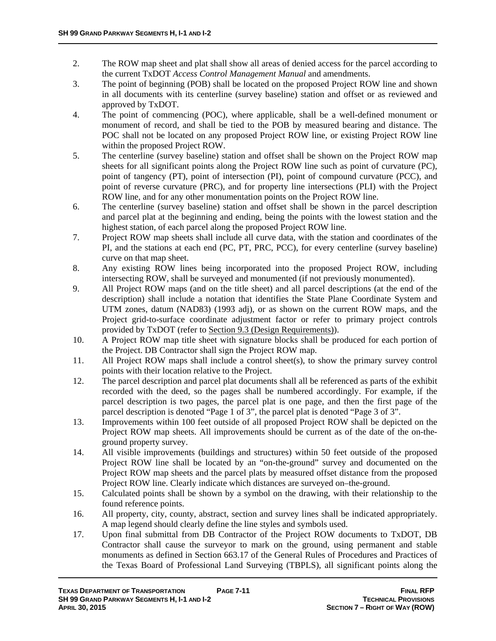- 2. The ROW map sheet and plat shall show all areas of denied access for the parcel according to the current TxDOT *Access Control Management Manual* and amendments.
- 3. The point of beginning (POB) shall be located on the proposed Project ROW line and shown in all documents with its centerline (survey baseline) station and offset or as reviewed and approved by TxDOT.
- 4. The point of commencing (POC), where applicable, shall be a well-defined monument or monument of record, and shall be tied to the POB by measured bearing and distance. The POC shall not be located on any proposed Project ROW line, or existing Project ROW line within the proposed Project ROW.
- 5. The centerline (survey baseline) station and offset shall be shown on the Project ROW map sheets for all significant points along the Project ROW line such as point of curvature (PC), point of tangency (PT), point of intersection (PI), point of compound curvature (PCC), and point of reverse curvature (PRC), and for property line intersections (PLI) with the Project ROW line, and for any other monumentation points on the Project ROW line.
- 6. The centerline (survey baseline) station and offset shall be shown in the parcel description and parcel plat at the beginning and ending, being the points with the lowest station and the highest station, of each parcel along the proposed Project ROW line.
- 7. Project ROW map sheets shall include all curve data, with the station and coordinates of the PI, and the stations at each end (PC, PT, PRC, PCC), for every centerline (survey baseline) curve on that map sheet.
- 8. Any existing ROW lines being incorporated into the proposed Project ROW, including intersecting ROW, shall be surveyed and monumented (if not previously monumented).
- 9. All Project ROW maps (and on the title sheet) and all parcel descriptions (at the end of the description) shall include a notation that identifies the State Plane Coordinate System and UTM zones, datum (NAD83) (1993 adj), or as shown on the current ROW maps, and the Project grid-to-surface coordinate adjustment factor or refer to primary project controls provided by TxDOT (refer to Section 9.3 (Design Requirements)).
- 10. A Project ROW map title sheet with signature blocks shall be produced for each portion of the Project. DB Contractor shall sign the Project ROW map.
- 11. All Project ROW maps shall include a control sheet(s), to show the primary survey control points with their location relative to the Project.
- 12. The parcel description and parcel plat documents shall all be referenced as parts of the exhibit recorded with the deed, so the pages shall be numbered accordingly. For example, if the parcel description is two pages, the parcel plat is one page, and then the first page of the parcel description is denoted "Page 1 of 3", the parcel plat is denoted "Page 3 of 3".
- 13. Improvements within 100 feet outside of all proposed Project ROW shall be depicted on the Project ROW map sheets. All improvements should be current as of the date of the on-theground property survey.
- 14. All visible improvements (buildings and structures) within 50 feet outside of the proposed Project ROW line shall be located by an "on-the-ground" survey and documented on the Project ROW map sheets and the parcel plats by measured offset distance from the proposed Project ROW line. Clearly indicate which distances are surveyed on–the-ground.
- 15. Calculated points shall be shown by a symbol on the drawing, with their relationship to the found reference points.
- 16. All property, city, county, abstract, section and survey lines shall be indicated appropriately. A map legend should clearly define the line styles and symbols used.
- 17. Upon final submittal from DB Contractor of the Project ROW documents to TxDOT, DB Contractor shall cause the surveyor to mark on the ground, using permanent and stable monuments as defined in Section 663.17 of the General Rules of Procedures and Practices of the Texas Board of Professional Land Surveying (TBPLS), all significant points along the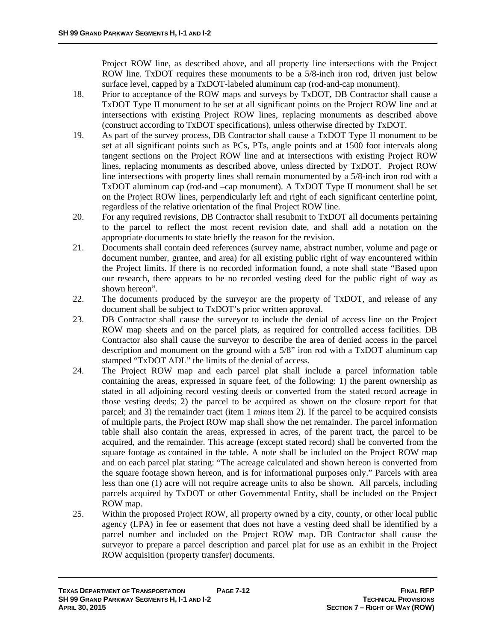Project ROW line, as described above, and all property line intersections with the Project ROW line. TxDOT requires these monuments to be a 5/8-inch iron rod, driven just below surface level, capped by a TxDOT-labeled aluminum cap (rod-and-cap monument).

- 18. Prior to acceptance of the ROW maps and surveys by TxDOT, DB Contractor shall cause a TxDOT Type II monument to be set at all significant points on the Project ROW line and at intersections with existing Project ROW lines, replacing monuments as described above (construct according to TxDOT specifications), unless otherwise directed by TxDOT.
- 19. As part of the survey process, DB Contractor shall cause a TxDOT Type II monument to be set at all significant points such as PCs, PTs, angle points and at 1500 foot intervals along tangent sections on the Project ROW line and at intersections with existing Project ROW lines, replacing monuments as described above, unless directed by TxDOT. Project ROW line intersections with property lines shall remain monumented by a 5/8-inch iron rod with a TxDOT aluminum cap (rod-and –cap monument). A TxDOT Type II monument shall be set on the Project ROW lines, perpendicularly left and right of each significant centerline point, regardless of the relative orientation of the final Project ROW line.
- 20. For any required revisions, DB Contractor shall resubmit to TxDOT all documents pertaining to the parcel to reflect the most recent revision date, and shall add a notation on the appropriate documents to state briefly the reason for the revision.
- 21. Documents shall contain deed references (survey name, abstract number, volume and page or document number, grantee, and area) for all existing public right of way encountered within the Project limits. If there is no recorded information found, a note shall state "Based upon our research, there appears to be no recorded vesting deed for the public right of way as shown hereon".
- 22. The documents produced by the surveyor are the property of TxDOT, and release of any document shall be subject to TxDOT's prior written approval.
- 23. DB Contractor shall cause the surveyor to include the denial of access line on the Project ROW map sheets and on the parcel plats, as required for controlled access facilities. DB Contractor also shall cause the surveyor to describe the area of denied access in the parcel description and monument on the ground with a 5/8" iron rod with a TxDOT aluminum cap stamped "TxDOT ADL" the limits of the denial of access.
- 24. The Project ROW map and each parcel plat shall include a parcel information table containing the areas, expressed in square feet, of the following: 1) the parent ownership as stated in all adjoining record vesting deeds or converted from the stated record acreage in those vesting deeds; 2) the parcel to be acquired as shown on the closure report for that parcel; and 3) the remainder tract (item 1 *minus* item 2). If the parcel to be acquired consists of multiple parts, the Project ROW map shall show the net remainder. The parcel information table shall also contain the areas, expressed in acres, of the parent tract, the parcel to be acquired, and the remainder. This acreage (except stated record) shall be converted from the square footage as contained in the table. A note shall be included on the Project ROW map and on each parcel plat stating: "The acreage calculated and shown hereon is converted from the square footage shown hereon, and is for informational purposes only." Parcels with area less than one (1) acre will not require acreage units to also be shown. All parcels, including parcels acquired by TxDOT or other Governmental Entity, shall be included on the Project ROW map.
- 25. Within the proposed Project ROW, all property owned by a city, county, or other local public agency (LPA) in fee or easement that does not have a vesting deed shall be identified by a parcel number and included on the Project ROW map. DB Contractor shall cause the surveyor to prepare a parcel description and parcel plat for use as an exhibit in the Project ROW acquisition (property transfer) documents.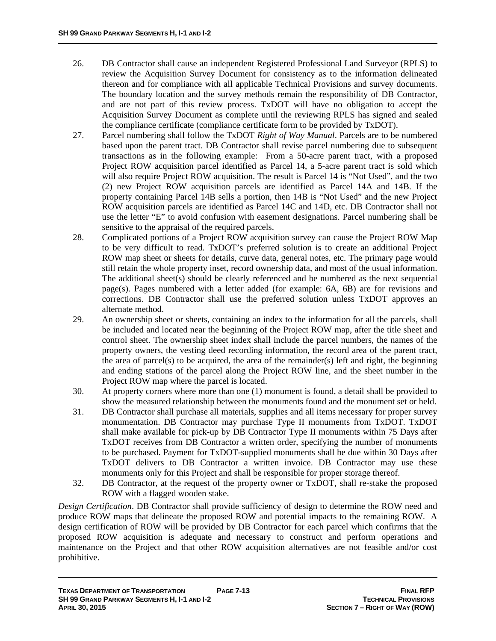- 26. DB Contractor shall cause an independent Registered Professional Land Surveyor (RPLS) to review the Acquisition Survey Document for consistency as to the information delineated thereon and for compliance with all applicable Technical Provisions and survey documents. The boundary location and the survey methods remain the responsibility of DB Contractor, and are not part of this review process. TxDOT will have no obligation to accept the Acquisition Survey Document as complete until the reviewing RPLS has signed and sealed the compliance certificate (compliance certificate form to be provided by TxDOT).
- 27. Parcel numbering shall follow the TxDOT *Right of Way Manual*. Parcels are to be numbered based upon the parent tract. DB Contractor shall revise parcel numbering due to subsequent transactions as in the following example: From a 50-acre parent tract, with a proposed Project ROW acquisition parcel identified as Parcel 14, a 5-acre parent tract is sold which will also require Project ROW acquisition. The result is Parcel 14 is "Not Used", and the two (2) new Project ROW acquisition parcels are identified as Parcel 14A and 14B. If the property containing Parcel 14B sells a portion, then 14B is "Not Used" and the new Project ROW acquisition parcels are identified as Parcel 14C and 14D, etc. DB Contractor shall not use the letter "E" to avoid confusion with easement designations. Parcel numbering shall be sensitive to the appraisal of the required parcels.
- 28. Complicated portions of a Project ROW acquisition survey can cause the Project ROW Map to be very difficult to read. TxDOT's preferred solution is to create an additional Project ROW map sheet or sheets for details, curve data, general notes, etc. The primary page would still retain the whole property inset, record ownership data, and most of the usual information. The additional sheet(s) should be clearly referenced and be numbered as the next sequential page(s). Pages numbered with a letter added (for example:  $6A$ ,  $6B$ ) are for revisions and corrections. DB Contractor shall use the preferred solution unless TxDOT approves an alternate method.
- 29. An ownership sheet or sheets, containing an index to the information for all the parcels, shall be included and located near the beginning of the Project ROW map, after the title sheet and control sheet. The ownership sheet index shall include the parcel numbers, the names of the property owners, the vesting deed recording information, the record area of the parent tract, the area of parcel(s) to be acquired, the area of the remainder(s) left and right, the beginning and ending stations of the parcel along the Project ROW line, and the sheet number in the Project ROW map where the parcel is located.
- 30. At property corners where more than one (1) monument is found, a detail shall be provided to show the measured relationship between the monuments found and the monument set or held.
- 31. DB Contractor shall purchase all materials, supplies and all items necessary for proper survey monumentation. DB Contractor may purchase Type II monuments from TxDOT. TxDOT shall make available for pick-up by DB Contractor Type II monuments within 75 Days after TxDOT receives from DB Contractor a written order, specifying the number of monuments to be purchased. Payment for TxDOT-supplied monuments shall be due within 30 Days after TxDOT delivers to DB Contractor a written invoice. DB Contractor may use these monuments only for this Project and shall be responsible for proper storage thereof.
- 32. DB Contractor, at the request of the property owner or TxDOT, shall re-stake the proposed ROW with a flagged wooden stake.

*Design Certification*. DB Contractor shall provide sufficiency of design to determine the ROW need and produce ROW maps that delineate the proposed ROW and potential impacts to the remaining ROW. A design certification of ROW will be provided by DB Contractor for each parcel which confirms that the proposed ROW acquisition is adequate and necessary to construct and perform operations and maintenance on the Project and that other ROW acquisition alternatives are not feasible and/or cost prohibitive.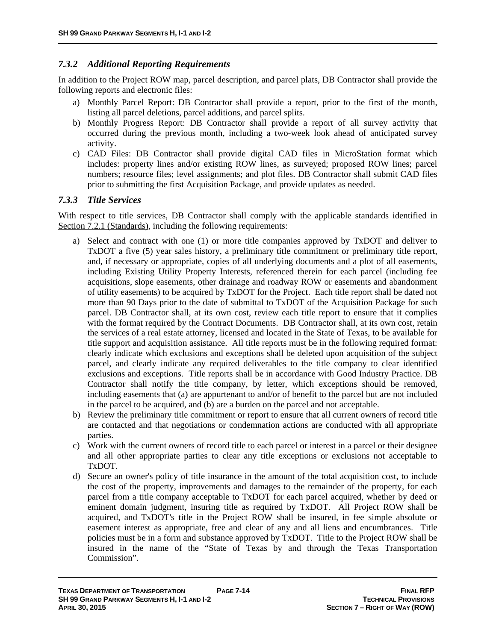### *7.3.2 Additional Reporting Requirements*

In addition to the Project ROW map, parcel description, and parcel plats, DB Contractor shall provide the following reports and electronic files:

- a) Monthly Parcel Report: DB Contractor shall provide a report, prior to the first of the month, listing all parcel deletions, parcel additions, and parcel splits.
- b) Monthly Progress Report: DB Contractor shall provide a report of all survey activity that occurred during the previous month, including a two-week look ahead of anticipated survey activity.
- c) CAD Files: DB Contractor shall provide digital CAD files in MicroStation format which includes: property lines and/or existing ROW lines, as surveyed; proposed ROW lines; parcel numbers; resource files; level assignments; and plot files. DB Contractor shall submit CAD files prior to submitting the first Acquisition Package, and provide updates as needed.

#### *7.3.3 Title Services*

With respect to title services, DB Contractor shall comply with the applicable standards identified in Section 7.2.1 (Standards), including the following requirements:

- a) Select and contract with one (1) or more title companies approved by TxDOT and deliver to TxDOT a five (5) year sales history, a preliminary title commitment or preliminary title report, and, if necessary or appropriate, copies of all underlying documents and a plot of all easements, including Existing Utility Property Interests, referenced therein for each parcel (including fee acquisitions, slope easements, other drainage and roadway ROW or easements and abandonment of utility easements) to be acquired by TxDOT for the Project. Each title report shall be dated not more than 90 Days prior to the date of submittal to TxDOT of the Acquisition Package for such parcel. DB Contractor shall, at its own cost, review each title report to ensure that it complies with the format required by the Contract Documents. DB Contractor shall, at its own cost, retain the services of a real estate attorney, licensed and located in the State of Texas, to be available for title support and acquisition assistance. All title reports must be in the following required format: clearly indicate which exclusions and exceptions shall be deleted upon acquisition of the subject parcel, and clearly indicate any required deliverables to the title company to clear identified exclusions and exceptions. Title reports shall be in accordance with Good Industry Practice. DB Contractor shall notify the title company, by letter, which exceptions should be removed, including easements that (a) are appurtenant to and/or of benefit to the parcel but are not included in the parcel to be acquired, and (b) are a burden on the parcel and not acceptable.
- b) Review the preliminary title commitment or report to ensure that all current owners of record title are contacted and that negotiations or condemnation actions are conducted with all appropriate parties.
- c) Work with the current owners of record title to each parcel or interest in a parcel or their designee and all other appropriate parties to clear any title exceptions or exclusions not acceptable to TxDOT.
- d) Secure an owner's policy of title insurance in the amount of the total acquisition cost, to include the cost of the property, improvements and damages to the remainder of the property, for each parcel from a title company acceptable to TxDOT for each parcel acquired, whether by deed or eminent domain judgment, insuring title as required by TxDOT. All Project ROW shall be acquired, and TxDOT's title in the Project ROW shall be insured, in fee simple absolute or easement interest as appropriate, free and clear of any and all liens and encumbrances. Title policies must be in a form and substance approved by TxDOT. Title to the Project ROW shall be insured in the name of the "State of Texas by and through the Texas Transportation Commission".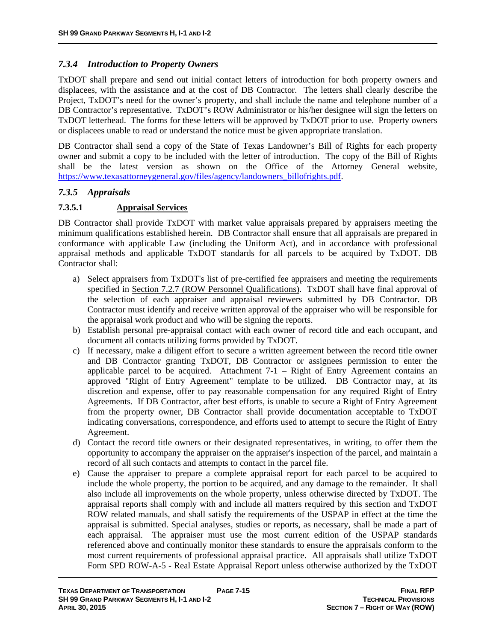### *7.3.4 Introduction to Property Owners*

TxDOT shall prepare and send out initial contact letters of introduction for both property owners and displacees, with the assistance and at the cost of DB Contractor. The letters shall clearly describe the Project, TxDOT's need for the owner's property, and shall include the name and telephone number of a DB Contractor's representative. TxDOT's ROW Administrator or his/her designee will sign the letters on TxDOT letterhead. The forms for these letters will be approved by TxDOT prior to use. Property owners or displacees unable to read or understand the notice must be given appropriate translation.

DB Contractor shall send a copy of the State of Texas Landowner's Bill of Rights for each property owner and submit a copy to be included with the letter of introduction. The copy of the Bill of Rights shall be the latest version as shown on the Office of the Attorney General website, https://www.texasattorneygeneral.gov/files/agency/landowners\_billofrights.pdf.

### *7.3.5 Appraisals*

### **7.3.5.1 Appraisal Services**

DB Contractor shall provide TxDOT with market value appraisals prepared by appraisers meeting the minimum qualifications established herein. DB Contractor shall ensure that all appraisals are prepared in conformance with applicable Law (including the Uniform Act), and in accordance with professional appraisal methods and applicable TxDOT standards for all parcels to be acquired by TxDOT. DB Contractor shall:

- a) Select appraisers from TxDOT's list of pre-certified fee appraisers and meeting the requirements specified in Section 7.2.7 (ROW Personnel Qualifications). TxDOT shall have final approval of the selection of each appraiser and appraisal reviewers submitted by DB Contractor. DB Contractor must identify and receive written approval of the appraiser who will be responsible for the appraisal work product and who will be signing the reports.
- b) Establish personal pre-appraisal contact with each owner of record title and each occupant, and document all contacts utilizing forms provided by TxDOT.
- c) If necessary, make a diligent effort to secure a written agreement between the record title owner and DB Contractor granting TxDOT, DB Contractor or assignees permission to enter the applicable parcel to be acquired. Attachment  $7-1$  – Right of Entry Agreement contains an approved "Right of Entry Agreement" template to be utilized. DB Contractor may, at its discretion and expense, offer to pay reasonable compensation for any required Right of Entry Agreements. If DB Contractor, after best efforts, is unable to secure a Right of Entry Agreement from the property owner, DB Contractor shall provide documentation acceptable to TxDOT indicating conversations, correspondence, and efforts used to attempt to secure the Right of Entry Agreement.
- d) Contact the record title owners or their designated representatives, in writing, to offer them the opportunity to accompany the appraiser on the appraiser's inspection of the parcel, and maintain a record of all such contacts and attempts to contact in the parcel file.
- e) Cause the appraiser to prepare a complete appraisal report for each parcel to be acquired to include the whole property, the portion to be acquired, and any damage to the remainder. It shall also include all improvements on the whole property, unless otherwise directed by TxDOT. The appraisal reports shall comply with and include all matters required by this section and TxDOT ROW related manuals, and shall satisfy the requirements of the USPAP in effect at the time the appraisal is submitted. Special analyses, studies or reports, as necessary, shall be made a part of each appraisal. The appraiser must use the most current edition of the USPAP standards referenced above and continually monitor these standards to ensure the appraisals conform to the most current requirements of professional appraisal practice. All appraisals shall utilize TxDOT Form SPD ROW-A-5 - Real Estate Appraisal Report unless otherwise authorized by the TxDOT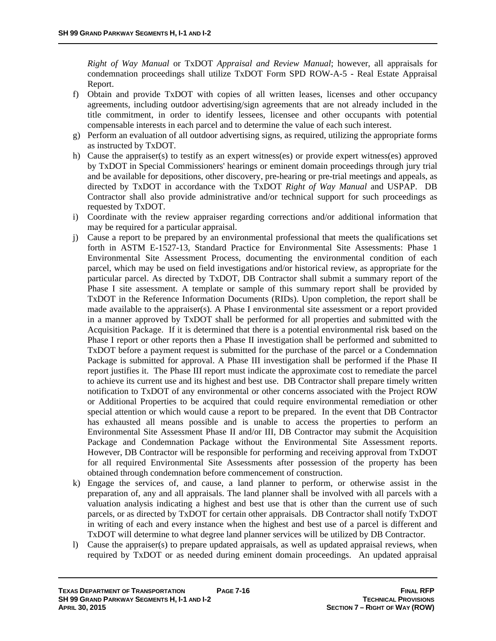*Right of Way Manual* or TxDOT *Appraisal and Review Manual*; however, all appraisals for condemnation proceedings shall utilize TxDOT Form SPD ROW-A-5 - Real Estate Appraisal Report.

- f) Obtain and provide TxDOT with copies of all written leases, licenses and other occupancy agreements, including outdoor advertising/sign agreements that are not already included in the title commitment, in order to identify lessees, licensee and other occupants with potential compensable interests in each parcel and to determine the value of each such interest.
- g) Perform an evaluation of all outdoor advertising signs, as required, utilizing the appropriate forms as instructed by TxDOT.
- h) Cause the appraiser(s) to testify as an expert witness(es) or provide expert witness(es) approved by TxDOT in Special Commissioners' hearings or eminent domain proceedings through jury trial and be available for depositions, other discovery, pre-hearing or pre-trial meetings and appeals, as directed by TxDOT in accordance with the TxDOT *Right of Way Manual* and USPAP. DB Contractor shall also provide administrative and/or technical support for such proceedings as requested by TxDOT.
- i) Coordinate with the review appraiser regarding corrections and/or additional information that may be required for a particular appraisal.
- j) Cause a report to be prepared by an environmental professional that meets the qualifications set forth in ASTM E-1527-13, Standard Practice for Environmental Site Assessments: Phase 1 Environmental Site Assessment Process, documenting the environmental condition of each parcel, which may be used on field investigations and/or historical review, as appropriate for the particular parcel. As directed by TxDOT, DB Contractor shall submit a summary report of the Phase I site assessment. A template or sample of this summary report shall be provided by TxDOT in the Reference Information Documents (RIDs). Upon completion, the report shall be made available to the appraiser(s). A Phase I environmental site assessment or a report provided in a manner approved by TxDOT shall be performed for all properties and submitted with the Acquisition Package. If it is determined that there is a potential environmental risk based on the Phase I report or other reports then a Phase II investigation shall be performed and submitted to TxDOT before a payment request is submitted for the purchase of the parcel or a Condemnation Package is submitted for approval. A Phase III investigation shall be performed if the Phase II report justifies it. The Phase III report must indicate the approximate cost to remediate the parcel to achieve its current use and its highest and best use. DB Contractor shall prepare timely written notification to TxDOT of any environmental or other concerns associated with the Project ROW or Additional Properties to be acquired that could require environmental remediation or other special attention or which would cause a report to be prepared. In the event that DB Contractor has exhausted all means possible and is unable to access the properties to perform an Environmental Site Assessment Phase II and/or III, DB Contractor may submit the Acquisition Package and Condemnation Package without the Environmental Site Assessment reports. However, DB Contractor will be responsible for performing and receiving approval from TxDOT for all required Environmental Site Assessments after possession of the property has been obtained through condemnation before commencement of construction.
- k) Engage the services of, and cause, a land planner to perform, or otherwise assist in the preparation of, any and all appraisals. The land planner shall be involved with all parcels with a valuation analysis indicating a highest and best use that is other than the current use of such parcels, or as directed by TxDOT for certain other appraisals. DB Contractor shall notify TxDOT in writing of each and every instance when the highest and best use of a parcel is different and TxDOT will determine to what degree land planner services will be utilized by DB Contractor.
- l) Cause the appraiser(s) to prepare updated appraisals, as well as updated appraisal reviews, when required by TxDOT or as needed during eminent domain proceedings. An updated appraisal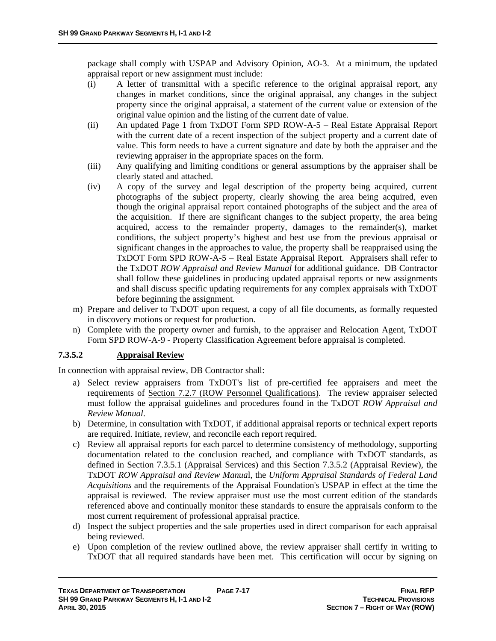package shall comply with USPAP and Advisory Opinion, AO-3. At a minimum, the updated appraisal report or new assignment must include:

- (i) A letter of transmittal with a specific reference to the original appraisal report, any changes in market conditions, since the original appraisal, any changes in the subject property since the original appraisal, a statement of the current value or extension of the original value opinion and the listing of the current date of value.
- (ii) An updated Page 1 from TxDOT Form SPD ROW-A-5 Real Estate Appraisal Report with the current date of a recent inspection of the subject property and a current date of value. This form needs to have a current signature and date by both the appraiser and the reviewing appraiser in the appropriate spaces on the form.
- (iii) Any qualifying and limiting conditions or general assumptions by the appraiser shall be clearly stated and attached.
- (iv) A copy of the survey and legal description of the property being acquired, current photographs of the subject property, clearly showing the area being acquired, even though the original appraisal report contained photographs of the subject and the area of the acquisition. If there are significant changes to the subject property, the area being acquired, access to the remainder property, damages to the remainder(s), market conditions, the subject property's highest and best use from the previous appraisal or significant changes in the approaches to value, the property shall be reappraised using the TxDOT Form SPD ROW-A-5 – Real Estate Appraisal Report. Appraisers shall refer to the TxDOT *ROW Appraisal and Review Manual* for additional guidance. DB Contractor shall follow these guidelines in producing updated appraisal reports or new assignments and shall discuss specific updating requirements for any complex appraisals with TxDOT before beginning the assignment.
- m) Prepare and deliver to TxDOT upon request, a copy of all file documents, as formally requested in discovery motions or request for production.
- n) Complete with the property owner and furnish, to the appraiser and Relocation Agent, TxDOT Form SPD ROW-A-9 - Property Classification Agreement before appraisal is completed.

#### **7.3.5.2 Appraisal Review**

In connection with appraisal review, DB Contractor shall:

- a) Select review appraisers from TxDOT's list of pre-certified fee appraisers and meet the requirements of Section 7.2.7 (ROW Personnel Qualifications). The review appraiser selected must follow the appraisal guidelines and procedures found in the TxDOT *ROW Appraisal and Review Manual*.
- b) Determine, in consultation with TxDOT, if additional appraisal reports or technical expert reports are required. Initiate, review, and reconcile each report required.
- c) Review all appraisal reports for each parcel to determine consistency of methodology, supporting documentation related to the conclusion reached, and compliance with TxDOT standards, as defined in Section 7.3.5.1 (Appraisal Services) and this Section 7.3.5.2 (Appraisal Review), the TxDOT *ROW Appraisal and Review Manua*l, the *Uniform Appraisal Standards of Federal Land Acquisitions* and the requirements of the Appraisal Foundation's USPAP in effect at the time the appraisal is reviewed. The review appraiser must use the most current edition of the standards referenced above and continually monitor these standards to ensure the appraisals conform to the most current requirement of professional appraisal practice.
- d) Inspect the subject properties and the sale properties used in direct comparison for each appraisal being reviewed.
- e) Upon completion of the review outlined above, the review appraiser shall certify in writing to TxDOT that all required standards have been met. This certification will occur by signing on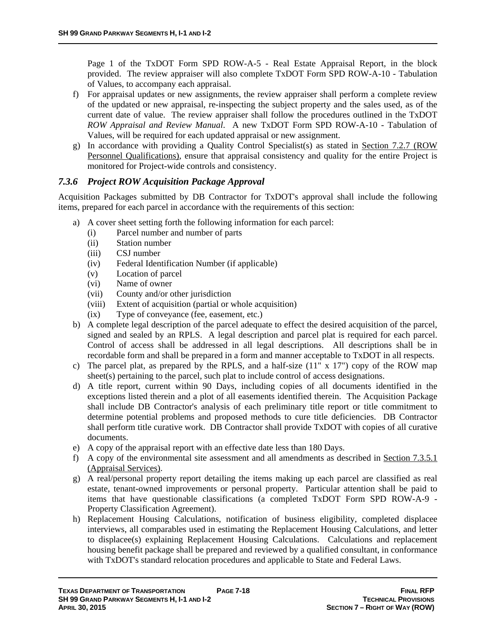Page 1 of the TxDOT Form SPD ROW-A-5 - Real Estate Appraisal Report, in the block provided. The review appraiser will also complete TxDOT Form SPD ROW-A-10 - Tabulation of Values, to accompany each appraisal.

- f) For appraisal updates or new assignments, the review appraiser shall perform a complete review of the updated or new appraisal, re-inspecting the subject property and the sales used, as of the current date of value. The review appraiser shall follow the procedures outlined in the TxDOT *ROW Appraisal and Review Manual*. A new TxDOT Form SPD ROW-A-10 - Tabulation of Values, will be required for each updated appraisal or new assignment.
- g) In accordance with providing a Quality Control Specialist(s) as stated in Section 7.2.7 (ROW Personnel Qualifications), ensure that appraisal consistency and quality for the entire Project is monitored for Project-wide controls and consistency.

### *7.3.6 Project ROW Acquisition Package Approval*

Acquisition Packages submitted by DB Contractor for TxDOT's approval shall include the following items, prepared for each parcel in accordance with the requirements of this section:

- a) A cover sheet setting forth the following information for each parcel:
	- (i) Parcel number and number of parts
	- (ii) Station number
	- (iii) CSJ number
	- (iv) Federal Identification Number (if applicable)
	- (v) Location of parcel
	- (vi) Name of owner
	- (vii) County and/or other jurisdiction
	- (viii) Extent of acquisition (partial or whole acquisition)
	- (ix) Type of conveyance (fee, easement, etc.)
- b) A complete legal description of the parcel adequate to effect the desired acquisition of the parcel, signed and sealed by an RPLS. A legal description and parcel plat is required for each parcel. Control of access shall be addressed in all legal descriptions. All descriptions shall be in recordable form and shall be prepared in a form and manner acceptable to TxDOT in all respects.
- c) The parcel plat, as prepared by the RPLS, and a half-size  $(11" \times 17")$  copy of the ROW map sheet(s) pertaining to the parcel, such plat to include control of access designations.
- d) A title report, current within 90 Days, including copies of all documents identified in the exceptions listed therein and a plot of all easements identified therein. The Acquisition Package shall include DB Contractor's analysis of each preliminary title report or title commitment to determine potential problems and proposed methods to cure title deficiencies. DB Contractor shall perform title curative work. DB Contractor shall provide TxDOT with copies of all curative documents.
- e) A copy of the appraisal report with an effective date less than 180 Days.
- f) A copy of the environmental site assessment and all amendments as described in Section 7.3.5.1 (Appraisal Services).
- g) A real/personal property report detailing the items making up each parcel are classified as real estate, tenant-owned improvements or personal property. Particular attention shall be paid to items that have questionable classifications (a completed TxDOT Form SPD ROW-A-9 - Property Classification Agreement).
- h) Replacement Housing Calculations, notification of business eligibility, completed displacee interviews, all comparables used in estimating the Replacement Housing Calculations, and letter to displacee(s) explaining Replacement Housing Calculations. Calculations and replacement housing benefit package shall be prepared and reviewed by a qualified consultant, in conformance with TxDOT's standard relocation procedures and applicable to State and Federal Laws.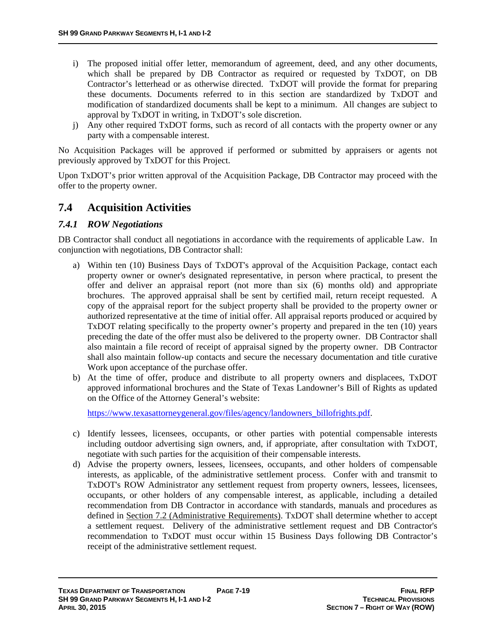- i) The proposed initial offer letter, memorandum of agreement, deed, and any other documents, which shall be prepared by DB Contractor as required or requested by TxDOT, on DB Contractor's letterhead or as otherwise directed. TxDOT will provide the format for preparing these documents. Documents referred to in this section are standardized by TxDOT and modification of standardized documents shall be kept to a minimum. All changes are subject to approval by TxDOT in writing, in TxDOT's sole discretion.
- j) Any other required TxDOT forms, such as record of all contacts with the property owner or any party with a compensable interest.

No Acquisition Packages will be approved if performed or submitted by appraisers or agents not previously approved by TxDOT for this Project.

Upon TxDOT's prior written approval of the Acquisition Package, DB Contractor may proceed with the offer to the property owner.

### **7.4 Acquisition Activities**

#### *7.4.1 ROW Negotiations*

DB Contractor shall conduct all negotiations in accordance with the requirements of applicable Law. In conjunction with negotiations, DB Contractor shall:

- a) Within ten (10) Business Days of TxDOT's approval of the Acquisition Package, contact each property owner or owner's designated representative, in person where practical, to present the offer and deliver an appraisal report (not more than six (6) months old) and appropriate brochures. The approved appraisal shall be sent by certified mail, return receipt requested. A copy of the appraisal report for the subject property shall be provided to the property owner or authorized representative at the time of initial offer. All appraisal reports produced or acquired by TxDOT relating specifically to the property owner's property and prepared in the ten (10) years preceding the date of the offer must also be delivered to the property owner. DB Contractor shall also maintain a file record of receipt of appraisal signed by the property owner. DB Contractor shall also maintain follow-up contacts and secure the necessary documentation and title curative Work upon acceptance of the purchase offer.
- b) At the time of offer, produce and distribute to all property owners and displacees, TxDOT approved informational brochures and the State of Texas Landowner's Bill of Rights as updated on the Office of the Attorney General's website:

https://www.texasattorneygeneral.gov/files/agency/landowners\_billofrights.pdf.

- c) Identify lessees, licensees, occupants, or other parties with potential compensable interests including outdoor advertising sign owners, and, if appropriate, after consultation with TxDOT, negotiate with such parties for the acquisition of their compensable interests.
- d) Advise the property owners, lessees, licensees, occupants, and other holders of compensable interests, as applicable, of the administrative settlement process. Confer with and transmit to TxDOT's ROW Administrator any settlement request from property owners, lessees, licensees, occupants, or other holders of any compensable interest, as applicable, including a detailed recommendation from DB Contractor in accordance with standards, manuals and procedures as defined in Section 7.2 (Administrative Requirements). TxDOT shall determine whether to accept a settlement request. Delivery of the administrative settlement request and DB Contractor's recommendation to TxDOT must occur within 15 Business Days following DB Contractor's receipt of the administrative settlement request.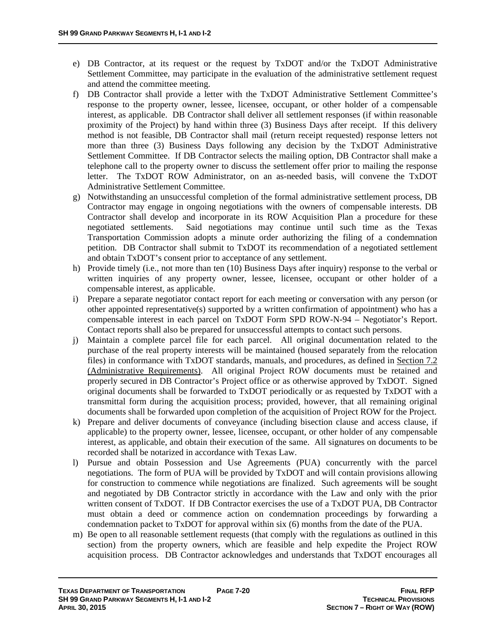- e) DB Contractor, at its request or the request by TxDOT and/or the TxDOT Administrative Settlement Committee, may participate in the evaluation of the administrative settlement request and attend the committee meeting.
- f) DB Contractor shall provide a letter with the TxDOT Administrative Settlement Committee's response to the property owner, lessee, licensee, occupant, or other holder of a compensable interest, as applicable. DB Contractor shall deliver all settlement responses (if within reasonable proximity of the Project) by hand within three (3) Business Days after receipt. If this delivery method is not feasible, DB Contractor shall mail (return receipt requested) response letters not more than three (3) Business Days following any decision by the TxDOT Administrative Settlement Committee. If DB Contractor selects the mailing option, DB Contractor shall make a telephone call to the property owner to discuss the settlement offer prior to mailing the response letter. The TxDOT ROW Administrator, on an as-needed basis, will convene the TxDOT Administrative Settlement Committee.
- g) Notwithstanding an unsuccessful completion of the formal administrative settlement process, DB Contractor may engage in ongoing negotiations with the owners of compensable interests. DB Contractor shall develop and incorporate in its ROW Acquisition Plan a procedure for these negotiated settlements. Said negotiations may continue until such time as the Texas Transportation Commission adopts a minute order authorizing the filing of a condemnation petition. DB Contractor shall submit to TxDOT its recommendation of a negotiated settlement and obtain TxDOT's consent prior to acceptance of any settlement.
- h) Provide timely (i.e., not more than ten (10) Business Days after inquiry) response to the verbal or written inquiries of any property owner, lessee, licensee, occupant or other holder of a compensable interest, as applicable.
- i) Prepare a separate negotiator contact report for each meeting or conversation with any person (or other appointed representative(s) supported by a written confirmation of appointment) who has a compensable interest in each parcel on TxDOT Form SPD ROW-N-94 – Negotiator's Report. Contact reports shall also be prepared for unsuccessful attempts to contact such persons.
- j) Maintain a complete parcel file for each parcel. All original documentation related to the purchase of the real property interests will be maintained (housed separately from the relocation files) in conformance with TxDOT standards, manuals, and procedures, as defined in Section 7.2 (Administrative Requirements). All original Project ROW documents must be retained and properly secured in DB Contractor's Project office or as otherwise approved by TxDOT. Signed original documents shall be forwarded to TxDOT periodically or as requested by TxDOT with a transmittal form during the acquisition process; provided, however, that all remaining original documents shall be forwarded upon completion of the acquisition of Project ROW for the Project.
- k) Prepare and deliver documents of conveyance (including bisection clause and access clause, if applicable) to the property owner, lessee, licensee, occupant, or other holder of any compensable interest, as applicable, and obtain their execution of the same. All signatures on documents to be recorded shall be notarized in accordance with Texas Law.
- l) Pursue and obtain Possession and Use Agreements (PUA) concurrently with the parcel negotiations. The form of PUA will be provided by TxDOT and will contain provisions allowing for construction to commence while negotiations are finalized. Such agreements will be sought and negotiated by DB Contractor strictly in accordance with the Law and only with the prior written consent of TxDOT. If DB Contractor exercises the use of a TxDOT PUA, DB Contractor must obtain a deed or commence action on condemnation proceedings by forwarding a condemnation packet to TxDOT for approval within six (6) months from the date of the PUA.
- m) Be open to all reasonable settlement requests (that comply with the regulations as outlined in this section) from the property owners, which are feasible and help expedite the Project ROW acquisition process. DB Contractor acknowledges and understands that TxDOT encourages all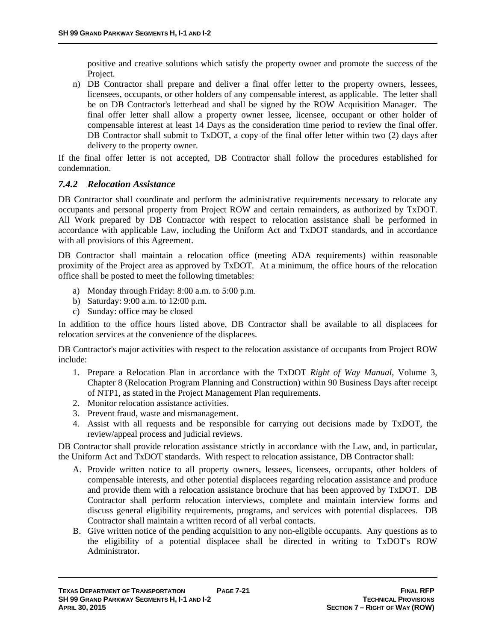positive and creative solutions which satisfy the property owner and promote the success of the Project.

n) DB Contractor shall prepare and deliver a final offer letter to the property owners, lessees, licensees, occupants, or other holders of any compensable interest, as applicable. The letter shall be on DB Contractor's letterhead and shall be signed by the ROW Acquisition Manager. The final offer letter shall allow a property owner lessee, licensee, occupant or other holder of compensable interest at least 14 Days as the consideration time period to review the final offer. DB Contractor shall submit to TxDOT, a copy of the final offer letter within two (2) days after delivery to the property owner.

If the final offer letter is not accepted, DB Contractor shall follow the procedures established for condemnation.

### *7.4.2 Relocation Assistance*

DB Contractor shall coordinate and perform the administrative requirements necessary to relocate any occupants and personal property from Project ROW and certain remainders, as authorized by TxDOT. All Work prepared by DB Contractor with respect to relocation assistance shall be performed in accordance with applicable Law, including the Uniform Act and TxDOT standards, and in accordance with all provisions of this Agreement.

DB Contractor shall maintain a relocation office (meeting ADA requirements) within reasonable proximity of the Project area as approved by TxDOT. At a minimum, the office hours of the relocation office shall be posted to meet the following timetables:

- a) Monday through Friday: 8:00 a.m. to 5:00 p.m.
- b) Saturday: 9:00 a.m. to 12:00 p.m.
- c) Sunday: office may be closed

In addition to the office hours listed above, DB Contractor shall be available to all displacees for relocation services at the convenience of the displacees.

DB Contractor's major activities with respect to the relocation assistance of occupants from Project ROW include:

- 1. Prepare a Relocation Plan in accordance with the TxDOT *Right of Way Manual*, Volume 3, Chapter 8 (Relocation Program Planning and Construction) within 90 Business Days after receipt of NTP1, as stated in the Project Management Plan requirements.
- 2. Monitor relocation assistance activities.
- 3. Prevent fraud, waste and mismanagement.
- 4. Assist with all requests and be responsible for carrying out decisions made by TxDOT, the review/appeal process and judicial reviews.

DB Contractor shall provide relocation assistance strictly in accordance with the Law, and, in particular, the Uniform Act and TxDOT standards. With respect to relocation assistance, DB Contractor shall:

- A. Provide written notice to all property owners, lessees, licensees, occupants, other holders of compensable interests, and other potential displacees regarding relocation assistance and produce and provide them with a relocation assistance brochure that has been approved by TxDOT. DB Contractor shall perform relocation interviews, complete and maintain interview forms and discuss general eligibility requirements, programs, and services with potential displacees. DB Contractor shall maintain a written record of all verbal contacts.
- B. Give written notice of the pending acquisition to any non-eligible occupants. Any questions as to the eligibility of a potential displacee shall be directed in writing to TxDOT's ROW Administrator.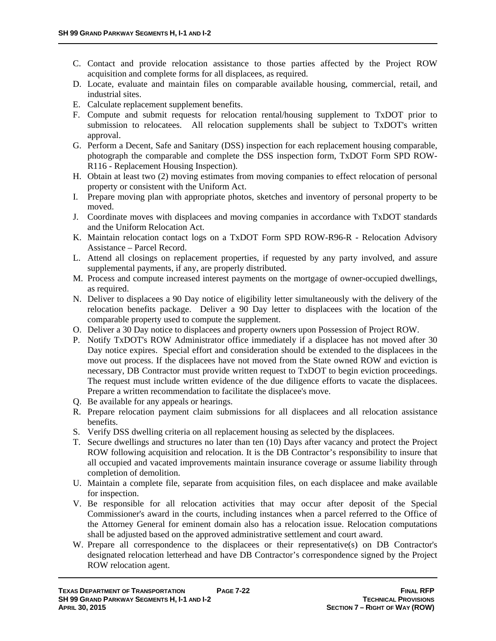- C. Contact and provide relocation assistance to those parties affected by the Project ROW acquisition and complete forms for all displacees, as required.
- D. Locate, evaluate and maintain files on comparable available housing, commercial, retail, and industrial sites.
- E. Calculate replacement supplement benefits.
- F. Compute and submit requests for relocation rental/housing supplement to TxDOT prior to submission to relocatees. All relocation supplements shall be subject to TxDOT's written approval.
- G. Perform a Decent, Safe and Sanitary (DSS) inspection for each replacement housing comparable, photograph the comparable and complete the DSS inspection form, TxDOT Form SPD ROW-R116 - Replacement Housing Inspection).
- H. Obtain at least two (2) moving estimates from moving companies to effect relocation of personal property or consistent with the Uniform Act.
- I. Prepare moving plan with appropriate photos, sketches and inventory of personal property to be moved.
- J. Coordinate moves with displacees and moving companies in accordance with TxDOT standards and the Uniform Relocation Act.
- K. Maintain relocation contact logs on a TxDOT Form SPD ROW-R96-R Relocation Advisory Assistance – Parcel Record.
- L. Attend all closings on replacement properties, if requested by any party involved, and assure supplemental payments, if any, are properly distributed.
- M. Process and compute increased interest payments on the mortgage of owner-occupied dwellings, as required.
- N. Deliver to displacees a 90 Day notice of eligibility letter simultaneously with the delivery of the relocation benefits package. Deliver a 90 Day letter to displacees with the location of the comparable property used to compute the supplement.
- O. Deliver a 30 Day notice to displacees and property owners upon Possession of Project ROW.
- P. Notify TxDOT's ROW Administrator office immediately if a displacee has not moved after 30 Day notice expires. Special effort and consideration should be extended to the displacees in the move out process. If the displacees have not moved from the State owned ROW and eviction is necessary, DB Contractor must provide written request to TxDOT to begin eviction proceedings. The request must include written evidence of the due diligence efforts to vacate the displacees. Prepare a written recommendation to facilitate the displacee's move.
- Q. Be available for any appeals or hearings.
- R. Prepare relocation payment claim submissions for all displacees and all relocation assistance benefits.
- S. Verify DSS dwelling criteria on all replacement housing as selected by the displacees.
- T. Secure dwellings and structures no later than ten (10) Days after vacancy and protect the Project ROW following acquisition and relocation. It is the DB Contractor's responsibility to insure that all occupied and vacated improvements maintain insurance coverage or assume liability through completion of demolition.
- U. Maintain a complete file, separate from acquisition files, on each displacee and make available for inspection.
- V. Be responsible for all relocation activities that may occur after deposit of the Special Commissioner's award in the courts, including instances when a parcel referred to the Office of the Attorney General for eminent domain also has a relocation issue. Relocation computations shall be adjusted based on the approved administrative settlement and court award.
- W. Prepare all correspondence to the displacees or their representative(s) on DB Contractor's designated relocation letterhead and have DB Contractor's correspondence signed by the Project ROW relocation agent.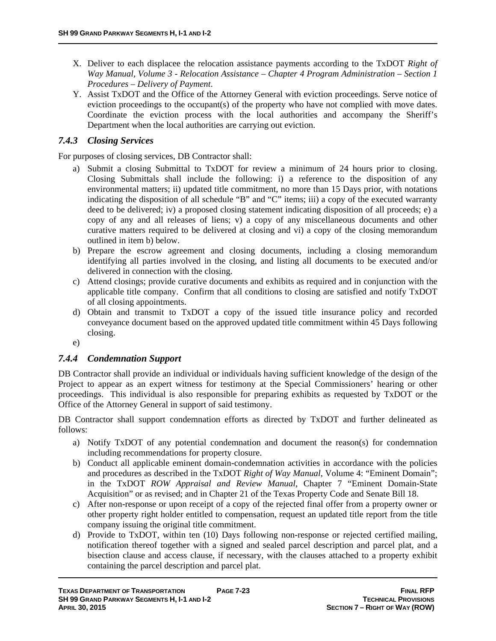- X. Deliver to each displacee the relocation assistance payments according to the TxDOT *Right of Way Manual, Volume 3 - Relocation Assistance – Chapter 4 Program Administration – Section 1 Procedures – Delivery of Payment*.
- Y. Assist TxDOT and the Office of the Attorney General with eviction proceedings. Serve notice of eviction proceedings to the occupant(s) of the property who have not complied with move dates. Coordinate the eviction process with the local authorities and accompany the Sheriff's Department when the local authorities are carrying out eviction.

### *7.4.3 Closing Services*

For purposes of closing services, DB Contractor shall:

- a) Submit a closing Submittal to TxDOT for review a minimum of 24 hours prior to closing. Closing Submittals shall include the following: i) a reference to the disposition of any environmental matters; ii) updated title commitment, no more than 15 Days prior, with notations indicating the disposition of all schedule "B" and "C" items; iii) a copy of the executed warranty deed to be delivered; iv) a proposed closing statement indicating disposition of all proceeds; e) a copy of any and all releases of liens; v) a copy of any miscellaneous documents and other curative matters required to be delivered at closing and vi) a copy of the closing memorandum outlined in item b) below.
- b) Prepare the escrow agreement and closing documents, including a closing memorandum identifying all parties involved in the closing, and listing all documents to be executed and/or delivered in connection with the closing.
- c) Attend closings; provide curative documents and exhibits as required and in conjunction with the applicable title company. Confirm that all conditions to closing are satisfied and notify TxDOT of all closing appointments.
- d) Obtain and transmit to TxDOT a copy of the issued title insurance policy and recorded conveyance document based on the approved updated title commitment within 45 Days following closing.

e)

### *7.4.4 Condemnation Support*

DB Contractor shall provide an individual or individuals having sufficient knowledge of the design of the Project to appear as an expert witness for testimony at the Special Commissioners' hearing or other proceedings. This individual is also responsible for preparing exhibits as requested by TxDOT or the Office of the Attorney General in support of said testimony.

DB Contractor shall support condemnation efforts as directed by TxDOT and further delineated as follows:

- a) Notify TxDOT of any potential condemnation and document the reason(s) for condemnation including recommendations for property closure.
- b) Conduct all applicable eminent domain-condemnation activities in accordance with the policies and procedures as described in the TxDOT *Right of Way Manual*, Volume 4: "Eminent Domain"; in the TxDOT *ROW Appraisal and Review Manual*, Chapter 7 "Eminent Domain-State Acquisition" or as revised; and in Chapter 21 of the Texas Property Code and Senate Bill 18.
- c) After non-response or upon receipt of a copy of the rejected final offer from a property owner or other property right holder entitled to compensation, request an updated title report from the title company issuing the original title commitment.
- d) Provide to TxDOT, within ten (10) Days following non-response or rejected certified mailing, notification thereof together with a signed and sealed parcel description and parcel plat, and a bisection clause and access clause, if necessary, with the clauses attached to a property exhibit containing the parcel description and parcel plat.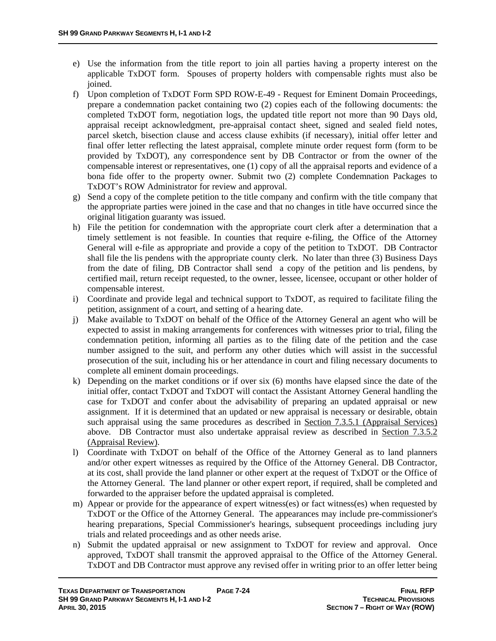- e) Use the information from the title report to join all parties having a property interest on the applicable TxDOT form. Spouses of property holders with compensable rights must also be ioined.
- f) Upon completion of TxDOT Form SPD ROW-E-49 Request for Eminent Domain Proceedings, prepare a condemnation packet containing two (2) copies each of the following documents: the completed TxDOT form, negotiation logs, the updated title report not more than 90 Days old, appraisal receipt acknowledgment, pre-appraisal contact sheet, signed and sealed field notes, parcel sketch, bisection clause and access clause exhibits (if necessary), initial offer letter and final offer letter reflecting the latest appraisal, complete minute order request form (form to be provided by TxDOT), any correspondence sent by DB Contractor or from the owner of the compensable interest or representatives, one (1) copy of all the appraisal reports and evidence of a bona fide offer to the property owner. Submit two (2) complete Condemnation Packages to TxDOT's ROW Administrator for review and approval.
- g) Send a copy of the complete petition to the title company and confirm with the title company that the appropriate parties were joined in the case and that no changes in title have occurred since the original litigation guaranty was issued.
- h) File the petition for condemnation with the appropriate court clerk after a determination that a timely settlement is not feasible. In counties that require e-filing, the Office of the Attorney General will e-file as appropriate and provide a copy of the petition to TxDOT. DB Contractor shall file the lis pendens with the appropriate county clerk. No later than three (3) Business Days from the date of filing, DB Contractor shall send a copy of the petition and lis pendens, by certified mail, return receipt requested, to the owner, lessee, licensee, occupant or other holder of compensable interest.
- i) Coordinate and provide legal and technical support to TxDOT, as required to facilitate filing the petition, assignment of a court, and setting of a hearing date.
- j) Make available to TxDOT on behalf of the Office of the Attorney General an agent who will be expected to assist in making arrangements for conferences with witnesses prior to trial, filing the condemnation petition, informing all parties as to the filing date of the petition and the case number assigned to the suit, and perform any other duties which will assist in the successful prosecution of the suit, including his or her attendance in court and filing necessary documents to complete all eminent domain proceedings.
- k) Depending on the market conditions or if over six (6) months have elapsed since the date of the initial offer, contact TxDOT and TxDOT will contact the Assistant Attorney General handling the case for TxDOT and confer about the advisability of preparing an updated appraisal or new assignment. If it is determined that an updated or new appraisal is necessary or desirable, obtain such appraisal using the same procedures as described in <u>Section 7.3.5.1</u> (Appraisal Services) above. DB Contractor must also undertake appraisal review as described in Section 7.3.5.2 (Appraisal Review).
- l) Coordinate with TxDOT on behalf of the Office of the Attorney General as to land planners and/or other expert witnesses as required by the Office of the Attorney General. DB Contractor, at its cost, shall provide the land planner or other expert at the request of TxDOT or the Office of the Attorney General. The land planner or other expert report, if required, shall be completed and forwarded to the appraiser before the updated appraisal is completed.
- m) Appear or provide for the appearance of expert witness(es) or fact witness(es) when requested by TxDOT or the Office of the Attorney General. The appearances may include pre-commissioner's hearing preparations, Special Commissioner's hearings, subsequent proceedings including jury trials and related proceedings and as other needs arise.
- n) Submit the updated appraisal or new assignment to TxDOT for review and approval. Once approved, TxDOT shall transmit the approved appraisal to the Office of the Attorney General. TxDOT and DB Contractor must approve any revised offer in writing prior to an offer letter being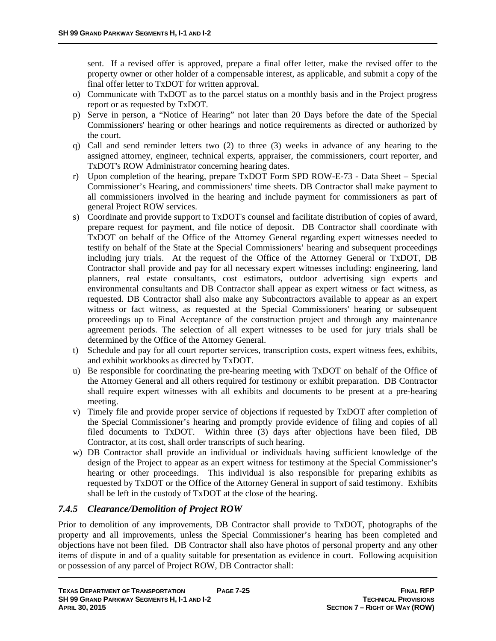sent. If a revised offer is approved, prepare a final offer letter, make the revised offer to the property owner or other holder of a compensable interest, as applicable, and submit a copy of the final offer letter to TxDOT for written approval.

- o) Communicate with TxDOT as to the parcel status on a monthly basis and in the Project progress report or as requested by TxDOT.
- p) Serve in person, a "Notice of Hearing" not later than 20 Days before the date of the Special Commissioners' hearing or other hearings and notice requirements as directed or authorized by the court.
- q) Call and send reminder letters two (2) to three (3) weeks in advance of any hearing to the assigned attorney, engineer, technical experts, appraiser, the commissioners, court reporter, and TxDOT's ROW Administrator concerning hearing dates.
- r) Upon completion of the hearing, prepare TxDOT Form SPD ROW-E-73 Data Sheet Special Commissioner's Hearing, and commissioners' time sheets. DB Contractor shall make payment to all commissioners involved in the hearing and include payment for commissioners as part of general Project ROW services.
- s) Coordinate and provide support to TxDOT's counsel and facilitate distribution of copies of award, prepare request for payment, and file notice of deposit. DB Contractor shall coordinate with TxDOT on behalf of the Office of the Attorney General regarding expert witnesses needed to testify on behalf of the State at the Special Commissioners' hearing and subsequent proceedings including jury trials. At the request of the Office of the Attorney General or TxDOT, DB Contractor shall provide and pay for all necessary expert witnesses including: engineering, land planners, real estate consultants, cost estimators, outdoor advertising sign experts and environmental consultants and DB Contractor shall appear as expert witness or fact witness, as requested. DB Contractor shall also make any Subcontractors available to appear as an expert witness or fact witness, as requested at the Special Commissioners' hearing or subsequent proceedings up to Final Acceptance of the construction project and through any maintenance agreement periods. The selection of all expert witnesses to be used for jury trials shall be determined by the Office of the Attorney General.
- t) Schedule and pay for all court reporter services, transcription costs, expert witness fees, exhibits, and exhibit workbooks as directed by TxDOT.
- u) Be responsible for coordinating the pre-hearing meeting with TxDOT on behalf of the Office of the Attorney General and all others required for testimony or exhibit preparation. DB Contractor shall require expert witnesses with all exhibits and documents to be present at a pre-hearing meeting.
- v) Timely file and provide proper service of objections if requested by TxDOT after completion of the Special Commissioner's hearing and promptly provide evidence of filing and copies of all filed documents to TxDOT. Within three (3) days after objections have been filed, DB Contractor, at its cost, shall order transcripts of such hearing.
- w) DB Contractor shall provide an individual or individuals having sufficient knowledge of the design of the Project to appear as an expert witness for testimony at the Special Commissioner's hearing or other proceedings. This individual is also responsible for preparing exhibits as requested by TxDOT or the Office of the Attorney General in support of said testimony. Exhibits shall be left in the custody of TxDOT at the close of the hearing.

### *7.4.5 Clearance/Demolition of Project ROW*

Prior to demolition of any improvements, DB Contractor shall provide to TxDOT, photographs of the property and all improvements, unless the Special Commissioner's hearing has been completed and objections have not been filed. DB Contractor shall also have photos of personal property and any other items of dispute in and of a quality suitable for presentation as evidence in court. Following acquisition or possession of any parcel of Project ROW, DB Contractor shall: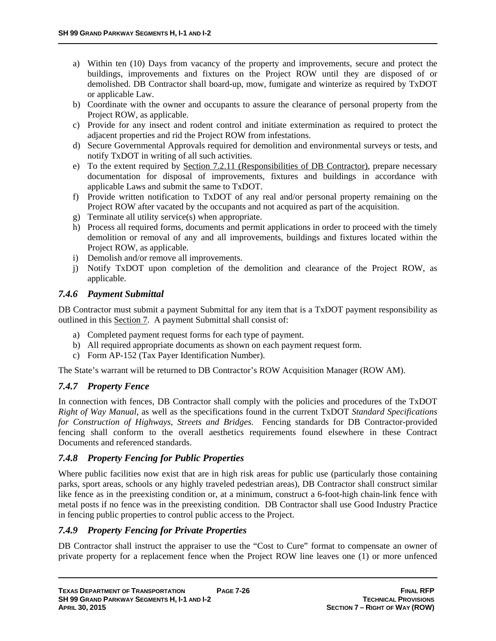- a) Within ten (10) Days from vacancy of the property and improvements, secure and protect the buildings, improvements and fixtures on the Project ROW until they are disposed of or demolished. DB Contractor shall board-up, mow, fumigate and winterize as required by TxDOT or applicable Law.
- b) Coordinate with the owner and occupants to assure the clearance of personal property from the Project ROW, as applicable.
- c) Provide for any insect and rodent control and initiate extermination as required to protect the adjacent properties and rid the Project ROW from infestations.
- d) Secure Governmental Approvals required for demolition and environmental surveys or tests, and notify TxDOT in writing of all such activities.
- e) To the extent required by Section 7.2.11 (Responsibilities of DB Contractor), prepare necessary documentation for disposal of improvements, fixtures and buildings in accordance with applicable Laws and submit the same to TxDOT.
- f) Provide written notification to TxDOT of any real and/or personal property remaining on the Project ROW after vacated by the occupants and not acquired as part of the acquisition.
- g) Terminate all utility service(s) when appropriate.
- h) Process all required forms, documents and permit applications in order to proceed with the timely demolition or removal of any and all improvements, buildings and fixtures located within the Project ROW, as applicable.
- i) Demolish and/or remove all improvements.
- j) Notify TxDOT upon completion of the demolition and clearance of the Project ROW, as applicable.

### *7.4.6 Payment Submittal*

DB Contractor must submit a payment Submittal for any item that is a TxDOT payment responsibility as outlined in this Section 7. A payment Submittal shall consist of:

- a) Completed payment request forms for each type of payment.
- b) All required appropriate documents as shown on each payment request form.
- c) Form AP-152 (Tax Payer Identification Number).

The State's warrant will be returned to DB Contractor's ROW Acquisition Manager (ROW AM).

### *7.4.7 Property Fence*

In connection with fences, DB Contractor shall comply with the policies and procedures of the TxDOT *Right of Way Manual*, as well as the specifications found in the current TxDOT *Standard Specifications for Construction of Highways, Streets and Bridges*. Fencing standards for DB Contractor-provided fencing shall conform to the overall aesthetics requirements found elsewhere in these Contract Documents and referenced standards.

### *7.4.8 Property Fencing for Public Properties*

Where public facilities now exist that are in high risk areas for public use (particularly those containing parks, sport areas, schools or any highly traveled pedestrian areas), DB Contractor shall construct similar like fence as in the preexisting condition or, at a minimum, construct a 6-foot-high chain-link fence with metal posts if no fence was in the preexisting condition. DB Contractor shall use Good Industry Practice in fencing public properties to control public access to the Project.

### *7.4.9 Property Fencing for Private Properties*

DB Contractor shall instruct the appraiser to use the "Cost to Cure" format to compensate an owner of private property for a replacement fence when the Project ROW line leaves one (1) or more unfenced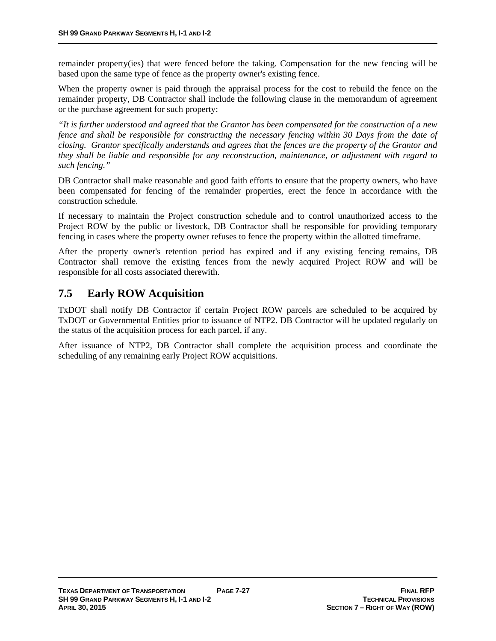remainder property(ies) that were fenced before the taking. Compensation for the new fencing will be based upon the same type of fence as the property owner's existing fence.

When the property owner is paid through the appraisal process for the cost to rebuild the fence on the remainder property, DB Contractor shall include the following clause in the memorandum of agreement or the purchase agreement for such property:

*"It is further understood and agreed that the Grantor has been compensated for the construction of a new fence and shall be responsible for constructing the necessary fencing within 30 Days from the date of closing. Grantor specifically understands and agrees that the fences are the property of the Grantor and they shall be liable and responsible for any reconstruction, maintenance, or adjustment with regard to such fencing."* 

DB Contractor shall make reasonable and good faith efforts to ensure that the property owners, who have been compensated for fencing of the remainder properties, erect the fence in accordance with the construction schedule.

If necessary to maintain the Project construction schedule and to control unauthorized access to the Project ROW by the public or livestock, DB Contractor shall be responsible for providing temporary fencing in cases where the property owner refuses to fence the property within the allotted timeframe.

After the property owner's retention period has expired and if any existing fencing remains, DB Contractor shall remove the existing fences from the newly acquired Project ROW and will be responsible for all costs associated therewith.

## **7.5 Early ROW Acquisition**

TxDOT shall notify DB Contractor if certain Project ROW parcels are scheduled to be acquired by TxDOT or Governmental Entities prior to issuance of NTP2. DB Contractor will be updated regularly on the status of the acquisition process for each parcel, if any.

After issuance of NTP2, DB Contractor shall complete the acquisition process and coordinate the scheduling of any remaining early Project ROW acquisitions.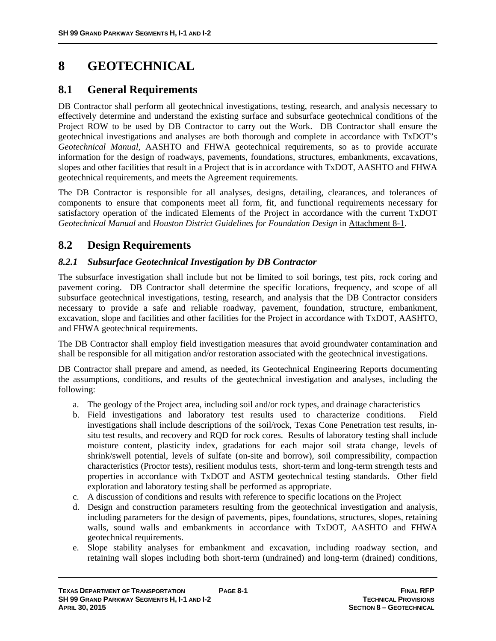# **8 GEOTECHNICAL**

## **8.1 General Requirements**

DB Contractor shall perform all geotechnical investigations, testing, research, and analysis necessary to effectively determine and understand the existing surface and subsurface geotechnical conditions of the Project ROW to be used by DB Contractor to carry out the Work. DB Contractor shall ensure the geotechnical investigations and analyses are both thorough and complete in accordance with TxDOT's *Geotechnical Manual*, AASHTO and FHWA geotechnical requirements, so as to provide accurate information for the design of roadways, pavements, foundations, structures, embankments, excavations, slopes and other facilities that result in a Project that is in accordance with TxDOT, AASHTO and FHWA geotechnical requirements, and meets the Agreement requirements.

The DB Contractor is responsible for all analyses, designs, detailing, clearances, and tolerances of components to ensure that components meet all form, fit, and functional requirements necessary for satisfactory operation of the indicated Elements of the Project in accordance with the current TxDOT *Geotechnical Manual* and *Houston District Guidelines for Foundation Design* in Attachment 8-1.

## **8.2 Design Requirements**

### *8.2.1 Subsurface Geotechnical Investigation by DB Contractor*

The subsurface investigation shall include but not be limited to soil borings, test pits, rock coring and pavement coring. DB Contractor shall determine the specific locations, frequency, and scope of all subsurface geotechnical investigations, testing, research, and analysis that the DB Contractor considers necessary to provide a safe and reliable roadway, pavement, foundation, structure, embankment, excavation, slope and facilities and other facilities for the Project in accordance with TxDOT, AASHTO, and FHWA geotechnical requirements.

The DB Contractor shall employ field investigation measures that avoid groundwater contamination and shall be responsible for all mitigation and/or restoration associated with the geotechnical investigations.

DB Contractor shall prepare and amend, as needed, its Geotechnical Engineering Reports documenting the assumptions, conditions, and results of the geotechnical investigation and analyses, including the following:

- a. The geology of the Project area, including soil and/or rock types, and drainage characteristics
- b. Field investigations and laboratory test results used to characterize conditions. Field investigations shall include descriptions of the soil/rock, Texas Cone Penetration test results, insitu test results, and recovery and RQD for rock cores. Results of laboratory testing shall include moisture content, plasticity index, gradations for each major soil strata change, levels of shrink/swell potential, levels of sulfate (on-site and borrow), soil compressibility, compaction characteristics (Proctor tests), resilient modulus tests, short-term and long-term strength tests and properties in accordance with TxDOT and ASTM geotechnical testing standards. Other field exploration and laboratory testing shall be performed as appropriate.
- c. A discussion of conditions and results with reference to specific locations on the Project
- d. Design and construction parameters resulting from the geotechnical investigation and analysis, including parameters for the design of pavements, pipes, foundations, structures, slopes, retaining walls, sound walls and embankments in accordance with TxDOT, AASHTO and FHWA geotechnical requirements.
- e. Slope stability analyses for embankment and excavation, including roadway section, and retaining wall slopes including both short-term (undrained) and long-term (drained) conditions,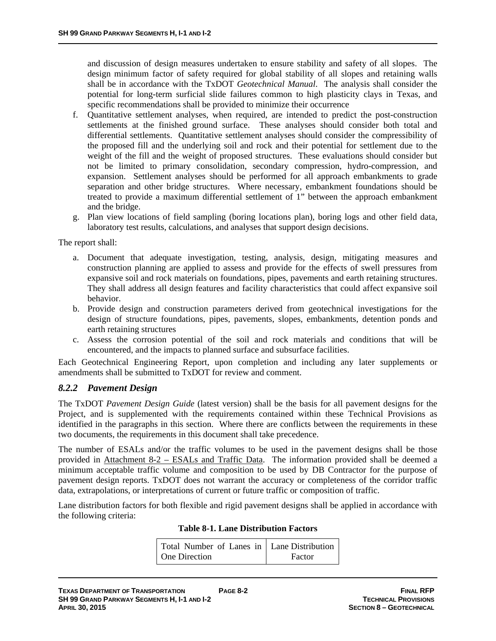and discussion of design measures undertaken to ensure stability and safety of all slopes. The design minimum factor of safety required for global stability of all slopes and retaining walls shall be in accordance with the TxDOT *Geotechnical Manual*. The analysis shall consider the potential for long-term surficial slide failures common to high plasticity clays in Texas, and specific recommendations shall be provided to minimize their occurrence

- f. Quantitative settlement analyses, when required, are intended to predict the post-construction settlements at the finished ground surface. These analyses should consider both total and differential settlements. Quantitative settlement analyses should consider the compressibility of the proposed fill and the underlying soil and rock and their potential for settlement due to the weight of the fill and the weight of proposed structures. These evaluations should consider but not be limited to primary consolidation, secondary compression, hydro-compression, and expansion. Settlement analyses should be performed for all approach embankments to grade separation and other bridge structures. Where necessary, embankment foundations should be treated to provide a maximum differential settlement of 1" between the approach embankment and the bridge.
- g. Plan view locations of field sampling (boring locations plan), boring logs and other field data, laboratory test results, calculations, and analyses that support design decisions.

The report shall:

- a. Document that adequate investigation, testing, analysis, design, mitigating measures and construction planning are applied to assess and provide for the effects of swell pressures from expansive soil and rock materials on foundations, pipes, pavements and earth retaining structures. They shall address all design features and facility characteristics that could affect expansive soil behavior.
- b. Provide design and construction parameters derived from geotechnical investigations for the design of structure foundations, pipes, pavements, slopes, embankments, detention ponds and earth retaining structures
- c. Assess the corrosion potential of the soil and rock materials and conditions that will be encountered, and the impacts to planned surface and subsurface facilities.

Each Geotechnical Engineering Report, upon completion and including any later supplements or amendments shall be submitted to TxDOT for review and comment.

#### *8.2.2 Pavement Design*

The TxDOT *Pavement Design Guide* (latest version) shall be the basis for all pavement designs for the Project, and is supplemented with the requirements contained within these Technical Provisions as identified in the paragraphs in this section. Where there are conflicts between the requirements in these two documents, the requirements in this document shall take precedence.

The number of ESALs and/or the traffic volumes to be used in the pavement designs shall be those provided in Attachment 8-2 – ESALs and Traffic Data. The information provided shall be deemed a minimum acceptable traffic volume and composition to be used by DB Contractor for the purpose of pavement design reports. TxDOT does not warrant the accuracy or completeness of the corridor traffic data, extrapolations, or interpretations of current or future traffic or composition of traffic.

Lane distribution factors for both flexible and rigid pavement designs shall be applied in accordance with the following criteria:

#### **Table 8-1. Lane Distribution Factors**

| Total Number of Lanes in   Lane Distribution |        |
|----------------------------------------------|--------|
| One Direction                                | Factor |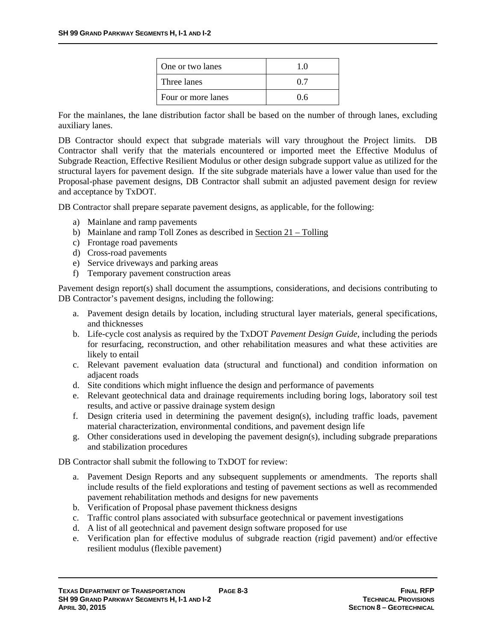| One or two lanes   | 10 |
|--------------------|----|
| Three lanes        | 07 |
| Four or more lanes | 06 |

For the mainlanes, the lane distribution factor shall be based on the number of through lanes, excluding auxiliary lanes.

DB Contractor should expect that subgrade materials will vary throughout the Project limits. DB Contractor shall verify that the materials encountered or imported meet the Effective Modulus of Subgrade Reaction, Effective Resilient Modulus or other design subgrade support value as utilized for the structural layers for pavement design. If the site subgrade materials have a lower value than used for the Proposal-phase pavement designs, DB Contractor shall submit an adjusted pavement design for review and acceptance by TxDOT.

DB Contractor shall prepare separate pavement designs, as applicable, for the following:

- a) Mainlane and ramp pavements
- b) Mainlane and ramp Toll Zones as described in Section 21 Tolling
- c) Frontage road pavements
- d) Cross-road pavements
- e) Service driveways and parking areas
- f) Temporary pavement construction areas

Pavement design report(s) shall document the assumptions, considerations, and decisions contributing to DB Contractor's pavement designs, including the following:

- a. Pavement design details by location, including structural layer materials, general specifications, and thicknesses
- b. Life-cycle cost analysis as required by the TxDOT *Pavement Design Guide*, including the periods for resurfacing, reconstruction, and other rehabilitation measures and what these activities are likely to entail
- c. Relevant pavement evaluation data (structural and functional) and condition information on adjacent roads
- d. Site conditions which might influence the design and performance of pavements
- e. Relevant geotechnical data and drainage requirements including boring logs, laboratory soil test results, and active or passive drainage system design
- f. Design criteria used in determining the pavement design(s), including traffic loads, pavement material characterization, environmental conditions, and pavement design life
- g. Other considerations used in developing the pavement design(s), including subgrade preparations and stabilization procedures

DB Contractor shall submit the following to TxDOT for review:

- a. Pavement Design Reports and any subsequent supplements or amendments. The reports shall include results of the field explorations and testing of pavement sections as well as recommended pavement rehabilitation methods and designs for new pavements
- b. Verification of Proposal phase pavement thickness designs
- c. Traffic control plans associated with subsurface geotechnical or pavement investigations
- d. A list of all geotechnical and pavement design software proposed for use
- e. Verification plan for effective modulus of subgrade reaction (rigid pavement) and/or effective resilient modulus (flexible pavement)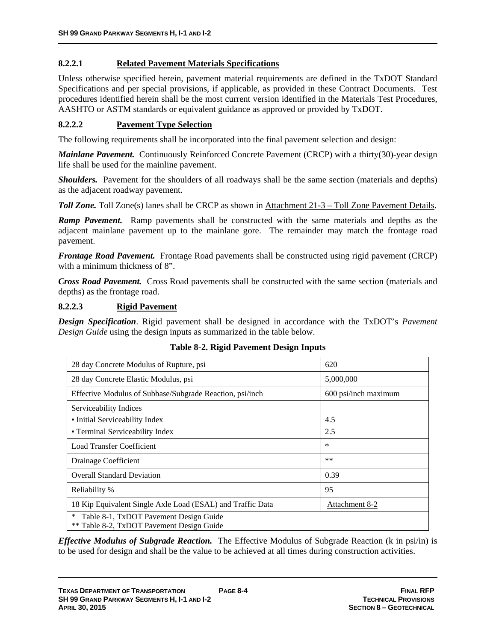### **8.2.2.1 Related Pavement Materials Specifications**

Unless otherwise specified herein, pavement material requirements are defined in the TxDOT Standard Specifications and per special provisions, if applicable, as provided in these Contract Documents. Test procedures identified herein shall be the most current version identified in the Materials Test Procedures, AASHTO or ASTM standards or equivalent guidance as approved or provided by TxDOT.

### **8.2.2.2 Pavement Type Selection**

The following requirements shall be incorporated into the final pavement selection and design:

*Mainlane Pavement.* Continuously Reinforced Concrete Pavement (CRCP) with a thirty(30)-year design life shall be used for the mainline pavement.

*Shoulders.* Pavement for the shoulders of all roadways shall be the same section (materials and depths) as the adjacent roadway pavement.

*Toll Zone.* Toll Zone(s) lanes shall be CRCP as shown in Attachment 21-3 – Toll Zone Pavement Details.

*Ramp Pavement.* Ramp pavements shall be constructed with the same materials and depths as the adjacent mainlane pavement up to the mainlane gore. The remainder may match the frontage road pavement.

*Frontage Road Pavement.* Frontage Road pavements shall be constructed using rigid pavement (CRCP) with a minimum thickness of 8".

*Cross Road Pavement.* Cross Road pavements shall be constructed with the same section (materials and depths) as the frontage road.

#### **8.2.2.3 Rigid Pavement**

*Design Specification*. Rigid pavement shall be designed in accordance with the TxDOT's *Pavement Design Guide* using the design inputs as summarized in the table below.

| 28 day Concrete Modulus of Rupture, psi                                                       | 620                   |
|-----------------------------------------------------------------------------------------------|-----------------------|
| 28 day Concrete Elastic Modulus, psi                                                          | 5,000,000             |
| Effective Modulus of Subbase/Subgrade Reaction, psi/inch                                      | 600 psi/inch maximum  |
| Serviceability Indices                                                                        |                       |
| • Initial Serviceability Index                                                                | 4.5                   |
| • Terminal Serviceability Index                                                               | 2.5                   |
| <b>Load Transfer Coefficient</b>                                                              | $\ast$                |
| Drainage Coefficient                                                                          | $**$                  |
| <b>Overall Standard Deviation</b>                                                             | 0.39                  |
| Reliability %                                                                                 | 95                    |
| 18 Kip Equivalent Single Axle Load (ESAL) and Traffic Data                                    | <b>Attachment 8-2</b> |
| $\ast$<br>Table 8-1, TxDOT Pavement Design Guide<br>** Table 8-2, TxDOT Pavement Design Guide |                       |

### **Table 8-2. Rigid Pavement Design Inputs**

*Effective Modulus of Subgrade Reaction.* The Effective Modulus of Subgrade Reaction (k in psi/in) is to be used for design and shall be the value to be achieved at all times during construction activities.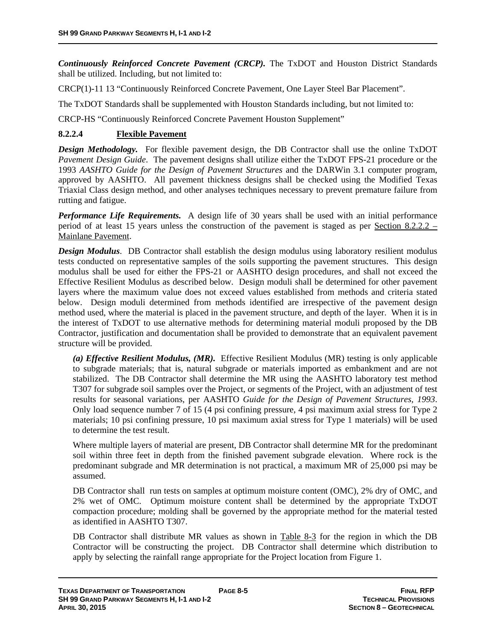*Continuously Reinforced Concrete Pavement (CRCP).* The TxDOT and Houston District Standards shall be utilized. Including, but not limited to:

CRCP(1)-11 13 "Continuously Reinforced Concrete Pavement, One Layer Steel Bar Placement".

The TxDOT Standards shall be supplemented with Houston Standards including, but not limited to:

CRCP-HS "Continuously Reinforced Concrete Pavement Houston Supplement"

### **8.2.2.4 Flexible Pavement**

*Design Methodology.* For flexible pavement design, the DB Contractor shall use the online TxDOT *Pavement Design Guide*. The pavement designs shall utilize either the TxDOT FPS-21 procedure or the 1993 *AASHTO Guide for the Design of Pavement Structures* and the DARWin 3.1 computer program, approved by AASHTO. All pavement thickness designs shall be checked using the Modified Texas Triaxial Class design method, and other analyses techniques necessary to prevent premature failure from rutting and fatigue.

*Performance Life Requirements.* A design life of 30 years shall be used with an initial performance period of at least 15 years unless the construction of the pavement is staged as per Section 8.2.2.2 – Mainlane Pavement.

*Design Modulus.* DB Contractor shall establish the design modulus using laboratory resilient modulus tests conducted on representative samples of the soils supporting the pavement structures. This design modulus shall be used for either the FPS-21 or AASHTO design procedures, and shall not exceed the Effective Resilient Modulus as described below. Design moduli shall be determined for other pavement layers where the maximum value does not exceed values established from methods and criteria stated below. Design moduli determined from methods identified are irrespective of the pavement design method used, where the material is placed in the pavement structure, and depth of the layer. When it is in the interest of TxDOT to use alternative methods for determining material moduli proposed by the DB Contractor, justification and documentation shall be provided to demonstrate that an equivalent pavement structure will be provided.

*(a) Effective Resilient Modulus, (MR).*Effective Resilient Modulus (MR) testing is only applicable to subgrade materials; that is, natural subgrade or materials imported as embankment and are not stabilized. The DB Contractor shall determine the MR using the AASHTO laboratory test method T307 for subgrade soil samples over the Project, or segments of the Project, with an adjustment of test results for seasonal variations, per AASHTO *Guide for the Design of Pavement Structures, 1993*. Only load sequence number 7 of 15 (4 psi confining pressure, 4 psi maximum axial stress for Type 2 materials; 10 psi confining pressure, 10 psi maximum axial stress for Type 1 materials) will be used to determine the test result.

Where multiple layers of material are present, DB Contractor shall determine MR for the predominant soil within three feet in depth from the finished pavement subgrade elevation. Where rock is the predominant subgrade and MR determination is not practical, a maximum MR of 25,000 psi may be assumed.

DB Contractor shall run tests on samples at optimum moisture content (OMC), 2% dry of OMC, and 2% wet of OMC. Optimum moisture content shall be determined by the appropriate TxDOT compaction procedure; molding shall be governed by the appropriate method for the material tested as identified in AASHTO T307.

DB Contractor shall distribute MR values as shown in Table 8-3 for the region in which the DB Contractor will be constructing the project. DB Contractor shall determine which distribution to apply by selecting the rainfall range appropriate for the Project location from Figure 1.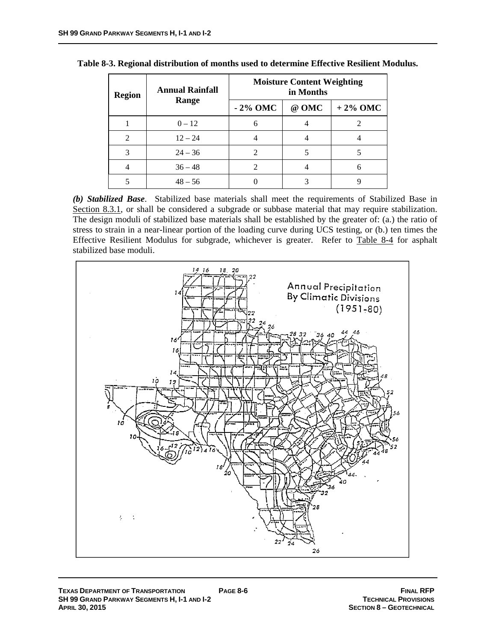| <b>Region</b>                                                                                                                                                   | <b>Annual Rainfall</b> | <b>Moisture Content Weighting</b><br>in Months |       |            |
|-----------------------------------------------------------------------------------------------------------------------------------------------------------------|------------------------|------------------------------------------------|-------|------------|
|                                                                                                                                                                 | Range                  | $-2\%$ OMC                                     | @ OMC | $+2\%$ OMC |
|                                                                                                                                                                 | $0 - 12$               |                                                |       |            |
| $\mathcal{D}_{\mathcal{A}}^{\mathcal{A}}(\mathcal{A})=\mathcal{D}_{\mathcal{A}}^{\mathcal{A}}(\mathcal{A})\mathcal{D}_{\mathcal{A}}^{\mathcal{A}}(\mathcal{A})$ | $12 - 24$              |                                                |       |            |
| 3                                                                                                                                                               | $24 - 36$              | 2                                              |       |            |
|                                                                                                                                                                 | $36 - 48$              |                                                |       | h          |
|                                                                                                                                                                 | $48 - 56$              |                                                |       |            |

| Table 8-3. Regional distribution of months used to determine Effective Resilient Modulus. |  |  |  |  |
|-------------------------------------------------------------------------------------------|--|--|--|--|
|-------------------------------------------------------------------------------------------|--|--|--|--|

*(b) Stabilized Base*. Stabilized base materials shall meet the requirements of Stabilized Base in Section 8.3.1, or shall be considered a subgrade or subbase material that may require stabilization. The design moduli of stabilized base materials shall be established by the greater of: (a.) the ratio of stress to strain in a near-linear portion of the loading curve during UCS testing, or (b.) ten times the Effective Resilient Modulus for subgrade, whichever is greater. Refer to Table 8-4 for asphalt stabilized base moduli.

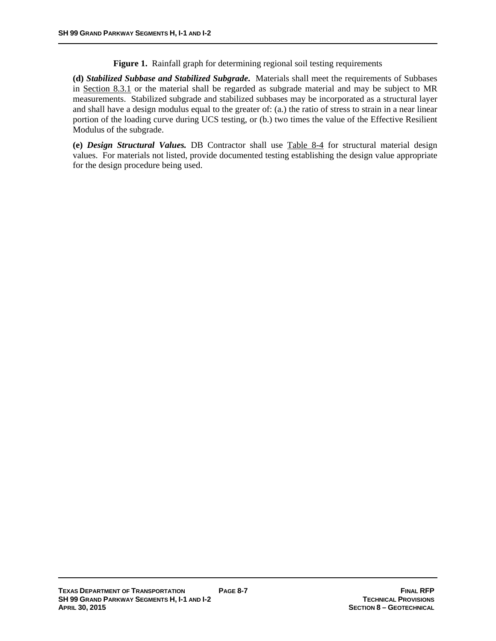**Figure 1.** Rainfall graph for determining regional soil testing requirements

**(d)** *Stabilized Subbase and Stabilized Subgrade***.** Materials shall meet the requirements of Subbases in Section 8.3.1 or the material shall be regarded as subgrade material and may be subject to MR measurements. Stabilized subgrade and stabilized subbases may be incorporated as a structural layer and shall have a design modulus equal to the greater of: (a.) the ratio of stress to strain in a near linear portion of the loading curve during UCS testing, or (b.) two times the value of the Effective Resilient Modulus of the subgrade.

**(e)** *Design Structural Values.* DB Contractor shall use Table 8-4 for structural material design values. For materials not listed, provide documented testing establishing the design value appropriate for the design procedure being used.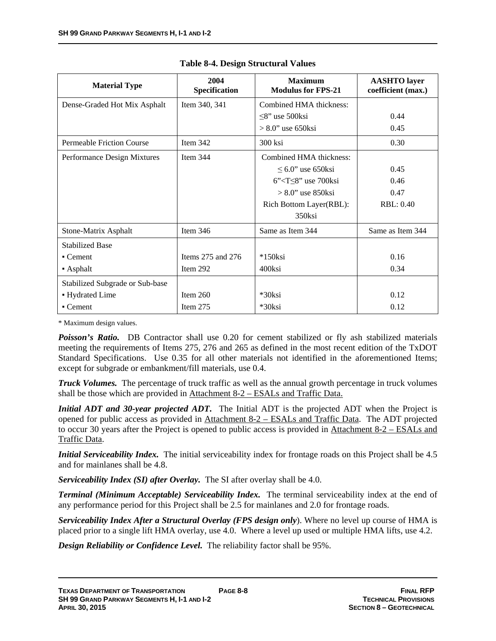| <b>Material Type</b>             | 2004<br>Specification | <b>Maximum</b><br><b>Modulus for FPS-21</b> | <b>AASHTO</b> layer<br>coefficient (max.) |
|----------------------------------|-----------------------|---------------------------------------------|-------------------------------------------|
| Dense-Graded Hot Mix Asphalt     | Item 340, 341         | Combined HMA thickness:                     |                                           |
|                                  |                       | $\leq$ 8" use 500ksi                        | 0.44                                      |
|                                  |                       | $> 8.0$ " use 650ksi                        | 0.45                                      |
| <b>Permeable Friction Course</b> | Item 342              | 300 ksi                                     | 0.30                                      |
| Performance Design Mixtures      | Item $344$            | Combined HMA thickness:                     |                                           |
|                                  |                       | $\leq 6.0$ " use 650ksi                     | 0.45                                      |
|                                  |                       | $6$ " <t<math>\leq8" use 700ksi</t<math>    | 0.46                                      |
|                                  |                       | $> 8.0$ " use 850 ksi                       | 0.47                                      |
|                                  |                       | Rich Bottom Layer(RBL):                     | <b>RBL: 0.40</b>                          |
|                                  |                       | 350ksi                                      |                                           |
| Stone-Matrix Asphalt             | Item $346$            | Same as Item 344                            | Same as Item 344                          |
| <b>Stabilized Base</b>           |                       |                                             |                                           |
| $\blacksquare$ Cement            | Items $275$ and $276$ | $*150$ ksi                                  | 0.16                                      |
| • Asphalt                        | Item 292              | 400ksi                                      | 0.34                                      |
| Stabilized Subgrade or Sub-base  |                       |                                             |                                           |
| • Hydrated Lime                  | Item $260$            | $*30$ ksi                                   | 0.12                                      |
| • Cement                         | Item $275$            | *30ksi                                      | 0.12                                      |

|  | <b>Table 8-4. Design Structural Values</b> |  |
|--|--------------------------------------------|--|
|  |                                            |  |

\* Maximum design values.

**Poisson's Ratio.** DB Contractor shall use 0.20 for cement stabilized or fly ash stabilized materials meeting the requirements of Items 275, 276 and 265 as defined in the most recent edition of the TxDOT Standard Specifications. Use 0.35 for all other materials not identified in the aforementioned Items; except for subgrade or embankment/fill materials, use 0.4.

*Truck Volumes.* The percentage of truck traffic as well as the annual growth percentage in truck volumes shall be those which are provided in Attachment 8-2 – ESALs and Traffic Data.

*Initial ADT and 30-year projected ADT***.** The Initial ADT is the projected ADT when the Project is opened for public access as provided in Attachment 8-2 – ESALs and Traffic Data. The ADT projected to occur 30 years after the Project is opened to public access is provided in Attachment 8-2 – ESALs and Traffic Data.

*Initial Serviceability Index.* The initial serviceability index for frontage roads on this Project shall be 4.5 and for mainlanes shall be 4.8.

*Serviceability Index (SI) after Overlay.* The SI after overlay shall be 4.0.

*Terminal (Minimum Acceptable) Serviceability Index.* The terminal serviceability index at the end of any performance period for this Project shall be 2.5 for mainlanes and 2.0 for frontage roads.

*Serviceability Index After a Structural Overlay (FPS design only*). Where no level up course of HMA is placed prior to a single lift HMA overlay, use 4.0. Where a level up used or multiple HMA lifts, use 4.2.

*Design Reliability or Confidence Level.* The reliability factor shall be 95%.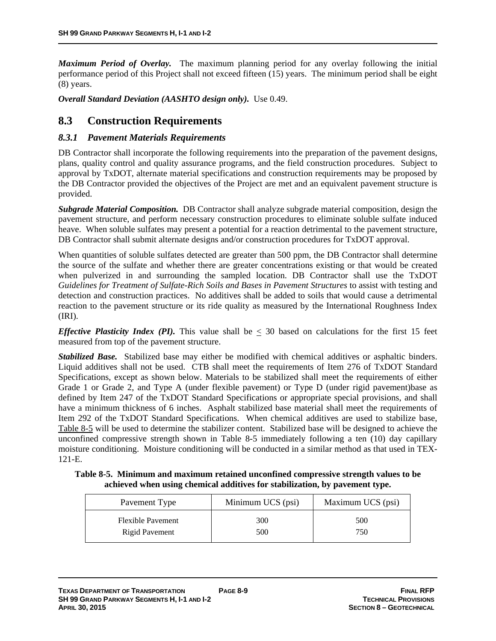*Maximum Period of Overlay.* The maximum planning period for any overlay following the initial performance period of this Project shall not exceed fifteen (15) years. The minimum period shall be eight (8) years.

*Overall Standard Deviation (AASHTO design only).* Use 0.49.

## **8.3 Construction Requirements**

### *8.3.1 Pavement Materials Requirements*

DB Contractor shall incorporate the following requirements into the preparation of the pavement designs, plans, quality control and quality assurance programs, and the field construction procedures. Subject to approval by TxDOT, alternate material specifications and construction requirements may be proposed by the DB Contractor provided the objectives of the Project are met and an equivalent pavement structure is provided.

*Subgrade Material Composition.* DB Contractor shall analyze subgrade material composition, design the pavement structure, and perform necessary construction procedures to eliminate soluble sulfate induced heave. When soluble sulfates may present a potential for a reaction detrimental to the pavement structure, DB Contractor shall submit alternate designs and/or construction procedures for TxDOT approval.

When quantities of soluble sulfates detected are greater than 500 ppm, the DB Contractor shall determine the source of the sulfate and whether there are greater concentrations existing or that would be created when pulverized in and surrounding the sampled location. DB Contractor shall use the TxDOT *Guidelines for Treatment of Sulfate-Rich Soils and Bases in Pavement Structures* to assist with testing and detection and construction practices. No additives shall be added to soils that would cause a detrimental reaction to the pavement structure or its ride quality as measured by the International Roughness Index (IRI).

*Effective Plasticity Index (PI).* This value shall be  $\leq$  30 based on calculations for the first 15 feet measured from top of the pavement structure.

*Stabilized Base.* Stabilized base may either be modified with chemical additives or asphaltic binders. Liquid additives shall not be used. CTB shall meet the requirements of Item 276 of TxDOT Standard Specifications*,* except as shown below. Materials to be stabilized shall meet the requirements of either Grade 1 or Grade 2, and Type A (under flexible pavement) or Type D (under rigid pavement)base as defined by Item 247 of the TxDOT Standard Specifications or appropriate special provisions, and shall have a minimum thickness of 6 inches. Asphalt stabilized base material shall meet the requirements of Item 292 of the TxDOT Standard Specifications. When chemical additives are used to stabilize base, Table 8-5 will be used to determine the stabilizer content. Stabilized base will be designed to achieve the unconfined compressive strength shown in Table 8-5 immediately following a ten (10) day capillary moisture conditioning. Moisture conditioning will be conducted in a similar method as that used in TEX-121-E.

**Table 8-5. Minimum and maximum retained unconfined compressive strength values to be achieved when using chemical additives for stabilization, by pavement type.** 

| Pavement Type            | Minimum UCS (psi) | Maximum UCS (psi) |
|--------------------------|-------------------|-------------------|
| <b>Flexible Pavement</b> | 300               | 500               |
| Rigid Pavement           | 500               | 750               |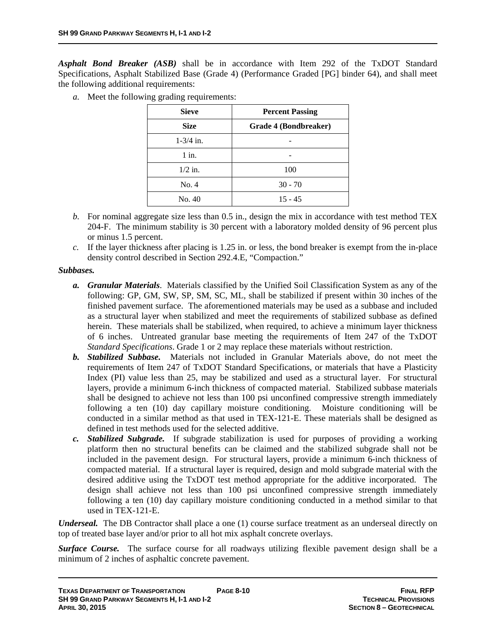*Asphalt Bond Breaker (ASB)* shall be in accordance with Item 292 of the TxDOT Standard Specifications, Asphalt Stabilized Base (Grade 4) (Performance Graded [PG] binder 64), and shall meet the following additional requirements:

*a.* Meet the following grading requirements:

| <b>Sieve</b>          | <b>Percent Passing</b> |  |
|-----------------------|------------------------|--|
| <b>Size</b>           | Grade 4 (Bondbreaker)  |  |
| $1 - \frac{3}{4}$ in. |                        |  |
| $1$ in.               |                        |  |
| $1/2$ in.             | 100                    |  |
| No. 4                 | $30 - 70$              |  |
| No. 40                | $15 - 45$              |  |

- *b.* For nominal aggregate size less than 0.5 in., design the mix in accordance with test method TEX 204-F. The minimum stability is 30 percent with a laboratory molded density of 96 percent plus or minus 1.5 percent.
- *c.* If the layer thickness after placing is 1.25 in. or less, the bond breaker is exempt from the in-place density control described in Section 292.4.E, "Compaction."

### *Subbases.*

- *a. Granular Materials*. Materials classified by the Unified Soil Classification System as any of the following: GP, GM, SW, SP, SM, SC, ML, shall be stabilized if present within 30 inches of the finished pavement surface. The aforementioned materials may be used as a subbase and included as a structural layer when stabilized and meet the requirements of stabilized subbase as defined herein. These materials shall be stabilized, when required, to achieve a minimum layer thickness of 6 inches. Untreated granular base meeting the requirements of Item 247 of the TxDOT *Standard Specifications*. Grade 1 or 2 may replace these materials without restriction.
- *b. Stabilized Subbase.* Materials not included in Granular Materials above, do not meet the requirements of Item 247 of TxDOT Standard Specifications, or materials that have a Plasticity Index (PI) value less than 25, may be stabilized and used as a structural layer. For structural layers, provide a minimum 6-inch thickness of compacted material. Stabilized subbase materials shall be designed to achieve not less than 100 psi unconfined compressive strength immediately following a ten (10) day capillary moisture conditioning. Moisture conditioning will be conducted in a similar method as that used in TEX-121-E. These materials shall be designed as defined in test methods used for the selected additive.
- *c. Stabilized Subgrade.* If subgrade stabilization is used for purposes of providing a working platform then no structural benefits can be claimed and the stabilized subgrade shall not be included in the pavement design. For structural layers, provide a minimum 6-inch thickness of compacted material. If a structural layer is required, design and mold subgrade material with the desired additive using the TxDOT test method appropriate for the additive incorporated. The design shall achieve not less than 100 psi unconfined compressive strength immediately following a ten (10) day capillary moisture conditioning conducted in a method similar to that used in TEX-121-E.

*Underseal.* The DB Contractor shall place a one (1) course surface treatment as an underseal directly on top of treated base layer and/or prior to all hot mix asphalt concrete overlays.

*Surface Course.* The surface course for all roadways utilizing flexible pavement design shall be a minimum of 2 inches of asphaltic concrete pavement.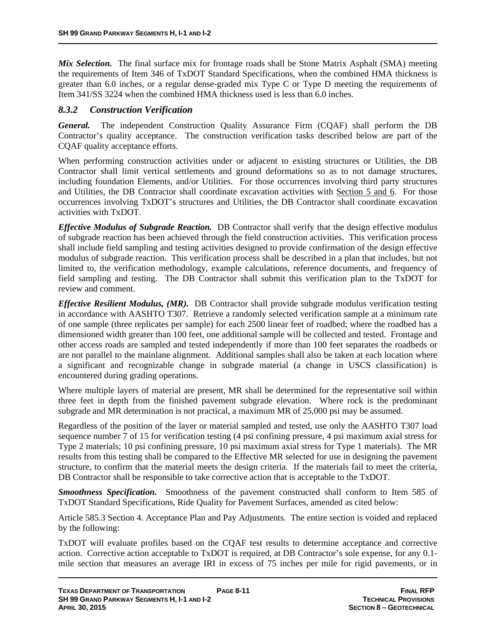*Mix Selection.* The final surface mix for frontage roads shall be Stone Matrix Asphalt (SMA) meeting the requirements of Item 346 of TxDOT Standard Specifications, when the combined HMA thickness is greater than 6.0 inches, or a regular dense-graded mix Type C or Type D meeting the requirements of Item 341/SS 3224 when the combined HMA thickness used is less than 6.0 inches.

### *8.3.2 Construction Verification*

*General.* The independent Construction Quality Assurance Firm (CQAF) shall perform the DB Contractor's quality acceptance. The construction verification tasks described below are part of the CQAF quality acceptance efforts.

When performing construction activities under or adjacent to existing structures or Utilities, the DB Contractor shall limit vertical settlements and ground deformations so as to not damage structures, including foundation Elements, and/or Utilities. For those occurrences involving third party structures and Utilities, the DB Contractor shall coordinate excavation activities with Section 5 and 6. For those occurrences involving TxDOT's structures and Utilities, the DB Contractor shall coordinate excavation activities with TxDOT.

*Effective Modulus of Subgrade Reaction.* DB Contractor shall verify that the design effective modulus of subgrade reaction has been achieved through the field construction activities. This verification process shall include field sampling and testing activities designed to provide confirmation of the design effective modulus of subgrade reaction. This verification process shall be described in a plan that includes, but not limited to, the verification methodology, example calculations, reference documents, and frequency of field sampling and testing. The DB Contractor shall submit this verification plan to the TxDOT for review and comment.

*Effective Resilient Modulus, (MR).* DB Contractor shall provide subgrade modulus verification testing in accordance with AASHTO T307. Retrieve a randomly selected verification sample at a minimum rate of one sample (three replicates per sample) for each 2500 linear feet of roadbed; where the roadbed has a dimensioned width greater than 100 feet, one additional sample will be collected and tested. Frontage and other access roads are sampled and tested independently if more than 100 feet separates the roadbeds or are not parallel to the mainlane alignment. Additional samples shall also be taken at each location where a significant and recognizable change in subgrade material (a change in USCS classification) is encountered during grading operations.

Where multiple layers of material are present, MR shall be determined for the representative soil within three feet in depth from the finished pavement subgrade elevation. Where rock is the predominant subgrade and MR determination is not practical, a maximum MR of 25,000 psi may be assumed.

Regardless of the position of the layer or material sampled and tested, use only the AASHTO T307 load sequence number 7 of 15 for verification testing (4 psi confining pressure, 4 psi maximum axial stress for Type 2 materials; 10 psi confining pressure, 10 psi maximum axial stress for Type 1 materials). The MR results from this testing shall be compared to the Effective MR selected for use in designing the pavement structure, to confirm that the material meets the design criteria. If the materials fail to meet the criteria, DB Contractor shall be responsible to take corrective action that is acceptable to the TxDOT.

*Smoothness Specification.* Smoothness of the pavement constructed shall conform to Item 585 of TxDOT Standard Specifications, Ride Quality for Pavement Surfaces, amended as cited below:

Article 585.3 Section 4. Acceptance Plan and Pay Adjustments. The entire section is voided and replaced by the following:

TxDOT will evaluate profiles based on the CQAF test results to determine acceptance and corrective action. Corrective action acceptable to TxDOT is required, at DB Contractor's sole expense, for any 0.1 mile section that measures an average IRI in excess of 75 inches per mile for rigid pavements, or in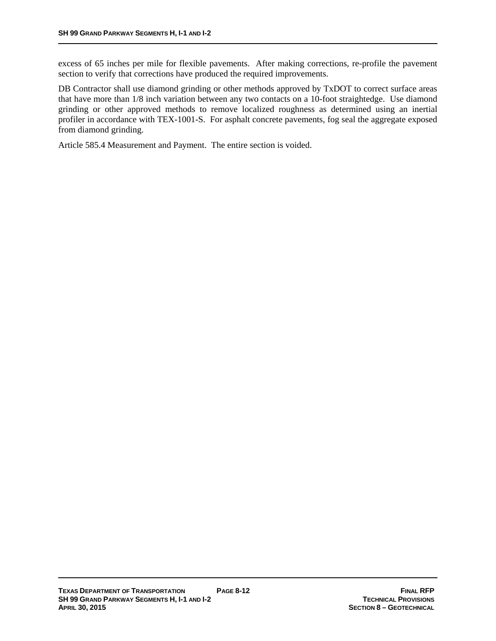excess of 65 inches per mile for flexible pavements. After making corrections, re-profile the pavement section to verify that corrections have produced the required improvements.

DB Contractor shall use diamond grinding or other methods approved by TxDOT to correct surface areas that have more than 1/8 inch variation between any two contacts on a 10-foot straightedge. Use diamond grinding or other approved methods to remove localized roughness as determined using an inertial profiler in accordance with TEX-1001-S. For asphalt concrete pavements, fog seal the aggregate exposed from diamond grinding.

Article 585.4 Measurement and Payment. The entire section is voided.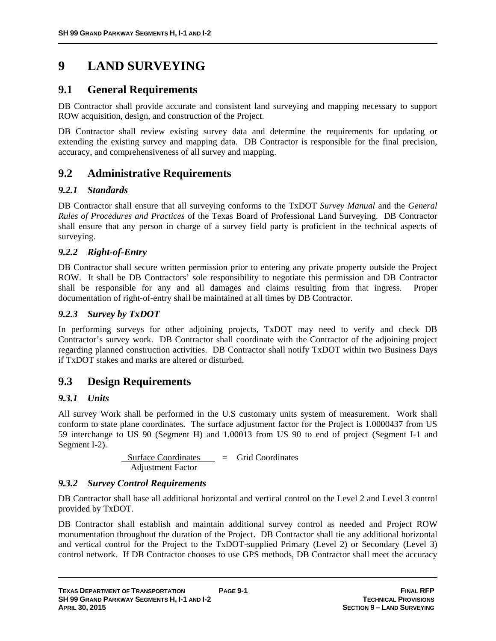# **9 LAND SURVEYING**

## **9.1 General Requirements**

DB Contractor shall provide accurate and consistent land surveying and mapping necessary to support ROW acquisition, design, and construction of the Project.

DB Contractor shall review existing survey data and determine the requirements for updating or extending the existing survey and mapping data. DB Contractor is responsible for the final precision, accuracy, and comprehensiveness of all survey and mapping.

## **9.2 Administrative Requirements**

### *9.2.1 Standards*

DB Contractor shall ensure that all surveying conforms to the TxDOT *Survey Manual* and the *General Rules of Procedures and Practices* of the Texas Board of Professional Land Surveying. DB Contractor shall ensure that any person in charge of a survey field party is proficient in the technical aspects of surveying.

### *9.2.2 Right-of-Entry*

DB Contractor shall secure written permission prior to entering any private property outside the Project ROW. It shall be DB Contractors' sole responsibility to negotiate this permission and DB Contractor shall be responsible for any and all damages and claims resulting from that ingress. Proper documentation of right-of-entry shall be maintained at all times by DB Contractor.

### *9.2.3 Survey by TxDOT*

In performing surveys for other adjoining projects, TxDOT may need to verify and check DB Contractor's survey work. DB Contractor shall coordinate with the Contractor of the adjoining project regarding planned construction activities. DB Contractor shall notify TxDOT within two Business Days if TxDOT stakes and marks are altered or disturbed.

## **9.3 Design Requirements**

### *9.3.1 Units*

All survey Work shall be performed in the U.S customary units system of measurement. Work shall conform to state plane coordinates. The surface adjustment factor for the Project is 1.0000437 from US 59 interchange to US 90 (Segment H) and 1.00013 from US 90 to end of project (Segment I-1 and Segment I-2).

> Surface Coordinates = Grid Coordinates Adjustment Factor

### *9.3.2 Survey Control Requirements*

DB Contractor shall base all additional horizontal and vertical control on the Level 2 and Level 3 control provided by TxDOT.

DB Contractor shall establish and maintain additional survey control as needed and Project ROW monumentation throughout the duration of the Project. DB Contractor shall tie any additional horizontal and vertical control for the Project to the TxDOT-supplied Primary (Level 2) or Secondary (Level 3) control network. If DB Contractor chooses to use GPS methods, DB Contractor shall meet the accuracy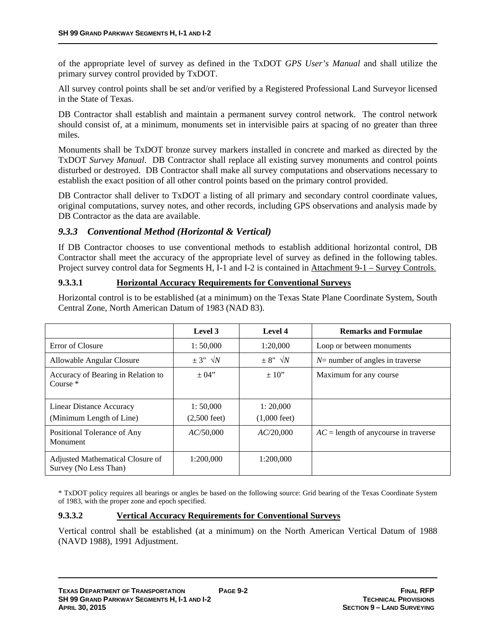of the appropriate level of survey as defined in the TxDOT *GPS User's Manual* and shall utilize the primary survey control provided by TxDOT.

All survey control points shall be set and/or verified by a Registered Professional Land Surveyor licensed in the State of Texas.

DB Contractor shall establish and maintain a permanent survey control network. The control network should consist of, at a minimum, monuments set in intervisible pairs at spacing of no greater than three miles.

Monuments shall be TxDOT bronze survey markers installed in concrete and marked as directed by the TxDOT *Survey Manual*. DB Contractor shall replace all existing survey monuments and control points disturbed or destroyed. DB Contractor shall make all survey computations and observations necessary to establish the exact position of all other control points based on the primary control provided.

DB Contractor shall deliver to TxDOT a listing of all primary and secondary control coordinate values, original computations, survey notes, and other records, including GPS observations and analysis made by DB Contractor as the data are available.

### *9.3.3 Conventional Method (Horizontal & Vertical)*

If DB Contractor chooses to use conventional methods to establish additional horizontal control, DB Contractor shall meet the accuracy of the appropriate level of survey as defined in the following tables. Project survey control data for Segments H, I-1 and I-2 is contained in Attachment 9-1 – Survey Controls.

### **9.3.3.1 Horizontal Accuracy Requirements for Conventional Surveys**

Horizontal control is to be established (at a minimum) on the Texas State Plane Coordinate System, South Central Zone, North American Datum of 1983 (NAD 83).

|                                                           | Level 3                            | Level 4                            | <b>Remarks and Formulae</b>             |
|-----------------------------------------------------------|------------------------------------|------------------------------------|-----------------------------------------|
| Error of Closure                                          | 1:50,000                           | 1:20.000                           | Loop or between monuments               |
| Allowable Angular Closure                                 | $\pm$ 3" $\sqrt{N}$                | $\pm$ 8" $\sqrt{N}$                | $N$ = number of angles in traverse      |
| Accuracy of Bearing in Relation to<br>Course $*$          | $\pm 04"$                          | $\pm 10$ "                         | Maximum for any course                  |
| Linear Distance Accuracy<br>(Minimum Length of Line)      | 1:50,000<br>$(2,500 \text{ feet})$ | 1:20,000<br>$(1,000 \text{ feet})$ |                                         |
| Positional Tolerance of Any<br>Monument                   | AC/50,000                          | AC/20,000                          | $AC =$ length of any course in traverse |
| Adjusted Mathematical Closure of<br>Survey (No Less Than) | 1:200,000                          | 1:200.000                          |                                         |

\* TxDOT policy requires all bearings or angles be based on the following source: Grid bearing of the Texas Coordinate System of 1983, with the proper zone and epoch specified.

### **9.3.3.2 Vertical Accuracy Requirements for Conventional Surveys**

Vertical control shall be established (at a minimum) on the North American Vertical Datum of 1988 (NAVD 1988), 1991 Adjustment.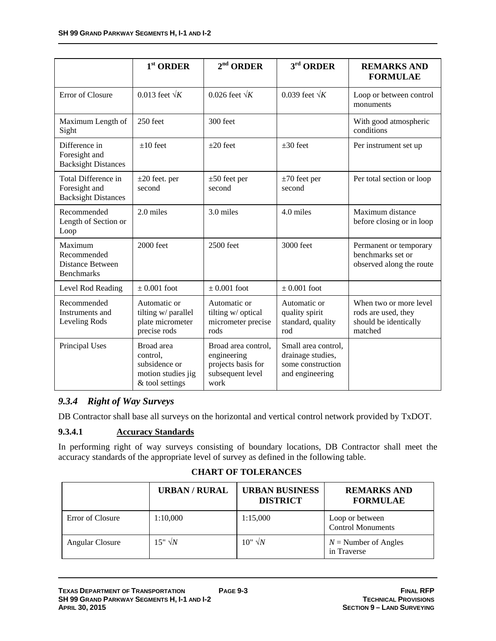|                                                                    | $1st$ ORDER                                                                      | $2nd$ ORDER                                                                          | $3rd$ ORDER                                                                      | <b>REMARKS AND</b><br><b>FORMULAE</b>                                             |
|--------------------------------------------------------------------|----------------------------------------------------------------------------------|--------------------------------------------------------------------------------------|----------------------------------------------------------------------------------|-----------------------------------------------------------------------------------|
| Error of Closure                                                   | 0.013 feet $\sqrt{k}$                                                            | 0.026 feet $\sqrt{K}$                                                                | 0.039 feet $\sqrt{K}$                                                            | Loop or between control<br>monuments                                              |
| Maximum Length of<br>Sight                                         | $250$ feet                                                                       | 300 feet                                                                             |                                                                                  | With good atmospheric<br>conditions                                               |
| Difference in<br>Foresight and<br><b>Backsight Distances</b>       | $±10$ feet                                                                       | $\pm 20$ feet                                                                        | $\pm 30$ feet                                                                    | Per instrument set up                                                             |
| Total Difference in<br>Foresight and<br><b>Backsight Distances</b> | $\pm 20$ feet. per<br>second                                                     | $\pm 50$ feet per<br>second                                                          | $\pm 70$ feet per<br>second                                                      | Per total section or loop                                                         |
| Recommended<br>Length of Section or<br>Loop                        | 2.0 miles                                                                        | 3.0 miles                                                                            | 4.0 miles                                                                        | Maximum distance<br>before closing or in loop                                     |
| Maximum<br>Recommended<br>Distance Between<br><b>Benchmarks</b>    | 2000 feet                                                                        | 2500 feet                                                                            | 3000 feet                                                                        | Permanent or temporary<br>benchmarks set or<br>observed along the route           |
| Level Rod Reading                                                  | $\pm 0.001$ foot                                                                 | $\pm$ 0.001 foot                                                                     | $\pm 0.001$ foot                                                                 |                                                                                   |
| Recommended<br>Instruments and<br>Leveling Rods                    | Automatic or<br>tilting w/ parallel<br>plate micrometer<br>precise rods          | Automatic or<br>tilting w/ optical<br>micrometer precise<br>rods                     | Automatic or<br>quality spirit<br>standard, quality<br>rod                       | When two or more level<br>rods are used, they<br>should be identically<br>matched |
| Principal Uses                                                     | Broad area<br>control,<br>subsidence or<br>motion studies jig<br>& tool settings | Broad area control,<br>engineering<br>projects basis for<br>subsequent level<br>work | Small area control,<br>drainage studies,<br>some construction<br>and engineering |                                                                                   |

### *9.3.4 Right of Way Surveys*

DB Contractor shall base all surveys on the horizontal and vertical control network provided by TxDOT.

### **9.3.4.1 Accuracy Standards**

In performing right of way surveys consisting of boundary locations, DB Contractor shall meet the accuracy standards of the appropriate level of survey as defined in the following table.

### **CHART OF TOLERANCES**

|                  | <b>URBAN / RURAL</b> | <b>URBAN BUSINESS</b><br><b>DISTRICT</b> | <b>REMARKS AND</b><br><b>FORMULAE</b>       |
|------------------|----------------------|------------------------------------------|---------------------------------------------|
| Error of Closure | 1:10,000             | 1:15,000                                 | Loop or between<br><b>Control Monuments</b> |
| Angular Closure  | $15" \sqrt{N}$       | $10" \sqrt{N}$                           | $N =$ Number of Angles<br>in Traverse       |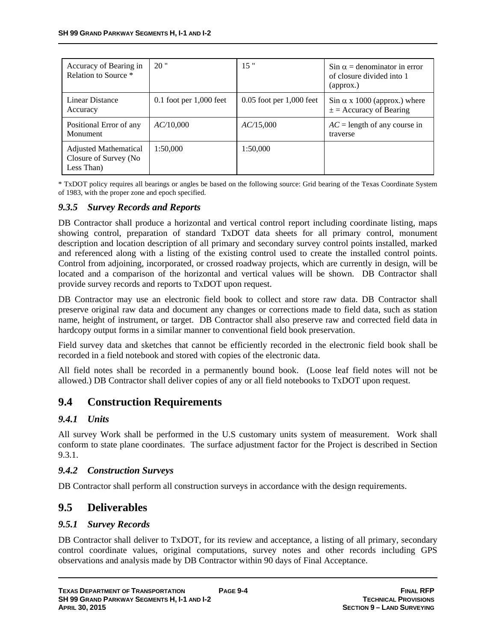| Accuracy of Bearing in<br>Relation to Source *                | 20"                         | 15"                          | $\sin \alpha =$ denominator in error<br>of closure divided into 1<br>$\alpha$ |
|---------------------------------------------------------------|-----------------------------|------------------------------|-------------------------------------------------------------------------------|
| Linear Distance<br>Accuracy                                   | $0.1$ foot per $1,000$ feet | $0.05$ foot per $1,000$ feet | $\sin \alpha$ x 1000 (approx.) where<br>$\pm$ = Accuracy of Bearing           |
| Positional Error of any<br>Monument                           | AC/10,000                   | AC/15,000                    | $AC =$ length of any course in<br>traverse                                    |
| Adjusted Mathematical<br>Closure of Survey (No.<br>Less Than) | 1:50,000                    | 1:50,000                     |                                                                               |

\* TxDOT policy requires all bearings or angles be based on the following source: Grid bearing of the Texas Coordinate System of 1983, with the proper zone and epoch specified.

### *9.3.5 Survey Records and Reports*

DB Contractor shall produce a horizontal and vertical control report including coordinate listing, maps showing control, preparation of standard TxDOT data sheets for all primary control, monument description and location description of all primary and secondary survey control points installed, marked and referenced along with a listing of the existing control used to create the installed control points. Control from adjoining, incorporated, or crossed roadway projects, which are currently in design, will be located and a comparison of the horizontal and vertical values will be shown. DB Contractor shall provide survey records and reports to TxDOT upon request.

DB Contractor may use an electronic field book to collect and store raw data. DB Contractor shall preserve original raw data and document any changes or corrections made to field data, such as station name, height of instrument, or target. DB Contractor shall also preserve raw and corrected field data in hardcopy output forms in a similar manner to conventional field book preservation.

Field survey data and sketches that cannot be efficiently recorded in the electronic field book shall be recorded in a field notebook and stored with copies of the electronic data.

All field notes shall be recorded in a permanently bound book. (Loose leaf field notes will not be allowed.) DB Contractor shall deliver copies of any or all field notebooks to TxDOT upon request.

## **9.4 Construction Requirements**

### *9.4.1 Units*

All survey Work shall be performed in the U.S customary units system of measurement. Work shall conform to state plane coordinates. The surface adjustment factor for the Project is described in Section 9.3.1.

### *9.4.2 Construction Surveys*

DB Contractor shall perform all construction surveys in accordance with the design requirements.

### **9.5 Deliverables**

### *9.5.1 Survey Records*

DB Contractor shall deliver to TxDOT, for its review and acceptance, a listing of all primary, secondary control coordinate values, original computations, survey notes and other records including GPS observations and analysis made by DB Contractor within 90 days of Final Acceptance.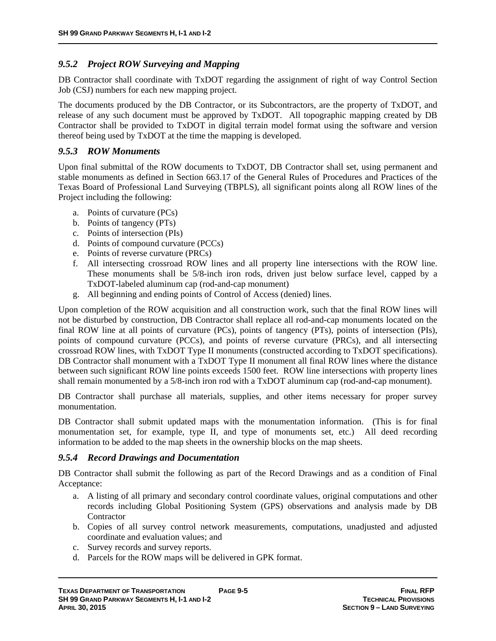### *9.5.2 Project ROW Surveying and Mapping*

DB Contractor shall coordinate with TxDOT regarding the assignment of right of way Control Section Job (CSJ) numbers for each new mapping project.

The documents produced by the DB Contractor, or its Subcontractors, are the property of TxDOT, and release of any such document must be approved by TxDOT. All topographic mapping created by DB Contractor shall be provided to TxDOT in digital terrain model format using the software and version thereof being used by TxDOT at the time the mapping is developed.

### *9.5.3 ROW Monuments*

Upon final submittal of the ROW documents to TxDOT, DB Contractor shall set, using permanent and stable monuments as defined in Section 663.17 of the General Rules of Procedures and Practices of the Texas Board of Professional Land Surveying (TBPLS), all significant points along all ROW lines of the Project including the following:

- a. Points of curvature (PCs)
- b. Points of tangency (PTs)
- c. Points of intersection (PIs)
- d. Points of compound curvature (PCCs)
- e. Points of reverse curvature (PRCs)
- f. All intersecting crossroad ROW lines and all property line intersections with the ROW line. These monuments shall be 5/8-inch iron rods, driven just below surface level, capped by a TxDOT-labeled aluminum cap (rod-and-cap monument)
- g. All beginning and ending points of Control of Access (denied) lines.

Upon completion of the ROW acquisition and all construction work, such that the final ROW lines will not be disturbed by construction, DB Contractor shall replace all rod-and-cap monuments located on the final ROW line at all points of curvature (PCs), points of tangency (PTs), points of intersection (PIs), points of compound curvature (PCCs), and points of reverse curvature (PRCs), and all intersecting crossroad ROW lines, with TxDOT Type II monuments (constructed according to TxDOT specifications). DB Contractor shall monument with a TxDOT Type II monument all final ROW lines where the distance between such significant ROW line points exceeds 1500 feet. ROW line intersections with property lines shall remain monumented by a 5/8-inch iron rod with a TxDOT aluminum cap (rod-and-cap monument).

DB Contractor shall purchase all materials, supplies, and other items necessary for proper survey monumentation.

DB Contractor shall submit updated maps with the monumentation information. (This is for final monumentation set, for example, type  $II$ , and type of monuments set, etc.) All deed recording information to be added to the map sheets in the ownership blocks on the map sheets.

#### *9.5.4 Record Drawings and Documentation*

DB Contractor shall submit the following as part of the Record Drawings and as a condition of Final Acceptance:

- a. A listing of all primary and secondary control coordinate values, original computations and other records including Global Positioning System (GPS) observations and analysis made by DB **Contractor**
- b. Copies of all survey control network measurements, computations, unadjusted and adjusted coordinate and evaluation values; and
- c. Survey records and survey reports.
- d. Parcels for the ROW maps will be delivered in GPK format.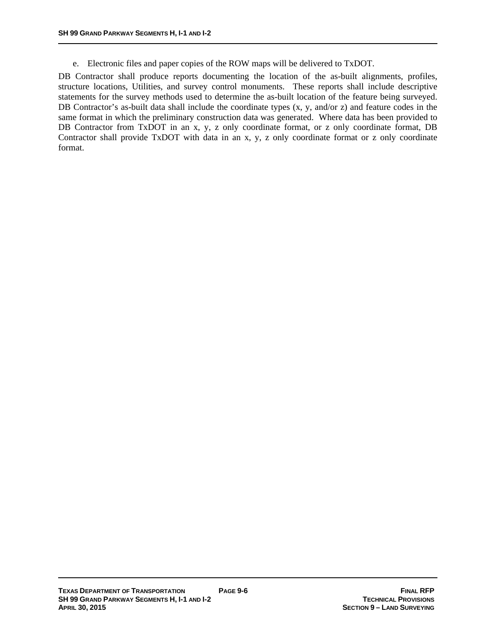e. Electronic files and paper copies of the ROW maps will be delivered to TxDOT.

DB Contractor shall produce reports documenting the location of the as-built alignments, profiles, structure locations, Utilities, and survey control monuments. These reports shall include descriptive statements for the survey methods used to determine the as-built location of the feature being surveyed. DB Contractor's as-built data shall include the coordinate types  $(x, y, and/or z)$  and feature codes in the same format in which the preliminary construction data was generated. Where data has been provided to DB Contractor from TxDOT in an x, y, z only coordinate format, or z only coordinate format, DB Contractor shall provide TxDOT with data in an x, y, z only coordinate format or z only coordinate format.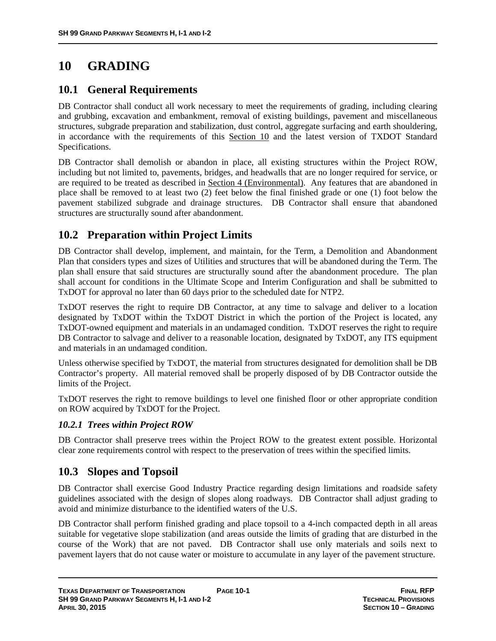# **10 GRADING**

### **10.1 General Requirements**

DB Contractor shall conduct all work necessary to meet the requirements of grading, including clearing and grubbing, excavation and embankment, removal of existing buildings, pavement and miscellaneous structures, subgrade preparation and stabilization, dust control, aggregate surfacing and earth shouldering, in accordance with the requirements of this Section 10 and the latest version of TXDOT Standard Specifications.

DB Contractor shall demolish or abandon in place, all existing structures within the Project ROW, including but not limited to, pavements, bridges, and headwalls that are no longer required for service, or are required to be treated as described in Section 4 (Environmental). Any features that are abandoned in place shall be removed to at least two (2) feet below the final finished grade or one (1) foot below the pavement stabilized subgrade and drainage structures. DB Contractor shall ensure that abandoned structures are structurally sound after abandonment.

## **10.2 Preparation within Project Limits**

DB Contractor shall develop, implement, and maintain, for the Term, a Demolition and Abandonment Plan that considers types and sizes of Utilities and structures that will be abandoned during the Term. The plan shall ensure that said structures are structurally sound after the abandonment procedure. The plan shall account for conditions in the Ultimate Scope and Interim Configuration and shall be submitted to TxDOT for approval no later than 60 days prior to the scheduled date for NTP2.

TxDOT reserves the right to require DB Contractor, at any time to salvage and deliver to a location designated by TxDOT within the TxDOT District in which the portion of the Project is located, any TxDOT-owned equipment and materials in an undamaged condition. TxDOT reserves the right to require DB Contractor to salvage and deliver to a reasonable location, designated by TxDOT, any ITS equipment and materials in an undamaged condition.

Unless otherwise specified by TxDOT, the material from structures designated for demolition shall be DB Contractor's property. All material removed shall be properly disposed of by DB Contractor outside the limits of the Project.

TxDOT reserves the right to remove buildings to level one finished floor or other appropriate condition on ROW acquired by TxDOT for the Project.

### *10.2.1 Trees within Project ROW*

DB Contractor shall preserve trees within the Project ROW to the greatest extent possible. Horizontal clear zone requirements control with respect to the preservation of trees within the specified limits.

## **10.3 Slopes and Topsoil**

DB Contractor shall exercise Good Industry Practice regarding design limitations and roadside safety guidelines associated with the design of slopes along roadways. DB Contractor shall adjust grading to avoid and minimize disturbance to the identified waters of the U.S.

DB Contractor shall perform finished grading and place topsoil to a 4-inch compacted depth in all areas suitable for vegetative slope stabilization (and areas outside the limits of grading that are disturbed in the course of the Work) that are not paved. DB Contractor shall use only materials and soils next to pavement layers that do not cause water or moisture to accumulate in any layer of the pavement structure.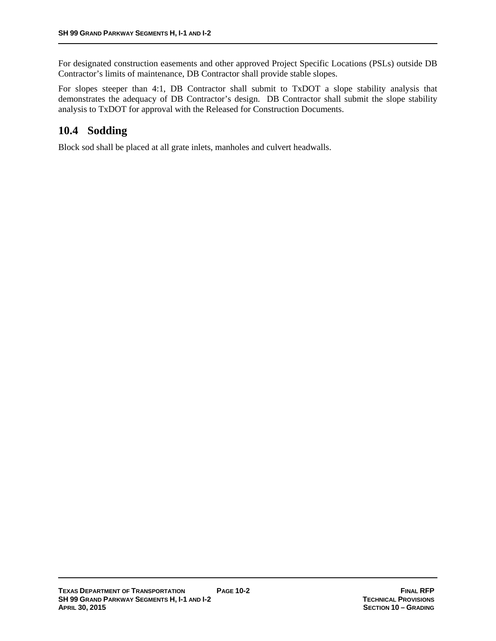For designated construction easements and other approved Project Specific Locations (PSLs) outside DB Contractor's limits of maintenance, DB Contractor shall provide stable slopes.

For slopes steeper than 4:1, DB Contractor shall submit to TxDOT a slope stability analysis that demonstrates the adequacy of DB Contractor's design. DB Contractor shall submit the slope stability analysis to TxDOT for approval with the Released for Construction Documents.

## **10.4 Sodding**

Block sod shall be placed at all grate inlets, manholes and culvert headwalls.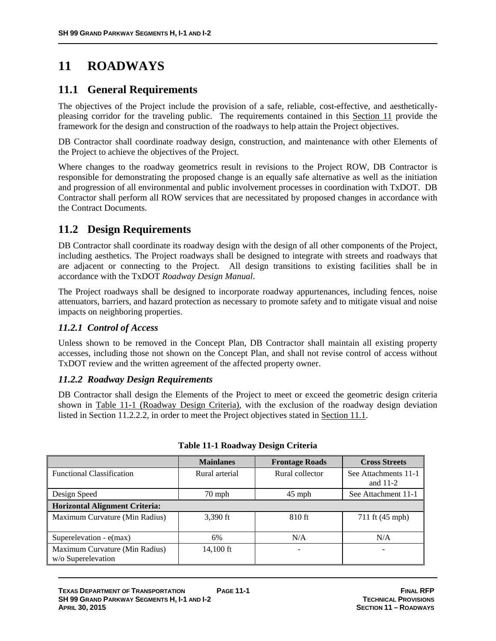# **11 ROADWAYS**

# **11.1 General Requirements**

The objectives of the Project include the provision of a safe, reliable, cost-effective, and aestheticallypleasing corridor for the traveling public. The requirements contained in this Section 11 provide the framework for the design and construction of the roadways to help attain the Project objectives.

DB Contractor shall coordinate roadway design, construction, and maintenance with other Elements of the Project to achieve the objectives of the Project.

Where changes to the roadway geometrics result in revisions to the Project ROW, DB Contractor is responsible for demonstrating the proposed change is an equally safe alternative as well as the initiation and progression of all environmental and public involvement processes in coordination with TxDOT. DB Contractor shall perform all ROW services that are necessitated by proposed changes in accordance with the Contract Documents.

# **11.2 Design Requirements**

DB Contractor shall coordinate its roadway design with the design of all other components of the Project, including aesthetics. The Project roadways shall be designed to integrate with streets and roadways that are adjacent or connecting to the Project. All design transitions to existing facilities shall be in accordance with the TxDOT *Roadway Design Manual*.

The Project roadways shall be designed to incorporate roadway appurtenances, including fences, noise attenuators, barriers, and hazard protection as necessary to promote safety and to mitigate visual and noise impacts on neighboring properties.

# *11.2.1 Control of Access*

Unless shown to be removed in the Concept Plan, DB Contractor shall maintain all existing property accesses, including those not shown on the Concept Plan, and shall not revise control of access without TxDOT review and the written agreement of the affected property owner.

### *11.2.2 Roadway Design Requirements*

DB Contractor shall design the Elements of the Project to meet or exceed the geometric design criteria shown in Table 11-1 (Roadway Design Criteria), with the exclusion of the roadway design deviation listed in Section 11.2.2.2, in order to meet the Project objectives stated in Section 11.1.

|                                                      | <b>Mainlanes</b>     | <b>Frontage Roads</b> | <b>Cross Streets</b>               |
|------------------------------------------------------|----------------------|-----------------------|------------------------------------|
| <b>Functional Classification</b>                     | Rural arterial       | Rural collector       | See Attachments 11-1<br>and $11-2$ |
| Design Speed                                         | $45$ mph<br>$70$ mph |                       | See Attachment 11-1                |
| <b>Horizontal Alignment Criteria:</b>                |                      |                       |                                    |
| Maximum Curvature (Min Radius)                       | $3.390$ ft           | $810$ ft              | 711 ft (45 mph)                    |
| Superelevation - $e(max)$                            | 6%                   | N/A                   | N/A                                |
| Maximum Curvature (Min Radius)<br>w/o Superelevation | 14,100 ft            |                       |                                    |

| Table 11-1 Roadway Design Criteria |  |
|------------------------------------|--|
|------------------------------------|--|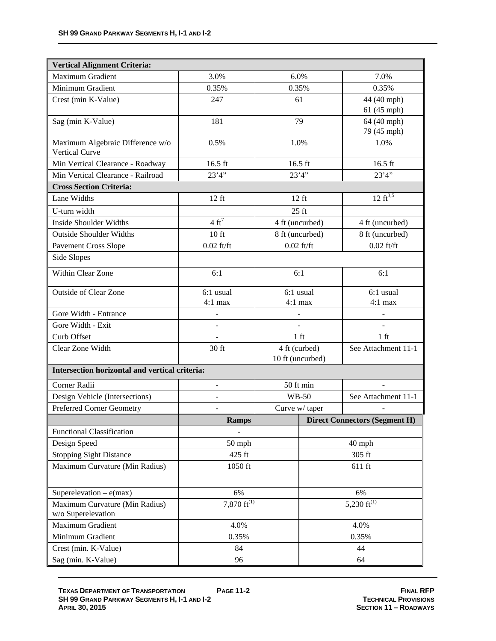| <b>Vertical Alignment Criteria:</b>                  |                                        |                  |                  |                                      |
|------------------------------------------------------|----------------------------------------|------------------|------------------|--------------------------------------|
| <b>Maximum Gradient</b>                              | 3.0%                                   | 6.0%             |                  | 7.0%                                 |
| Minimum Gradient                                     | 0.35%                                  | 0.35%            |                  | 0.35%                                |
| Crest (min K-Value)                                  | 247                                    | 61               |                  | 44 (40 mph)                          |
|                                                      |                                        |                  |                  | 61 (45 mph)                          |
| Sag (min K-Value)                                    | 181                                    | 79               |                  | 64 (40 mph)                          |
|                                                      |                                        |                  |                  | 79 (45 mph)                          |
| Maximum Algebraic Difference w/o<br>Vertical Curve   | 0.5%                                   | 1.0%             |                  | 1.0%                                 |
| Min Vertical Clearance - Roadway                     | $16.5$ ft                              | 16.5 ft          |                  | $16.5$ ft                            |
| Min Vertical Clearance - Railroad                    | 23'4''                                 | 23'4''           |                  | 23'4''                               |
| <b>Cross Section Criteria:</b>                       |                                        |                  |                  |                                      |
| Lane Widths                                          | $12$ ft                                | $12$ ft          |                  | $12 \text{ ft}^{3,5}$                |
| U-turn width                                         |                                        | $25$ ft          |                  |                                      |
| <b>Inside Shoulder Widths</b>                        | $4 \text{ ft}^7$                       | 4 ft (uncurbed)  |                  | 4 ft (uncurbed)                      |
| <b>Outside Shoulder Widths</b>                       | 10 <sub>ft</sub>                       | 8 ft (uncurbed)  |                  | 8 ft (uncurbed)                      |
| <b>Pavement Cross Slope</b>                          | $0.02$ ft/ft                           | $0.02$ ft/ft     |                  | $0.02$ ft/ft                         |
| Side Slopes                                          |                                        |                  |                  |                                      |
| Within Clear Zone                                    | 6:1                                    | 6:1              |                  | 6:1                                  |
| <b>Outside of Clear Zone</b>                         | 6:1 usual                              | 6:1 usual        |                  | 6:1 usual                            |
|                                                      | $4:1$ max                              | $4:1$ max        |                  | $4:1$ max                            |
| Gore Width - Entrance                                |                                        |                  |                  |                                      |
| Gore Width - Exit                                    | $\overline{\phantom{a}}$               |                  |                  |                                      |
| Curb Offset                                          |                                        | $1$ ft           |                  | $1$ ft                               |
| Clear Zone Width                                     | 30 ft                                  | 4 ft (curbed)    |                  | See Attachment 11-1                  |
|                                                      |                                        | 10 ft (uncurbed) |                  |                                      |
| Intersection horizontal and vertical criteria:       |                                        |                  |                  |                                      |
| Corner Radii                                         |                                        | 50 ft min        |                  |                                      |
| Design Vehicle (Intersections)                       |                                        | <b>WB-50</b>     |                  | See Attachment 11-1                  |
| Preferred Corner Geometry                            | $\overline{\phantom{0}}$               | Curve w/ taper   |                  |                                      |
|                                                      | <b>Ramps</b>                           |                  |                  | <b>Direct Connectors (Segment H)</b> |
| <b>Functional Classification</b>                     |                                        |                  |                  |                                      |
| Design Speed                                         | 50 mph                                 |                  |                  | 40 mph                               |
| <b>Stopping Sight Distance</b>                       | 425 ft                                 |                  | 305 ft           |                                      |
| Maximum Curvature (Min Radius)                       | 1050 ft<br>$611$ ft                    |                  |                  |                                      |
| Superelevation $-e(max)$                             | 6%                                     |                  | 6%               |                                      |
| Maximum Curvature (Min Radius)<br>w/o Superelevation | 7,870 $\overline{\mathfrak{ft}^{(1)}}$ |                  | 5,230 $ft^{(1)}$ |                                      |
| Maximum Gradient                                     | 4.0%                                   |                  |                  | 4.0%                                 |
| Minimum Gradient                                     | 0.35%                                  |                  |                  | 0.35%                                |
| Crest (min. K-Value)                                 | 84                                     |                  |                  | 44                                   |
| Sag (min. K-Value)                                   | 96                                     |                  | 64               |                                      |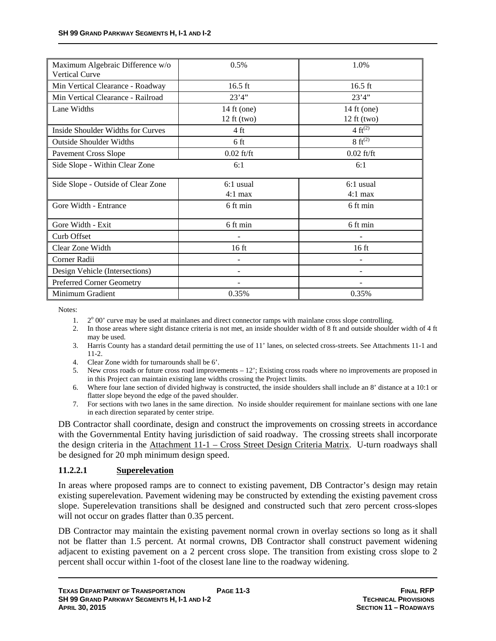| Maximum Algebraic Difference w/o<br>Vertical Curve | 0.5%                                 | 1.0%                                 |
|----------------------------------------------------|--------------------------------------|--------------------------------------|
| Min Vertical Clearance - Roadway                   | $16.5$ ft                            | $16.5$ ft                            |
| Min Vertical Clearance - Railroad                  | 23'4''                               | 23'4''                               |
| Lane Widths                                        | 14 ft (one)<br>$12 \text{ ft}$ (two) | 14 ft (one)<br>$12 \text{ ft}$ (two) |
| Inside Shoulder Widths for Curves                  | 4 ft                                 | 4 $ft^{(2)}$                         |
| <b>Outside Shoulder Widths</b>                     | 6 ft                                 | $8 \text{ ft}^{(2)}$                 |
| <b>Pavement Cross Slope</b>                        | $0.02$ ft/ft                         | $0.02$ ft/ft                         |
| Side Slope - Within Clear Zone                     | 6:1                                  | 6:1                                  |
| Side Slope - Outside of Clear Zone                 | $6:1$ usual<br>$4:1$ max             | $6:1$ usual<br>$4:1$ max             |
| Gore Width - Entrance                              | 6 ft min                             | 6 ft min                             |
| Gore Width - Exit                                  | 6 ft min                             | 6 ft min                             |
| Curb Offset                                        |                                      |                                      |
| Clear Zone Width                                   | $16$ ft                              | $16$ ft                              |
| Corner Radii                                       | $\blacksquare$                       |                                      |
| Design Vehicle (Intersections)                     |                                      |                                      |
| <b>Preferred Corner Geometry</b>                   |                                      |                                      |
| Minimum Gradient                                   | 0.35%                                | 0.35%                                |

Notes:

- 1. 2<sup>o</sup> 00' curve may be used at mainlanes and direct connector ramps with mainlane cross slope controlling.
- 2. In those areas where sight distance criteria is not met, an inside shoulder width of 8 ft and outside shoulder width of 4 ft may be used.
- 3. Harris County has a standard detail permitting the use of 11' lanes, on selected cross-streets. See Attachments 11-1 and 11-2.
- 4. Clear Zone width for turnarounds shall be 6'.
- 5. New cross roads or future cross road improvements 12'; Existing cross roads where no improvements are proposed in in this Project can maintain existing lane widths crossing the Project limits.
- 6. Where four lane section of divided highway is constructed, the inside shoulders shall include an 8' distance at a 10:1 or flatter slope beyond the edge of the paved shoulder.
- 7. For sections with two lanes in the same direction. No inside shoulder requirement for mainlane sections with one lane in each direction separated by center stripe.

DB Contractor shall coordinate, design and construct the improvements on crossing streets in accordance with the Governmental Entity having jurisdiction of said roadway. The crossing streets shall incorporate the design criteria in the Attachment 11-1 – Cross Street Design Criteria Matrix. U-turn roadways shall be designed for 20 mph minimum design speed.

### **11.2.2.1 Superelevation**

In areas where proposed ramps are to connect to existing pavement, DB Contractor's design may retain existing superelevation. Pavement widening may be constructed by extending the existing pavement cross slope. Superelevation transitions shall be designed and constructed such that zero percent cross-slopes will not occur on grades flatter than 0.35 percent.

DB Contractor may maintain the existing pavement normal crown in overlay sections so long as it shall not be flatter than 1.5 percent. At normal crowns, DB Contractor shall construct pavement widening adjacent to existing pavement on a 2 percent cross slope. The transition from existing cross slope to 2 percent shall occur within 1-foot of the closest lane line to the roadway widening.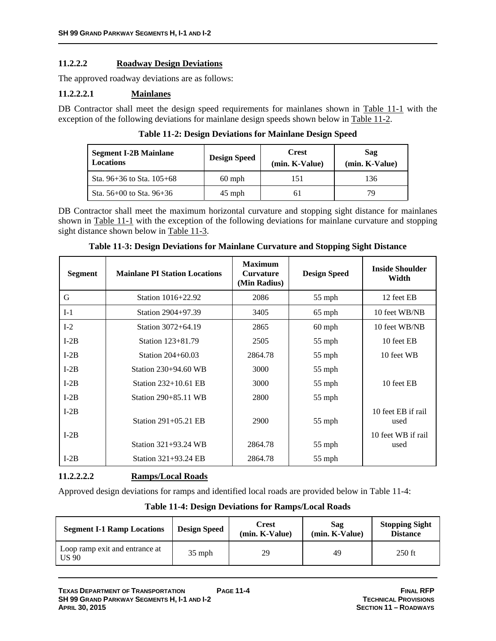### **11.2.2.2 Roadway Design Deviations**

The approved roadway deviations are as follows:

### **11.2.2.2.1 Mainlanes**

DB Contractor shall meet the design speed requirements for mainlanes shown in Table 11-1 with the exception of the following deviations for mainlane design speeds shown below in Table 11-2.

| <b>Table 11-2: Design Deviations for Mainlane Design Speed</b> |  |
|----------------------------------------------------------------|--|
|----------------------------------------------------------------|--|

| <b>Segment I-2B Mainlane</b><br><b>Locations</b> | <b>Design Speed</b> | <b>Crest</b><br>(min. K-Value) | Sag<br>(min. K-Value) |
|--------------------------------------------------|---------------------|--------------------------------|-----------------------|
| Sta. $96+36$ to Sta. $105+68$                    | $60$ mph            |                                | 136                   |
| Sta. $56+00$ to Sta. $96+36$                     | 45 mph              |                                | 79                    |

DB Contractor shall meet the maximum horizontal curvature and stopping sight distance for mainlanes shown in Table 11-1 with the exception of the following deviations for mainlane curvature and stopping sight distance shown below in Table 11-3.

| <b>Segment</b> | <b>Mainlane PI Station Locations</b> | <b>Maximum</b><br><b>Curvature</b><br>(Min Radius) | <b>Design Speed</b> | <b>Inside Shoulder</b><br>Width |
|----------------|--------------------------------------|----------------------------------------------------|---------------------|---------------------------------|
| G              | Station 1016+22.92                   | 2086                                               | 55 mph              | 12 feet EB                      |
| $I-1$          | Station 2904+97.39                   | 3405                                               | $65$ mph            | 10 feet WB/NB                   |
| $I-2$          | Station 3072+64.19                   | 2865                                               | $60$ mph            | 10 feet WB/NB                   |
| $I-2B$         | Station 123+81.79                    | 2505                                               | 55 mph              | 10 feet EB                      |
| $I-2B$         | Station 204+60.03                    | 2864.78                                            | $55$ mph            | 10 feet WB                      |
| $I-2B$         | Station 230+94.60 WB                 | 3000                                               | 55 mph              |                                 |
| $I-2B$         | Station $232+10.61$ EB               | 3000                                               | $55$ mph            | 10 feet EB                      |
| $I-2B$         | Station 290+85.11 WB                 | 2800                                               | 55 mph              |                                 |
| $I-2B$         | Station 291+05.21 EB                 | 2900                                               | 55 mph              | 10 feet EB if rail<br>used      |
| $I-2B$         | Station 321+93.24 WB                 | 2864.78                                            | 55 mph              | 10 feet WB if rail<br>used      |
| $I-2B$         | Station 321+93.24 EB                 | 2864.78                                            | $55$ mph            |                                 |

### **Table 11-3: Design Deviations for Mainlane Curvature and Stopping Sight Distance**

### **11.2.2.2.2 Ramps/Local Roads**

Approved design deviations for ramps and identified local roads are provided below in Table 11-4:

| <b>Segment I-1 Ramp Locations</b>              | <b>Design Speed</b> | Crest<br>(min. K-Value) | Sag<br>(min. K-Value) | <b>Stopping Sight</b><br><b>Distance</b> |
|------------------------------------------------|---------------------|-------------------------|-----------------------|------------------------------------------|
| Loop ramp exit and entrance at<br><b>US 90</b> | $35$ mph            | 29                      | 49                    | $250$ ft                                 |

### **Table 11-4: Design Deviations for Ramps/Local Roads**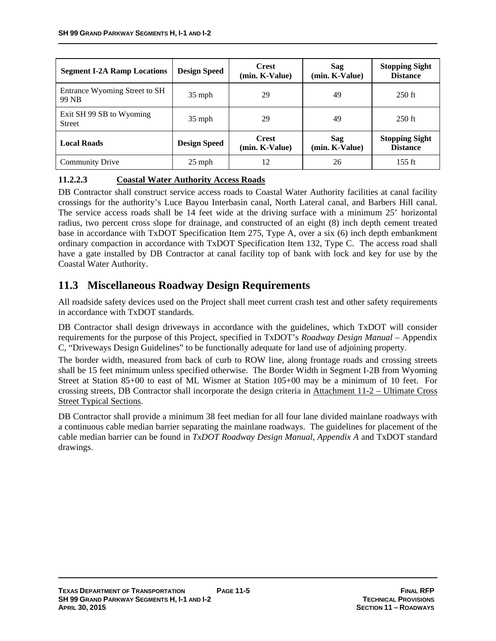| <b>Segment I-2A Ramp Locations</b>        | <b>Design Speed</b> | <b>Crest</b><br>(min. K-Value) | Sag<br>(min. K-Value) | <b>Stopping Sight</b><br><b>Distance</b> |
|-------------------------------------------|---------------------|--------------------------------|-----------------------|------------------------------------------|
| Entrance Wyoming Street to SH<br>99 NB    | $35$ mph            | 29                             | 49                    | $250$ ft                                 |
| Exit SH 99 SB to Wyoming<br><b>Street</b> | $35$ mph            | 29                             | 49                    | $250$ ft                                 |
| <b>Local Roads</b>                        | <b>Design Speed</b> | <b>Crest</b><br>(min. K-Value) | Sag<br>(min. K-Value) | <b>Stopping Sight</b><br><b>Distance</b> |
| <b>Community Drive</b>                    | $25$ mph            | 12                             | 26                    | 155 ft                                   |

## **11.2.2.3 Coastal Water Authority Access Roads**

DB Contractor shall construct service access roads to Coastal Water Authority facilities at canal facility crossings for the authority's Luce Bayou Interbasin canal, North Lateral canal, and Barbers Hill canal. The service access roads shall be 14 feet wide at the driving surface with a minimum 25' horizontal radius, two percent cross slope for drainage, and constructed of an eight (8) inch depth cement treated base in accordance with TxDOT Specification Item 275, Type A, over a six (6) inch depth embankment ordinary compaction in accordance with TxDOT Specification Item 132, Type C. The access road shall have a gate installed by DB Contractor at canal facility top of bank with lock and key for use by the Coastal Water Authority.

# **11.3 Miscellaneous Roadway Design Requirements**

All roadside safety devices used on the Project shall meet current crash test and other safety requirements in accordance with TxDOT standards.

DB Contractor shall design driveways in accordance with the guidelines, which TxDOT will consider requirements for the purpose of this Project, specified in TxDOT's *Roadway Design Manual* – Appendix C, "Driveways Design Guidelines" to be functionally adequate for land use of adjoining property.

The border width, measured from back of curb to ROW line, along frontage roads and crossing streets shall be 15 feet minimum unless specified otherwise. The Border Width in Segment I-2B from Wyoming Street at Station 85+00 to east of ML Wismer at Station 105+00 may be a minimum of 10 feet. For crossing streets, DB Contractor shall incorporate the design criteria in Attachment 11-2 – Ultimate Cross Street Typical Sections.

DB Contractor shall provide a minimum 38 feet median for all four lane divided mainlane roadways with a continuous cable median barrier separating the mainlane roadways. The guidelines for placement of the cable median barrier can be found in *TxDOT Roadway Design Manual*, *Appendix A* and TxDOT standard drawings.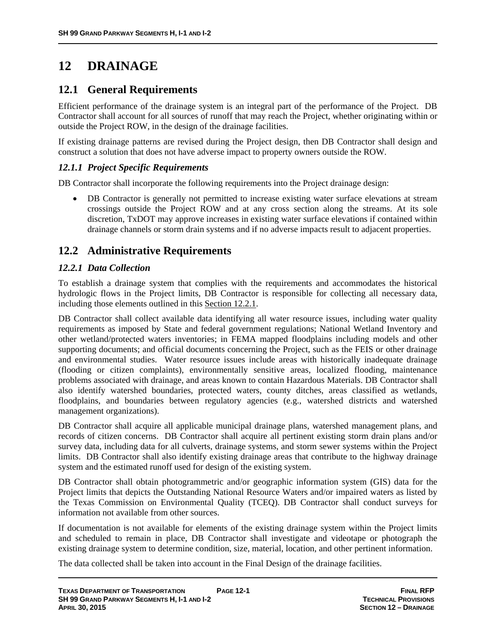# **12 DRAINAGE**

# **12.1 General Requirements**

Efficient performance of the drainage system is an integral part of the performance of the Project. DB Contractor shall account for all sources of runoff that may reach the Project, whether originating within or outside the Project ROW, in the design of the drainage facilities.

If existing drainage patterns are revised during the Project design, then DB Contractor shall design and construct a solution that does not have adverse impact to property owners outside the ROW.

# *12.1.1 Project Specific Requirements*

DB Contractor shall incorporate the following requirements into the Project drainage design:

 DB Contractor is generally not permitted to increase existing water surface elevations at stream crossings outside the Project ROW and at any cross section along the streams. At its sole discretion, TxDOT may approve increases in existing water surface elevations if contained within drainage channels or storm drain systems and if no adverse impacts result to adjacent properties.

# **12.2 Administrative Requirements**

# *12.2.1 Data Collection*

To establish a drainage system that complies with the requirements and accommodates the historical hydrologic flows in the Project limits, DB Contractor is responsible for collecting all necessary data, including those elements outlined in this Section 12.2.1.

DB Contractor shall collect available data identifying all water resource issues, including water quality requirements as imposed by State and federal government regulations; National Wetland Inventory and other wetland/protected waters inventories; in FEMA mapped floodplains including models and other supporting documents; and official documents concerning the Project, such as the FEIS or other drainage and environmental studies. Water resource issues include areas with historically inadequate drainage (flooding or citizen complaints), environmentally sensitive areas, localized flooding, maintenance problems associated with drainage, and areas known to contain Hazardous Materials. DB Contractor shall also identify watershed boundaries, protected waters, county ditches, areas classified as wetlands, floodplains, and boundaries between regulatory agencies (e.g., watershed districts and watershed management organizations).

DB Contractor shall acquire all applicable municipal drainage plans, watershed management plans, and records of citizen concerns. DB Contractor shall acquire all pertinent existing storm drain plans and/or survey data, including data for all culverts, drainage systems, and storm sewer systems within the Project limits. DB Contractor shall also identify existing drainage areas that contribute to the highway drainage system and the estimated runoff used for design of the existing system.

DB Contractor shall obtain photogrammetric and/or geographic information system (GIS) data for the Project limits that depicts the Outstanding National Resource Waters and/or impaired waters as listed by the Texas Commission on Environmental Quality (TCEQ). DB Contractor shall conduct surveys for information not available from other sources.

If documentation is not available for elements of the existing drainage system within the Project limits and scheduled to remain in place, DB Contractor shall investigate and videotape or photograph the existing drainage system to determine condition, size, material, location, and other pertinent information.

The data collected shall be taken into account in the Final Design of the drainage facilities.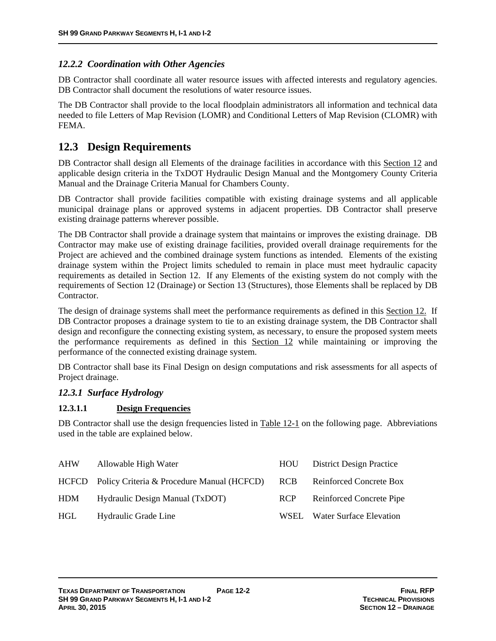## *12.2.2 Coordination with Other Agencies*

DB Contractor shall coordinate all water resource issues with affected interests and regulatory agencies. DB Contractor shall document the resolutions of water resource issues.

The DB Contractor shall provide to the local floodplain administrators all information and technical data needed to file Letters of Map Revision (LOMR) and Conditional Letters of Map Revision (CLOMR) with FEMA.

# **12.3 Design Requirements**

DB Contractor shall design all Elements of the drainage facilities in accordance with this Section 12 and applicable design criteria in the TxDOT Hydraulic Design Manual and the Montgomery County Criteria Manual and the Drainage Criteria Manual for Chambers County.

DB Contractor shall provide facilities compatible with existing drainage systems and all applicable municipal drainage plans or approved systems in adjacent properties. DB Contractor shall preserve existing drainage patterns wherever possible.

The DB Contractor shall provide a drainage system that maintains or improves the existing drainage. DB Contractor may make use of existing drainage facilities, provided overall drainage requirements for the Project are achieved and the combined drainage system functions as intended. Elements of the existing drainage system within the Project limits scheduled to remain in place must meet hydraulic capacity requirements as detailed in Section 12. If any Elements of the existing system do not comply with the requirements of Section 12 (Drainage) or Section 13 (Structures), those Elements shall be replaced by DB Contractor.

The design of drainage systems shall meet the performance requirements as defined in this Section 12. If DB Contractor proposes a drainage system to tie to an existing drainage system, the DB Contractor shall design and reconfigure the connecting existing system, as necessary, to ensure the proposed system meets the performance requirements as defined in this Section 12 while maintaining or improving the performance of the connected existing drainage system.

DB Contractor shall base its Final Design on design computations and risk assessments for all aspects of Project drainage.

### *12.3.1 Surface Hydrology*

### **12.3.1.1 Design Frequencies**

DB Contractor shall use the design frequencies listed in Table 12-1 on the following page. Abbreviations used in the table are explained below.

| <b>AHW</b> | Allowable High Water                             | HOU-       | <b>District Design Practice</b> |
|------------|--------------------------------------------------|------------|---------------------------------|
|            | HCFCD Policy Criteria & Procedure Manual (HCFCD) | <b>RCB</b> | Reinforced Concrete Box         |
| HDM        | Hydraulic Design Manual (TxDOT)                  | <b>RCP</b> | Reinforced Concrete Pipe        |
| HGL.       | Hydraulic Grade Line                             | WSEL.      | <b>Water Surface Elevation</b>  |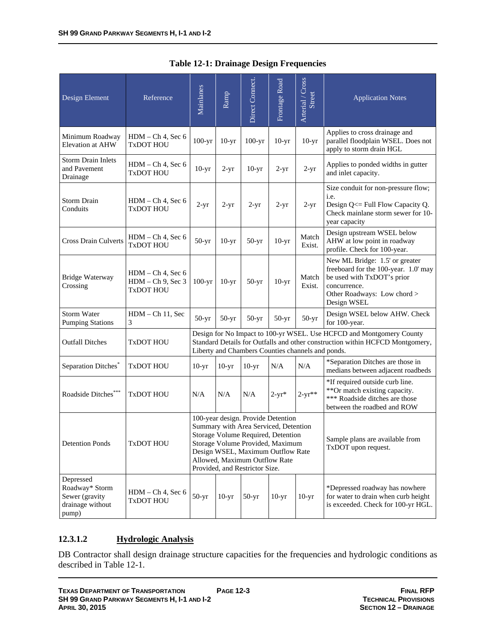| Design Element                                                             | Reference                                                       | Mainlanes                                                                                                                                                                                                                                                     | Ramp    | Direct Connect. | Frontage Road | Arterial / Cross<br><b>Street</b>                      | <b>Application Notes</b>                                                                                                                                           |
|----------------------------------------------------------------------------|-----------------------------------------------------------------|---------------------------------------------------------------------------------------------------------------------------------------------------------------------------------------------------------------------------------------------------------------|---------|-----------------|---------------|--------------------------------------------------------|--------------------------------------------------------------------------------------------------------------------------------------------------------------------|
| Minimum Roadway<br><b>Elevation at AHW</b>                                 | $HDM - Ch$ 4, Sec 6<br><b>TxDOT HOU</b>                         | $100-yr$                                                                                                                                                                                                                                                      | $10-yr$ | $100-yr$        | $10-yr$       | $10-yr$                                                | Applies to cross drainage and<br>parallel floodplain WSEL. Does not<br>apply to storm drain HGL                                                                    |
| <b>Storm Drain Inlets</b><br>and Pavement<br>Drainage                      | HDM - Ch 4, Sec 6<br><b>TxDOT HOU</b>                           | $10-yr$                                                                                                                                                                                                                                                       | $2-yr$  | $10-yr$         | $2-yr$        | $2-yr$                                                 | Applies to ponded widths in gutter<br>and inlet capacity.                                                                                                          |
| <b>Storm Drain</b><br>Conduits                                             | $HDM - Ch 4$ , Sec 6<br><b>TxDOT HOU</b>                        | $2-yr$                                                                                                                                                                                                                                                        | $2-yr$  | $2-yr$          | $2-yr$        | $2-yr$                                                 | Size conduit for non-pressure flow;<br>i.e.<br>Design Q<= Full Flow Capacity Q.<br>Check mainlane storm sewer for 10-<br>year capacity                             |
| <b>Cross Drain Culverts</b>                                                | $HDM - Ch$ 4, Sec 6<br>TxDOT HOU                                | $50-yr$                                                                                                                                                                                                                                                       | $10-yr$ | $50-yr$         | $10-yr$       | Match<br>Exist.                                        | Design upstream WSEL below<br>AHW at low point in roadway<br>profile. Check for 100-year.                                                                          |
| <b>Bridge Waterway</b><br>Crossing                                         | $HDM - Ch 4$ , Sec 6<br>$HDM - Ch$ 9, Sec 3<br><b>TxDOT HOU</b> | $100-yr$                                                                                                                                                                                                                                                      | $10-yr$ | $50-yr$         | $10-yr$       | Match<br>Exist.                                        | New ML Bridge: 1.5' or greater<br>freeboard for the 100-year. 1.0' may<br>be used with TxDOT's prior<br>concurrence.<br>Other Roadways: Low chord ><br>Design WSEL |
| <b>Storm Water</b><br><b>Pumping Stations</b>                              | $HDM - Ch 11$ , Sec<br>3                                        | $50-yr$                                                                                                                                                                                                                                                       | $50-yr$ | $50-yr$         | $50-yr$       | $50-yr$                                                | Design WSEL below AHW. Check<br>for 100-year.                                                                                                                      |
| <b>Outfall Ditches</b>                                                     | <b>TxDOT HOU</b>                                                |                                                                                                                                                                                                                                                               |         |                 |               | Liberty and Chambers Counties channels and ponds.      | Design for No Impact to 100-yr WSEL. Use HCFCD and Montgomery County<br>Standard Details for Outfalls and other construction within HCFCD Montgomery,              |
| Separation Ditches <sup>®</sup>                                            | <b>TxDOT HOU</b>                                                | $10-yr$                                                                                                                                                                                                                                                       | $10-yr$ | $10-yr$         | N/A           | N/A                                                    | *Separation Ditches are those in<br>medians between adjacent roadbeds                                                                                              |
| Roadside Ditches***                                                        | <b>TxDOT HOU</b>                                                | N/A                                                                                                                                                                                                                                                           | N/A     | N/A             | $2-yr*$       | $2 - yr^{**}$                                          | *If required outside curb line.<br>**Or match existing capacity.<br>*** Roadside ditches are those<br>between the roadbed and ROW                                  |
| <b>Detention Ponds</b>                                                     | <b>TxDOT HOU</b>                                                | 100-year design. Provide Detention<br>Summary with Area Serviced, Detention<br>Storage Volume Required, Detention<br>Storage Volume Provided, Maximum<br>Design WSEL, Maximum Outflow Rate<br>Allowed, Maximum Outflow Rate<br>Provided, and Restrictor Size. |         |                 |               | Sample plans are available from<br>TxDOT upon request. |                                                                                                                                                                    |
| Depressed<br>Roadway* Storm<br>Sewer (gravity<br>drainage without<br>pump) | $HDM - Ch 4$ , Sec 6<br><b>TxDOT HOU</b>                        | $50-yr$                                                                                                                                                                                                                                                       | $10-yr$ | $50-yr$         | $10-yr$       | $10-yr$                                                | *Depressed roadway has nowhere<br>for water to drain when curb height<br>is exceeded. Check for 100-yr HGL.                                                        |

# **Table 12-1: Drainage Design Frequencies**

# **12.3.1.2 Hydrologic Analysis**

DB Contractor shall design drainage structure capacities for the frequencies and hydrologic conditions as described in Table 12-1.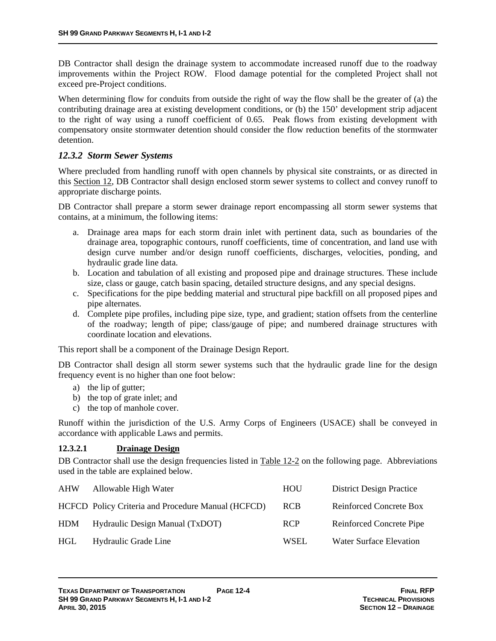DB Contractor shall design the drainage system to accommodate increased runoff due to the roadway improvements within the Project ROW. Flood damage potential for the completed Project shall not exceed pre-Project conditions.

When determining flow for conduits from outside the right of way the flow shall be the greater of (a) the contributing drainage area at existing development conditions, or (b) the 150' development strip adjacent to the right of way using a runoff coefficient of 0.65. Peak flows from existing development with compensatory onsite stormwater detention should consider the flow reduction benefits of the stormwater detention.

# *12.3.2 Storm Sewer Systems*

Where precluded from handling runoff with open channels by physical site constraints, or as directed in this Section 12, DB Contractor shall design enclosed storm sewer systems to collect and convey runoff to appropriate discharge points.

DB Contractor shall prepare a storm sewer drainage report encompassing all storm sewer systems that contains, at a minimum, the following items:

- a. Drainage area maps for each storm drain inlet with pertinent data, such as boundaries of the drainage area, topographic contours, runoff coefficients, time of concentration, and land use with design curve number and/or design runoff coefficients, discharges, velocities, ponding, and hydraulic grade line data.
- b. Location and tabulation of all existing and proposed pipe and drainage structures. These include size, class or gauge, catch basin spacing, detailed structure designs, and any special designs.
- c. Specifications for the pipe bedding material and structural pipe backfill on all proposed pipes and pipe alternates.
- d. Complete pipe profiles, including pipe size, type, and gradient; station offsets from the centerline of the roadway; length of pipe; class/gauge of pipe; and numbered drainage structures with coordinate location and elevations.

This report shall be a component of the Drainage Design Report.

DB Contractor shall design all storm sewer systems such that the hydraulic grade line for the design frequency event is no higher than one foot below:

- a) the lip of gutter;
- b) the top of grate inlet; and
- c) the top of manhole cover.

Runoff within the jurisdiction of the U.S. Army Corps of Engineers (USACE) shall be conveyed in accordance with applicable Laws and permits.

### **12.3.2.1 Drainage Design**

DB Contractor shall use the design frequencies listed in Table 12-2 on the following page. Abbreviations used in the table are explained below.

|                      | HOU                                                                                                           | <b>District Design Practice</b> |
|----------------------|---------------------------------------------------------------------------------------------------------------|---------------------------------|
|                      | <b>RCB</b>                                                                                                    | Reinforced Concrete Box         |
|                      | <b>RCP</b>                                                                                                    | Reinforced Concrete Pipe        |
| Hydraulic Grade Line | <b>WSEL</b>                                                                                                   | <b>Water Surface Elevation</b>  |
|                      | Allowable High Water<br>HCFCD Policy Criteria and Procedure Manual (HCFCD)<br>Hydraulic Design Manual (TxDOT) |                                 |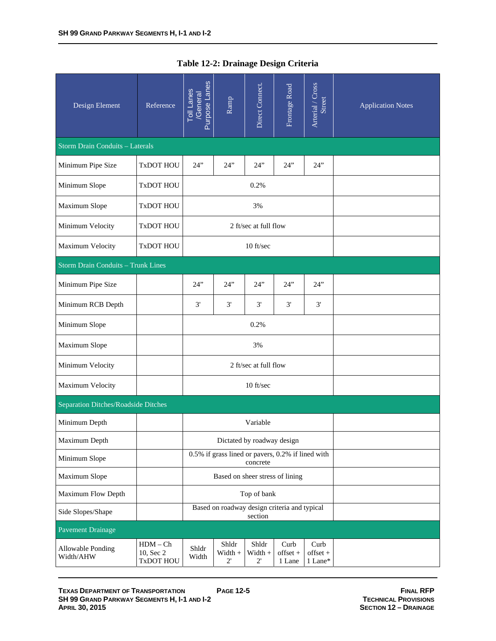| Design Element                            | Reference                            | Purpose Lanes<br><b>Toll Lanes</b><br>/General | Ramp                                              | Direct Connect.                  | Frontage Road              | Arterial / Cross<br>Street    | <b>Application Notes</b> |  |
|-------------------------------------------|--------------------------------------|------------------------------------------------|---------------------------------------------------|----------------------------------|----------------------------|-------------------------------|--------------------------|--|
| <b>Storm Drain Conduits - Laterals</b>    |                                      |                                                |                                                   |                                  |                            |                               |                          |  |
| Minimum Pipe Size                         | <b>TxDOT HOU</b>                     | 24"                                            | 24"                                               | 24"                              | 24"                        | 24"                           |                          |  |
| Minimum Slope                             | <b>TxDOT HOU</b>                     |                                                |                                                   | 0.2%                             |                            |                               |                          |  |
| Maximum Slope                             | <b>TxDOT HOU</b>                     |                                                |                                                   | 3%                               |                            |                               |                          |  |
| Minimum Velocity                          | <b>TxDOT HOU</b>                     |                                                |                                                   | 2 ft/sec at full flow            |                            |                               |                          |  |
| Maximum Velocity                          | TxDOT HOU                            |                                                |                                                   | 10 ft/sec                        |                            |                               |                          |  |
| <b>Storm Drain Conduits - Trunk Lines</b> |                                      |                                                |                                                   |                                  |                            |                               |                          |  |
| Minimum Pipe Size                         |                                      | 24"                                            | 24"                                               | 24"                              | 24"                        | 24"                           |                          |  |
| Minimum RCB Depth                         |                                      | 3'                                             | 3'                                                | 3'                               | 3'                         | 3'                            |                          |  |
| Minimum Slope                             |                                      |                                                |                                                   | 0.2%                             |                            |                               |                          |  |
| Maximum Slope                             |                                      |                                                |                                                   | 3%                               |                            |                               |                          |  |
| Minimum Velocity                          |                                      |                                                |                                                   | 2 ft/sec at full flow            |                            |                               |                          |  |
| Maximum Velocity                          |                                      |                                                |                                                   | 10 ft/sec                        |                            |                               |                          |  |
| Separation Ditches/Roadside Ditches       |                                      |                                                |                                                   |                                  |                            |                               |                          |  |
| Minimum Depth                             |                                      |                                                |                                                   | Variable                         |                            |                               |                          |  |
| Maximum Depth                             |                                      |                                                |                                                   | Dictated by roadway design       |                            |                               |                          |  |
| Minimum Slope                             |                                      |                                                | 0.5% if grass lined or pavers, 0.2% if lined with | concrete                         |                            |                               |                          |  |
| Maximum Slope                             |                                      |                                                | Based on sheer stress of lining                   |                                  |                            |                               |                          |  |
| Maximum Flow Depth                        |                                      |                                                |                                                   | Top of bank                      |                            |                               |                          |  |
| Side Slopes/Shape                         |                                      |                                                | Based on roadway design criteria and typical      | section                          |                            |                               |                          |  |
| <b>Pavement Drainage</b>                  |                                      |                                                |                                                   |                                  |                            |                               |                          |  |
| Allowable Ponding<br>Width/AHW            | $HDM - Ch$<br>10, Sec 2<br>TxDOT HOU | Shldr<br>Width                                 | Shldr<br>$Width +$<br>$2^{\prime}$                | Shldr<br>Width +<br>$2^{\prime}$ | Curb<br>offset +<br>1 Lane | Curb<br>$offset +$<br>1 Lane* |                          |  |

| Table 12-2: Drainage Design Criteria |  |
|--------------------------------------|--|
|--------------------------------------|--|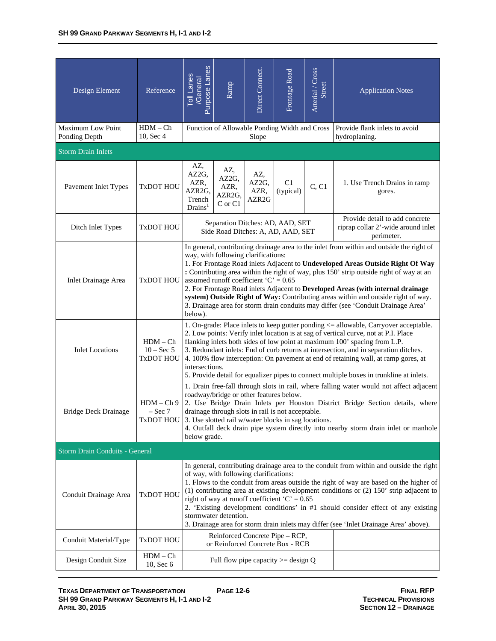| Design Element                        | Reference                                      | Purpose Lanes<br><b>Toll Lanes</b><br>/General                                                                                                                                                                                                                                                                                                                                                                                                                                                                                                                                                                                   | Ramp                                                                   | Direct Connect.                           | Frontage Road   | Arterial / Cross<br>Street                                                         | <b>Application Notes</b>                       |  |  |
|---------------------------------------|------------------------------------------------|----------------------------------------------------------------------------------------------------------------------------------------------------------------------------------------------------------------------------------------------------------------------------------------------------------------------------------------------------------------------------------------------------------------------------------------------------------------------------------------------------------------------------------------------------------------------------------------------------------------------------------|------------------------------------------------------------------------|-------------------------------------------|-----------------|------------------------------------------------------------------------------------|------------------------------------------------|--|--|
| Maximum Low Point<br>Ponding Depth    | $HDM - Ch$<br>10, Sec 4                        |                                                                                                                                                                                                                                                                                                                                                                                                                                                                                                                                                                                                                                  | Function of Allowable Ponding Width and Cross                          | Slope                                     |                 |                                                                                    | Provide flank inlets to avoid<br>hydroplaning. |  |  |
| <b>Storm Drain Inlets</b>             |                                                |                                                                                                                                                                                                                                                                                                                                                                                                                                                                                                                                                                                                                                  |                                                                        |                                           |                 |                                                                                    |                                                |  |  |
| Pavement Inlet Types                  | <b>TxDOT HOU</b>                               | AZ,<br>AZ2G,<br>AZR,<br>AZR2G,<br>Trench<br>Drains <sup>1</sup>                                                                                                                                                                                                                                                                                                                                                                                                                                                                                                                                                                  | AZ,<br>AZ2G,<br>AZR,<br>AZR2G,<br>C or C1                              | AZ,<br>AZ2G,<br>AZR,<br>AZR <sub>2G</sub> | C1<br>(typical) | C, C1                                                                              | 1. Use Trench Drains in ramp<br>gores.         |  |  |
| Ditch Inlet Types                     | <b>TxDOT HOU</b>                               |                                                                                                                                                                                                                                                                                                                                                                                                                                                                                                                                                                                                                                  | Separation Ditches: AD, AAD, SET<br>Side Road Ditches: A, AD, AAD, SET |                                           |                 | Provide detail to add concrete<br>riprap collar 2'-wide around inlet<br>perimeter. |                                                |  |  |
| <b>Inlet Drainage Area</b>            | <b>TxDOT HOU</b>                               | In general, contributing drainage area to the inlet from within and outside the right of<br>way, with following clarifications:<br>1. For Frontage Road inlets Adjacent to Undeveloped Areas Outside Right Of Way<br>: Contributing area within the right of way, plus 150' strip outside right of way at an<br>assumed runoff coefficient ' $C' = 0.65$<br>2. For Frontage Road inlets Adjacent to Developed Areas (with internal drainage<br>system) Outside Right of Way: Contributing areas within and outside right of way.<br>3. Drainage area for storm drain conduits may differ (see 'Conduit Drainage Area'<br>below). |                                                                        |                                           |                 |                                                                                    |                                                |  |  |
| <b>Inlet Locations</b>                | $HDM - Ch$<br>$10 - Sec 5$<br><b>TxDOT HOU</b> | 1. On-grade: Place inlets to keep gutter ponding <= allowable, Carryover acceptable.<br>2. Low points: Verify inlet location is at sag of vertical curve, not at P.I. Place<br>flanking inlets both sides of low point at maximum 100' spacing from L.P.<br>3. Redundant inlets: End of curb returns at intersection, and in separation ditches.<br>4. 100% flow interception: On pavement at end of retaining wall, at ramp gores, at<br>intersections.<br>5. Provide detail for equalizer pipes to connect multiple boxes in trunkline at inlets.                                                                              |                                                                        |                                           |                 |                                                                                    |                                                |  |  |
| <b>Bridge Deck Drainage</b>           | $HDM - Ch9$<br>$-$ Sec $7$<br>TXDOT HOU        | 1. Drain free-fall through slots in rail, where falling water would not affect adjacent<br>roadway/bridge or other features below.<br>2. Use Bridge Drain Inlets per Houston District Bridge Section details, where<br>drainage through slots in rail is not acceptable.<br>3. Use slotted rail w/water blocks in sag locations.<br>4. Outfall deck drain pipe system directly into nearby storm drain inlet or manhole<br>below grade.                                                                                                                                                                                          |                                                                        |                                           |                 |                                                                                    |                                                |  |  |
| <b>Storm Drain Conduits - General</b> |                                                |                                                                                                                                                                                                                                                                                                                                                                                                                                                                                                                                                                                                                                  |                                                                        |                                           |                 |                                                                                    |                                                |  |  |
| Conduit Drainage Area                 | TxDOT HOU                                      | In general, contributing drainage area to the conduit from within and outside the right<br>of way, with following clarifications:<br>1. Flows to the conduit from areas outside the right of way are based on the higher of<br>$(1)$ contributing area at existing development conditions or $(2)$ 150' strip adjacent to<br>right of way at runoff coefficient ' $C' = 0.65$<br>2. 'Existing development conditions' in #1 should consider effect of any existing<br>stormwater detention.<br>3. Drainage area for storm drain inlets may differ (see 'Inlet Drainage Area' above).                                             |                                                                        |                                           |                 |                                                                                    |                                                |  |  |
| Conduit Material/Type                 | <b>TxDOT HOU</b>                               | Reinforced Concrete Pipe – RCP,<br>or Reinforced Concrete Box - RCB                                                                                                                                                                                                                                                                                                                                                                                                                                                                                                                                                              |                                                                        |                                           |                 |                                                                                    |                                                |  |  |
| Design Conduit Size                   | $HDM - Ch$<br>10, Sec 6                        |                                                                                                                                                                                                                                                                                                                                                                                                                                                                                                                                                                                                                                  | Full flow pipe capacity $>=$ design Q                                  |                                           |                 |                                                                                    |                                                |  |  |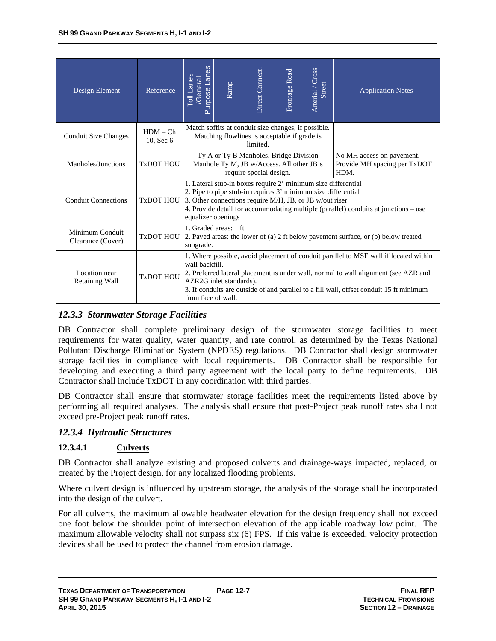| Design Element                       | Reference               | Purpose Lanes<br><b>Toll Lanes</b><br>General                                                                                                                                                                                                                                                                                             | Ramp | Direct Connect. | Frontage Road | Arterial / Cross<br>Street | <b>Application Notes</b> |  |  |
|--------------------------------------|-------------------------|-------------------------------------------------------------------------------------------------------------------------------------------------------------------------------------------------------------------------------------------------------------------------------------------------------------------------------------------|------|-----------------|---------------|----------------------------|--------------------------|--|--|
| <b>Conduit Size Changes</b>          | $HDM - Ch$<br>10, Sec 6 | Match soffits at conduit size changes, if possible.<br>Matching flowlines is acceptable if grade is<br>limited.                                                                                                                                                                                                                           |      |                 |               |                            |                          |  |  |
| Manholes/Junctions                   | TxDOT HOU               | Ty A or Ty B Manholes. Bridge Division<br>No MH access on pavement.<br>Manhole Ty M, JB w/Access. All other JB's<br>Provide MH spacing per TxDOT<br>require special design.<br>HDM.                                                                                                                                                       |      |                 |               |                            |                          |  |  |
| <b>Conduit Connections</b>           | <b>TxDOT HOU</b>        | 1. Lateral stub-in boxes require 2' minimum size differential<br>2. Pipe to pipe stub-in requires 3' minimum size differential<br>3. Other connections require M/H, JB, or JB w/out riser<br>4. Provide detail for accommodating multiple (parallel) conduits at junctions – use<br>equalizer openings                                    |      |                 |               |                            |                          |  |  |
| Minimum Conduit<br>Clearance (Cover) | <b>TxDOT HOU</b>        | 1. Graded areas: 1 ft<br>2. Paved areas: the lower of (a) 2 ft below pavement surface, or (b) below treated<br>subgrade.                                                                                                                                                                                                                  |      |                 |               |                            |                          |  |  |
| Location near<br>Retaining Wall      | <b>TxDOT HOU</b>        | 1. Where possible, avoid placement of conduit parallel to MSE wall if located within<br>wall backfill.<br>2. Preferred lateral placement is under wall, normal to wall alignment (see AZR and<br>AZR2G inlet standards).<br>3. If conduits are outside of and parallel to a fill wall, offset conduit 15 ft minimum<br>from face of wall. |      |                 |               |                            |                          |  |  |

# *12.3.3 Stormwater Storage Facilities*

DB Contractor shall complete preliminary design of the stormwater storage facilities to meet requirements for water quality, water quantity, and rate control, as determined by the Texas National Pollutant Discharge Elimination System (NPDES) regulations. DB Contractor shall design stormwater storage facilities in compliance with local requirements. DB Contractor shall be responsible for developing and executing a third party agreement with the local party to define requirements. DB Contractor shall include TxDOT in any coordination with third parties.

DB Contractor shall ensure that stormwater storage facilities meet the requirements listed above by performing all required analyses. The analysis shall ensure that post-Project peak runoff rates shall not exceed pre-Project peak runoff rates.

### *12.3.4 Hydraulic Structures*

### **12.3.4.1 Culverts**

DB Contractor shall analyze existing and proposed culverts and drainage-ways impacted, replaced, or created by the Project design, for any localized flooding problems.

Where culvert design is influenced by upstream storage, the analysis of the storage shall be incorporated into the design of the culvert.

For all culverts, the maximum allowable headwater elevation for the design frequency shall not exceed one foot below the shoulder point of intersection elevation of the applicable roadway low point. The maximum allowable velocity shall not surpass six (6) FPS. If this value is exceeded, velocity protection devices shall be used to protect the channel from erosion damage.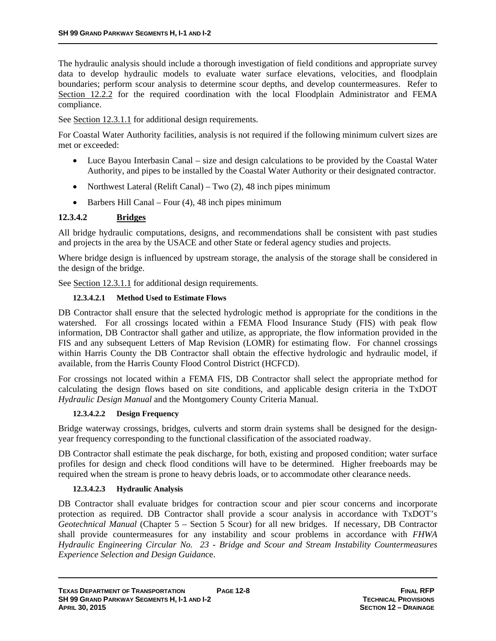The hydraulic analysis should include a thorough investigation of field conditions and appropriate survey data to develop hydraulic models to evaluate water surface elevations, velocities, and floodplain boundaries; perform scour analysis to determine scour depths, and develop countermeasures. Refer to Section 12.2.2 for the required coordination with the local Floodplain Administrator and FEMA compliance.

See Section 12.3.1.1 for additional design requirements.

For Coastal Water Authority facilities, analysis is not required if the following minimum culvert sizes are met or exceeded:

- Luce Bayou Interbasin Canal size and design calculations to be provided by the Coastal Water Authority, and pipes to be installed by the Coastal Water Authority or their designated contractor.
- Northwest Lateral (Relift Canal) Two  $(2)$ , 48 inch pipes minimum
- $\bullet$  Barbers Hill Canal Four (4), 48 inch pipes minimum

### **12.3.4.2 Bridges**

All bridge hydraulic computations, designs, and recommendations shall be consistent with past studies and projects in the area by the USACE and other State or federal agency studies and projects.

Where bridge design is influenced by upstream storage, the analysis of the storage shall be considered in the design of the bridge.

See Section 12.3.1.1 for additional design requirements.

### **12.3.4.2.1 Method Used to Estimate Flows**

DB Contractor shall ensure that the selected hydrologic method is appropriate for the conditions in the watershed. For all crossings located within a FEMA Flood Insurance Study (FIS) with peak flow information, DB Contractor shall gather and utilize, as appropriate, the flow information provided in the FIS and any subsequent Letters of Map Revision (LOMR) for estimating flow. For channel crossings within Harris County the DB Contractor shall obtain the effective hydrologic and hydraulic model, if available, from the Harris County Flood Control District (HCFCD).

For crossings not located within a FEMA FIS, DB Contractor shall select the appropriate method for calculating the design flows based on site conditions, and applicable design criteria in the TxDOT *Hydraulic Design Manual* and the Montgomery County Criteria Manual.

### **12.3.4.2.2 Design Frequency**

Bridge waterway crossings, bridges, culverts and storm drain systems shall be designed for the designyear frequency corresponding to the functional classification of the associated roadway.

DB Contractor shall estimate the peak discharge, for both, existing and proposed condition; water surface profiles for design and check flood conditions will have to be determined. Higher freeboards may be required when the stream is prone to heavy debris loads, or to accommodate other clearance needs.

### **12.3.4.2.3 Hydraulic Analysis**

DB Contractor shall evaluate bridges for contraction scour and pier scour concerns and incorporate protection as required. DB Contractor shall provide a scour analysis in accordance with TxDOT's *Geotechnical Manual* (Chapter 5 – Section 5 Scour) for all new bridges. If necessary, DB Contractor shall provide countermeasures for any instability and scour problems in accordance with *FHWA Hydraulic Engineering Circular No. 23 - Bridge and Scour and Stream Instability Countermeasures Experience Selection and Design Guidan*ce.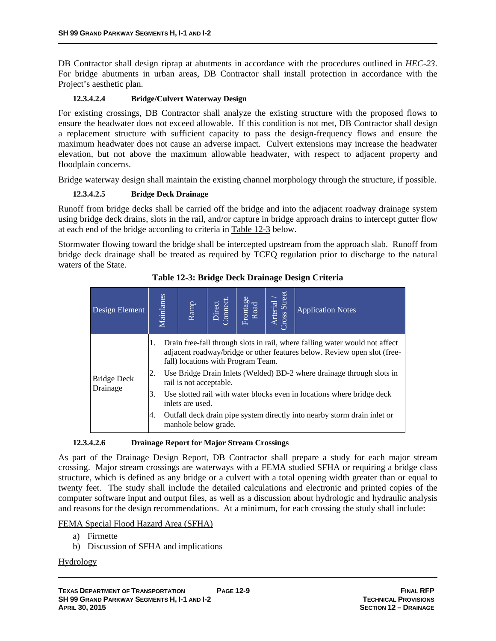DB Contractor shall design riprap at abutments in accordance with the procedures outlined in *HEC-23*. For bridge abutments in urban areas, DB Contractor shall install protection in accordance with the Project's aesthetic plan.

### **12.3.4.2.4 Bridge/Culvert Waterway Design**

For existing crossings, DB Contractor shall analyze the existing structure with the proposed flows to ensure the headwater does not exceed allowable. If this condition is not met, DB Contractor shall design a replacement structure with sufficient capacity to pass the design-frequency flows and ensure the maximum headwater does not cause an adverse impact. Culvert extensions may increase the headwater elevation, but not above the maximum allowable headwater, with respect to adjacent property and floodplain concerns.

Bridge waterway design shall maintain the existing channel morphology through the structure, if possible.

### **12.3.4.2.5 Bridge Deck Drainage**

Runoff from bridge decks shall be carried off the bridge and into the adjacent roadway drainage system using bridge deck drains, slots in the rail, and/or capture in bridge approach drains to intercept gutter flow at each end of the bridge according to criteria in Table 12-3 below.

Stormwater flowing toward the bridge shall be intercepted upstream from the approach slab. Runoff from bridge deck drainage shall be treated as required by TCEQ regulation prior to discharge to the natural waters of the State.

| Design Element                 | Mainlanes            | Ramp                                                                                                                                                                                                                                                                                                                                                                                                                                                                                                | Direct<br>Connect. | Frontage<br>Road | Arterial /<br>ross Street | <b>Application Notes</b> |  |  |  |
|--------------------------------|----------------------|-----------------------------------------------------------------------------------------------------------------------------------------------------------------------------------------------------------------------------------------------------------------------------------------------------------------------------------------------------------------------------------------------------------------------------------------------------------------------------------------------------|--------------------|------------------|---------------------------|--------------------------|--|--|--|
| <b>Bridge Deck</b><br>Drainage | 1.<br>2.<br>3.<br>4. | Drain free-fall through slots in rail, where falling water would not affect<br>adjacent roadway/bridge or other features below. Review open slot (free-<br>fall) locations with Program Team.<br>Use Bridge Drain Inlets (Welded) BD-2 where drainage through slots in<br>rail is not acceptable.<br>Use slotted rail with water blocks even in locations where bridge deck<br>inlets are used.<br>Outfall deck drain pipe system directly into nearby storm drain inlet or<br>manhole below grade. |                    |                  |                           |                          |  |  |  |

**Table 12-3: Bridge Deck Drainage Design Criteria** 

### **12.3.4.2.6 Drainage Report for Major Stream Crossings**

As part of the Drainage Design Report, DB Contractor shall prepare a study for each major stream crossing. Major stream crossings are waterways with a FEMA studied SFHA or requiring a bridge class structure, which is defined as any bridge or a culvert with a total opening width greater than or equal to twenty feet. The study shall include the detailed calculations and electronic and printed copies of the computer software input and output files, as well as a discussion about hydrologic and hydraulic analysis and reasons for the design recommendations. At a minimum, for each crossing the study shall include:

### FEMA Special Flood Hazard Area (SFHA)

- a) Firmette
- b) Discussion of SFHA and implications

### Hydrology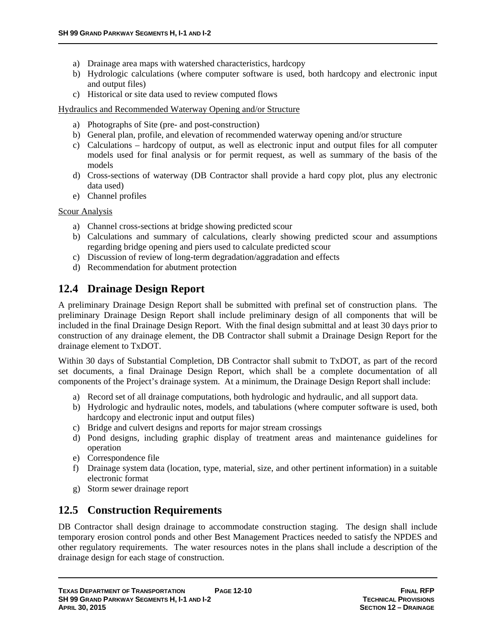- a) Drainage area maps with watershed characteristics, hardcopy
- b) Hydrologic calculations (where computer software is used, both hardcopy and electronic input and output files)
- c) Historical or site data used to review computed flows

Hydraulics and Recommended Waterway Opening and/or Structure

- a) Photographs of Site (pre- and post-construction)
- b) General plan, profile, and elevation of recommended waterway opening and/or structure
- c) Calculations hardcopy of output, as well as electronic input and output files for all computer models used for final analysis or for permit request, as well as summary of the basis of the models
- d) Cross-sections of waterway (DB Contractor shall provide a hard copy plot, plus any electronic data used)
- e) Channel profiles

### Scour Analysis

- a) Channel cross-sections at bridge showing predicted scour
- b) Calculations and summary of calculations, clearly showing predicted scour and assumptions regarding bridge opening and piers used to calculate predicted scour
- c) Discussion of review of long-term degradation/aggradation and effects
- d) Recommendation for abutment protection

# **12.4 Drainage Design Report**

A preliminary Drainage Design Report shall be submitted with prefinal set of construction plans. The preliminary Drainage Design Report shall include preliminary design of all components that will be included in the final Drainage Design Report. With the final design submittal and at least 30 days prior to construction of any drainage element, the DB Contractor shall submit a Drainage Design Report for the drainage element to TxDOT.

Within 30 days of Substantial Completion, DB Contractor shall submit to TxDOT, as part of the record set documents, a final Drainage Design Report, which shall be a complete documentation of all components of the Project's drainage system. At a minimum, the Drainage Design Report shall include:

- a) Record set of all drainage computations, both hydrologic and hydraulic, and all support data.
- b) Hydrologic and hydraulic notes, models, and tabulations (where computer software is used, both hardcopy and electronic input and output files)
- c) Bridge and culvert designs and reports for major stream crossings
- d) Pond designs, including graphic display of treatment areas and maintenance guidelines for operation
- e) Correspondence file
- f) Drainage system data (location, type, material, size, and other pertinent information) in a suitable electronic format
- g) Storm sewer drainage report

# **12.5 Construction Requirements**

DB Contractor shall design drainage to accommodate construction staging. The design shall include temporary erosion control ponds and other Best Management Practices needed to satisfy the NPDES and other regulatory requirements. The water resources notes in the plans shall include a description of the drainage design for each stage of construction.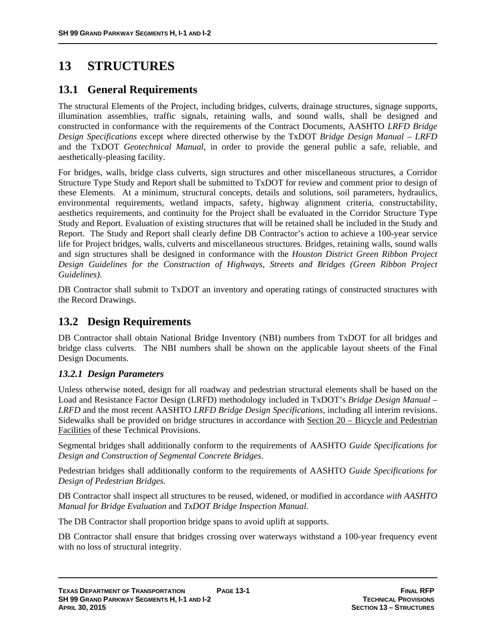# **13 STRUCTURES**

# **13.1 General Requirements**

The structural Elements of the Project, including bridges, culverts, drainage structures, signage supports, illumination assemblies, traffic signals, retaining walls, and sound walls, shall be designed and constructed in conformance with the requirements of the Contract Documents, AASHTO *LRFD Bridge Design Specifications* except where directed otherwise by the TxDOT *Bridge Design Manual – LRFD* and the TxDOT *Geotechnical Manual*, in order to provide the general public a safe, reliable, and aesthetically-pleasing facility.

For bridges, walls, bridge class culverts, sign structures and other miscellaneous structures, a Corridor Structure Type Study and Report shall be submitted to TxDOT for review and comment prior to design of these Elements. At a minimum, structural concepts, details and solutions, soil parameters, hydraulics, environmental requirements, wetland impacts, safety, highway alignment criteria, constructability, aesthetics requirements, and continuity for the Project shall be evaluated in the Corridor Structure Type Study and Report. Evaluation of existing structures that will be retained shall be included in the Study and Report. The Study and Report shall clearly define DB Contractor's action to achieve a 100-year service life for Project bridges, walls, culverts and miscellaneous structures. Bridges, retaining walls, sound walls and sign structures shall be designed in conformance with the *Houston District Green Ribbon Project Design Guidelines for the Construction of Highways, Streets and Bridges (Green Ribbon Project Guidelines)*.

DB Contractor shall submit to TxDOT an inventory and operating ratings of constructed structures with the Record Drawings.

# **13.2 Design Requirements**

DB Contractor shall obtain National Bridge Inventory (NBI) numbers from TxDOT for all bridges and bridge class culverts. The NBI numbers shall be shown on the applicable layout sheets of the Final Design Documents.

# *13.2.1 Design Parameters*

Unless otherwise noted, design for all roadway and pedestrian structural elements shall be based on the Load and Resistance Factor Design (LRFD) methodology included in TxDOT's *Bridge Design Manual* – *LRFD* and the most recent AASHTO *LRFD Bridge Design Specifications*, including all interim revisions. Sidewalks shall be provided on bridge structures in accordance with Section 20 – Bicycle and Pedestrian Facilities of these Technical Provisions.

Segmental bridges shall additionally conform to the requirements of AASHTO *Guide Specifications for Design and Construction of Segmental Concrete Bridges*.

Pedestrian bridges shall additionally conform to the requirements of AASHTO *Guide Specifications for Design of Pedestrian Bridges*.

DB Contractor shall inspect all structures to be reused, widened, or modified in accordance *with AASHTO Manual for Bridge Evaluation* and *TxDOT Bridge Inspection Manual*.

The DB Contractor shall proportion bridge spans to avoid uplift at supports.

DB Contractor shall ensure that bridges crossing over waterways withstand a 100-year frequency event with no loss of structural integrity.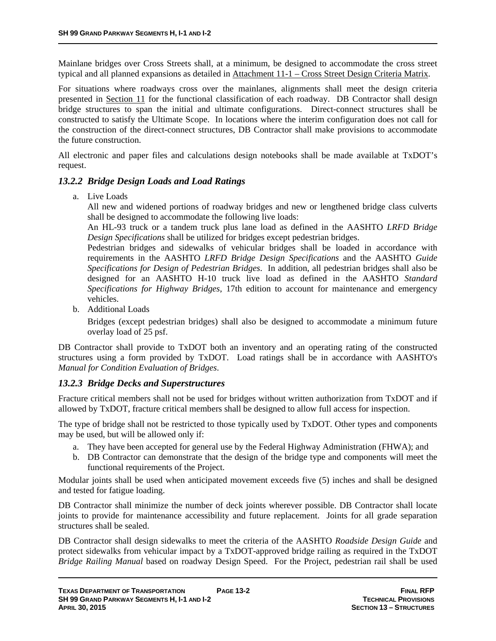Mainlane bridges over Cross Streets shall, at a minimum, be designed to accommodate the cross street typical and all planned expansions as detailed in Attachment 11-1 – Cross Street Design Criteria Matrix.

For situations where roadways cross over the mainlanes, alignments shall meet the design criteria presented in Section 11 for the functional classification of each roadway. DB Contractor shall design bridge structures to span the initial and ultimate configurations. Direct-connect structures shall be constructed to satisfy the Ultimate Scope. In locations where the interim configuration does not call for the construction of the direct-connect structures, DB Contractor shall make provisions to accommodate the future construction.

All electronic and paper files and calculations design notebooks shall be made available at TxDOT's request.

### *13.2.2 Bridge Design Loads and Load Ratings*

a. Live Loads

All new and widened portions of roadway bridges and new or lengthened bridge class culverts shall be designed to accommodate the following live loads:

An HL-93 truck or a tandem truck plus lane load as defined in the AASHTO *LRFD Bridge Design Specifications* shall be utilized for bridges except pedestrian bridges.

Pedestrian bridges and sidewalks of vehicular bridges shall be loaded in accordance with requirements in the AASHTO *LRFD Bridge Design Specifications* and the AASHTO *Guide Specifications for Design of Pedestrian Bridges*. In addition, all pedestrian bridges shall also be designed for an AASHTO H-10 truck live load as defined in the AASHTO *Standard Specifications for Highway Bridges*, 17th edition to account for maintenance and emergency vehicles.

b. Additional Loads

Bridges (except pedestrian bridges) shall also be designed to accommodate a minimum future overlay load of 25 psf.

DB Contractor shall provide to TxDOT both an inventory and an operating rating of the constructed structures using a form provided by TxDOT. Load ratings shall be in accordance with AASHTO's *Manual for Condition Evaluation of Bridges*.

### *13.2.3 Bridge Decks and Superstructures*

Fracture critical members shall not be used for bridges without written authorization from TxDOT and if allowed by TxDOT, fracture critical members shall be designed to allow full access for inspection.

The type of bridge shall not be restricted to those typically used by TxDOT. Other types and components may be used, but will be allowed only if:

- a. They have been accepted for general use by the Federal Highway Administration (FHWA); and
- b. DB Contractor can demonstrate that the design of the bridge type and components will meet the functional requirements of the Project.

Modular joints shall be used when anticipated movement exceeds five (5) inches and shall be designed and tested for fatigue loading.

DB Contractor shall minimize the number of deck joints wherever possible. DB Contractor shall locate joints to provide for maintenance accessibility and future replacement. Joints for all grade separation structures shall be sealed.

DB Contractor shall design sidewalks to meet the criteria of the AASHTO *Roadside Design Guide* and protect sidewalks from vehicular impact by a TxDOT-approved bridge railing as required in the TxDOT *Bridge Railing Manual* based on roadway Design Speed. For the Project, pedestrian rail shall be used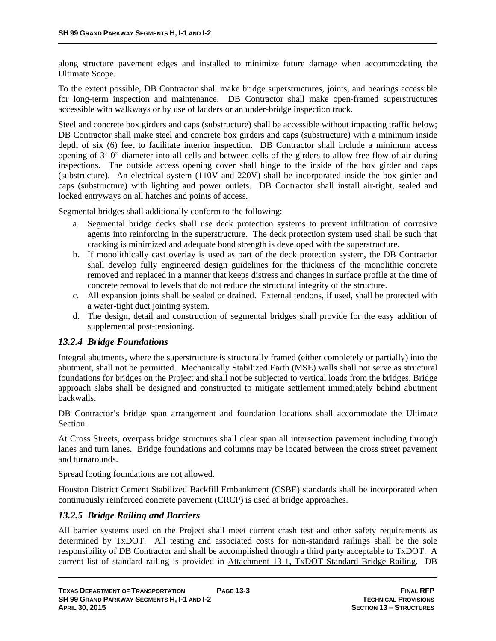along structure pavement edges and installed to minimize future damage when accommodating the Ultimate Scope.

To the extent possible, DB Contractor shall make bridge superstructures, joints, and bearings accessible for long-term inspection and maintenance. DB Contractor shall make open-framed superstructures accessible with walkways or by use of ladders or an under-bridge inspection truck.

Steel and concrete box girders and caps (substructure) shall be accessible without impacting traffic below; DB Contractor shall make steel and concrete box girders and caps (substructure) with a minimum inside depth of six (6) feet to facilitate interior inspection. DB Contractor shall include a minimum access opening of 3'-0" diameter into all cells and between cells of the girders to allow free flow of air during inspections. The outside access opening cover shall hinge to the inside of the box girder and caps (substructure). An electrical system (110V and 220V) shall be incorporated inside the box girder and caps (substructure) with lighting and power outlets. DB Contractor shall install air-tight, sealed and locked entryways on all hatches and points of access.

Segmental bridges shall additionally conform to the following:

- a. Segmental bridge decks shall use deck protection systems to prevent infiltration of corrosive agents into reinforcing in the superstructure. The deck protection system used shall be such that cracking is minimized and adequate bond strength is developed with the superstructure.
- b. If monolithically cast overlay is used as part of the deck protection system, the DB Contractor shall develop fully engineered design guidelines for the thickness of the monolithic concrete removed and replaced in a manner that keeps distress and changes in surface profile at the time of concrete removal to levels that do not reduce the structural integrity of the structure.
- c. All expansion joints shall be sealed or drained. External tendons, if used, shall be protected with a water-tight duct jointing system.
- d. The design, detail and construction of segmental bridges shall provide for the easy addition of supplemental post-tensioning.

### *13.2.4 Bridge Foundations*

Integral abutments, where the superstructure is structurally framed (either completely or partially) into the abutment, shall not be permitted. Mechanically Stabilized Earth (MSE) walls shall not serve as structural foundations for bridges on the Project and shall not be subjected to vertical loads from the bridges. Bridge approach slabs shall be designed and constructed to mitigate settlement immediately behind abutment backwalls.

DB Contractor's bridge span arrangement and foundation locations shall accommodate the Ultimate Section.

At Cross Streets, overpass bridge structures shall clear span all intersection pavement including through lanes and turn lanes. Bridge foundations and columns may be located between the cross street pavement and turnarounds.

Spread footing foundations are not allowed.

Houston District Cement Stabilized Backfill Embankment (CSBE) standards shall be incorporated when continuously reinforced concrete pavement (CRCP) is used at bridge approaches.

### *13.2.5 Bridge Railing and Barriers*

All barrier systems used on the Project shall meet current crash test and other safety requirements as determined by TxDOT. All testing and associated costs for non-standard railings shall be the sole responsibility of DB Contractor and shall be accomplished through a third party acceptable to TxDOT. A current list of standard railing is provided in Attachment 13-1, TxDOT Standard Bridge Railing. DB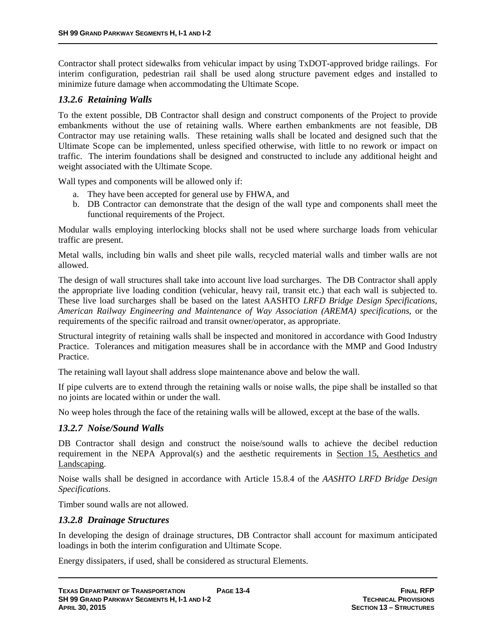Contractor shall protect sidewalks from vehicular impact by using TxDOT-approved bridge railings. For interim configuration, pedestrian rail shall be used along structure pavement edges and installed to minimize future damage when accommodating the Ultimate Scope.

# *13.2.6 Retaining Walls*

To the extent possible, DB Contractor shall design and construct components of the Project to provide embankments without the use of retaining walls. Where earthen embankments are not feasible, DB Contractor may use retaining walls. These retaining walls shall be located and designed such that the Ultimate Scope can be implemented, unless specified otherwise, with little to no rework or impact on traffic. The interim foundations shall be designed and constructed to include any additional height and weight associated with the Ultimate Scope.

Wall types and components will be allowed only if:

- a. They have been accepted for general use by FHWA, and
- b. DB Contractor can demonstrate that the design of the wall type and components shall meet the functional requirements of the Project.

Modular walls employing interlocking blocks shall not be used where surcharge loads from vehicular traffic are present.

Metal walls, including bin walls and sheet pile walls, recycled material walls and timber walls are not allowed.

The design of wall structures shall take into account live load surcharges. The DB Contractor shall apply the appropriate live loading condition (vehicular, heavy rail, transit etc.) that each wall is subjected to. These live load surcharges shall be based on the latest AASHTO *LRFD Bridge Design Specifications*, *American Railway Engineering and Maintenance of Way Association (AREMA) specifications*, or the requirements of the specific railroad and transit owner/operator, as appropriate.

Structural integrity of retaining walls shall be inspected and monitored in accordance with Good Industry Practice. Tolerances and mitigation measures shall be in accordance with the MMP and Good Industry Practice.

The retaining wall layout shall address slope maintenance above and below the wall.

If pipe culverts are to extend through the retaining walls or noise walls, the pipe shall be installed so that no joints are located within or under the wall.

No weep holes through the face of the retaining walls will be allowed, except at the base of the walls.

### *13.2.7 Noise/Sound Walls*

DB Contractor shall design and construct the noise/sound walls to achieve the decibel reduction requirement in the NEPA Approval(s) and the aesthetic requirements in Section 15, Aesthetics and Landscaping.

Noise walls shall be designed in accordance with Article 15.8.4 of the *AASHTO LRFD Bridge Design Specifications*.

Timber sound walls are not allowed.

### *13.2.8 Drainage Structures*

In developing the design of drainage structures, DB Contractor shall account for maximum anticipated loadings in both the interim configuration and Ultimate Scope.

Energy dissipaters, if used, shall be considered as structural Elements.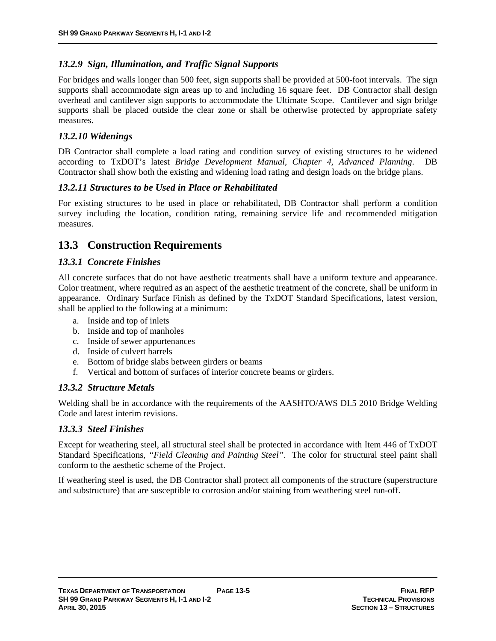## *13.2.9 Sign, Illumination, and Traffic Signal Supports*

For bridges and walls longer than 500 feet, sign supports shall be provided at 500-foot intervals. The sign supports shall accommodate sign areas up to and including 16 square feet. DB Contractor shall design overhead and cantilever sign supports to accommodate the Ultimate Scope. Cantilever and sign bridge supports shall be placed outside the clear zone or shall be otherwise protected by appropriate safety measures.

### *13.2.10 Widenings*

DB Contractor shall complete a load rating and condition survey of existing structures to be widened according to TxDOT's latest *Bridge Development Manual, Chapter 4, Advanced Planning*. DB Contractor shall show both the existing and widening load rating and design loads on the bridge plans.

### *13.2.11 Structures to be Used in Place or Rehabilitated*

For existing structures to be used in place or rehabilitated, DB Contractor shall perform a condition survey including the location, condition rating, remaining service life and recommended mitigation measures.

# **13.3 Construction Requirements**

## *13.3.1 Concrete Finishes*

All concrete surfaces that do not have aesthetic treatments shall have a uniform texture and appearance. Color treatment, where required as an aspect of the aesthetic treatment of the concrete, shall be uniform in appearance. Ordinary Surface Finish as defined by the TxDOT Standard Specifications, latest version, shall be applied to the following at a minimum:

- a. Inside and top of inlets
- b. Inside and top of manholes
- c. Inside of sewer appurtenances
- d. Inside of culvert barrels
- e. Bottom of bridge slabs between girders or beams
- f. Vertical and bottom of surfaces of interior concrete beams or girders.

### *13.3.2 Structure Metals*

Welding shall be in accordance with the requirements of the AASHTO/AWS DI.5 2010 Bridge Welding Code and latest interim revisions.

### *13.3.3 Steel Finishes*

Except for weathering steel, all structural steel shall be protected in accordance with Item 446 of TxDOT Standard Specifications*, "Field Cleaning and Painting Steel"*. The color for structural steel paint shall conform to the aesthetic scheme of the Project.

If weathering steel is used, the DB Contractor shall protect all components of the structure (superstructure and substructure) that are susceptible to corrosion and/or staining from weathering steel run-off.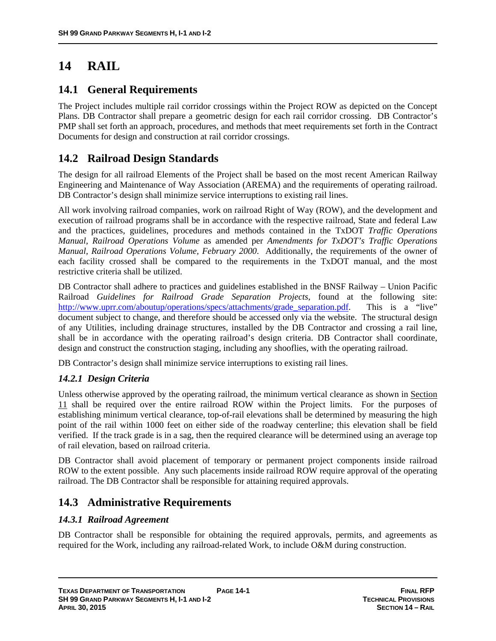# **14 RAIL**

# **14.1 General Requirements**

The Project includes multiple rail corridor crossings within the Project ROW as depicted on the Concept Plans. DB Contractor shall prepare a geometric design for each rail corridor crossing. DB Contractor's PMP shall set forth an approach, procedures, and methods that meet requirements set forth in the Contract Documents for design and construction at rail corridor crossings.

# **14.2 Railroad Design Standards**

The design for all railroad Elements of the Project shall be based on the most recent American Railway Engineering and Maintenance of Way Association (AREMA) and the requirements of operating railroad. DB Contractor's design shall minimize service interruptions to existing rail lines.

All work involving railroad companies, work on railroad Right of Way (ROW), and the development and execution of railroad programs shall be in accordance with the respective railroad, State and federal Law and the practices, guidelines, procedures and methods contained in the TxDOT *Traffic Operations Manual*, *Railroad Operations Volume* as amended per *Amendments for TxDOT's Traffic Operations Manual, Railroad Operations Volume, February 2000*. Additionally, the requirements of the owner of each facility crossed shall be compared to the requirements in the TxDOT manual, and the most restrictive criteria shall be utilized.

DB Contractor shall adhere to practices and guidelines established in the BNSF Railway – Union Pacific Railroad *Guidelines for Railroad Grade Separation Projects*, found at the following site: http://www.uprr.com/aboutup/operations/specs/attachments/grade\_separation.pdf. This is a "live" document subject to change, and therefore should be accessed only via the website. The structural design of any Utilities, including drainage structures, installed by the DB Contractor and crossing a rail line, shall be in accordance with the operating railroad's design criteria. DB Contractor shall coordinate, design and construct the construction staging, including any shooflies, with the operating railroad.

DB Contractor's design shall minimize service interruptions to existing rail lines.

# *14.2.1 Design Criteria*

Unless otherwise approved by the operating railroad, the minimum vertical clearance as shown in Section 11 shall be required over the entire railroad ROW within the Project limits. For the purposes of establishing minimum vertical clearance, top-of-rail elevations shall be determined by measuring the high point of the rail within 1000 feet on either side of the roadway centerline; this elevation shall be field verified. If the track grade is in a sag, then the required clearance will be determined using an average top of rail elevation, based on railroad criteria.

DB Contractor shall avoid placement of temporary or permanent project components inside railroad ROW to the extent possible. Any such placements inside railroad ROW require approval of the operating railroad. The DB Contractor shall be responsible for attaining required approvals.

# **14.3 Administrative Requirements**

# *14.3.1 Railroad Agreement*

DB Contractor shall be responsible for obtaining the required approvals, permits, and agreements as required for the Work, including any railroad-related Work, to include O&M during construction.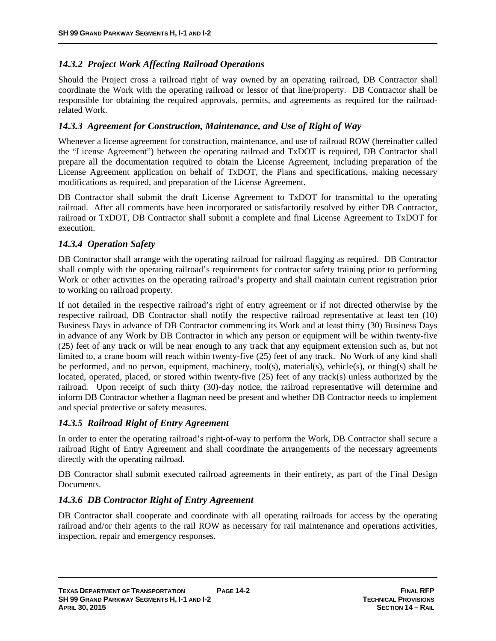# *14.3.2 Project Work Affecting Railroad Operations*

Should the Project cross a railroad right of way owned by an operating railroad, DB Contractor shall coordinate the Work with the operating railroad or lessor of that line/property. DB Contractor shall be responsible for obtaining the required approvals, permits, and agreements as required for the railroadrelated Work.

## *14.3.3 Agreement for Construction, Maintenance, and Use of Right of Way*

Whenever a license agreement for construction, maintenance, and use of railroad ROW (hereinafter called the "License Agreement") between the operating railroad and TxDOT is required, DB Contractor shall prepare all the documentation required to obtain the License Agreement, including preparation of the License Agreement application on behalf of TxDOT, the Plans and specifications, making necessary modifications as required, and preparation of the License Agreement.

DB Contractor shall submit the draft License Agreement to TxDOT for transmittal to the operating railroad. After all comments have been incorporated or satisfactorily resolved by either DB Contractor, railroad or TxDOT, DB Contractor shall submit a complete and final License Agreement to TxDOT for execution.

## *14.3.4 Operation Safety*

DB Contractor shall arrange with the operating railroad for railroad flagging as required. DB Contractor shall comply with the operating railroad's requirements for contractor safety training prior to performing Work or other activities on the operating railroad's property and shall maintain current registration prior to working on railroad property.

If not detailed in the respective railroad's right of entry agreement or if not directed otherwise by the respective railroad, DB Contractor shall notify the respective railroad representative at least ten (10) Business Days in advance of DB Contractor commencing its Work and at least thirty (30) Business Days in advance of any Work by DB Contractor in which any person or equipment will be within twenty-five (25) feet of any track or will be near enough to any track that any equipment extension such as, but not limited to, a crane boom will reach within twenty-five (25) feet of any track. No Work of any kind shall be performed, and no person, equipment, machinery, tool(s), material(s), vehicle(s), or thing(s) shall be located, operated, placed, or stored within twenty-five (25) feet of any track(s) unless authorized by the railroad. Upon receipt of such thirty (30)-day notice, the railroad representative will determine and inform DB Contractor whether a flagman need be present and whether DB Contractor needs to implement and special protective or safety measures.

# *14.3.5 Railroad Right of Entry Agreement*

In order to enter the operating railroad's right-of-way to perform the Work, DB Contractor shall secure a railroad Right of Entry Agreement and shall coordinate the arrangements of the necessary agreements directly with the operating railroad.

DB Contractor shall submit executed railroad agreements in their entirety, as part of the Final Design Documents.

# *14.3.6 DB Contractor Right of Entry Agreement*

DB Contractor shall cooperate and coordinate with all operating railroads for access by the operating railroad and/or their agents to the rail ROW as necessary for rail maintenance and operations activities, inspection, repair and emergency responses.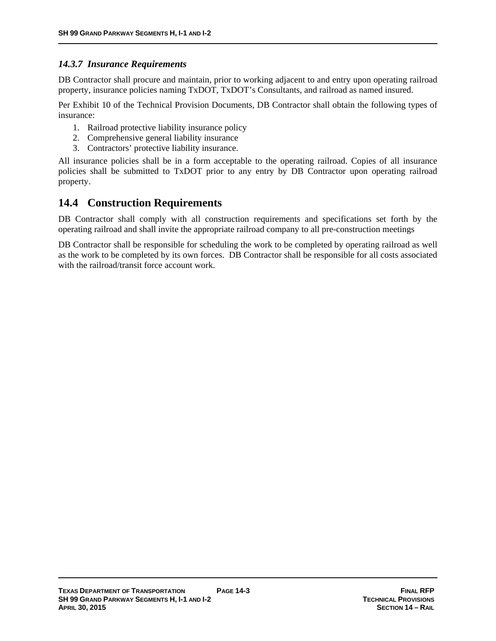# *14.3.7 Insurance Requirements*

DB Contractor shall procure and maintain, prior to working adjacent to and entry upon operating railroad property, insurance policies naming TxDOT, TxDOT's Consultants, and railroad as named insured.

Per Exhibit 10 of the Technical Provision Documents, DB Contractor shall obtain the following types of insurance:

- 1. Railroad protective liability insurance policy
- 2. Comprehensive general liability insurance
- 3. Contractors' protective liability insurance.

All insurance policies shall be in a form acceptable to the operating railroad. Copies of all insurance policies shall be submitted to TxDOT prior to any entry by DB Contractor upon operating railroad property.

# **14.4 Construction Requirements**

DB Contractor shall comply with all construction requirements and specifications set forth by the operating railroad and shall invite the appropriate railroad company to all pre-construction meetings

DB Contractor shall be responsible for scheduling the work to be completed by operating railroad as well as the work to be completed by its own forces. DB Contractor shall be responsible for all costs associated with the railroad/transit force account work.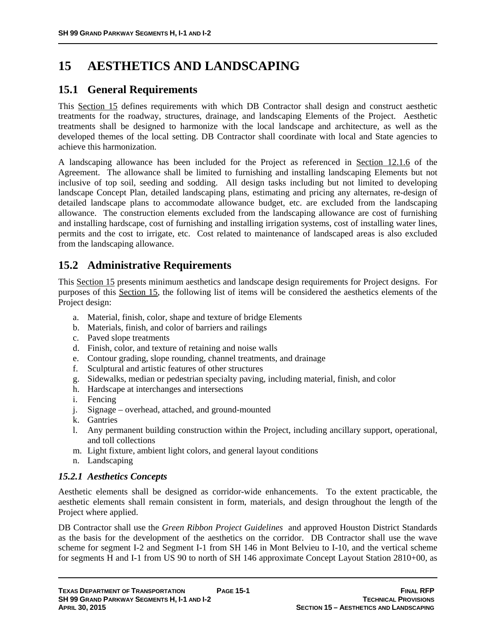# **15 AESTHETICS AND LANDSCAPING**

# **15.1 General Requirements**

This Section 15 defines requirements with which DB Contractor shall design and construct aesthetic treatments for the roadway, structures, drainage, and landscaping Elements of the Project. Aesthetic treatments shall be designed to harmonize with the local landscape and architecture, as well as the developed themes of the local setting. DB Contractor shall coordinate with local and State agencies to achieve this harmonization.

A landscaping allowance has been included for the Project as referenced in Section 12.1.6 of the Agreement. The allowance shall be limited to furnishing and installing landscaping Elements but not inclusive of top soil, seeding and sodding. All design tasks including but not limited to developing landscape Concept Plan, detailed landscaping plans, estimating and pricing any alternates, re-design of detailed landscape plans to accommodate allowance budget, etc. are excluded from the landscaping allowance. The construction elements excluded from the landscaping allowance are cost of furnishing and installing hardscape, cost of furnishing and installing irrigation systems, cost of installing water lines, permits and the cost to irrigate, etc. Cost related to maintenance of landscaped areas is also excluded from the landscaping allowance.

# **15.2 Administrative Requirements**

This Section 15 presents minimum aesthetics and landscape design requirements for Project designs. For purposes of this Section 15, the following list of items will be considered the aesthetics elements of the Project design:

- a. Material, finish, color, shape and texture of bridge Elements
- b. Materials, finish, and color of barriers and railings
- c. Paved slope treatments
- d. Finish, color, and texture of retaining and noise walls
- e. Contour grading, slope rounding, channel treatments, and drainage
- f. Sculptural and artistic features of other structures
- g. Sidewalks, median or pedestrian specialty paving, including material, finish, and color
- h. Hardscape at interchanges and intersections
- i. Fencing
- j. Signage overhead, attached, and ground-mounted
- k. Gantries
- l. Any permanent building construction within the Project, including ancillary support, operational, and toll collections
- m. Light fixture, ambient light colors, and general layout conditions
- n. Landscaping

# *15.2.1 Aesthetics Concepts*

Aesthetic elements shall be designed as corridor-wide enhancements. To the extent practicable, the aesthetic elements shall remain consistent in form, materials, and design throughout the length of the Project where applied.

DB Contractor shall use the *Green Ribbon Project Guidelines* and approved Houston District Standards as the basis for the development of the aesthetics on the corridor. DB Contractor shall use the wave scheme for segment I-2 and Segment I-1 from SH 146 in Mont Belvieu to I-10, and the vertical scheme for segments H and I-1 from US 90 to north of SH 146 approximate Concept Layout Station 2810+00, as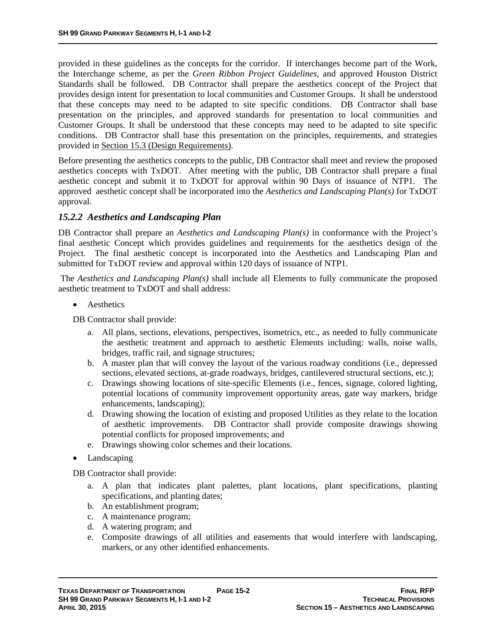provided in these guidelines as the concepts for the corridor. If interchanges become part of the Work, the Interchange scheme, as per the *Green Ribbon Project Guidelines*, and approved Houston District Standards shall be followed. DB Contractor shall prepare the aesthetics concept of the Project that provides design intent for presentation to local communities and Customer Groups. It shall be understood that these concepts may need to be adapted to site specific conditions. DB Contractor shall base presentation on the principles, and approved standards for presentation to local communities and Customer Groups. It shall be understood that these concepts may need to be adapted to site specific conditions. DB Contractor shall base this presentation on the principles, requirements, and strategies provided in Section 15.3 (Design Requirements).

Before presenting the aesthetics concepts to the public, DB Contractor shall meet and review the proposed aesthetics concepts with TxDOT. After meeting with the public, DB Contractor shall prepare a final aesthetic concept and submit it to TxDOT for approval within 90 Days of issuance of NTP1. The approved aesthetic concept shall be incorporated into the *Aesthetics and Landscaping Plan(s)* for TxDOT approval.

# *15.2.2 Aesthetics and Landscaping Plan*

DB Contractor shall prepare an *Aesthetics and Landscaping Plan(s)* in conformance with the Project's final aesthetic Concept which provides guidelines and requirements for the aesthetics design of the Project. The final aesthetic concept is incorporated into the Aesthetics and Landscaping Plan and submitted for TxDOT review and approval within 120 days of issuance of NTP1.

 The *Aesthetics and Landscaping Plan(s)* shall include all Elements to fully communicate the proposed aesthetic treatment to TxDOT and shall address:

• Aesthetics

DB Contractor shall provide:

- a. All plans, sections, elevations, perspectives, isometrics, etc., as needed to fully communicate the aesthetic treatment and approach to aesthetic Elements including: walls, noise walls, bridges, traffic rail, and signage structures;
- b. A master plan that will convey the layout of the various roadway conditions (i.e., depressed sections, elevated sections, at-grade roadways, bridges, cantilevered structural sections, etc.);
- c. Drawings showing locations of site-specific Elements (i.e., fences, signage, colored lighting, potential locations of community improvement opportunity areas, gate way markers, bridge enhancements, landscaping);
- d. Drawing showing the location of existing and proposed Utilities as they relate to the location of aesthetic improvements. DB Contractor shall provide composite drawings showing potential conflicts for proposed improvements; and
- e. Drawings showing color schemes and their locations.
- Landscaping

DB Contractor shall provide:

- a. A plan that indicates plant palettes, plant locations, plant specifications, planting specifications, and planting dates;
- b. An establishment program;
- c. A maintenance program;
- d. A watering program; and
- e. Composite drawings of all utilities and easements that would interfere with landscaping, markers, or any other identified enhancements.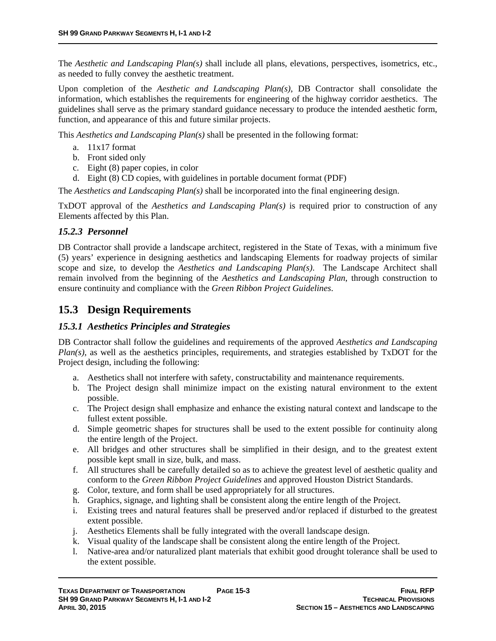The *Aesthetic and Landscaping Plan(s)* shall include all plans, elevations, perspectives, isometrics, etc., as needed to fully convey the aesthetic treatment.

Upon completion of the *Aesthetic and Landscaping Plan(s)*, DB Contractor shall consolidate the information, which establishes the requirements for engineering of the highway corridor aesthetics. The guidelines shall serve as the primary standard guidance necessary to produce the intended aesthetic form, function, and appearance of this and future similar projects.

This *Aesthetics and Landscaping Plan(s)* shall be presented in the following format:

- a. 11x17 format
- b. Front sided only
- c. Eight (8) paper copies, in color
- d. Eight (8) CD copies, with guidelines in portable document format (PDF)

The *Aesthetics and Landscaping Plan(s)* shall be incorporated into the final engineering design.

TxDOT approval of the *Aesthetics and Landscaping Plan(s)* is required prior to construction of any Elements affected by this Plan.

## *15.2.3 Personnel*

DB Contractor shall provide a landscape architect, registered in the State of Texas, with a minimum five (5) years' experience in designing aesthetics and landscaping Elements for roadway projects of similar scope and size, to develop the *Aesthetics and Landscaping Plan(s)*. The Landscape Architect shall remain involved from the beginning of the *Aesthetics and Landscaping Plan*, through construction to ensure continuity and compliance with the *Green Ribbon Project Guidelines*.

# **15.3 Design Requirements**

# *15.3.1 Aesthetics Principles and Strategies*

DB Contractor shall follow the guidelines and requirements of the approved *Aesthetics and Landscaping Plan(s)*, as well as the aesthetics principles, requirements, and strategies established by TxDOT for the Project design, including the following:

- a. Aesthetics shall not interfere with safety, constructability and maintenance requirements.
- b. The Project design shall minimize impact on the existing natural environment to the extent possible.
- c. The Project design shall emphasize and enhance the existing natural context and landscape to the fullest extent possible.
- d. Simple geometric shapes for structures shall be used to the extent possible for continuity along the entire length of the Project.
- e. All bridges and other structures shall be simplified in their design, and to the greatest extent possible kept small in size, bulk, and mass.
- f. All structures shall be carefully detailed so as to achieve the greatest level of aesthetic quality and conform to the *Green Ribbon Project Guidelines* and approved Houston District Standards.
- g. Color, texture, and form shall be used appropriately for all structures.
- h. Graphics, signage, and lighting shall be consistent along the entire length of the Project.
- i. Existing trees and natural features shall be preserved and/or replaced if disturbed to the greatest extent possible.
- j. Aesthetics Elements shall be fully integrated with the overall landscape design.
- k. Visual quality of the landscape shall be consistent along the entire length of the Project.
- l. Native-area and/or naturalized plant materials that exhibit good drought tolerance shall be used to the extent possible.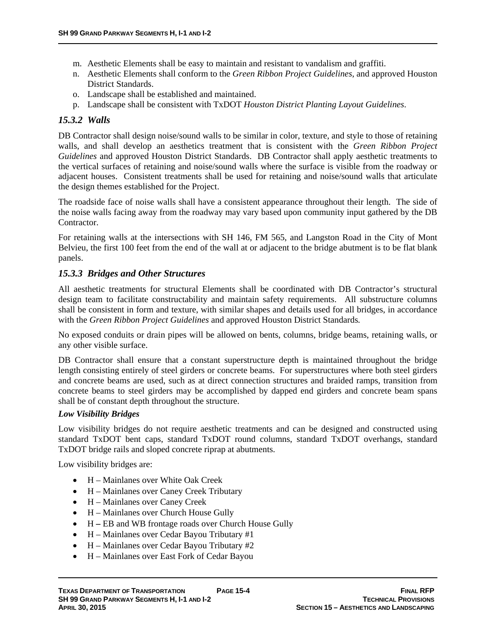- m. Aesthetic Elements shall be easy to maintain and resistant to vandalism and graffiti.
- n. Aesthetic Elements shall conform to the *Green Ribbon Project Guidelines*, and approved Houston District Standards.
- o. Landscape shall be established and maintained.
- p. Landscape shall be consistent with TxDOT *Houston District Planting Layout Guidelines*.

### *15.3.2 Walls*

DB Contractor shall design noise/sound walls to be similar in color, texture, and style to those of retaining walls, and shall develop an aesthetics treatment that is consistent with the *Green Ribbon Project Guidelines* and approved Houston District Standards. DB Contractor shall apply aesthetic treatments to the vertical surfaces of retaining and noise/sound walls where the surface is visible from the roadway or adjacent houses. Consistent treatments shall be used for retaining and noise/sound walls that articulate the design themes established for the Project.

The roadside face of noise walls shall have a consistent appearance throughout their length. The side of the noise walls facing away from the roadway may vary based upon community input gathered by the DB Contractor.

For retaining walls at the intersections with SH 146, FM 565, and Langston Road in the City of Mont Belvieu, the first 100 feet from the end of the wall at or adjacent to the bridge abutment is to be flat blank panels.

### *15.3.3 Bridges and Other Structures*

All aesthetic treatments for structural Elements shall be coordinated with DB Contractor's structural design team to facilitate constructability and maintain safety requirements. All substructure columns shall be consistent in form and texture, with similar shapes and details used for all bridges, in accordance with the *Green Ribbon Project Guidelines* and approved Houston District Standards*.*

No exposed conduits or drain pipes will be allowed on bents, columns, bridge beams, retaining walls, or any other visible surface.

DB Contractor shall ensure that a constant superstructure depth is maintained throughout the bridge length consisting entirely of steel girders or concrete beams. For superstructures where both steel girders and concrete beams are used, such as at direct connection structures and braided ramps, transition from concrete beams to steel girders may be accomplished by dapped end girders and concrete beam spans shall be of constant depth throughout the structure.

### *Low Visibility Bridges*

Low visibility bridges do not require aesthetic treatments and can be designed and constructed using standard TxDOT bent caps, standard TxDOT round columns, standard TxDOT overhangs, standard TxDOT bridge rails and sloped concrete riprap at abutments.

Low visibility bridges are:

- H Mainlanes over White Oak Creek
- H Mainlanes over Caney Creek Tributary
- H Mainlanes over Caney Creek
- H Mainlanes over Church House Gully
- H **–** EB and WB frontage roads over Church House Gully
- H Mainlanes over Cedar Bayou Tributary #1
- H Mainlanes over Cedar Bayou Tributary #2
- H Mainlanes over East Fork of Cedar Bayou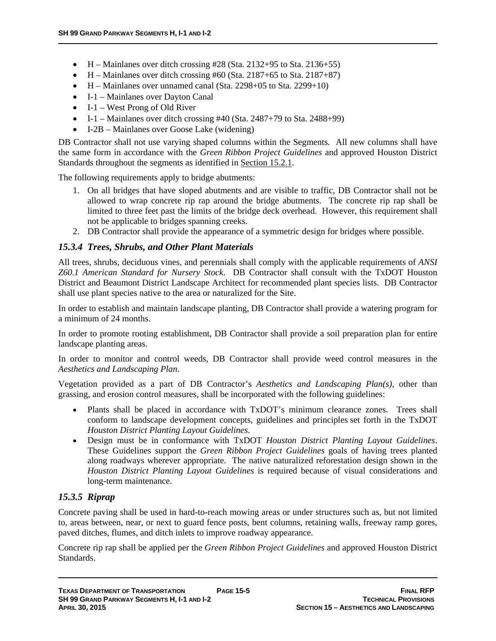- $\bullet$  H Mainlanes over ditch crossing #28 (Sta. 2132+95 to Sta. 2136+55)
- $H \text{Mainlanes over ditch crossing } #60 \text{ (Sta. 2187+65 to Sta. 2187+87)}$
- $\bullet$  H Mainlanes over unnamed canal (Sta. 2298+05 to Sta. 2299+10)
- I-1 Mainlanes over Dayton Canal
- $-I-1$  West Prong of Old River
- $-I-I$  Mainlanes over ditch crossing #40 (Sta. 2487+79 to Sta. 2488+99)
- I-2B Mainlanes over Goose Lake (widening)

DB Contractor shall not use varying shaped columns within the Segments. All new columns shall have the same form in accordance with the *Green Ribbon Project Guidelines* and approved Houston District Standards throughout the segments as identified in Section 15.2.1.

The following requirements apply to bridge abutments:

- 1. On all bridges that have sloped abutments and are visible to traffic, DB Contractor shall not be allowed to wrap concrete rip rap around the bridge abutments. The concrete rip rap shall be limited to three feet past the limits of the bridge deck overhead. However, this requirement shall not be applicable to bridges spanning creeks.
- 2. DB Contractor shall provide the appearance of a symmetric design for bridges where possible.

### *15.3.4 Trees, Shrubs, and Other Plant Materials*

All trees, shrubs, deciduous vines, and perennials shall comply with the applicable requirements of *ANSI Z60.1 American Standard for Nursery Stock*. DB Contractor shall consult with the TxDOT Houston District and Beaumont District Landscape Architect for recommended plant species lists. DB Contractor shall use plant species native to the area or naturalized for the Site.

In order to establish and maintain landscape planting, DB Contractor shall provide a watering program for a minimum of 24 months.

In order to promote rooting establishment, DB Contractor shall provide a soil preparation plan for entire landscape planting areas.

In order to monitor and control weeds, DB Contractor shall provide weed control measures in the *Aesthetics and Landscaping Plan*.

Vegetation provided as a part of DB Contractor's *Aesthetics and Landscaping Plan(s)*, other than grassing, and erosion control measures, shall be incorporated with the following guidelines:

- Plants shall be placed in accordance with TxDOT's minimum clearance zones. Trees shall conform to landscape development concepts, guidelines and principles set forth in the TxDOT *Houston District Planting Layout Guidelines*.
- Design must be in conformance with TxDOT *Houston District Planting Layout Guidelines*. These Guidelines support the *Green Ribbon Project Guidelines* goals of having trees planted along roadways wherever appropriate. The native naturalized reforestation design shown in the *Houston District Planting Layout Guidelines* is required because of visual considerations and long-term maintenance.

### *15.3.5 Riprap*

Concrete paving shall be used in hard-to-reach mowing areas or under structures such as, but not limited to, areas between, near, or next to guard fence posts, bent columns, retaining walls, freeway ramp gores, paved ditches, flumes, and ditch inlets to improve roadway appearance.

Concrete rip rap shall be applied per the *Green Ribbon Project Guidelines* and approved Houston District Standards.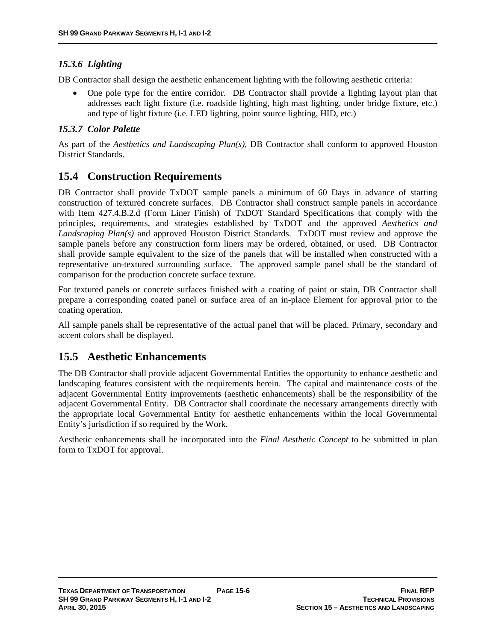# *15.3.6 Lighting*

DB Contractor shall design the aesthetic enhancement lighting with the following aesthetic criteria:

 One pole type for the entire corridor. DB Contractor shall provide a lighting layout plan that addresses each light fixture (i.e. roadside lighting, high mast lighting, under bridge fixture, etc.) and type of light fixture (i.e. LED lighting, point source lighting, HID, etc.)

# *15.3.7 Color Palette*

As part of the *Aesthetics and Landscaping Plan(s)*, DB Contractor shall conform to approved Houston District Standards.

# **15.4 Construction Requirements**

DB Contractor shall provide TxDOT sample panels a minimum of 60 Days in advance of starting construction of textured concrete surfaces. DB Contractor shall construct sample panels in accordance with Item 427.4.B.2.d (Form Liner Finish) of TxDOT Standard Specifications that comply with the principles, requirements, and strategies established by TxDOT and the approved *Aesthetics and Landscaping Plan(s)* and approved Houston District Standards. TxDOT must review and approve the sample panels before any construction form liners may be ordered, obtained, or used. DB Contractor shall provide sample equivalent to the size of the panels that will be installed when constructed with a representative un-textured surrounding surface. The approved sample panel shall be the standard of comparison for the production concrete surface texture.

For textured panels or concrete surfaces finished with a coating of paint or stain, DB Contractor shall prepare a corresponding coated panel or surface area of an in-place Element for approval prior to the coating operation.

All sample panels shall be representative of the actual panel that will be placed. Primary, secondary and accent colors shall be displayed.

# **15.5 Aesthetic Enhancements**

The DB Contractor shall provide adjacent Governmental Entities the opportunity to enhance aesthetic and landscaping features consistent with the requirements herein. The capital and maintenance costs of the adjacent Governmental Entity improvements (aesthetic enhancements) shall be the responsibility of the adjacent Governmental Entity. DB Contractor shall coordinate the necessary arrangements directly with the appropriate local Governmental Entity for aesthetic enhancements within the local Governmental Entity's jurisdiction if so required by the Work.

Aesthetic enhancements shall be incorporated into the *Final Aesthetic Concept* to be submitted in plan form to TxDOT for approval.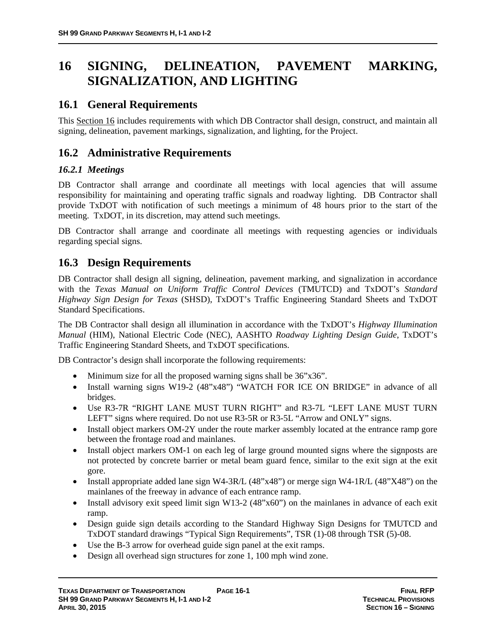# **16 SIGNING, DELINEATION, PAVEMENT MARKING, SIGNALIZATION, AND LIGHTING**

# **16.1 General Requirements**

This Section 16 includes requirements with which DB Contractor shall design, construct, and maintain all signing, delineation, pavement markings, signalization, and lighting, for the Project.

# **16.2 Administrative Requirements**

# *16.2.1 Meetings*

DB Contractor shall arrange and coordinate all meetings with local agencies that will assume responsibility for maintaining and operating traffic signals and roadway lighting. DB Contractor shall provide TxDOT with notification of such meetings a minimum of 48 hours prior to the start of the meeting. TxDOT, in its discretion, may attend such meetings.

DB Contractor shall arrange and coordinate all meetings with requesting agencies or individuals regarding special signs.

# **16.3 Design Requirements**

DB Contractor shall design all signing, delineation, pavement marking, and signalization in accordance with the *Texas Manual on Uniform Traffic Control Devices* (TMUTCD) and TxDOT's *Standard Highway Sign Design for Texas* (SHSD), TxDOT's Traffic Engineering Standard Sheets and TxDOT Standard Specifications.

The DB Contractor shall design all illumination in accordance with the TxDOT's *Highway Illumination Manual* (HIM), National Electric Code (NEC), AASHTO *Roadway Lighting Design Guide*, TxDOT's Traffic Engineering Standard Sheets, and TxDOT specifications.

DB Contractor's design shall incorporate the following requirements:

- Minimum size for all the proposed warning signs shall be  $36"x36"$ .
- Install warning signs W19-2 (48"x48") "WATCH FOR ICE ON BRIDGE" in advance of all bridges.
- Use R3-7R "RIGHT LANE MUST TURN RIGHT" and R3-7L "LEFT LANE MUST TURN LEFT" signs where required. Do not use R3-5R or R3-5L "Arrow and ONLY" signs.
- Install object markers OM-2Y under the route marker assembly located at the entrance ramp gore between the frontage road and mainlanes.
- Install object markers OM-1 on each leg of large ground mounted signs where the signposts are not protected by concrete barrier or metal beam guard fence, similar to the exit sign at the exit gore.
- Install appropriate added lane sign W4-3R/L  $(48"x48")$  or merge sign W4-1R/L  $(48"X48")$  on the mainlanes of the freeway in advance of each entrance ramp.
- Install advisory exit speed limit sign W13-2  $(48"x60")$  on the mainlanes in advance of each exit ramp.
- Design guide sign details according to the Standard Highway Sign Designs for TMUTCD and TxDOT standard drawings "Typical Sign Requirements", TSR (1)-08 through TSR (5)-08.
- Use the B-3 arrow for overhead guide sign panel at the exit ramps.
- Design all overhead sign structures for zone 1, 100 mph wind zone.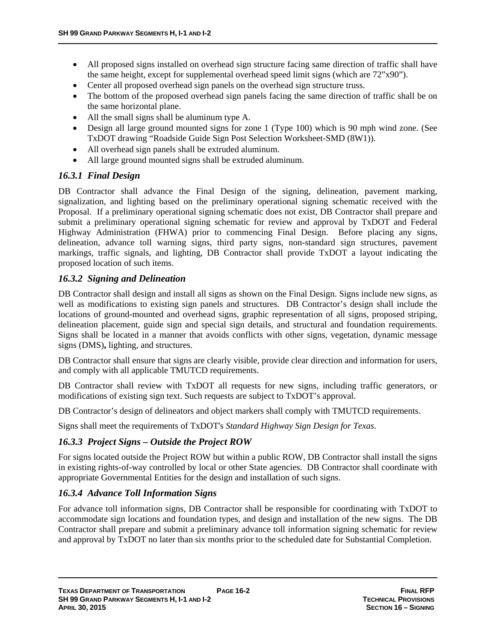- All proposed signs installed on overhead sign structure facing same direction of traffic shall have the same height, except for supplemental overhead speed limit signs (which are 72"x90").
- Center all proposed overhead sign panels on the overhead sign structure truss.
- The bottom of the proposed overhead sign panels facing the same direction of traffic shall be on the same horizontal plane.
- All the small signs shall be aluminum type A.
- Design all large ground mounted signs for zone 1 (Type 100) which is 90 mph wind zone. (See TxDOT drawing "Roadside Guide Sign Post Selection Worksheet-SMD (8W1)).
- All overhead sign panels shall be extruded aluminum.
- All large ground mounted signs shall be extruded aluminum.

# *16.3.1 Final Design*

DB Contractor shall advance the Final Design of the signing, delineation, pavement marking, signalization, and lighting based on the preliminary operational signing schematic received with the Proposal. If a preliminary operational signing schematic does not exist, DB Contractor shall prepare and submit a preliminary operational signing schematic for review and approval by TxDOT and Federal Highway Administration (FHWA) prior to commencing Final Design. Before placing any signs, delineation, advance toll warning signs, third party signs, non-standard sign structures, pavement markings, traffic signals, and lighting, DB Contractor shall provide TxDOT a layout indicating the proposed location of such items.

## *16.3.2 Signing and Delineation*

DB Contractor shall design and install all signs as shown on the Final Design. Signs include new signs, as well as modifications to existing sign panels and structures. DB Contractor's design shall include the locations of ground-mounted and overhead signs, graphic representation of all signs, proposed striping, delineation placement, guide sign and special sign details, and structural and foundation requirements. Signs shall be located in a manner that avoids conflicts with other signs, vegetation, dynamic message signs (DMS)**,** lighting, and structures.

DB Contractor shall ensure that signs are clearly visible, provide clear direction and information for users, and comply with all applicable TMUTCD requirements.

DB Contractor shall review with TxDOT all requests for new signs, including traffic generators, or modifications of existing sign text. Such requests are subject to TxDOT's approval.

DB Contractor's design of delineators and object markers shall comply with TMUTCD requirements.

Signs shall meet the requirements of TxDOT's *Standard Highway Sign Design for Texas*.

# *16.3.3 Project Signs – Outside the Project ROW*

For signs located outside the Project ROW but within a public ROW, DB Contractor shall install the signs in existing rights-of-way controlled by local or other State agencies. DB Contractor shall coordinate with appropriate Governmental Entities for the design and installation of such signs.

# *16.3.4 Advance Toll Information Signs*

For advance toll information signs, DB Contractor shall be responsible for coordinating with TxDOT to accommodate sign locations and foundation types, and design and installation of the new signs. The DB Contractor shall prepare and submit a preliminary advance toll information signing schematic for review and approval by TxDOT no later than six months prior to the scheduled date for Substantial Completion.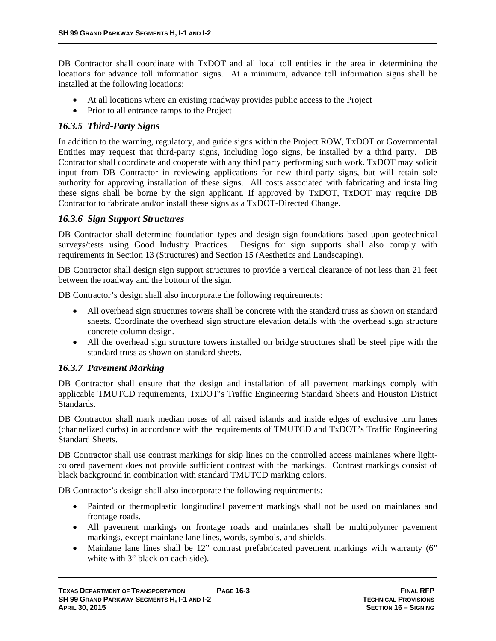DB Contractor shall coordinate with TxDOT and all local toll entities in the area in determining the locations for advance toll information signs. At a minimum, advance toll information signs shall be installed at the following locations:

- At all locations where an existing roadway provides public access to the Project
- Prior to all entrance ramps to the Project

## *16.3.5 Third-Party Signs*

In addition to the warning, regulatory, and guide signs within the Project ROW, TxDOT or Governmental Entities may request that third-party signs, including logo signs, be installed by a third party. DB Contractor shall coordinate and cooperate with any third party performing such work. TxDOT may solicit input from DB Contractor in reviewing applications for new third-party signs, but will retain sole authority for approving installation of these signs. All costs associated with fabricating and installing these signs shall be borne by the sign applicant. If approved by TxDOT, TxDOT may require DB Contractor to fabricate and/or install these signs as a TxDOT-Directed Change.

## *16.3.6 Sign Support Structures*

DB Contractor shall determine foundation types and design sign foundations based upon geotechnical surveys/tests using Good Industry Practices. Designs for sign supports shall also comply with requirements in Section 13 (Structures) and Section 15 (Aesthetics and Landscaping).

DB Contractor shall design sign support structures to provide a vertical clearance of not less than 21 feet between the roadway and the bottom of the sign.

DB Contractor's design shall also incorporate the following requirements:

- All overhead sign structures towers shall be concrete with the standard truss as shown on standard sheets. Coordinate the overhead sign structure elevation details with the overhead sign structure concrete column design.
- All the overhead sign structure towers installed on bridge structures shall be steel pipe with the standard truss as shown on standard sheets.

# *16.3.7 Pavement Marking*

DB Contractor shall ensure that the design and installation of all pavement markings comply with applicable TMUTCD requirements, TxDOT's Traffic Engineering Standard Sheets and Houston District Standards.

DB Contractor shall mark median noses of all raised islands and inside edges of exclusive turn lanes (channelized curbs) in accordance with the requirements of TMUTCD and TxDOT's Traffic Engineering Standard Sheets.

DB Contractor shall use contrast markings for skip lines on the controlled access mainlanes where lightcolored pavement does not provide sufficient contrast with the markings. Contrast markings consist of black background in combination with standard TMUTCD marking colors.

DB Contractor's design shall also incorporate the following requirements:

- Painted or thermoplastic longitudinal pavement markings shall not be used on mainlanes and frontage roads.
- All pavement markings on frontage roads and mainlanes shall be multipolymer pavement markings, except mainlane lane lines, words, symbols, and shields.
- Mainlane lane lines shall be 12" contrast prefabricated pavement markings with warranty (6" white with 3" black on each side).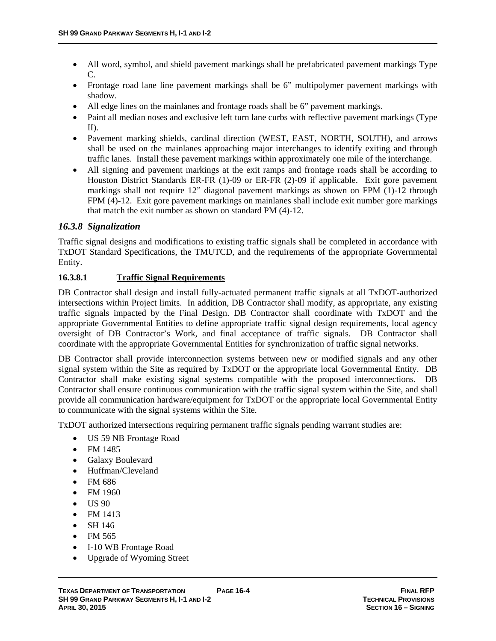- All word, symbol, and shield pavement markings shall be prefabricated pavement markings Type C.
- Frontage road lane line pavement markings shall be 6" multipolymer pavement markings with shadow.
- All edge lines on the mainlanes and frontage roads shall be 6" pavement markings.
- Paint all median noses and exclusive left turn lane curbs with reflective pavement markings (Type II).
- Pavement marking shields, cardinal direction (WEST, EAST, NORTH, SOUTH), and arrows shall be used on the mainlanes approaching major interchanges to identify exiting and through traffic lanes. Install these pavement markings within approximately one mile of the interchange.
- All signing and pavement markings at the exit ramps and frontage roads shall be according to Houston District Standards ER-FR (1)-09 or ER-FR (2)-09 if applicable. Exit gore pavement markings shall not require 12" diagonal pavement markings as shown on FPM (1)-12 through FPM (4)-12. Exit gore pavement markings on mainlanes shall include exit number gore markings that match the exit number as shown on standard PM (4)-12.

## *16.3.8 Signalization*

Traffic signal designs and modifications to existing traffic signals shall be completed in accordance with TxDOT Standard Specifications, the TMUTCD, and the requirements of the appropriate Governmental Entity.

### **16.3.8.1 Traffic Signal Requirements**

DB Contractor shall design and install fully-actuated permanent traffic signals at all TxDOT-authorized intersections within Project limits. In addition, DB Contractor shall modify, as appropriate, any existing traffic signals impacted by the Final Design. DB Contractor shall coordinate with TxDOT and the appropriate Governmental Entities to define appropriate traffic signal design requirements, local agency oversight of DB Contractor's Work, and final acceptance of traffic signals. DB Contractor shall coordinate with the appropriate Governmental Entities for synchronization of traffic signal networks.

DB Contractor shall provide interconnection systems between new or modified signals and any other signal system within the Site as required by TxDOT or the appropriate local Governmental Entity. DB Contractor shall make existing signal systems compatible with the proposed interconnections. DB Contractor shall ensure continuous communication with the traffic signal system within the Site, and shall provide all communication hardware/equipment for TxDOT or the appropriate local Governmental Entity to communicate with the signal systems within the Site.

TxDOT authorized intersections requiring permanent traffic signals pending warrant studies are:

- US 59 NB Frontage Road
- FM 1485
- Galaxy Boulevard
- Huffman/Cleveland
- FM 686
- FM 1960
- $\bullet$  US 90
- $\bullet$  FM 1413
- $\bullet$  SH 146
- $\bullet$  FM 565
- I-10 WB Frontage Road
- Upgrade of Wyoming Street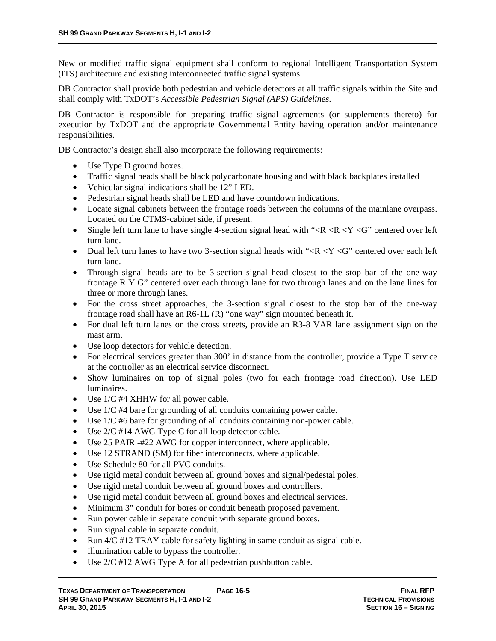New or modified traffic signal equipment shall conform to regional Intelligent Transportation System (ITS) architecture and existing interconnected traffic signal systems.

DB Contractor shall provide both pedestrian and vehicle detectors at all traffic signals within the Site and shall comply with TxDOT's *Accessible Pedestrian Signal (APS) Guidelines*.

DB Contractor is responsible for preparing traffic signal agreements (or supplements thereto) for execution by TxDOT and the appropriate Governmental Entity having operation and/or maintenance responsibilities.

DB Contractor's design shall also incorporate the following requirements:

- Use Type D ground boxes.
- Traffic signal heads shall be black polycarbonate housing and with black backplates installed
- Vehicular signal indications shall be 12" LED.
- Pedestrian signal heads shall be LED and have countdown indications.
- Locate signal cabinets between the frontage roads between the columns of the mainlane overpass. Located on the CTMS-cabinet side, if present.
- Single left turn lane to have single 4-section signal head with " $\langle R \langle R \langle Y \rangle \langle G \rangle$ " centered over left turn lane.
- Dual left turn lanes to have two 3-section signal heads with " $\langle R \times Y \times G$ " centered over each left turn lane.
- Through signal heads are to be 3-section signal head closest to the stop bar of the one-way frontage R Y G" centered over each through lane for two through lanes and on the lane lines for three or more through lanes.
- For the cross street approaches, the 3-section signal closest to the stop bar of the one-way frontage road shall have an R6-1L (R) "one way" sign mounted beneath it.
- For dual left turn lanes on the cross streets, provide an R3-8 VAR lane assignment sign on the mast arm.
- Use loop detectors for vehicle detection.
- For electrical services greater than 300' in distance from the controller, provide a Type T service at the controller as an electrical service disconnect.
- Show luminaires on top of signal poles (two for each frontage road direction). Use LED luminaires.
- Use 1/C #4 XHHW for all power cable.
- Use 1/C #4 bare for grounding of all conduits containing power cable.
- Use 1/C #6 bare for grounding of all conduits containing non-power cable.
- Use 2/C #14 AWG Type C for all loop detector cable.
- Use 25 PAIR -#22 AWG for copper interconnect, where applicable.
- Use 12 STRAND (SM) for fiber interconnects, where applicable.
- Use Schedule 80 for all PVC conduits.
- Use rigid metal conduit between all ground boxes and signal/pedestal poles.
- Use rigid metal conduit between all ground boxes and controllers.
- Use rigid metal conduit between all ground boxes and electrical services.
- Minimum 3" conduit for bores or conduit beneath proposed pavement.
- Run power cable in separate conduit with separate ground boxes.
- Run signal cable in separate conduit.
- Run  $4/C$  #12 TRAY cable for safety lighting in same conduit as signal cable.
- Illumination cable to bypass the controller.
- Use 2/C #12 AWG Type A for all pedestrian pushbutton cable.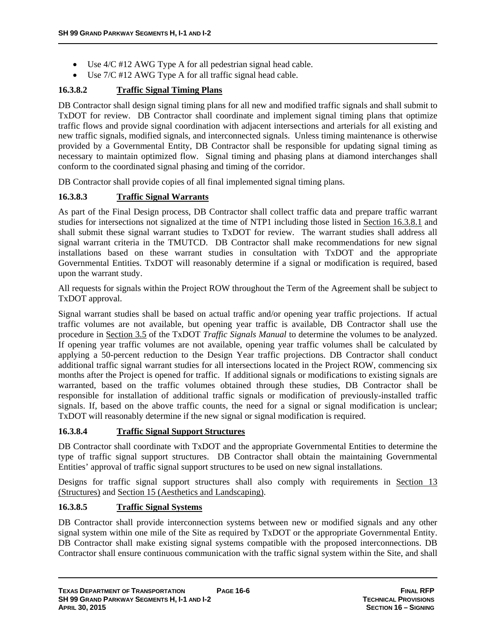- Use 4/C #12 AWG Type A for all pedestrian signal head cable.
- $\bullet$  Use 7/C #12 AWG Type A for all traffic signal head cable.

## **16.3.8.2 Traffic Signal Timing Plans**

DB Contractor shall design signal timing plans for all new and modified traffic signals and shall submit to TxDOT for review. DB Contractor shall coordinate and implement signal timing plans that optimize traffic flows and provide signal coordination with adjacent intersections and arterials for all existing and new traffic signals, modified signals, and interconnected signals. Unless timing maintenance is otherwise provided by a Governmental Entity, DB Contractor shall be responsible for updating signal timing as necessary to maintain optimized flow. Signal timing and phasing plans at diamond interchanges shall conform to the coordinated signal phasing and timing of the corridor.

DB Contractor shall provide copies of all final implemented signal timing plans.

### **16.3.8.3 Traffic Signal Warrants**

As part of the Final Design process, DB Contractor shall collect traffic data and prepare traffic warrant studies for intersections not signalized at the time of NTP1 including those listed in Section 16.3.8.1 and shall submit these signal warrant studies to TxDOT for review. The warrant studies shall address all signal warrant criteria in the TMUTCD. DB Contractor shall make recommendations for new signal installations based on these warrant studies in consultation with TxDOT and the appropriate Governmental Entities. TxDOT will reasonably determine if a signal or modification is required, based upon the warrant study.

All requests for signals within the Project ROW throughout the Term of the Agreement shall be subject to TxDOT approval.

Signal warrant studies shall be based on actual traffic and/or opening year traffic projections. If actual traffic volumes are not available, but opening year traffic is available, DB Contractor shall use the procedure in Section 3.5 of the TxDOT *Traffic Signals Manual* to determine the volumes to be analyzed. If opening year traffic volumes are not available, opening year traffic volumes shall be calculated by applying a 50-percent reduction to the Design Year traffic projections. DB Contractor shall conduct additional traffic signal warrant studies for all intersections located in the Project ROW, commencing six months after the Project is opened for traffic. If additional signals or modifications to existing signals are warranted, based on the traffic volumes obtained through these studies, DB Contractor shall be responsible for installation of additional traffic signals or modification of previously-installed traffic signals. If, based on the above traffic counts, the need for a signal or signal modification is unclear; TxDOT will reasonably determine if the new signal or signal modification is required.

### **16.3.8.4 Traffic Signal Support Structures**

DB Contractor shall coordinate with TxDOT and the appropriate Governmental Entities to determine the type of traffic signal support structures. DB Contractor shall obtain the maintaining Governmental Entities' approval of traffic signal support structures to be used on new signal installations.

Designs for traffic signal support structures shall also comply with requirements in Section 13 (Structures) and Section 15 (Aesthetics and Landscaping).

### **16.3.8.5 Traffic Signal Systems**

DB Contractor shall provide interconnection systems between new or modified signals and any other signal system within one mile of the Site as required by TxDOT or the appropriate Governmental Entity. DB Contractor shall make existing signal systems compatible with the proposed interconnections. DB Contractor shall ensure continuous communication with the traffic signal system within the Site, and shall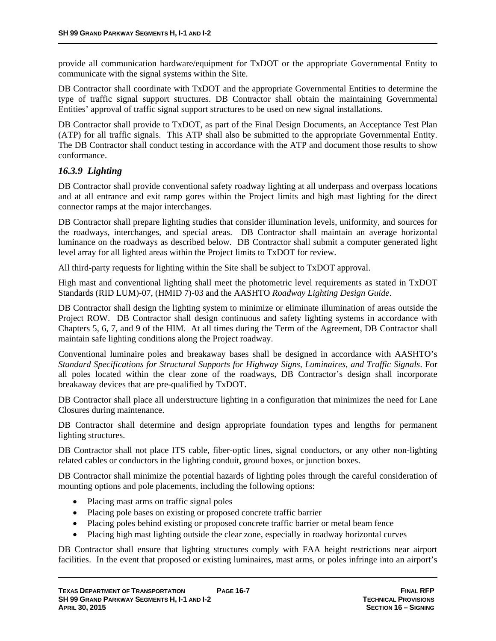provide all communication hardware/equipment for TxDOT or the appropriate Governmental Entity to communicate with the signal systems within the Site.

DB Contractor shall coordinate with TxDOT and the appropriate Governmental Entities to determine the type of traffic signal support structures. DB Contractor shall obtain the maintaining Governmental Entities' approval of traffic signal support structures to be used on new signal installations.

DB Contractor shall provide to TxDOT, as part of the Final Design Documents, an Acceptance Test Plan (ATP) for all traffic signals. This ATP shall also be submitted to the appropriate Governmental Entity. The DB Contractor shall conduct testing in accordance with the ATP and document those results to show conformance.

# *16.3.9 Lighting*

DB Contractor shall provide conventional safety roadway lighting at all underpass and overpass locations and at all entrance and exit ramp gores within the Project limits and high mast lighting for the direct connector ramps at the major interchanges.

DB Contractor shall prepare lighting studies that consider illumination levels, uniformity, and sources for the roadways, interchanges, and special areas. DB Contractor shall maintain an average horizontal luminance on the roadways as described below. DB Contractor shall submit a computer generated light level array for all lighted areas within the Project limits to TxDOT for review.

All third-party requests for lighting within the Site shall be subject to TxDOT approval.

High mast and conventional lighting shall meet the photometric level requirements as stated in TxDOT Standards (RID LUM)-07, (HMID 7)-03 and the AASHTO *Roadway Lighting Design Guide*.

DB Contractor shall design the lighting system to minimize or eliminate illumination of areas outside the Project ROW. DB Contractor shall design continuous and safety lighting systems in accordance with Chapters 5, 6, 7, and 9 of the HIM. At all times during the Term of the Agreement, DB Contractor shall maintain safe lighting conditions along the Project roadway.

Conventional luminaire poles and breakaway bases shall be designed in accordance with AASHTO's *Standard Specifications for Structural Supports for Highway Signs, Luminaires, and Traffic Signals*. For all poles located within the clear zone of the roadways, DB Contractor's design shall incorporate breakaway devices that are pre-qualified by TxDOT.

DB Contractor shall place all understructure lighting in a configuration that minimizes the need for Lane Closures during maintenance.

DB Contractor shall determine and design appropriate foundation types and lengths for permanent lighting structures.

DB Contractor shall not place ITS cable, fiber-optic lines, signal conductors, or any other non-lighting related cables or conductors in the lighting conduit, ground boxes, or junction boxes.

DB Contractor shall minimize the potential hazards of lighting poles through the careful consideration of mounting options and pole placements, including the following options:

- Placing mast arms on traffic signal poles
- Placing pole bases on existing or proposed concrete traffic barrier
- Placing poles behind existing or proposed concrete traffic barrier or metal beam fence
- Placing high mast lighting outside the clear zone, especially in roadway horizontal curves

DB Contractor shall ensure that lighting structures comply with FAA height restrictions near airport facilities. In the event that proposed or existing luminaires, mast arms, or poles infringe into an airport's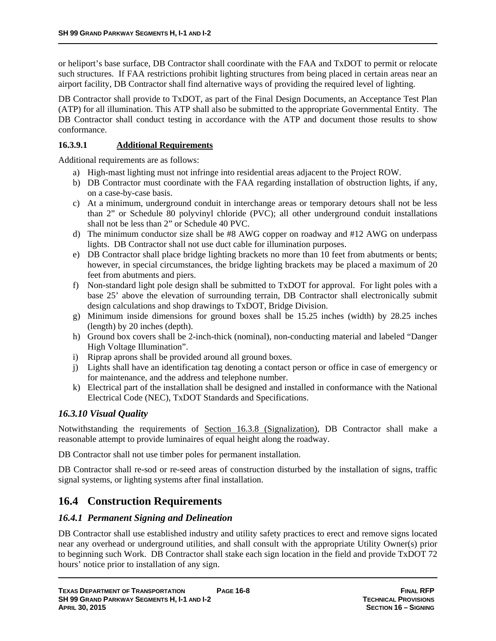or heliport's base surface, DB Contractor shall coordinate with the FAA and TxDOT to permit or relocate such structures. If FAA restrictions prohibit lighting structures from being placed in certain areas near an airport facility, DB Contractor shall find alternative ways of providing the required level of lighting.

DB Contractor shall provide to TxDOT, as part of the Final Design Documents, an Acceptance Test Plan (ATP) for all illumination. This ATP shall also be submitted to the appropriate Governmental Entity. The DB Contractor shall conduct testing in accordance with the ATP and document those results to show conformance.

#### **16.3.9.1 Additional Requirements**

Additional requirements are as follows:

- a) High-mast lighting must not infringe into residential areas adjacent to the Project ROW.
- b) DB Contractor must coordinate with the FAA regarding installation of obstruction lights, if any, on a case-by-case basis.
- c) At a minimum, underground conduit in interchange areas or temporary detours shall not be less than 2" or Schedule 80 polyvinyl chloride (PVC); all other underground conduit installations shall not be less than 2" or Schedule 40 PVC.
- d) The minimum conductor size shall be #8 AWG copper on roadway and #12 AWG on underpass lights. DB Contractor shall not use duct cable for illumination purposes.
- e) DB Contractor shall place bridge lighting brackets no more than 10 feet from abutments or bents; however, in special circumstances, the bridge lighting brackets may be placed a maximum of 20 feet from abutments and piers.
- f) Non-standard light pole design shall be submitted to TxDOT for approval. For light poles with a base 25' above the elevation of surrounding terrain, DB Contractor shall electronically submit design calculations and shop drawings to TxDOT, Bridge Division.
- g) Minimum inside dimensions for ground boxes shall be 15.25 inches (width) by 28.25 inches (length) by 20 inches (depth).
- h) Ground box covers shall be 2-inch-thick (nominal), non-conducting material and labeled "Danger High Voltage Illumination".
- i) Riprap aprons shall be provided around all ground boxes.
- j) Lights shall have an identification tag denoting a contact person or office in case of emergency or for maintenance, and the address and telephone number.
- k) Electrical part of the installation shall be designed and installed in conformance with the National Electrical Code (NEC), TxDOT Standards and Specifications.

### *16.3.10 Visual Quality*

Notwithstanding the requirements of Section 16.3.8 (Signalization), DB Contractor shall make a reasonable attempt to provide luminaires of equal height along the roadway.

DB Contractor shall not use timber poles for permanent installation.

DB Contractor shall re-sod or re-seed areas of construction disturbed by the installation of signs, traffic signal systems, or lighting systems after final installation.

## **16.4 Construction Requirements**

### *16.4.1 Permanent Signing and Delineation*

DB Contractor shall use established industry and utility safety practices to erect and remove signs located near any overhead or underground utilities, and shall consult with the appropriate Utility Owner(s) prior to beginning such Work. DB Contractor shall stake each sign location in the field and provide TxDOT 72 hours' notice prior to installation of any sign.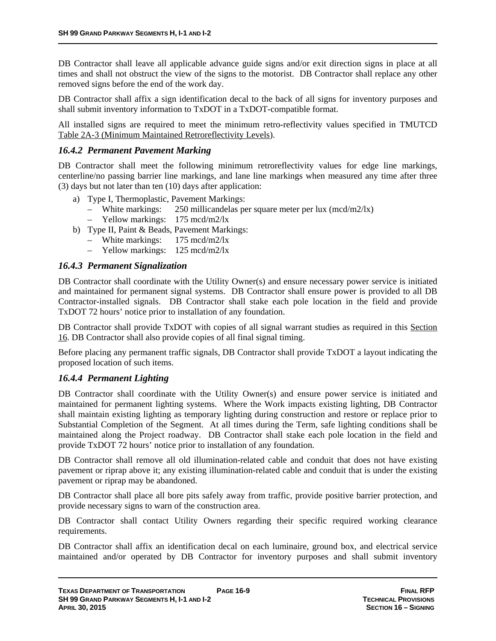DB Contractor shall leave all applicable advance guide signs and/or exit direction signs in place at all times and shall not obstruct the view of the signs to the motorist. DB Contractor shall replace any other removed signs before the end of the work day.

DB Contractor shall affix a sign identification decal to the back of all signs for inventory purposes and shall submit inventory information to TxDOT in a TxDOT-compatible format.

All installed signs are required to meet the minimum retro-reflectivity values specified in TMUTCD Table 2A-3 (Minimum Maintained Retroreflectivity Levels).

#### *16.4.2 Permanent Pavement Marking*

DB Contractor shall meet the following minimum retroreflectivity values for edge line markings, centerline/no passing barrier line markings, and lane line markings when measured any time after three (3) days but not later than ten (10) days after application:

- a) Type I, Thermoplastic, Pavement Markings:
	- White markings:  $250$  millicandelas per square meter per lux (mcd/m2/lx)
	- Yellow markings: 175 mcd/m2/lx
- b) Type II, Paint & Beads, Pavement Markings:
	- White markings: 175 mcd/m2/lx
	- Yellow markings: 125 mcd/m2/lx

#### *16.4.3 Permanent Signalization*

DB Contractor shall coordinate with the Utility Owner(s) and ensure necessary power service is initiated and maintained for permanent signal systems. DB Contractor shall ensure power is provided to all DB Contractor-installed signals. DB Contractor shall stake each pole location in the field and provide TxDOT 72 hours' notice prior to installation of any foundation.

DB Contractor shall provide TxDOT with copies of all signal warrant studies as required in this Section 16. DB Contractor shall also provide copies of all final signal timing.

Before placing any permanent traffic signals, DB Contractor shall provide TxDOT a layout indicating the proposed location of such items.

#### *16.4.4 Permanent Lighting*

DB Contractor shall coordinate with the Utility Owner(s) and ensure power service is initiated and maintained for permanent lighting systems. Where the Work impacts existing lighting, DB Contractor shall maintain existing lighting as temporary lighting during construction and restore or replace prior to Substantial Completion of the Segment. At all times during the Term, safe lighting conditions shall be maintained along the Project roadway. DB Contractor shall stake each pole location in the field and provide TxDOT 72 hours' notice prior to installation of any foundation.

DB Contractor shall remove all old illumination-related cable and conduit that does not have existing pavement or riprap above it; any existing illumination-related cable and conduit that is under the existing pavement or riprap may be abandoned.

DB Contractor shall place all bore pits safely away from traffic, provide positive barrier protection, and provide necessary signs to warn of the construction area.

DB Contractor shall contact Utility Owners regarding their specific required working clearance requirements.

DB Contractor shall affix an identification decal on each luminaire, ground box, and electrical service maintained and/or operated by DB Contractor for inventory purposes and shall submit inventory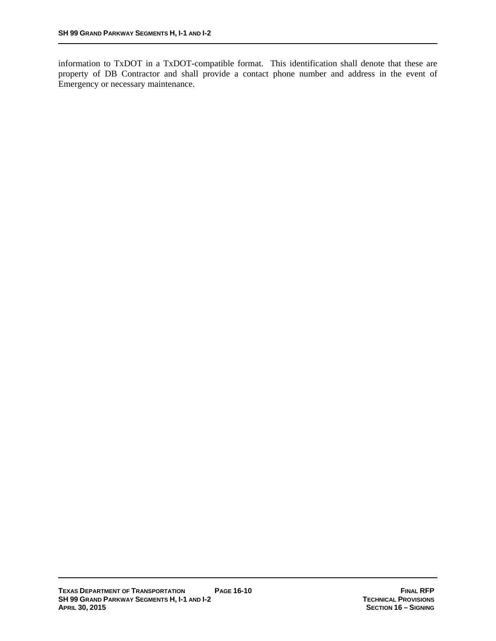information to TxDOT in a TxDOT-compatible format. This identification shall denote that these are property of DB Contractor and shall provide a contact phone number and address in the event of Emergency or necessary maintenance.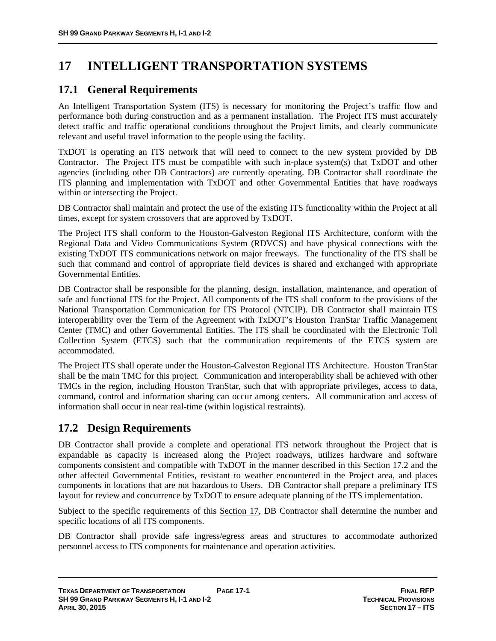# **17 INTELLIGENT TRANSPORTATION SYSTEMS**

## **17.1 General Requirements**

An Intelligent Transportation System (ITS) is necessary for monitoring the Project's traffic flow and performance both during construction and as a permanent installation. The Project ITS must accurately detect traffic and traffic operational conditions throughout the Project limits, and clearly communicate relevant and useful travel information to the people using the facility.

TxDOT is operating an ITS network that will need to connect to the new system provided by DB Contractor. The Project ITS must be compatible with such in-place system(s) that TxDOT and other agencies (including other DB Contractors) are currently operating. DB Contractor shall coordinate the ITS planning and implementation with TxDOT and other Governmental Entities that have roadways within or intersecting the Project.

DB Contractor shall maintain and protect the use of the existing ITS functionality within the Project at all times, except for system crossovers that are approved by TxDOT.

The Project ITS shall conform to the Houston-Galveston Regional ITS Architecture, conform with the Regional Data and Video Communications System (RDVCS) and have physical connections with the existing TxDOT ITS communications network on major freeways. The functionality of the ITS shall be such that command and control of appropriate field devices is shared and exchanged with appropriate Governmental Entities.

DB Contractor shall be responsible for the planning, design, installation, maintenance, and operation of safe and functional ITS for the Project. All components of the ITS shall conform to the provisions of the National Transportation Communication for ITS Protocol (NTCIP). DB Contractor shall maintain ITS interoperability over the Term of the Agreement with TxDOT's Houston TranStar Traffic Management Center (TMC) and other Governmental Entities. The ITS shall be coordinated with the Electronic Toll Collection System (ETCS) such that the communication requirements of the ETCS system are accommodated.

The Project ITS shall operate under the Houston-Galveston Regional ITS Architecture. Houston TranStar shall be the main TMC for this project. Communication and interoperability shall be achieved with other TMCs in the region, including Houston TranStar, such that with appropriate privileges, access to data, command, control and information sharing can occur among centers. All communication and access of information shall occur in near real-time (within logistical restraints).

## **17.2 Design Requirements**

DB Contractor shall provide a complete and operational ITS network throughout the Project that is expandable as capacity is increased along the Project roadways, utilizes hardware and software components consistent and compatible with TxDOT in the manner described in this Section 17.2 and the other affected Governmental Entities, resistant to weather encountered in the Project area, and places components in locations that are not hazardous to Users. DB Contractor shall prepare a preliminary ITS layout for review and concurrence by TxDOT to ensure adequate planning of the ITS implementation.

Subject to the specific requirements of this Section 17, DB Contractor shall determine the number and specific locations of all ITS components.

DB Contractor shall provide safe ingress/egress areas and structures to accommodate authorized personnel access to ITS components for maintenance and operation activities.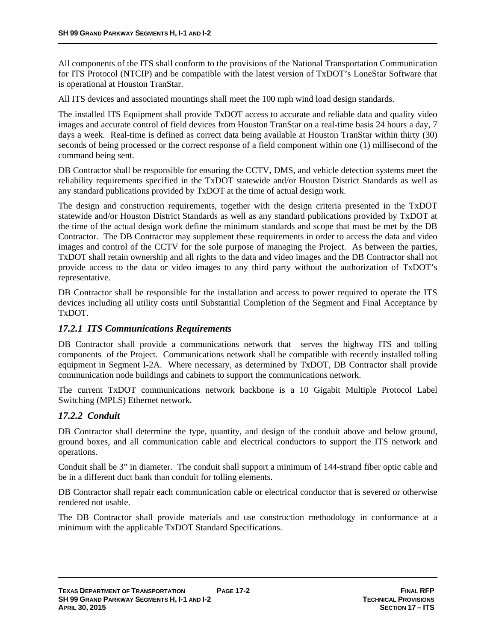All components of the ITS shall conform to the provisions of the National Transportation Communication for ITS Protocol (NTCIP) and be compatible with the latest version of TxDOT's LoneStar Software that is operational at Houston TranStar.

All ITS devices and associated mountings shall meet the 100 mph wind load design standards.

The installed ITS Equipment shall provide TxDOT access to accurate and reliable data and quality video images and accurate control of field devices from Houston TranStar on a real-time basis 24 hours a day, 7 days a week. Real-time is defined as correct data being available at Houston TranStar within thirty (30) seconds of being processed or the correct response of a field component within one (1) millisecond of the command being sent.

DB Contractor shall be responsible for ensuring the CCTV, DMS, and vehicle detection systems meet the reliability requirements specified in the TxDOT statewide and/or Houston District Standards as well as any standard publications provided by TxDOT at the time of actual design work.

The design and construction requirements, together with the design criteria presented in the TxDOT statewide and/or Houston District Standards as well as any standard publications provided by TxDOT at the time of the actual design work define the minimum standards and scope that must be met by the DB Contractor. The DB Contractor may supplement these requirements in order to access the data and video images and control of the CCTV for the sole purpose of managing the Project. As between the parties, TxDOT shall retain ownership and all rights to the data and video images and the DB Contractor shall not provide access to the data or video images to any third party without the authorization of TxDOT's representative.

DB Contractor shall be responsible for the installation and access to power required to operate the ITS devices including all utility costs until Substantial Completion of the Segment and Final Acceptance by TxDOT.

### *17.2.1 ITS Communications Requirements*

DB Contractor shall provide a communications network that serves the highway ITS and tolling components of the Project. Communications network shall be compatible with recently installed tolling equipment in Segment I-2A. Where necessary, as determined by TxDOT, DB Contractor shall provide communication node buildings and cabinets to support the communications network.

The current TxDOT communications network backbone is a 10 Gigabit Multiple Protocol Label Switching (MPLS) Ethernet network.

### *17.2.2 Conduit*

DB Contractor shall determine the type, quantity, and design of the conduit above and below ground, ground boxes, and all communication cable and electrical conductors to support the ITS network and operations.

Conduit shall be 3" in diameter. The conduit shall support a minimum of 144-strand fiber optic cable and be in a different duct bank than conduit for tolling elements.

DB Contractor shall repair each communication cable or electrical conductor that is severed or otherwise rendered not usable.

The DB Contractor shall provide materials and use construction methodology in conformance at a minimum with the applicable TxDOT Standard Specifications.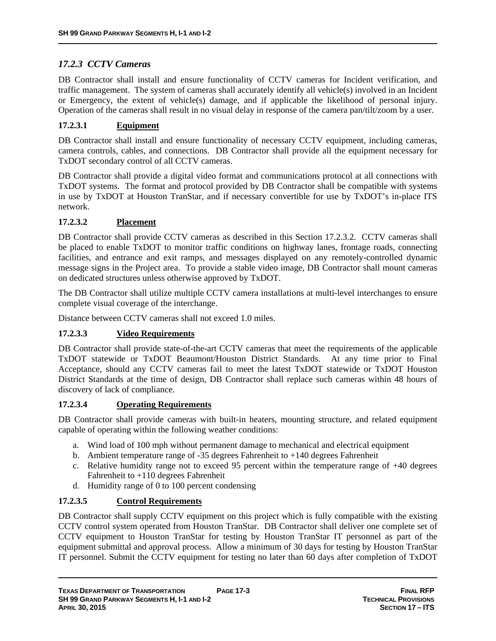### *17.2.3 CCTV Cameras*

DB Contractor shall install and ensure functionality of CCTV cameras for Incident verification, and traffic management. The system of cameras shall accurately identify all vehicle(s) involved in an Incident or Emergency, the extent of vehicle(s) damage, and if applicable the likelihood of personal injury. Operation of the cameras shall result in no visual delay in response of the camera pan/tilt/zoom by a user.

### **17.2.3.1 Equipment**

DB Contractor shall install and ensure functionality of necessary CCTV equipment, including cameras, camera controls, cables, and connections. DB Contractor shall provide all the equipment necessary for TxDOT secondary control of all CCTV cameras.

DB Contractor shall provide a digital video format and communications protocol at all connections with TxDOT systems. The format and protocol provided by DB Contractor shall be compatible with systems in use by TxDOT at Houston TranStar, and if necessary convertible for use by TxDOT's in-place ITS network.

#### **17.2.3.2 Placement**

DB Contractor shall provide CCTV cameras as described in this Section 17.2.3.2. CCTV cameras shall be placed to enable TxDOT to monitor traffic conditions on highway lanes, frontage roads, connecting facilities, and entrance and exit ramps, and messages displayed on any remotely-controlled dynamic message signs in the Project area. To provide a stable video image, DB Contractor shall mount cameras on dedicated structures unless otherwise approved by TxDOT.

The DB Contractor shall utilize multiple CCTV camera installations at multi-level interchanges to ensure complete visual coverage of the interchange.

Distance between CCTV cameras shall not exceed 1.0 miles.

#### **17.2.3.3 Video Requirements**

DB Contractor shall provide state-of-the-art CCTV cameras that meet the requirements of the applicable TxDOT statewide or TxDOT Beaumont/Houston District Standards. At any time prior to Final Acceptance, should any CCTV cameras fail to meet the latest TxDOT statewide or TxDOT Houston District Standards at the time of design, DB Contractor shall replace such cameras within 48 hours of discovery of lack of compliance.

#### **17.2.3.4 Operating Requirements**

DB Contractor shall provide cameras with built-in heaters, mounting structure, and related equipment capable of operating within the following weather conditions:

- a. Wind load of 100 mph without permanent damage to mechanical and electrical equipment
- b. Ambient temperature range of -35 degrees Fahrenheit to +140 degrees Fahrenheit
- c. Relative humidity range not to exceed 95 percent within the temperature range of  $+40$  degrees Fahrenheit to +110 degrees Fahrenheit
- d. Humidity range of 0 to 100 percent condensing

### **17.2.3.5 Control Requirements**

DB Contractor shall supply CCTV equipment on this project which is fully compatible with the existing CCTV control system operated from Houston TranStar. DB Contractor shall deliver one complete set of CCTV equipment to Houston TranStar for testing by Houston TranStar IT personnel as part of the equipment submittal and approval process. Allow a minimum of 30 days for testing by Houston TranStar IT personnel. Submit the CCTV equipment for testing no later than 60 days after completion of TxDOT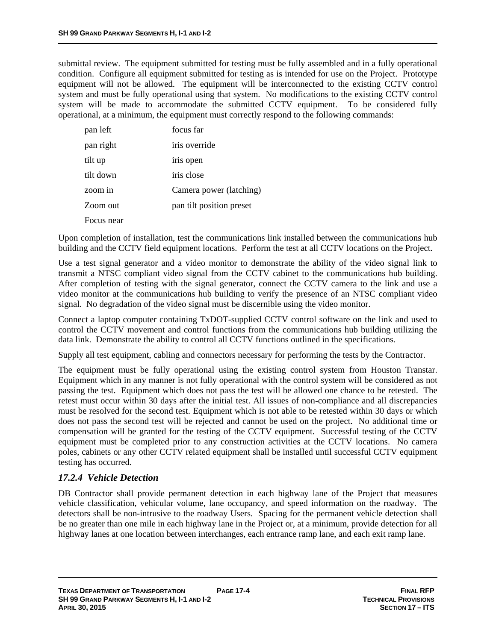submittal review. The equipment submitted for testing must be fully assembled and in a fully operational condition. Configure all equipment submitted for testing as is intended for use on the Project. Prototype equipment will not be allowed. The equipment will be interconnected to the existing CCTV control system and must be fully operational using that system. No modifications to the existing CCTV control system will be made to accommodate the submitted CCTV equipment. To be considered fully operational, at a minimum, the equipment must correctly respond to the following commands:

| pan left   | focus far                |
|------------|--------------------------|
| pan right  | iris override            |
| tilt up    | iris open                |
| tilt down  | iris close               |
| zoom in    | Camera power (latching)  |
| Zoom out   | pan tilt position preset |
| Focus near |                          |

Upon completion of installation, test the communications link installed between the communications hub building and the CCTV field equipment locations. Perform the test at all CCTV locations on the Project.

Use a test signal generator and a video monitor to demonstrate the ability of the video signal link to transmit a NTSC compliant video signal from the CCTV cabinet to the communications hub building. After completion of testing with the signal generator, connect the CCTV camera to the link and use a video monitor at the communications hub building to verify the presence of an NTSC compliant video signal. No degradation of the video signal must be discernible using the video monitor.

Connect a laptop computer containing TxDOT-supplied CCTV control software on the link and used to control the CCTV movement and control functions from the communications hub building utilizing the data link. Demonstrate the ability to control all CCTV functions outlined in the specifications.

Supply all test equipment, cabling and connectors necessary for performing the tests by the Contractor.

The equipment must be fully operational using the existing control system from Houston Transtar. Equipment which in any manner is not fully operational with the control system will be considered as not passing the test. Equipment which does not pass the test will be allowed one chance to be retested. The retest must occur within 30 days after the initial test. All issues of non-compliance and all discrepancies must be resolved for the second test. Equipment which is not able to be retested within 30 days or which does not pass the second test will be rejected and cannot be used on the project. No additional time or compensation will be granted for the testing of the CCTV equipment. Successful testing of the CCTV equipment must be completed prior to any construction activities at the CCTV locations. No camera poles, cabinets or any other CCTV related equipment shall be installed until successful CCTV equipment testing has occurred.

#### *17.2.4 Vehicle Detection*

DB Contractor shall provide permanent detection in each highway lane of the Project that measures vehicle classification, vehicular volume, lane occupancy, and speed information on the roadway. The detectors shall be non-intrusive to the roadway Users. Spacing for the permanent vehicle detection shall be no greater than one mile in each highway lane in the Project or, at a minimum, provide detection for all highway lanes at one location between interchanges, each entrance ramp lane, and each exit ramp lane.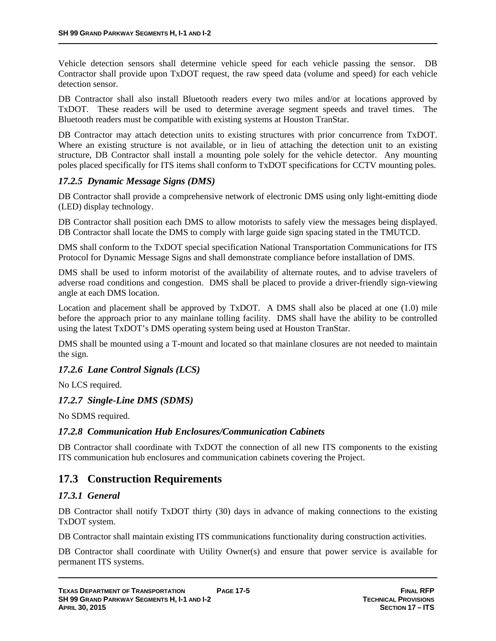Vehicle detection sensors shall determine vehicle speed for each vehicle passing the sensor. DB Contractor shall provide upon TxDOT request, the raw speed data (volume and speed) for each vehicle detection sensor.

DB Contractor shall also install Bluetooth readers every two miles and/or at locations approved by TxDOT. These readers will be used to determine average segment speeds and travel times. The Bluetooth readers must be compatible with existing systems at Houston TranStar.

DB Contractor may attach detection units to existing structures with prior concurrence from TxDOT. Where an existing structure is not available, or in lieu of attaching the detection unit to an existing structure, DB Contractor shall install a mounting pole solely for the vehicle detector. Any mounting poles placed specifically for ITS items shall conform to TxDOT specifications for CCTV mounting poles.

#### *17.2.5 Dynamic Message Signs (DMS)*

DB Contractor shall provide a comprehensive network of electronic DMS using only light-emitting diode (LED) display technology.

DB Contractor shall position each DMS to allow motorists to safely view the messages being displayed. DB Contractor shall locate the DMS to comply with large guide sign spacing stated in the TMUTCD.

DMS shall conform to the TxDOT special specification National Transportation Communications for ITS Protocol for Dynamic Message Signs and shall demonstrate compliance before installation of DMS.

DMS shall be used to inform motorist of the availability of alternate routes, and to advise travelers of adverse road conditions and congestion. DMS shall be placed to provide a driver-friendly sign-viewing angle at each DMS location.

Location and placement shall be approved by TxDOT. A DMS shall also be placed at one (1.0) mile before the approach prior to any mainlane tolling facility.DMS shall have the ability to be controlled using the latest TxDOT's DMS operating system being used at Houston TranStar.

DMS shall be mounted using a T-mount and located so that mainlane closures are not needed to maintain the sign.

#### *17.2.6 Lane Control Signals (LCS)*

No LCS required.

#### *17.2.7 Single-Line DMS (SDMS)*

No SDMS required.

#### *17.2.8 Communication Hub Enclosures/Communication Cabinets*

DB Contractor shall coordinate with TxDOT the connection of all new ITS components to the existing ITS communication hub enclosures and communication cabinets covering the Project.

## **17.3 Construction Requirements**

### *17.3.1 General*

DB Contractor shall notify TxDOT thirty (30) days in advance of making connections to the existing TxDOT system.

DB Contractor shall maintain existing ITS communications functionality during construction activities.

DB Contractor shall coordinate with Utility Owner(s) and ensure that power service is available for permanent ITS systems.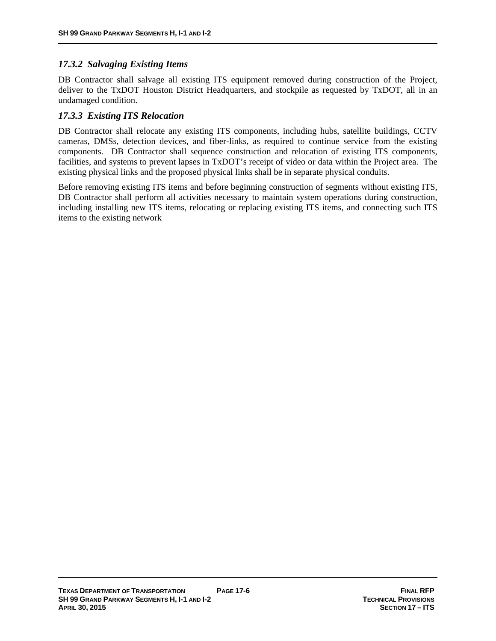### *17.3.2 Salvaging Existing Items*

DB Contractor shall salvage all existing ITS equipment removed during construction of the Project, deliver to the TxDOT Houston District Headquarters, and stockpile as requested by TxDOT, all in an undamaged condition.

### *17.3.3 Existing ITS Relocation*

DB Contractor shall relocate any existing ITS components, including hubs, satellite buildings, CCTV cameras, DMSs, detection devices, and fiber-links, as required to continue service from the existing components. DB Contractor shall sequence construction and relocation of existing ITS components, facilities, and systems to prevent lapses in TxDOT's receipt of video or data within the Project area. The existing physical links and the proposed physical links shall be in separate physical conduits.

Before removing existing ITS items and before beginning construction of segments without existing ITS, DB Contractor shall perform all activities necessary to maintain system operations during construction, including installing new ITS items, relocating or replacing existing ITS items, and connecting such ITS items to the existing network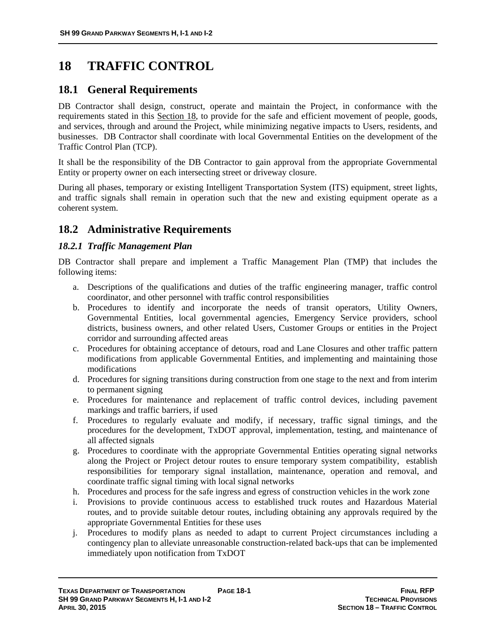# **18 TRAFFIC CONTROL**

## **18.1 General Requirements**

DB Contractor shall design, construct, operate and maintain the Project, in conformance with the requirements stated in this Section 18, to provide for the safe and efficient movement of people, goods, and services, through and around the Project, while minimizing negative impacts to Users, residents, and businesses. DB Contractor shall coordinate with local Governmental Entities on the development of the Traffic Control Plan (TCP).

It shall be the responsibility of the DB Contractor to gain approval from the appropriate Governmental Entity or property owner on each intersecting street or driveway closure.

During all phases, temporary or existing Intelligent Transportation System (ITS) equipment, street lights, and traffic signals shall remain in operation such that the new and existing equipment operate as a coherent system.

## **18.2 Administrative Requirements**

#### *18.2.1 Traffic Management Plan*

DB Contractor shall prepare and implement a Traffic Management Plan (TMP) that includes the following items:

- a. Descriptions of the qualifications and duties of the traffic engineering manager, traffic control coordinator, and other personnel with traffic control responsibilities
- b. Procedures to identify and incorporate the needs of transit operators, Utility Owners, Governmental Entities, local governmental agencies, Emergency Service providers, school districts, business owners, and other related Users, Customer Groups or entities in the Project corridor and surrounding affected areas
- c. Procedures for obtaining acceptance of detours, road and Lane Closures and other traffic pattern modifications from applicable Governmental Entities, and implementing and maintaining those modifications
- d. Procedures for signing transitions during construction from one stage to the next and from interim to permanent signing
- e. Procedures for maintenance and replacement of traffic control devices, including pavement markings and traffic barriers, if used
- f. Procedures to regularly evaluate and modify, if necessary, traffic signal timings, and the procedures for the development, TxDOT approval, implementation, testing, and maintenance of all affected signals
- g. Procedures to coordinate with the appropriate Governmental Entities operating signal networks along the Project or Project detour routes to ensure temporary system compatibility, establish responsibilities for temporary signal installation, maintenance, operation and removal, and coordinate traffic signal timing with local signal networks
- h. Procedures and process for the safe ingress and egress of construction vehicles in the work zone
- i. Provisions to provide continuous access to established truck routes and Hazardous Material routes, and to provide suitable detour routes, including obtaining any approvals required by the appropriate Governmental Entities for these uses
- j. Procedures to modify plans as needed to adapt to current Project circumstances including a contingency plan to alleviate unreasonable construction-related back-ups that can be implemented immediately upon notification from TxDOT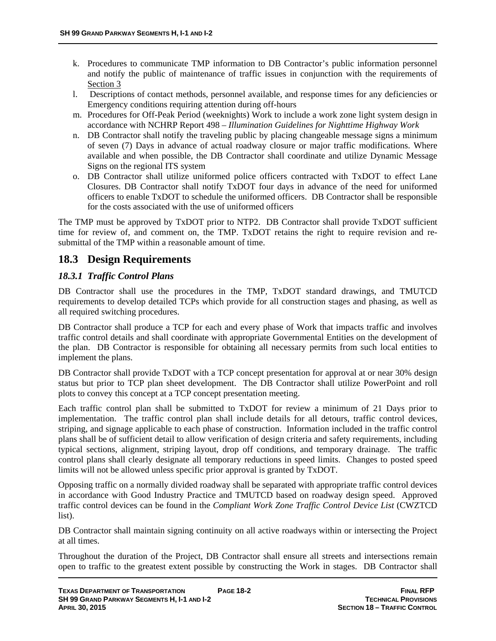- k. Procedures to communicate TMP information to DB Contractor's public information personnel and notify the public of maintenance of traffic issues in conjunction with the requirements of Section 3
- l. Descriptions of contact methods, personnel available, and response times for any deficiencies or Emergency conditions requiring attention during off-hours
- m. Procedures for Off-Peak Period (weeknights) Work to include a work zone light system design in accordance with NCHRP Report 498 – *Illumination Guidelines for Nighttime Highway Work*
- n. DB Contractor shall notify the traveling public by placing changeable message signs a minimum of seven (7) Days in advance of actual roadway closure or major traffic modifications. Where available and when possible, the DB Contractor shall coordinate and utilize Dynamic Message Signs on the regional ITS system
- o. DB Contractor shall utilize uniformed police officers contracted with TxDOT to effect Lane Closures. DB Contractor shall notify TxDOT four days in advance of the need for uniformed officers to enable TxDOT to schedule the uniformed officers. DB Contractor shall be responsible for the costs associated with the use of uniformed officers

The TMP must be approved by TxDOT prior to NTP2. DB Contractor shall provide TxDOT sufficient time for review of, and comment on, the TMP. TxDOT retains the right to require revision and resubmittal of the TMP within a reasonable amount of time.

## **18.3 Design Requirements**

## *18.3.1 Traffic Control Plans*

DB Contractor shall use the procedures in the TMP, TxDOT standard drawings, and TMUTCD requirements to develop detailed TCPs which provide for all construction stages and phasing, as well as all required switching procedures.

DB Contractor shall produce a TCP for each and every phase of Work that impacts traffic and involves traffic control details and shall coordinate with appropriate Governmental Entities on the development of the plan. DB Contractor is responsible for obtaining all necessary permits from such local entities to implement the plans.

DB Contractor shall provide TxDOT with a TCP concept presentation for approval at or near 30% design status but prior to TCP plan sheet development. The DB Contractor shall utilize PowerPoint and roll plots to convey this concept at a TCP concept presentation meeting.

Each traffic control plan shall be submitted to TxDOT for review a minimum of 21 Days prior to implementation. The traffic control plan shall include details for all detours, traffic control devices, striping, and signage applicable to each phase of construction. Information included in the traffic control plans shall be of sufficient detail to allow verification of design criteria and safety requirements, including typical sections, alignment, striping layout, drop off conditions, and temporary drainage. The traffic control plans shall clearly designate all temporary reductions in speed limits. Changes to posted speed limits will not be allowed unless specific prior approval is granted by TxDOT.

Opposing traffic on a normally divided roadway shall be separated with appropriate traffic control devices in accordance with Good Industry Practice and TMUTCD based on roadway design speed. Approved traffic control devices can be found in the *Compliant Work Zone Traffic Control Device List* (CWZTCD list).

DB Contractor shall maintain signing continuity on all active roadways within or intersecting the Project at all times.

Throughout the duration of the Project, DB Contractor shall ensure all streets and intersections remain open to traffic to the greatest extent possible by constructing the Work in stages. DB Contractor shall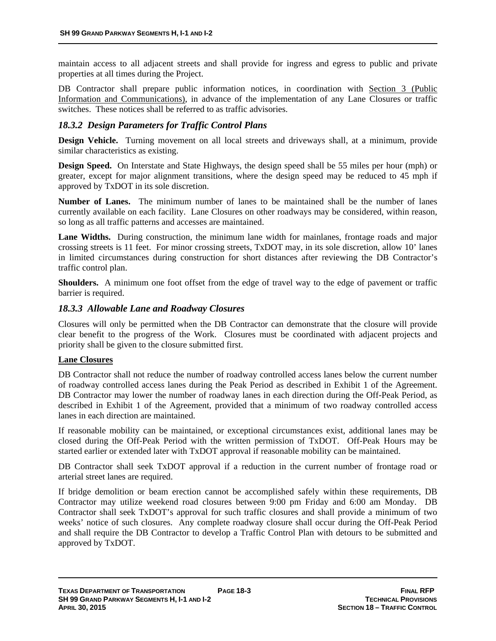maintain access to all adjacent streets and shall provide for ingress and egress to public and private properties at all times during the Project.

DB Contractor shall prepare public information notices, in coordination with Section 3 (Public Information and Communications), in advance of the implementation of any Lane Closures or traffic switches. These notices shall be referred to as traffic advisories.

#### *18.3.2 Design Parameters for Traffic Control Plans*

**Design Vehicle.** Turning movement on all local streets and driveways shall, at a minimum, provide similar characteristics as existing.

**Design Speed.** On Interstate and State Highways, the design speed shall be 55 miles per hour (mph) or greater, except for major alignment transitions, where the design speed may be reduced to 45 mph if approved by TxDOT in its sole discretion.

**Number of Lanes.** The minimum number of lanes to be maintained shall be the number of lanes currently available on each facility. Lane Closures on other roadways may be considered, within reason, so long as all traffic patterns and accesses are maintained.

Lane Widths. During construction, the minimum lane width for mainlanes, frontage roads and major crossing streets is 11 feet. For minor crossing streets, TxDOT may, in its sole discretion, allow 10' lanes in limited circumstances during construction for short distances after reviewing the DB Contractor's traffic control plan.

**Shoulders.** A minimum one foot offset from the edge of travel way to the edge of pavement or traffic barrier is required.

#### *18.3.3 Allowable Lane and Roadway Closures*

Closures will only be permitted when the DB Contractor can demonstrate that the closure will provide clear benefit to the progress of the Work. Closures must be coordinated with adjacent projects and priority shall be given to the closure submitted first.

#### **Lane Closures**

DB Contractor shall not reduce the number of roadway controlled access lanes below the current number of roadway controlled access lanes during the Peak Period as described in Exhibit 1 of the Agreement. DB Contractor may lower the number of roadway lanes in each direction during the Off-Peak Period, as described in Exhibit 1 of the Agreement, provided that a minimum of two roadway controlled access lanes in each direction are maintained.

If reasonable mobility can be maintained, or exceptional circumstances exist, additional lanes may be closed during the Off-Peak Period with the written permission of TxDOT. Off-Peak Hours may be started earlier or extended later with TxDOT approval if reasonable mobility can be maintained.

DB Contractor shall seek TxDOT approval if a reduction in the current number of frontage road or arterial street lanes are required.

If bridge demolition or beam erection cannot be accomplished safely within these requirements, DB Contractor may utilize weekend road closures between 9:00 pm Friday and 6:00 am Monday. DB Contractor shall seek TxDOT's approval for such traffic closures and shall provide a minimum of two weeks' notice of such closures. Any complete roadway closure shall occur during the Off-Peak Period and shall require the DB Contractor to develop a Traffic Control Plan with detours to be submitted and approved by TxDOT.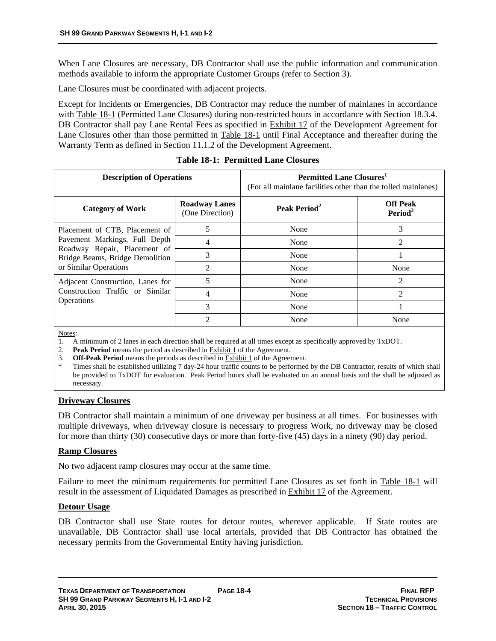When Lane Closures are necessary, DB Contractor shall use the public information and communication methods available to inform the appropriate Customer Groups (refer to Section 3).

Lane Closures must be coordinated with adjacent projects.

Except for Incidents or Emergencies, DB Contractor may reduce the number of mainlanes in accordance with Table 18-1 (Permitted Lane Closures) during non-restricted hours in accordance with Section 18.3.4. DB Contractor shall pay Lane Rental Fees as specified in **Exhibit 17** of the Development Agreement for Lane Closures other than those permitted in Table 18-1 until Final Acceptance and thereafter during the Warranty Term as defined in Section 11.1.2 of the Development Agreement.

| <b>Description of Operations</b>                                                                                                                            |                                         | <b>Permitted Lane Closures</b><br>(For all mainlane facilities other than the tolled mainlanes) |                                        |
|-------------------------------------------------------------------------------------------------------------------------------------------------------------|-----------------------------------------|-------------------------------------------------------------------------------------------------|----------------------------------------|
| <b>Category of Work</b>                                                                                                                                     | <b>Roadway Lanes</b><br>(One Direction) | Peak Period <sup>2</sup>                                                                        | <b>Off Peak</b><br>Period <sup>3</sup> |
| Placement of CTB, Placement of<br>Pavement Markings, Full Depth<br>Roadway Repair, Placement of<br>Bridge Beams, Bridge Demolition<br>or Similar Operations | 5                                       | None                                                                                            | 3                                      |
|                                                                                                                                                             |                                         | None                                                                                            | $\mathfrak{D}$                         |
|                                                                                                                                                             | 3                                       | None                                                                                            |                                        |
|                                                                                                                                                             | $\mathfrak{D}$                          | None                                                                                            | None                                   |
| Adjacent Construction, Lanes for<br>Construction Traffic or Similar<br>Operations                                                                           | 5                                       | None                                                                                            | $\mathfrak{D}$                         |
|                                                                                                                                                             | 4                                       | None                                                                                            | $\mathfrak{D}$                         |
|                                                                                                                                                             | $\mathbf{3}$                            | None                                                                                            |                                        |
|                                                                                                                                                             | ↑                                       | None                                                                                            | None                                   |

**Table 18-1: Permitted Lane Closures** 

Notes:

1. A minimum of 2 lanes in each direction shall be required at all times except as specifically approved by TxDOT.

- 2. **Peak Period** means the period as described in Exhibit 1 of the Agreement.
- 3. **Off-Peak Period** means the periods as described in Exhibit 1 of the Agreement.

Times shall be established utilizing 7 day-24 hour traffic counts to be performed by the DB Contractor, results of which shall be provided to TxDOT for evaluation. Peak Period hours shall be evaluated on an annual basis and the shall be adjusted as necessary.

#### **Driveway Closures**

DB Contractor shall maintain a minimum of one driveway per business at all times. For businesses with multiple driveways, when driveway closure is necessary to progress Work, no driveway may be closed for more than thirty (30) consecutive days or more than forty-five (45) days in a ninety (90) day period.

#### **Ramp Closures**

No two adjacent ramp closures may occur at the same time.

Failure to meet the minimum requirements for permitted Lane Closures as set forth in Table 18-1 will result in the assessment of Liquidated Damages as prescribed in Exhibit 17 of the Agreement.

#### **Detour Usage**

DB Contractor shall use State routes for detour routes, wherever applicable. If State routes are unavailable, DB Contractor shall use local arterials, provided that DB Contractor has obtained the necessary permits from the Governmental Entity having jurisdiction.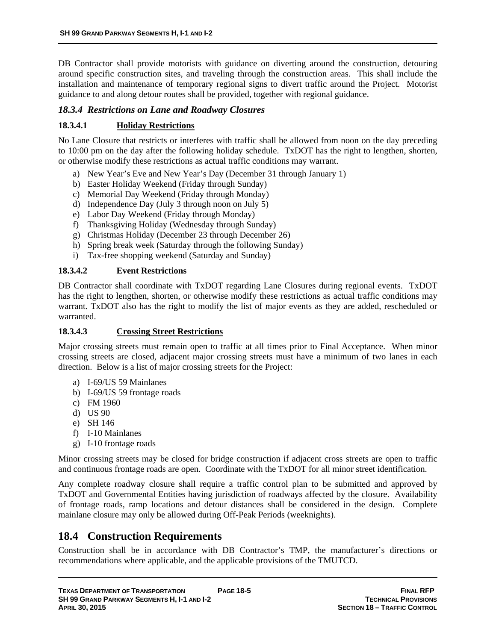DB Contractor shall provide motorists with guidance on diverting around the construction, detouring around specific construction sites, and traveling through the construction areas. This shall include the installation and maintenance of temporary regional signs to divert traffic around the Project. Motorist guidance to and along detour routes shall be provided, together with regional guidance.

#### *18.3.4 Restrictions on Lane and Roadway Closures*

#### **18.3.4.1 Holiday Restrictions**

No Lane Closure that restricts or interferes with traffic shall be allowed from noon on the day preceding to 10:00 pm on the day after the following holiday schedule. TxDOT has the right to lengthen, shorten, or otherwise modify these restrictions as actual traffic conditions may warrant.

- a) New Year's Eve and New Year's Day (December 31 through January 1)
- b) Easter Holiday Weekend (Friday through Sunday)
- c) Memorial Day Weekend (Friday through Monday)
- d) Independence Day (July 3 through noon on July 5)
- e) Labor Day Weekend (Friday through Monday)
- f) Thanksgiving Holiday (Wednesday through Sunday)
- g) Christmas Holiday (December 23 through December 26)
- h) Spring break week (Saturday through the following Sunday)
- i) Tax-free shopping weekend (Saturday and Sunday)

#### **18.3.4.2 Event Restrictions**

DB Contractor shall coordinate with TxDOT regarding Lane Closures during regional events. TxDOT has the right to lengthen, shorten, or otherwise modify these restrictions as actual traffic conditions may warrant. TxDOT also has the right to modify the list of major events as they are added, rescheduled or warranted.

#### **18.3.4.3 Crossing Street Restrictions**

Major crossing streets must remain open to traffic at all times prior to Final Acceptance. When minor crossing streets are closed, adjacent major crossing streets must have a minimum of two lanes in each direction. Below is a list of major crossing streets for the Project:

- a) I-69/US 59 Mainlanes
- b) I-69/US 59 frontage roads
- c) FM 1960
- d) US 90
- e) SH 146
- f) I-10 Mainlanes
- g) I-10 frontage roads

Minor crossing streets may be closed for bridge construction if adjacent cross streets are open to traffic and continuous frontage roads are open. Coordinate with the TxDOT for all minor street identification.

Any complete roadway closure shall require a traffic control plan to be submitted and approved by TxDOT and Governmental Entities having jurisdiction of roadways affected by the closure. Availability of frontage roads, ramp locations and detour distances shall be considered in the design. Complete mainlane closure may only be allowed during Off-Peak Periods (weeknights).

## **18.4 Construction Requirements**

Construction shall be in accordance with DB Contractor's TMP, the manufacturer's directions or recommendations where applicable, and the applicable provisions of the TMUTCD.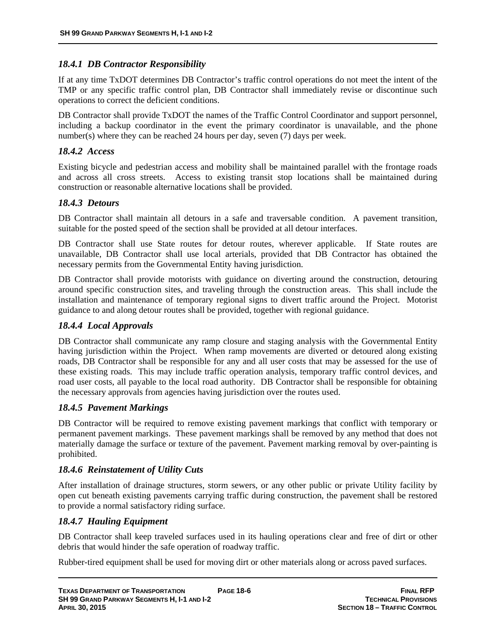#### *18.4.1 DB Contractor Responsibility*

If at any time TxDOT determines DB Contractor's traffic control operations do not meet the intent of the TMP or any specific traffic control plan, DB Contractor shall immediately revise or discontinue such operations to correct the deficient conditions.

DB Contractor shall provide TxDOT the names of the Traffic Control Coordinator and support personnel, including a backup coordinator in the event the primary coordinator is unavailable, and the phone number(s) where they can be reached 24 hours per day, seven (7) days per week.

#### *18.4.2 Access*

Existing bicycle and pedestrian access and mobility shall be maintained parallel with the frontage roads and across all cross streets. Access to existing transit stop locations shall be maintained during construction or reasonable alternative locations shall be provided.

#### *18.4.3 Detours*

DB Contractor shall maintain all detours in a safe and traversable condition. A pavement transition, suitable for the posted speed of the section shall be provided at all detour interfaces.

DB Contractor shall use State routes for detour routes, wherever applicable. If State routes are unavailable, DB Contractor shall use local arterials, provided that DB Contractor has obtained the necessary permits from the Governmental Entity having jurisdiction.

DB Contractor shall provide motorists with guidance on diverting around the construction, detouring around specific construction sites, and traveling through the construction areas. This shall include the installation and maintenance of temporary regional signs to divert traffic around the Project. Motorist guidance to and along detour routes shall be provided, together with regional guidance.

#### *18.4.4 Local Approvals*

DB Contractor shall communicate any ramp closure and staging analysis with the Governmental Entity having jurisdiction within the Project. When ramp movements are diverted or detoured along existing roads, DB Contractor shall be responsible for any and all user costs that may be assessed for the use of these existing roads. This may include traffic operation analysis, temporary traffic control devices, and road user costs, all payable to the local road authority. DB Contractor shall be responsible for obtaining the necessary approvals from agencies having jurisdiction over the routes used.

#### *18.4.5 Pavement Markings*

DB Contractor will be required to remove existing pavement markings that conflict with temporary or permanent pavement markings. These pavement markings shall be removed by any method that does not materially damage the surface or texture of the pavement. Pavement marking removal by over-painting is prohibited.

#### *18.4.6 Reinstatement of Utility Cuts*

After installation of drainage structures, storm sewers, or any other public or private Utility facility by open cut beneath existing pavements carrying traffic during construction, the pavement shall be restored to provide a normal satisfactory riding surface.

### *18.4.7 Hauling Equipment*

DB Contractor shall keep traveled surfaces used in its hauling operations clear and free of dirt or other debris that would hinder the safe operation of roadway traffic.

Rubber-tired equipment shall be used for moving dirt or other materials along or across paved surfaces.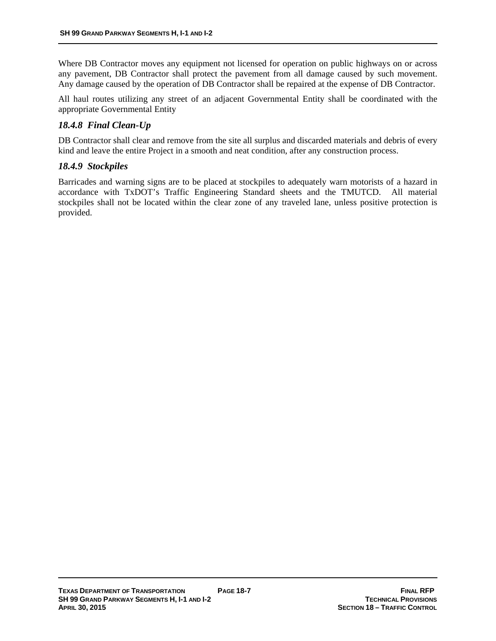Where DB Contractor moves any equipment not licensed for operation on public highways on or across any pavement, DB Contractor shall protect the pavement from all damage caused by such movement. Any damage caused by the operation of DB Contractor shall be repaired at the expense of DB Contractor.

All haul routes utilizing any street of an adjacent Governmental Entity shall be coordinated with the appropriate Governmental Entity

### *18.4.8 Final Clean-Up*

DB Contractor shall clear and remove from the site all surplus and discarded materials and debris of every kind and leave the entire Project in a smooth and neat condition, after any construction process.

#### *18.4.9 Stockpiles*

Barricades and warning signs are to be placed at stockpiles to adequately warn motorists of a hazard in accordance with TxDOT's Traffic Engineering Standard sheets and the TMUTCD. All material stockpiles shall not be located within the clear zone of any traveled lane, unless positive protection is provided.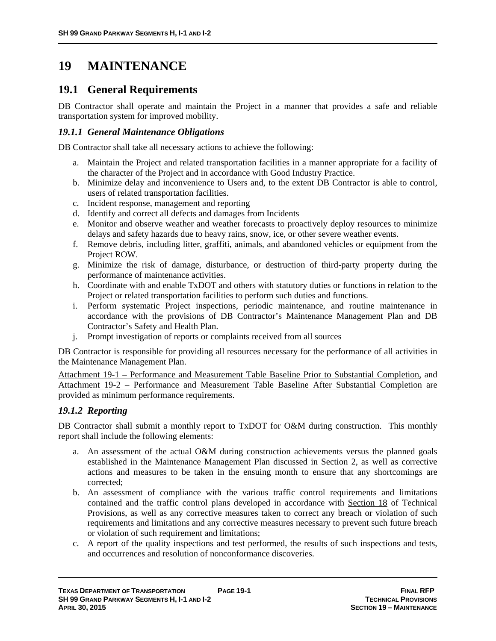# **19 MAINTENANCE**

## **19.1 General Requirements**

DB Contractor shall operate and maintain the Project in a manner that provides a safe and reliable transportation system for improved mobility.

#### *19.1.1 General Maintenance Obligations*

DB Contractor shall take all necessary actions to achieve the following:

- a. Maintain the Project and related transportation facilities in a manner appropriate for a facility of the character of the Project and in accordance with Good Industry Practice.
- b. Minimize delay and inconvenience to Users and, to the extent DB Contractor is able to control, users of related transportation facilities.
- c. Incident response, management and reporting
- d. Identify and correct all defects and damages from Incidents
- e. Monitor and observe weather and weather forecasts to proactively deploy resources to minimize delays and safety hazards due to heavy rains, snow, ice, or other severe weather events.
- f. Remove debris, including litter, graffiti, animals, and abandoned vehicles or equipment from the Project ROW.
- g. Minimize the risk of damage, disturbance, or destruction of third-party property during the performance of maintenance activities.
- h. Coordinate with and enable TxDOT and others with statutory duties or functions in relation to the Project or related transportation facilities to perform such duties and functions.
- i. Perform systematic Project inspections, periodic maintenance, and routine maintenance in accordance with the provisions of DB Contractor's Maintenance Management Plan and DB Contractor's Safety and Health Plan.
- j. Prompt investigation of reports or complaints received from all sources

DB Contractor is responsible for providing all resources necessary for the performance of all activities in the Maintenance Management Plan.

Attachment 19-1 – Performance and Measurement Table Baseline Prior to Substantial Completion, and Attachment 19-2 – Performance and Measurement Table Baseline After Substantial Completion are provided as minimum performance requirements.

#### *19.1.2 Reporting*

DB Contractor shall submit a monthly report to TxDOT for O&M during construction. This monthly report shall include the following elements:

- a. An assessment of the actual O&M during construction achievements versus the planned goals established in the Maintenance Management Plan discussed in Section 2, as well as corrective actions and measures to be taken in the ensuing month to ensure that any shortcomings are corrected;
- b. An assessment of compliance with the various traffic control requirements and limitations contained and the traffic control plans developed in accordance with Section 18 of Technical Provisions, as well as any corrective measures taken to correct any breach or violation of such requirements and limitations and any corrective measures necessary to prevent such future breach or violation of such requirement and limitations;
- c. A report of the quality inspections and test performed, the results of such inspections and tests, and occurrences and resolution of nonconformance discoveries.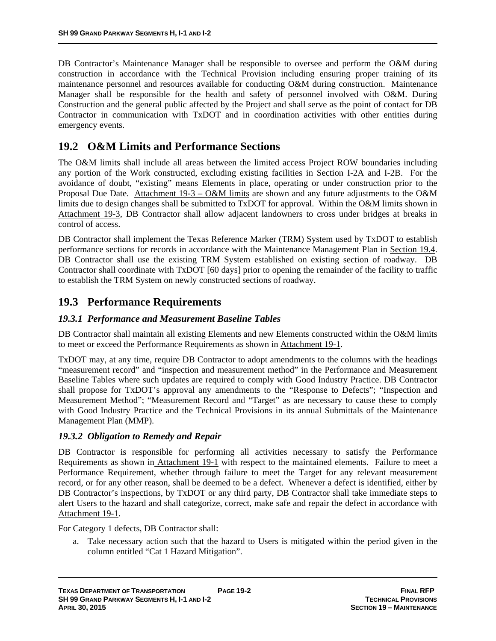DB Contractor's Maintenance Manager shall be responsible to oversee and perform the O&M during construction in accordance with the Technical Provision including ensuring proper training of its maintenance personnel and resources available for conducting O&M during construction. Maintenance Manager shall be responsible for the health and safety of personnel involved with O&M. During Construction and the general public affected by the Project and shall serve as the point of contact for DB Contractor in communication with TxDOT and in coordination activities with other entities during emergency events.

## **19.2 O&M Limits and Performance Sections**

The O&M limits shall include all areas between the limited access Project ROW boundaries including any portion of the Work constructed, excluding existing facilities in Section I-2A and I-2B. For the avoidance of doubt, "existing" means Elements in place, operating or under construction prior to the Proposal Due Date. Attachment 19-3 – O&M limits are shown and any future adjustments to the O&M limits due to design changes shall be submitted to TxDOT for approval. Within the O&M limits shown in Attachment 19-3, DB Contractor shall allow adjacent landowners to cross under bridges at breaks in control of access.

DB Contractor shall implement the Texas Reference Marker (TRM) System used by TxDOT to establish performance sections for records in accordance with the Maintenance Management Plan in Section 19.4. DB Contractor shall use the existing TRM System established on existing section of roadway. DB Contractor shall coordinate with TxDOT [60 days] prior to opening the remainder of the facility to traffic to establish the TRM System on newly constructed sections of roadway.

## **19.3 Performance Requirements**

### *19.3.1 Performance and Measurement Baseline Tables*

DB Contractor shall maintain all existing Elements and new Elements constructed within the O&M limits to meet or exceed the Performance Requirements as shown in Attachment 19-1.

TxDOT may, at any time, require DB Contractor to adopt amendments to the columns with the headings "measurement record" and "inspection and measurement method" in the Performance and Measurement Baseline Tables where such updates are required to comply with Good Industry Practice. DB Contractor shall propose for TxDOT's approval any amendments to the "Response to Defects"; "Inspection and Measurement Method"; "Measurement Record and "Target" as are necessary to cause these to comply with Good Industry Practice and the Technical Provisions in its annual Submittals of the Maintenance Management Plan (MMP).

### *19.3.2 Obligation to Remedy and Repair*

DB Contractor is responsible for performing all activities necessary to satisfy the Performance Requirements as shown in Attachment 19-1 with respect to the maintained elements. Failure to meet a Performance Requirement, whether through failure to meet the Target for any relevant measurement record, or for any other reason, shall be deemed to be a defect. Whenever a defect is identified, either by DB Contractor's inspections, by TxDOT or any third party, DB Contractor shall take immediate steps to alert Users to the hazard and shall categorize, correct, make safe and repair the defect in accordance with Attachment 19-1.

For Category 1 defects, DB Contractor shall:

a. Take necessary action such that the hazard to Users is mitigated within the period given in the column entitled "Cat 1 Hazard Mitigation".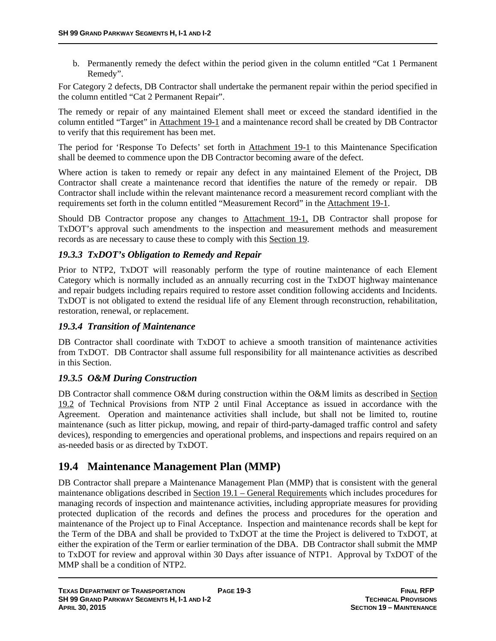b. Permanently remedy the defect within the period given in the column entitled "Cat 1 Permanent Remedy".

For Category 2 defects, DB Contractor shall undertake the permanent repair within the period specified in the column entitled "Cat 2 Permanent Repair".

The remedy or repair of any maintained Element shall meet or exceed the standard identified in the column entitled "Target" in Attachment 19-1 and a maintenance record shall be created by DB Contractor to verify that this requirement has been met.

The period for 'Response To Defects' set forth in Attachment 19-1 to this Maintenance Specification shall be deemed to commence upon the DB Contractor becoming aware of the defect.

Where action is taken to remedy or repair any defect in any maintained Element of the Project, DB Contractor shall create a maintenance record that identifies the nature of the remedy or repair. DB Contractor shall include within the relevant maintenance record a measurement record compliant with the requirements set forth in the column entitled "Measurement Record" in the Attachment 19-1.

Should DB Contractor propose any changes to Attachment 19-1, DB Contractor shall propose for TxDOT's approval such amendments to the inspection and measurement methods and measurement records as are necessary to cause these to comply with this Section 19.

### *19.3.3 TxDOT's Obligation to Remedy and Repair*

Prior to NTP2, TxDOT will reasonably perform the type of routine maintenance of each Element Category which is normally included as an annually recurring cost in the TxDOT highway maintenance and repair budgets including repairs required to restore asset condition following accidents and Incidents. TxDOT is not obligated to extend the residual life of any Element through reconstruction, rehabilitation, restoration, renewal, or replacement.

### *19.3.4 Transition of Maintenance*

DB Contractor shall coordinate with TxDOT to achieve a smooth transition of maintenance activities from TxDOT. DB Contractor shall assume full responsibility for all maintenance activities as described in this Section.

### *19.3.5 O&M During Construction*

DB Contractor shall commence O&M during construction within the O&M limits as described in Section 19.2 of Technical Provisions from NTP 2 until Final Acceptance as issued in accordance with the Agreement. Operation and maintenance activities shall include, but shall not be limited to, routine maintenance (such as litter pickup, mowing, and repair of third-party-damaged traffic control and safety devices), responding to emergencies and operational problems, and inspections and repairs required on an as-needed basis or as directed by TxDOT.

## **19.4 Maintenance Management Plan (MMP)**

DB Contractor shall prepare a Maintenance Management Plan (MMP) that is consistent with the general maintenance obligations described in Section 19.1 – General Requirements which includes procedures for managing records of inspection and maintenance activities, including appropriate measures for providing protected duplication of the records and defines the process and procedures for the operation and maintenance of the Project up to Final Acceptance. Inspection and maintenance records shall be kept for the Term of the DBA and shall be provided to TxDOT at the time the Project is delivered to TxDOT, at either the expiration of the Term or earlier termination of the DBA. DB Contractor shall submit the MMP to TxDOT for review and approval within 30 Days after issuance of NTP1. Approval by TxDOT of the MMP shall be a condition of NTP2.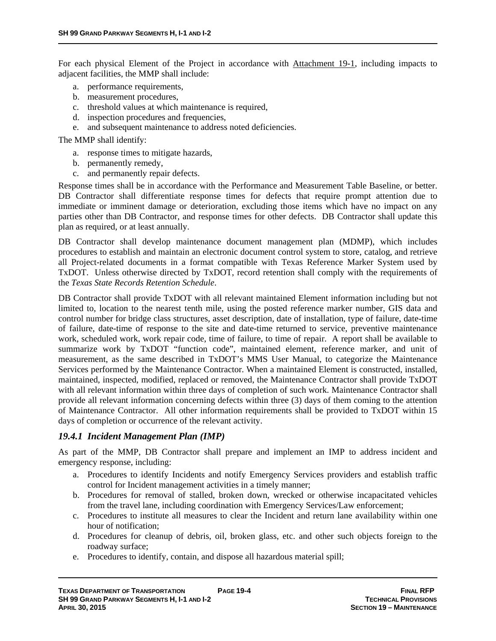For each physical Element of the Project in accordance with Attachment 19-1, including impacts to adjacent facilities, the MMP shall include:

- a. performance requirements,
- b. measurement procedures,
- c. threshold values at which maintenance is required,
- d. inspection procedures and frequencies,
- e. and subsequent maintenance to address noted deficiencies.

The MMP shall identify:

- a. response times to mitigate hazards,
- b. permanently remedy,
- c. and permanently repair defects.

Response times shall be in accordance with the Performance and Measurement Table Baseline, or better. DB Contractor shall differentiate response times for defects that require prompt attention due to immediate or imminent damage or deterioration, excluding those items which have no impact on any parties other than DB Contractor, and response times for other defects. DB Contractor shall update this plan as required, or at least annually.

DB Contractor shall develop maintenance document management plan (MDMP), which includes procedures to establish and maintain an electronic document control system to store, catalog, and retrieve all Project-related documents in a format compatible with Texas Reference Marker System used by TxDOT. Unless otherwise directed by TxDOT, record retention shall comply with the requirements of the *Texas State Records Retention Schedule*.

DB Contractor shall provide TxDOT with all relevant maintained Element information including but not limited to, location to the nearest tenth mile, using the posted reference marker number, GIS data and control number for bridge class structures, asset description, date of installation, type of failure, date-time of failure, date-time of response to the site and date-time returned to service, preventive maintenance work, scheduled work, work repair code, time of failure, to time of repair. A report shall be available to summarize work by TxDOT "function code", maintained element, reference marker, and unit of measurement, as the same described in TxDOT's MMS User Manual, to categorize the Maintenance Services performed by the Maintenance Contractor. When a maintained Element is constructed, installed, maintained, inspected, modified, replaced or removed, the Maintenance Contractor shall provide TxDOT with all relevant information within three days of completion of such work. Maintenance Contractor shall provide all relevant information concerning defects within three (3) days of them coming to the attention of Maintenance Contractor. All other information requirements shall be provided to TxDOT within 15 days of completion or occurrence of the relevant activity.

#### *19.4.1 Incident Management Plan (IMP)*

As part of the MMP, DB Contractor shall prepare and implement an IMP to address incident and emergency response, including:

- a. Procedures to identify Incidents and notify Emergency Services providers and establish traffic control for Incident management activities in a timely manner;
- b. Procedures for removal of stalled, broken down, wrecked or otherwise incapacitated vehicles from the travel lane, including coordination with Emergency Services/Law enforcement;
- c. Procedures to institute all measures to clear the Incident and return lane availability within one hour of notification;
- d. Procedures for cleanup of debris, oil, broken glass, etc. and other such objects foreign to the roadway surface;
- e. Procedures to identify, contain, and dispose all hazardous material spill;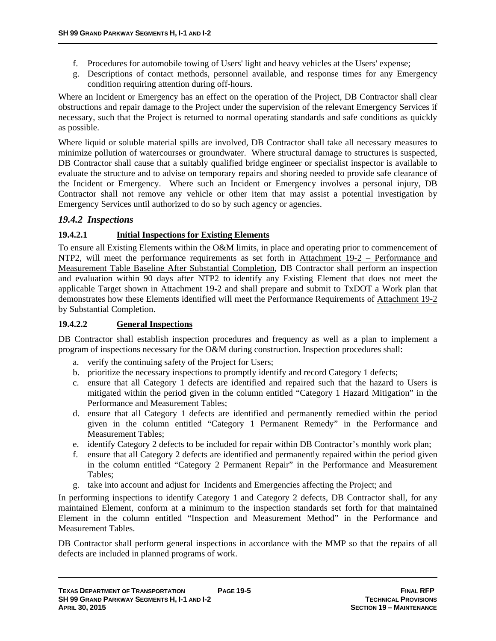- f. Procedures for automobile towing of Users' light and heavy vehicles at the Users' expense;
- g. Descriptions of contact methods, personnel available, and response times for any Emergency condition requiring attention during off-hours.

Where an Incident or Emergency has an effect on the operation of the Project, DB Contractor shall clear obstructions and repair damage to the Project under the supervision of the relevant Emergency Services if necessary, such that the Project is returned to normal operating standards and safe conditions as quickly as possible.

Where liquid or soluble material spills are involved, DB Contractor shall take all necessary measures to minimize pollution of watercourses or groundwater. Where structural damage to structures is suspected, DB Contractor shall cause that a suitably qualified bridge engineer or specialist inspector is available to evaluate the structure and to advise on temporary repairs and shoring needed to provide safe clearance of the Incident or Emergency. Where such an Incident or Emergency involves a personal injury, DB Contractor shall not remove any vehicle or other item that may assist a potential investigation by Emergency Services until authorized to do so by such agency or agencies.

### *19.4.2 Inspections*

#### **19.4.2.1 Initial Inspections for Existing Elements**

To ensure all Existing Elements within the O&M limits, in place and operating prior to commencement of NTP2, will meet the performance requirements as set forth in Attachment 19-2 – Performance and Measurement Table Baseline After Substantial Completion, DB Contractor shall perform an inspection and evaluation within 90 days after NTP2 to identify any Existing Element that does not meet the applicable Target shown in Attachment 19-2 and shall prepare and submit to TxDOT a Work plan that demonstrates how these Elements identified will meet the Performance Requirements of Attachment 19-2 by Substantial Completion.

#### **19.4.2.2 General Inspections**

DB Contractor shall establish inspection procedures and frequency as well as a plan to implement a program of inspections necessary for the O&M during construction. Inspection procedures shall:

- a. verify the continuing safety of the Project for Users;
- b. prioritize the necessary inspections to promptly identify and record Category 1 defects;
- c. ensure that all Category 1 defects are identified and repaired such that the hazard to Users is mitigated within the period given in the column entitled "Category 1 Hazard Mitigation" in the Performance and Measurement Tables;
- d. ensure that all Category 1 defects are identified and permanently remedied within the period given in the column entitled "Category 1 Permanent Remedy" in the Performance and Measurement Tables;
- e. identify Category 2 defects to be included for repair within DB Contractor's monthly work plan;
- f. ensure that all Category 2 defects are identified and permanently repaired within the period given in the column entitled "Category 2 Permanent Repair" in the Performance and Measurement Tables;
- g. take into account and adjust for Incidents and Emergencies affecting the Project; and

In performing inspections to identify Category 1 and Category 2 defects, DB Contractor shall, for any maintained Element, conform at a minimum to the inspection standards set forth for that maintained Element in the column entitled "Inspection and Measurement Method" in the Performance and Measurement Tables.

DB Contractor shall perform general inspections in accordance with the MMP so that the repairs of all defects are included in planned programs of work.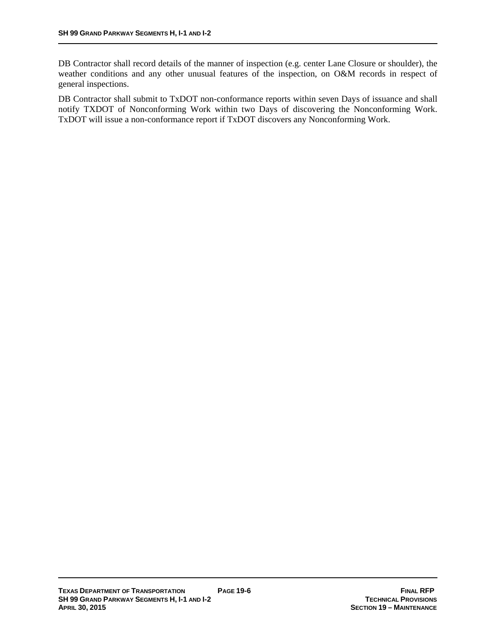DB Contractor shall record details of the manner of inspection (e.g. center Lane Closure or shoulder), the weather conditions and any other unusual features of the inspection, on O&M records in respect of general inspections.

DB Contractor shall submit to TxDOT non-conformance reports within seven Days of issuance and shall notify TXDOT of Nonconforming Work within two Days of discovering the Nonconforming Work. TxDOT will issue a non-conformance report if TxDOT discovers any Nonconforming Work.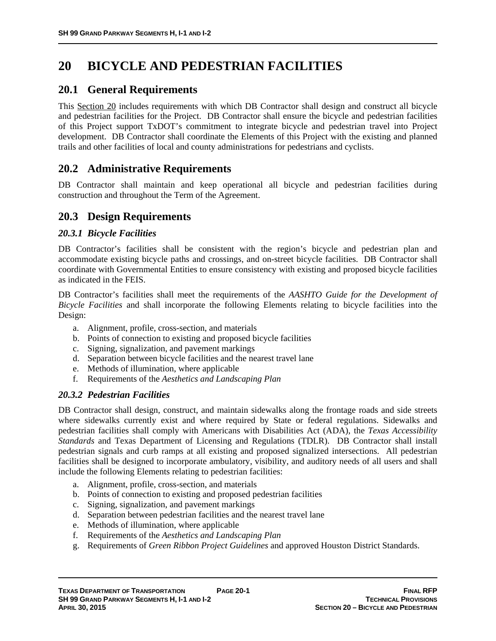# **20 BICYCLE AND PEDESTRIAN FACILITIES**

## **20.1 General Requirements**

This Section 20 includes requirements with which DB Contractor shall design and construct all bicycle and pedestrian facilities for the Project. DB Contractor shall ensure the bicycle and pedestrian facilities of this Project support TxDOT's commitment to integrate bicycle and pedestrian travel into Project development. DB Contractor shall coordinate the Elements of this Project with the existing and planned trails and other facilities of local and county administrations for pedestrians and cyclists.

## **20.2 Administrative Requirements**

DB Contractor shall maintain and keep operational all bicycle and pedestrian facilities during construction and throughout the Term of the Agreement.

## **20.3 Design Requirements**

#### *20.3.1 Bicycle Facilities*

DB Contractor's facilities shall be consistent with the region's bicycle and pedestrian plan and accommodate existing bicycle paths and crossings, and on-street bicycle facilities. DB Contractor shall coordinate with Governmental Entities to ensure consistency with existing and proposed bicycle facilities as indicated in the FEIS.

DB Contractor's facilities shall meet the requirements of the *AASHTO Guide for the Development of Bicycle Facilities* and shall incorporate the following Elements relating to bicycle facilities into the Design:

- a. Alignment, profile, cross-section, and materials
- b. Points of connection to existing and proposed bicycle facilities
- c. Signing, signalization, and pavement markings
- d. Separation between bicycle facilities and the nearest travel lane
- e. Methods of illumination, where applicable
- f. Requirements of the *Aesthetics and Landscaping Plan*

#### *20.3.2 Pedestrian Facilities*

DB Contractor shall design, construct, and maintain sidewalks along the frontage roads and side streets where sidewalks currently exist and where required by State or federal regulations. Sidewalks and pedestrian facilities shall comply with Americans with Disabilities Act (ADA), the *Texas Accessibility Standards* and Texas Department of Licensing and Regulations (TDLR). DB Contractor shall install pedestrian signals and curb ramps at all existing and proposed signalized intersections. All pedestrian facilities shall be designed to incorporate ambulatory, visibility, and auditory needs of all users and shall include the following Elements relating to pedestrian facilities:

- a. Alignment, profile, cross-section, and materials
- b. Points of connection to existing and proposed pedestrian facilities
- c. Signing, signalization, and pavement markings
- d. Separation between pedestrian facilities and the nearest travel lane
- e. Methods of illumination, where applicable
- f. Requirements of the *Aesthetics and Landscaping Plan*
- g. Requirements of *Green Ribbon Project Guidelines* and approved Houston District Standards.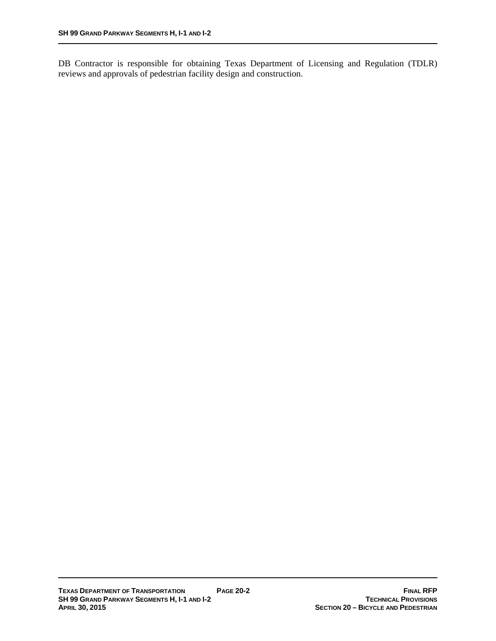DB Contractor is responsible for obtaining Texas Department of Licensing and Regulation (TDLR) reviews and approvals of pedestrian facility design and construction.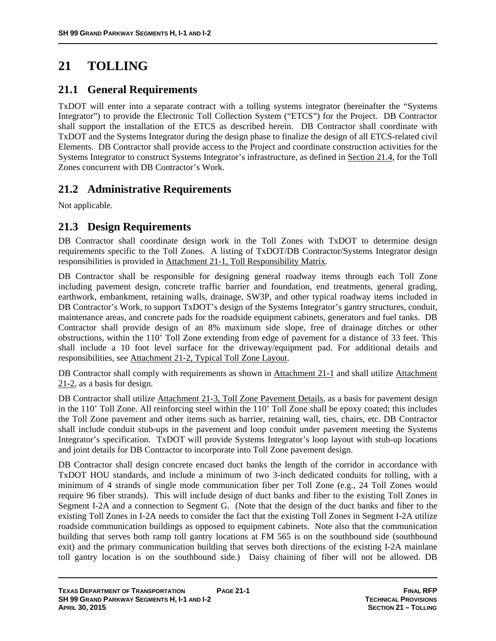# **21 TOLLING**

## **21.1 General Requirements**

TxDOT will enter into a separate contract with a tolling systems integrator (hereinafter the "Systems Integrator") to provide the Electronic Toll Collection System ("ETCS") for the Project. DB Contractor shall support the installation of the ETCS as described herein. DB Contractor shall coordinate with TxDOT and the Systems Integrator during the design phase to finalize the design of all ETCS-related civil Elements. DB Contractor shall provide access to the Project and coordinate construction activities for the Systems Integrator to construct Systems Integrator's infrastructure, as defined in Section 21.4, for the Toll Zones concurrent with DB Contractor's Work.

## **21.2 Administrative Requirements**

Not applicable.

## **21.3 Design Requirements**

DB Contractor shall coordinate design work in the Toll Zones with TxDOT to determine design requirements specific to the Toll Zones. A listing of TxDOT/DB Contractor/Systems Integrator design responsibilities is provided in Attachment 21-1, Toll Responsibility Matrix.

DB Contractor shall be responsible for designing general roadway items through each Toll Zone including pavement design, concrete traffic barrier and foundation, end treatments, general grading, earthwork, embankment, retaining walls, drainage, SW3P, and other typical roadway items included in DB Contractor's Work, to support TxDOT's design of the Systems Integrator's gantry structures, conduit, maintenance areas, and concrete pads for the roadside equipment cabinets, generators and fuel tanks. DB Contractor shall provide design of an 8% maximum side slope, free of drainage ditches or other obstructions, within the 110' Toll Zone extending from edge of pavement for a distance of 33 feet. This shall include a 10 foot level surface for the driveway/equipment pad. For additional details and responsibilities, see Attachment 21-2, Typical Toll Zone Layout.

DB Contractor shall comply with requirements as shown in Attachment 21-1 and shall utilize Attachment 21-2, as a basis for design.

DB Contractor shall utilize Attachment 21-3, Toll Zone Pavement Details, as a basis for pavement design in the 110' Toll Zone. All reinforcing steel within the 110' Toll Zone shall be epoxy coated; this includes the Toll Zone pavement and other items such as barrier, retaining wall, ties, chairs, etc. DB Contractor shall include conduit stub-ups in the pavement and loop conduit under pavement meeting the Systems Integrator's specification. TxDOT will provide Systems Integrator's loop layout with stub-up locations and joint details for DB Contractor to incorporate into Toll Zone pavement design.

DB Contractor shall design concrete encased duct banks the length of the corridor in accordance with TxDOT HOU standards, and include a minimum of two 3-inch dedicated conduits for tolling, with a minimum of 4 strands of single mode communication fiber per Toll Zone (e.g., 24 Toll Zones would require 96 fiber strands). This will include design of duct banks and fiber to the existing Toll Zones in Segment I-2A and a connection to Segment G. (Note that the design of the duct banks and fiber to the existing Toll Zones in I-2A needs to consider the fact that the existing Toll Zones in Segment I-2A utilize roadside communication buildings as opposed to equipment cabinets. Note also that the communication building that serves both ramp toll gantry locations at FM 565 is on the southbound side (southbound exit) and the primary communication building that serves both directions of the existing I-2A mainlane toll gantry location is on the southbound side.) Daisy chaining of fiber will not be allowed. DB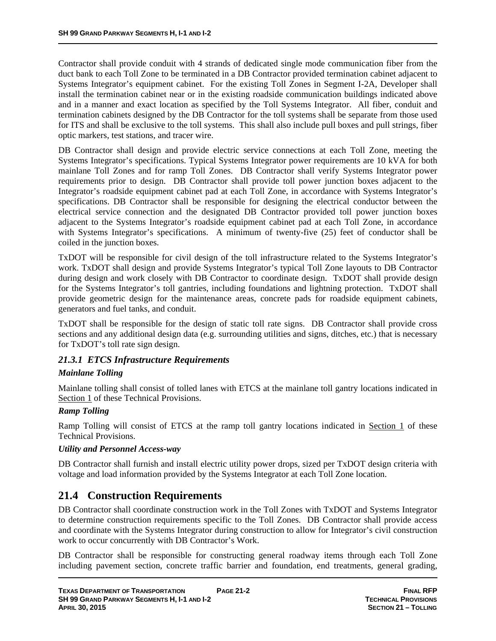Contractor shall provide conduit with 4 strands of dedicated single mode communication fiber from the duct bank to each Toll Zone to be terminated in a DB Contractor provided termination cabinet adjacent to Systems Integrator's equipment cabinet. For the existing Toll Zones in Segment I-2A, Developer shall install the termination cabinet near or in the existing roadside communication buildings indicated above and in a manner and exact location as specified by the Toll Systems Integrator. All fiber, conduit and termination cabinets designed by the DB Contractor for the toll systems shall be separate from those used for ITS and shall be exclusive to the toll systems. This shall also include pull boxes and pull strings, fiber optic markers, test stations, and tracer wire.

DB Contractor shall design and provide electric service connections at each Toll Zone, meeting the Systems Integrator's specifications. Typical Systems Integrator power requirements are 10 kVA for both mainlane Toll Zones and for ramp Toll Zones. DB Contractor shall verify Systems Integrator power requirements prior to design. DB Contractor shall provide toll power junction boxes adjacent to the Integrator's roadside equipment cabinet pad at each Toll Zone, in accordance with Systems Integrator's specifications. DB Contractor shall be responsible for designing the electrical conductor between the electrical service connection and the designated DB Contractor provided toll power junction boxes adjacent to the Systems Integrator's roadside equipment cabinet pad at each Toll Zone, in accordance with Systems Integrator's specifications. A minimum of twenty-five (25) feet of conductor shall be coiled in the junction boxes.

TxDOT will be responsible for civil design of the toll infrastructure related to the Systems Integrator's work. TxDOT shall design and provide Systems Integrator's typical Toll Zone layouts to DB Contractor during design and work closely with DB Contractor to coordinate design. TxDOT shall provide design for the Systems Integrator's toll gantries, including foundations and lightning protection. TxDOT shall provide geometric design for the maintenance areas, concrete pads for roadside equipment cabinets, generators and fuel tanks, and conduit.

TxDOT shall be responsible for the design of static toll rate signs. DB Contractor shall provide cross sections and any additional design data (e.g. surrounding utilities and signs, ditches, etc.) that is necessary for TxDOT's toll rate sign design.

## *21.3.1 ETCS Infrastructure Requirements*

#### *Mainlane Tolling*

Mainlane tolling shall consist of tolled lanes with ETCS at the mainlane toll gantry locations indicated in Section 1 of these Technical Provisions.

### *Ramp Tolling*

Ramp Tolling will consist of ETCS at the ramp toll gantry locations indicated in Section 1 of these Technical Provisions.

#### *Utility and Personnel Access-way*

DB Contractor shall furnish and install electric utility power drops, sized per TxDOT design criteria with voltage and load information provided by the Systems Integrator at each Toll Zone location.

## **21.4 Construction Requirements**

DB Contractor shall coordinate construction work in the Toll Zones with TxDOT and Systems Integrator to determine construction requirements specific to the Toll Zones. DB Contractor shall provide access and coordinate with the Systems Integrator during construction to allow for Integrator's civil construction work to occur concurrently with DB Contractor's Work.

DB Contractor shall be responsible for constructing general roadway items through each Toll Zone including pavement section, concrete traffic barrier and foundation, end treatments, general grading,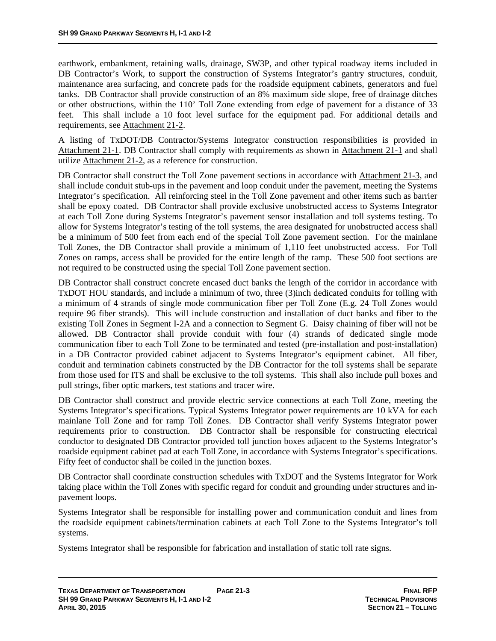earthwork, embankment, retaining walls, drainage, SW3P, and other typical roadway items included in DB Contractor's Work, to support the construction of Systems Integrator's gantry structures, conduit, maintenance area surfacing, and concrete pads for the roadside equipment cabinets, generators and fuel tanks. DB Contractor shall provide construction of an 8% maximum side slope, free of drainage ditches or other obstructions, within the 110' Toll Zone extending from edge of pavement for a distance of 33 feet. This shall include a 10 foot level surface for the equipment pad. For additional details and requirements, see Attachment 21-2.

A listing of TxDOT/DB Contractor/Systems Integrator construction responsibilities is provided in Attachment 21-1. DB Contractor shall comply with requirements as shown in Attachment 21-1 and shall utilize Attachment 21-2, as a reference for construction.

DB Contractor shall construct the Toll Zone pavement sections in accordance with Attachment 21-3, and shall include conduit stub-ups in the pavement and loop conduit under the pavement, meeting the Systems Integrator's specification. All reinforcing steel in the Toll Zone pavement and other items such as barrier shall be epoxy coated. DB Contractor shall provide exclusive unobstructed access to Systems Integrator at each Toll Zone during Systems Integrator's pavement sensor installation and toll systems testing. To allow for Systems Integrator's testing of the toll systems, the area designated for unobstructed access shall be a minimum of 500 feet from each end of the special Toll Zone pavement section. For the mainlane Toll Zones, the DB Contractor shall provide a minimum of 1,110 feet unobstructed access. For Toll Zones on ramps, access shall be provided for the entire length of the ramp. These 500 foot sections are not required to be constructed using the special Toll Zone pavement section.

DB Contractor shall construct concrete encased duct banks the length of the corridor in accordance with TxDOT HOU standards, and include a minimum of two, three (3)inch dedicated conduits for tolling with a minimum of 4 strands of single mode communication fiber per Toll Zone (E.g. 24 Toll Zones would require 96 fiber strands). This will include construction and installation of duct banks and fiber to the existing Toll Zones in Segment I-2A and a connection to Segment G. Daisy chaining of fiber will not be allowed. DB Contractor shall provide conduit with four (4) strands of dedicated single mode communication fiber to each Toll Zone to be terminated and tested (pre-installation and post-installation) in a DB Contractor provided cabinet adjacent to Systems Integrator's equipment cabinet. All fiber, conduit and termination cabinets constructed by the DB Contractor for the toll systems shall be separate from those used for ITS and shall be exclusive to the toll systems. This shall also include pull boxes and pull strings, fiber optic markers, test stations and tracer wire.

DB Contractor shall construct and provide electric service connections at each Toll Zone, meeting the Systems Integrator's specifications. Typical Systems Integrator power requirements are 10 kVA for each mainlane Toll Zone and for ramp Toll Zones. DB Contractor shall verify Systems Integrator power requirements prior to construction. DB Contractor shall be responsible for constructing electrical conductor to designated DB Contractor provided toll junction boxes adjacent to the Systems Integrator's roadside equipment cabinet pad at each Toll Zone, in accordance with Systems Integrator's specifications. Fifty feet of conductor shall be coiled in the junction boxes.

DB Contractor shall coordinate construction schedules with TxDOT and the Systems Integrator for Work taking place within the Toll Zones with specific regard for conduit and grounding under structures and inpavement loops.

Systems Integrator shall be responsible for installing power and communication conduit and lines from the roadside equipment cabinets/termination cabinets at each Toll Zone to the Systems Integrator's toll systems.

Systems Integrator shall be responsible for fabrication and installation of static toll rate signs.